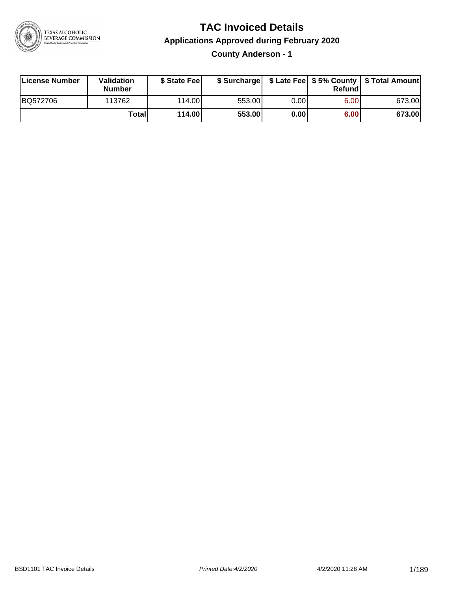

**County Anderson - 1**

| License Number | Validation<br><b>Number</b> | \$ State Fee  | \$ Surcharge |       | <b>Refund</b> |        |
|----------------|-----------------------------|---------------|--------------|-------|---------------|--------|
| BQ572706       | 113762                      | 114.00        | 553.00       | 0.00I | 6.00          | 673.00 |
|                | Totall                      | <b>114.00</b> | 553.00       | 0.00  | 6.00          | 673.00 |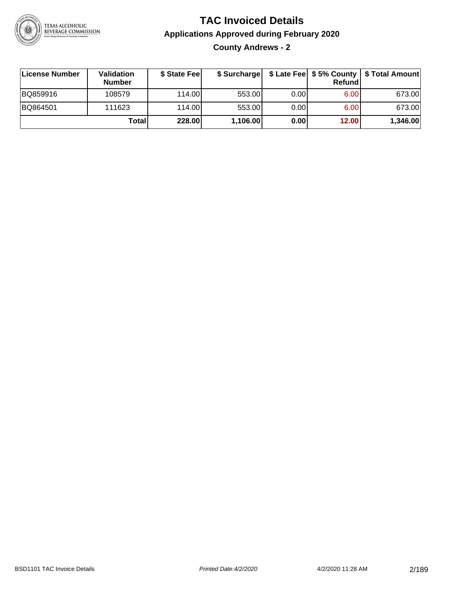

**County Andrews - 2**

| ∣License Number | <b>Validation</b><br><b>Number</b> | \$ State Fee | \$ Surcharge |       | <b>Refund</b>     | \$ Late Fee   \$5% County   \$ Total Amount |
|-----------------|------------------------------------|--------------|--------------|-------|-------------------|---------------------------------------------|
| BQ859916        | 108579                             | 114.00L      | 553.00       | 0.00  | 6.00              | 673.00                                      |
| BQ864501        | 111623                             | 114.00L      | 553.00       | 0.001 | 6.00 <sub>1</sub> | 673.00                                      |
|                 | Totall                             | 228.00       | 1,106.00     | 0.00  | 12.00             | 1,346.00                                    |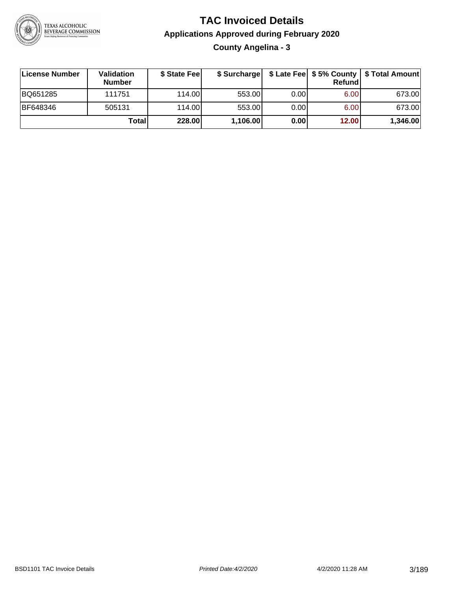

**County Angelina - 3**

| License Number | <b>Validation</b><br><b>Number</b> | \$ State Fee |          |       | Refundl | \$ Surcharge   \$ Late Fee   \$5% County   \$ Total Amount |
|----------------|------------------------------------|--------------|----------|-------|---------|------------------------------------------------------------|
| BQ651285       | 111751                             | 114.00       | 553.00   | 0.001 | 6.00    | 673.00                                                     |
| BF648346       | 505131                             | 114.00       | 553.00   | 0.001 | 6.00    | 673.00                                                     |
|                | Totall                             | 228.00       | 1,106.00 | 0.00  | 12.00   | 1,346.00                                                   |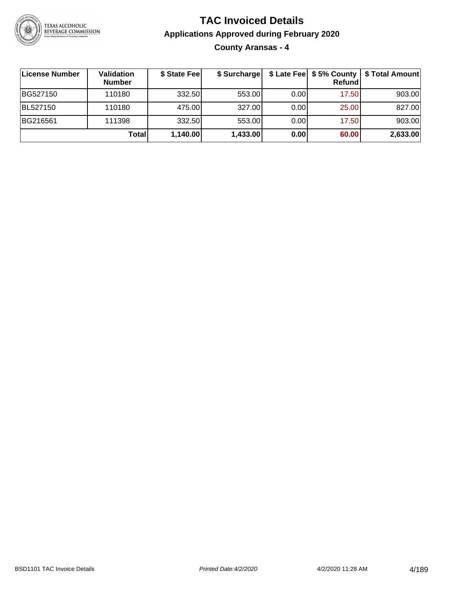

**County Aransas - 4**

| ∣License Number | <b>Validation</b><br><b>Number</b> | \$ State Fee | \$ Surcharge |       | Refundl | \$ Late Fee   \$5% County   \$ Total Amount |
|-----------------|------------------------------------|--------------|--------------|-------|---------|---------------------------------------------|
| BG527150        | 110180                             | 332.50       | 553.00       | 0.001 | 17.50   | 903.00                                      |
| BL527150        | 110180                             | 475.00       | 327.00       | 0.001 | 25.00   | 827.00                                      |
| BG216561        | 111398                             | 332.50       | 553.00       | 0.001 | 17.50   | 903.00                                      |
|                 | Total                              | 1,140.00     | 1,433.00     | 0.00  | 60.00   | 2,633.00                                    |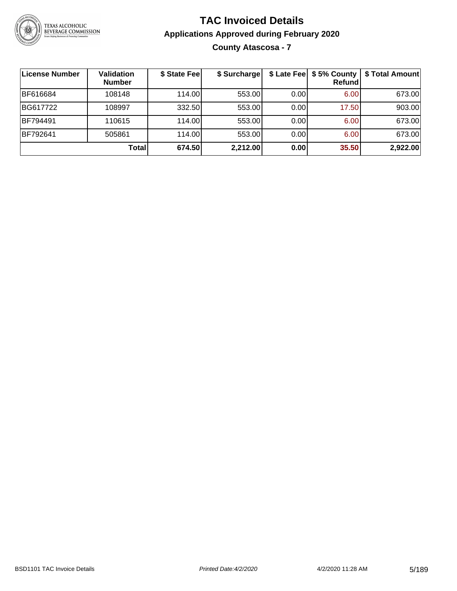

### **TAC Invoiced Details Applications Approved during February 2020 County Atascosa - 7**

| License Number | <b>Validation</b><br><b>Number</b> | \$ State Fee | \$ Surcharge | \$ Late Fee | \$5% County<br>Refund | \$ Total Amount |
|----------------|------------------------------------|--------------|--------------|-------------|-----------------------|-----------------|
| BF616684       | 108148                             | 114.00       | 553.00       | 0.00        | 6.00                  | 673.00          |
| BG617722       | 108997                             | 332.50       | 553.00       | 0.00        | 17.50                 | 903.00          |
| BF794491       | 110615                             | 114.00       | 553.00       | 0.00        | 6.00                  | 673.00          |
| BF792641       | 505861                             | 114.00       | 553.00       | 0.00        | 6.00                  | 673.00          |
|                | Total                              | 674.50       | 2,212.00     | 0.00        | 35.50                 | 2,922.00        |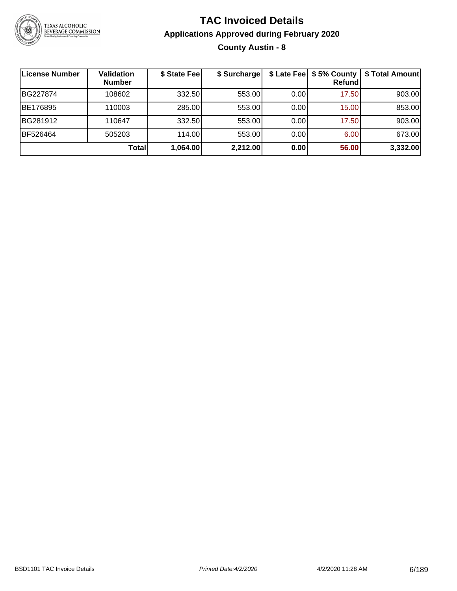

### **TAC Invoiced Details Applications Approved during February 2020 County Austin - 8**

| License Number | <b>Validation</b><br><b>Number</b> | \$ State Fee | \$ Surcharge |      | Refundl | \$ Late Fee   \$5% County   \$ Total Amount |
|----------------|------------------------------------|--------------|--------------|------|---------|---------------------------------------------|
| BG227874       | 108602                             | 332.50       | 553.00       | 0.00 | 17.50   | 903.00                                      |
| BE176895       | 110003                             | 285.00       | 553.00       | 0.00 | 15.00   | 853.00                                      |
| BG281912       | 110647                             | 332.50       | 553.00       | 0.00 | 17.50   | 903.00                                      |
| BF526464       | 505203                             | 114.00L      | 553.00       | 0.00 | 6.00    | 673.00                                      |
|                | Total                              | 1,064.00     | 2,212.00     | 0.00 | 56.00   | 3,332.00                                    |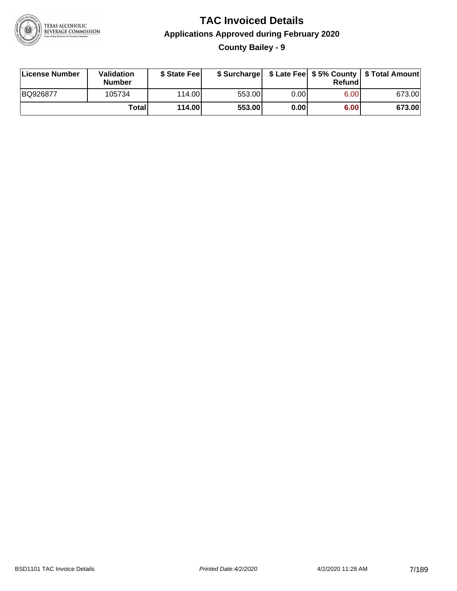

### **TAC Invoiced Details Applications Approved during February 2020 County Bailey - 9**

| License Number | Validation<br>Number | \$ State Feel   |        |      | Refundl | \$ Surcharge   \$ Late Fee   \$5% County   \$ Total Amount |
|----------------|----------------------|-----------------|--------|------|---------|------------------------------------------------------------|
| BQ926877       | 105734               | 114.00 <b>1</b> | 553.00 | 0.00 | 6.00    | 673.00                                                     |
|                | Totall               | 114.00          | 553.00 | 0.00 | 6.00    | 673.00                                                     |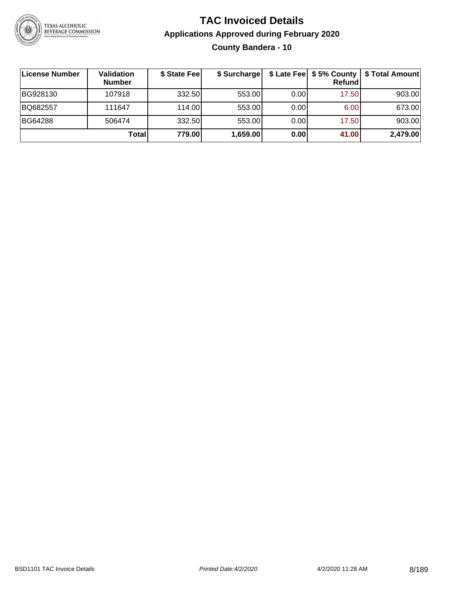

### **TAC Invoiced Details Applications Approved during February 2020 County Bandera - 10**

| License Number | <b>Validation</b><br><b>Number</b> | \$ State Fee | \$ Surcharge |      | \$ Late Fee   \$5% County<br>Refundl | \$ Total Amount |
|----------------|------------------------------------|--------------|--------------|------|--------------------------------------|-----------------|
| BG928130       | 107918                             | 332.50       | 553.00       | 0.00 | 17.50                                | 903.00          |
| BQ682557       | 111647                             | 114.00L      | 553.00       | 0.00 | 6.00                                 | 673.00          |
| <b>BG64288</b> | 506474                             | 332.50       | 553.00       | 0.00 | 17.50                                | 903.00          |
|                | Total                              | 779.00       | 1,659.00     | 0.00 | 41.00                                | 2,479.00        |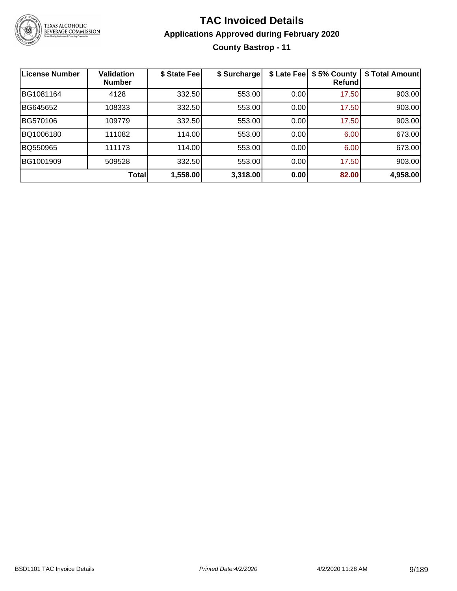

### **TAC Invoiced Details Applications Approved during February 2020 County Bastrop - 11**

| <b>License Number</b> | <b>Validation</b><br><b>Number</b> | \$ State Fee | \$ Surcharge | \$ Late Fee | \$5% County<br><b>Refund</b> | \$ Total Amount |
|-----------------------|------------------------------------|--------------|--------------|-------------|------------------------------|-----------------|
| BG1081164             | 4128                               | 332.50       | 553.00       | 0.00        | 17.50                        | 903.00          |
| BG645652              | 108333                             | 332.50       | 553.00       | 0.00        | 17.50                        | 903.00          |
| BG570106              | 109779                             | 332.50       | 553.00       | 0.00        | 17.50                        | 903.00          |
| BQ1006180             | 111082                             | 114.00       | 553.00       | 0.00        | 6.00                         | 673.00          |
| BQ550965              | 111173                             | 114.00       | 553.00       | 0.00        | 6.00                         | 673.00          |
| BG1001909             | 509528                             | 332.50       | 553.00       | 0.00        | 17.50                        | 903.00          |
|                       | Total                              | 1,558.00     | 3,318.00     | 0.00        | 82.00                        | 4,958.00        |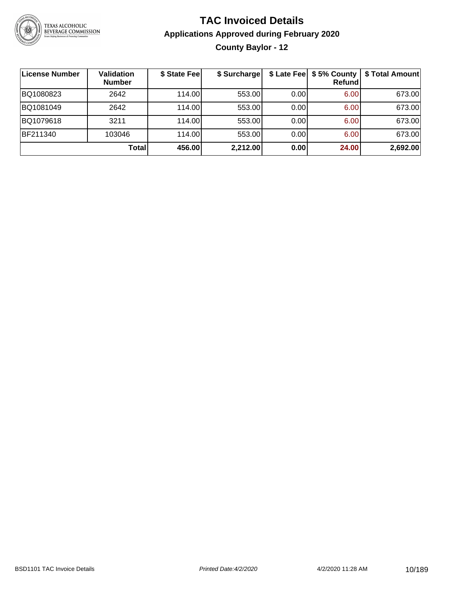

### **TAC Invoiced Details Applications Approved during February 2020 County Baylor - 12**

| License Number | <b>Validation</b><br><b>Number</b> | \$ State Fee | \$ Surcharge |      | \$ Late Fee   \$5% County  <br>Refund | \$ Total Amount |
|----------------|------------------------------------|--------------|--------------|------|---------------------------------------|-----------------|
| BQ1080823      | 2642                               | 114.00       | 553.00       | 0.00 | 6.00                                  | 673.00          |
| BQ1081049      | 2642                               | 114.00       | 553.00       | 0.00 | 6.00                                  | 673.00          |
| BQ1079618      | 3211                               | 114.00       | 553.00       | 0.00 | 6.00                                  | 673.00          |
| BF211340       | 103046                             | 114.00       | 553.00       | 0.00 | 6.00                                  | 673.00          |
|                | <b>Total</b>                       | 456.00       | 2,212.00     | 0.00 | 24.00                                 | 2,692.00        |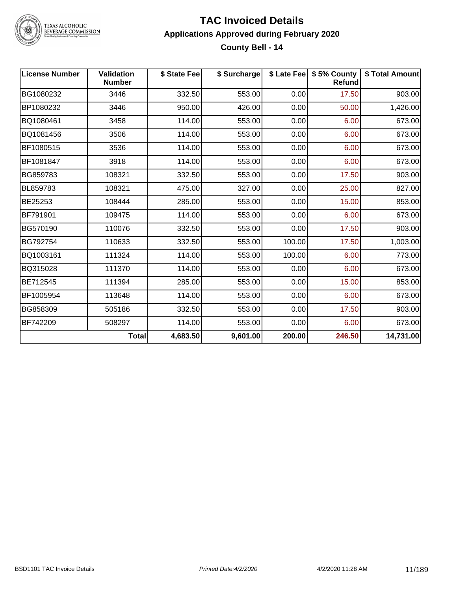

TEXAS ALCOHOLIC<br>BEVERAGE COMMISSION

#### **TAC Invoiced Details Applications Approved during February 2020 County Bell - 14**

| <b>License Number</b> | <b>Validation</b><br><b>Number</b> | \$ State Fee | \$ Surcharge |        | \$ Late Fee   \$5% County<br><b>Refund</b> | \$ Total Amount |
|-----------------------|------------------------------------|--------------|--------------|--------|--------------------------------------------|-----------------|
| BG1080232             | 3446                               | 332.50       | 553.00       | 0.00   | 17.50                                      | 903.00          |
| BP1080232             | 3446                               | 950.00       | 426.00       | 0.00   | 50.00                                      | 1,426.00        |
| BQ1080461             | 3458                               | 114.00       | 553.00       | 0.00   | 6.00                                       | 673.00          |
| BQ1081456             | 3506                               | 114.00       | 553.00       | 0.00   | 6.00                                       | 673.00          |
| BF1080515             | 3536                               | 114.00       | 553.00       | 0.00   | 6.00                                       | 673.00          |
| BF1081847             | 3918                               | 114.00       | 553.00       | 0.00   | 6.00                                       | 673.00          |
| BG859783              | 108321                             | 332.50       | 553.00       | 0.00   | 17.50                                      | 903.00          |
| BL859783              | 108321                             | 475.00       | 327.00       | 0.00   | 25.00                                      | 827.00          |
| BE25253               | 108444                             | 285.00       | 553.00       | 0.00   | 15.00                                      | 853.00          |
| BF791901              | 109475                             | 114.00       | 553.00       | 0.00   | 6.00                                       | 673.00          |
| BG570190              | 110076                             | 332.50       | 553.00       | 0.00   | 17.50                                      | 903.00          |
| BG792754              | 110633                             | 332.50       | 553.00       | 100.00 | 17.50                                      | 1,003.00        |
| BQ1003161             | 111324                             | 114.00       | 553.00       | 100.00 | 6.00                                       | 773.00          |
| BQ315028              | 111370                             | 114.00       | 553.00       | 0.00   | 6.00                                       | 673.00          |
| BE712545              | 111394                             | 285.00       | 553.00       | 0.00   | 15.00                                      | 853.00          |
| BF1005954             | 113648                             | 114.00       | 553.00       | 0.00   | 6.00                                       | 673.00          |
| BG858309              | 505186                             | 332.50       | 553.00       | 0.00   | 17.50                                      | 903.00          |
| BF742209              | 508297                             | 114.00       | 553.00       | 0.00   | 6.00                                       | 673.00          |
|                       | <b>Total</b>                       | 4,683.50     | 9,601.00     | 200.00 | 246.50                                     | 14,731.00       |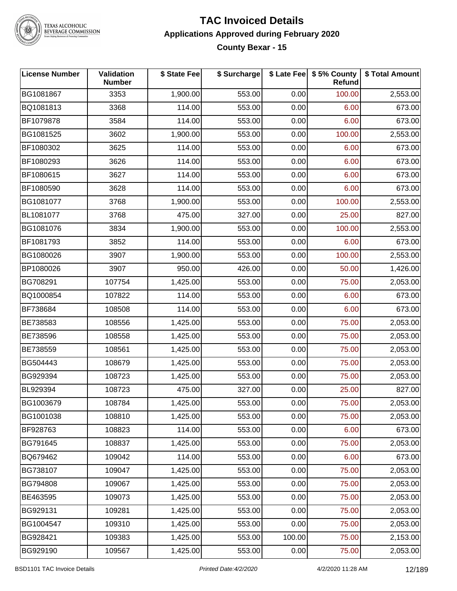

TEXAS ALCOHOLIC<br>BEVERAGE COMMISSION

#### **TAC Invoiced Details Applications Approved during February 2020 County Bexar - 15**

| <b>License Number</b> | Validation<br><b>Number</b> | \$ State Fee | \$ Surcharge |        | \$ Late Fee \$ 5% County<br>Refund | \$ Total Amount |
|-----------------------|-----------------------------|--------------|--------------|--------|------------------------------------|-----------------|
| BG1081867             | 3353                        | 1,900.00     | 553.00       | 0.00   | 100.00                             | 2,553.00        |
| BQ1081813             | 3368                        | 114.00       | 553.00       | 0.00   | 6.00                               | 673.00          |
| BF1079878             | 3584                        | 114.00       | 553.00       | 0.00   | 6.00                               | 673.00          |
| BG1081525             | 3602                        | 1,900.00     | 553.00       | 0.00   | 100.00                             | 2,553.00        |
| BF1080302             | 3625                        | 114.00       | 553.00       | 0.00   | 6.00                               | 673.00          |
| BF1080293             | 3626                        | 114.00       | 553.00       | 0.00   | 6.00                               | 673.00          |
| BF1080615             | 3627                        | 114.00       | 553.00       | 0.00   | 6.00                               | 673.00          |
| BF1080590             | 3628                        | 114.00       | 553.00       | 0.00   | 6.00                               | 673.00          |
| BG1081077             | 3768                        | 1,900.00     | 553.00       | 0.00   | 100.00                             | 2,553.00        |
| BL1081077             | 3768                        | 475.00       | 327.00       | 0.00   | 25.00                              | 827.00          |
| BG1081076             | 3834                        | 1,900.00     | 553.00       | 0.00   | 100.00                             | 2,553.00        |
| BF1081793             | 3852                        | 114.00       | 553.00       | 0.00   | 6.00                               | 673.00          |
| BG1080026             | 3907                        | 1,900.00     | 553.00       | 0.00   | 100.00                             | 2,553.00        |
| BP1080026             | 3907                        | 950.00       | 426.00       | 0.00   | 50.00                              | 1,426.00        |
| BG708291              | 107754                      | 1,425.00     | 553.00       | 0.00   | 75.00                              | 2,053.00        |
| BQ1000854             | 107822                      | 114.00       | 553.00       | 0.00   | 6.00                               | 673.00          |
| BF738684              | 108508                      | 114.00       | 553.00       | 0.00   | 6.00                               | 673.00          |
| BE738583              | 108556                      | 1,425.00     | 553.00       | 0.00   | 75.00                              | 2,053.00        |
| BE738596              | 108558                      | 1,425.00     | 553.00       | 0.00   | 75.00                              | 2,053.00        |
| BE738559              | 108561                      | 1,425.00     | 553.00       | 0.00   | 75.00                              | 2,053.00        |
| BG504443              | 108679                      | 1,425.00     | 553.00       | 0.00   | 75.00                              | 2,053.00        |
| BG929394              | 108723                      | 1,425.00     | 553.00       | 0.00   | 75.00                              | 2,053.00        |
| BL929394              | 108723                      | 475.00       | 327.00       | 0.00   | 25.00                              | 827.00          |
| BG1003679             | 108784                      | 1,425.00     | 553.00       | 0.00   | 75.00                              | 2,053.00        |
| BG1001038             | 108810                      | 1,425.00     | 553.00       | 0.00   | 75.00                              | 2,053.00        |
| BF928763              | 108823                      | 114.00       | 553.00       | 0.00   | 6.00                               | 673.00          |
| BG791645              | 108837                      | 1,425.00     | 553.00       | 0.00   | 75.00                              | 2,053.00        |
| BQ679462              | 109042                      | 114.00       | 553.00       | 0.00   | 6.00                               | 673.00          |
| BG738107              | 109047                      | 1,425.00     | 553.00       | 0.00   | 75.00                              | 2,053.00        |
| BG794808              | 109067                      | 1,425.00     | 553.00       | 0.00   | 75.00                              | 2,053.00        |
| BE463595              | 109073                      | 1,425.00     | 553.00       | 0.00   | 75.00                              | 2,053.00        |
| BG929131              | 109281                      | 1,425.00     | 553.00       | 0.00   | 75.00                              | 2,053.00        |
| BG1004547             | 109310                      | 1,425.00     | 553.00       | 0.00   | 75.00                              | 2,053.00        |
| BG928421              | 109383                      | 1,425.00     | 553.00       | 100.00 | 75.00                              | 2,153.00        |
| BG929190              | 109567                      | 1,425.00     | 553.00       | 0.00   | 75.00                              | 2,053.00        |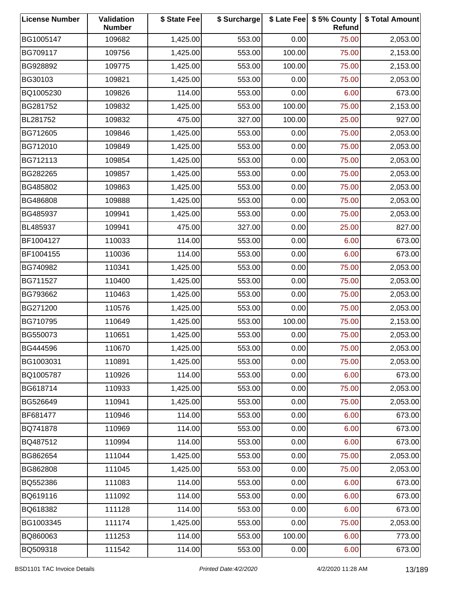| <b>License Number</b> | Validation<br><b>Number</b> | \$ State Fee | \$ Surcharge |        | \$ Late Fee   \$5% County<br>Refund | \$ Total Amount |
|-----------------------|-----------------------------|--------------|--------------|--------|-------------------------------------|-----------------|
| BG1005147             | 109682                      | 1,425.00     | 553.00       | 0.00   | 75.00                               | 2,053.00        |
| BG709117              | 109756                      | 1,425.00     | 553.00       | 100.00 | 75.00                               | 2,153.00        |
| BG928892              | 109775                      | 1,425.00     | 553.00       | 100.00 | 75.00                               | 2,153.00        |
| BG30103               | 109821                      | 1,425.00     | 553.00       | 0.00   | 75.00                               | 2,053.00        |
| BQ1005230             | 109826                      | 114.00       | 553.00       | 0.00   | 6.00                                | 673.00          |
| BG281752              | 109832                      | 1,425.00     | 553.00       | 100.00 | 75.00                               | 2,153.00        |
| BL281752              | 109832                      | 475.00       | 327.00       | 100.00 | 25.00                               | 927.00          |
| BG712605              | 109846                      | 1,425.00     | 553.00       | 0.00   | 75.00                               | 2,053.00        |
| BG712010              | 109849                      | 1,425.00     | 553.00       | 0.00   | 75.00                               | 2,053.00        |
| BG712113              | 109854                      | 1,425.00     | 553.00       | 0.00   | 75.00                               | 2,053.00        |
| BG282265              | 109857                      | 1,425.00     | 553.00       | 0.00   | 75.00                               | 2,053.00        |
| BG485802              | 109863                      | 1,425.00     | 553.00       | 0.00   | 75.00                               | 2,053.00        |
| BG486808              | 109888                      | 1,425.00     | 553.00       | 0.00   | 75.00                               | 2,053.00        |
| BG485937              | 109941                      | 1,425.00     | 553.00       | 0.00   | 75.00                               | 2,053.00        |
| BL485937              | 109941                      | 475.00       | 327.00       | 0.00   | 25.00                               | 827.00          |
| BF1004127             | 110033                      | 114.00       | 553.00       | 0.00   | 6.00                                | 673.00          |
| BF1004155             | 110036                      | 114.00       | 553.00       | 0.00   | 6.00                                | 673.00          |
| BG740982              | 110341                      | 1,425.00     | 553.00       | 0.00   | 75.00                               | 2,053.00        |
| BG711527              | 110400                      | 1,425.00     | 553.00       | 0.00   | 75.00                               | 2,053.00        |
| BG793662              | 110463                      | 1,425.00     | 553.00       | 0.00   | 75.00                               | 2,053.00        |
| BG271200              | 110576                      | 1,425.00     | 553.00       | 0.00   | 75.00                               | 2,053.00        |
| BG710795              | 110649                      | 1,425.00     | 553.00       | 100.00 | 75.00                               | 2,153.00        |
| BG550073              | 110651                      | 1,425.00     | 553.00       | 0.00   | 75.00                               | 2,053.00        |
| BG444596              | 110670                      | 1,425.00     | 553.00       | 0.00   | 75.00                               | 2,053.00        |
| BG1003031             | 110891                      | 1,425.00     | 553.00       | 0.00   | 75.00                               | 2,053.00        |
| BQ1005787             | 110926                      | 114.00       | 553.00       | 0.00   | 6.00                                | 673.00          |
| BG618714              | 110933                      | 1,425.00     | 553.00       | 0.00   | 75.00                               | 2,053.00        |
| BG526649              | 110941                      | 1,425.00     | 553.00       | 0.00   | 75.00                               | 2,053.00        |
| BF681477              | 110946                      | 114.00       | 553.00       | 0.00   | 6.00                                | 673.00          |
| BQ741878              | 110969                      | 114.00       | 553.00       | 0.00   | 6.00                                | 673.00          |
| BQ487512              | 110994                      | 114.00       | 553.00       | 0.00   | 6.00                                | 673.00          |
| BG862654              | 111044                      | 1,425.00     | 553.00       | 0.00   | 75.00                               | 2,053.00        |
| BG862808              | 111045                      | 1,425.00     | 553.00       | 0.00   | 75.00                               | 2,053.00        |
| BQ552386              | 111083                      | 114.00       | 553.00       | 0.00   | 6.00                                | 673.00          |
| BQ619116              | 111092                      | 114.00       | 553.00       | 0.00   | 6.00                                | 673.00          |
| BQ618382              | 111128                      | 114.00       | 553.00       | 0.00   | 6.00                                | 673.00          |
| BG1003345             | 111174                      | 1,425.00     | 553.00       | 0.00   | 75.00                               | 2,053.00        |
| BQ860063              | 111253                      | 114.00       | 553.00       | 100.00 | 6.00                                | 773.00          |
| BQ509318              | 111542                      | 114.00       | 553.00       | 0.00   | 6.00                                | 673.00          |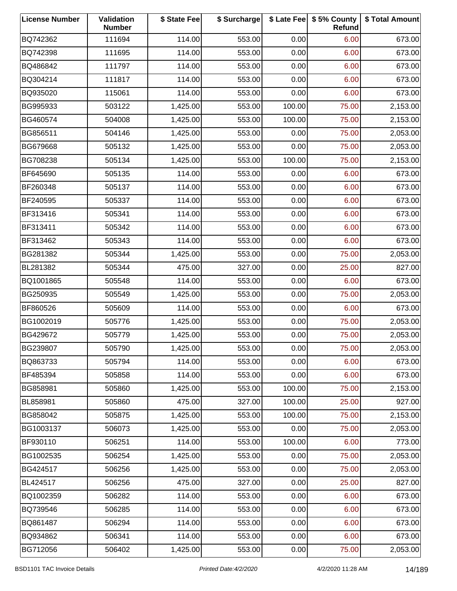| <b>License Number</b> | Validation<br><b>Number</b> | \$ State Fee | \$ Surcharge |        | \$ Late Fee   \$5% County<br>Refund | \$ Total Amount |
|-----------------------|-----------------------------|--------------|--------------|--------|-------------------------------------|-----------------|
| BQ742362              | 111694                      | 114.00       | 553.00       | 0.00   | 6.00                                | 673.00          |
| BQ742398              | 111695                      | 114.00       | 553.00       | 0.00   | 6.00                                | 673.00          |
| BQ486842              | 111797                      | 114.00       | 553.00       | 0.00   | 6.00                                | 673.00          |
| BQ304214              | 111817                      | 114.00       | 553.00       | 0.00   | 6.00                                | 673.00          |
| BQ935020              | 115061                      | 114.00       | 553.00       | 0.00   | 6.00                                | 673.00          |
| BG995933              | 503122                      | 1,425.00     | 553.00       | 100.00 | 75.00                               | 2,153.00        |
| BG460574              | 504008                      | 1,425.00     | 553.00       | 100.00 | 75.00                               | 2,153.00        |
| BG856511              | 504146                      | 1,425.00     | 553.00       | 0.00   | 75.00                               | 2,053.00        |
| BG679668              | 505132                      | 1,425.00     | 553.00       | 0.00   | 75.00                               | 2,053.00        |
| BG708238              | 505134                      | 1,425.00     | 553.00       | 100.00 | 75.00                               | 2,153.00        |
| BF645690              | 505135                      | 114.00       | 553.00       | 0.00   | 6.00                                | 673.00          |
| BF260348              | 505137                      | 114.00       | 553.00       | 0.00   | 6.00                                | 673.00          |
| BF240595              | 505337                      | 114.00       | 553.00       | 0.00   | 6.00                                | 673.00          |
| BF313416              | 505341                      | 114.00       | 553.00       | 0.00   | 6.00                                | 673.00          |
| BF313411              | 505342                      | 114.00       | 553.00       | 0.00   | 6.00                                | 673.00          |
| BF313462              | 505343                      | 114.00       | 553.00       | 0.00   | 6.00                                | 673.00          |
| BG281382              | 505344                      | 1,425.00     | 553.00       | 0.00   | 75.00                               | 2,053.00        |
| BL281382              | 505344                      | 475.00       | 327.00       | 0.00   | 25.00                               | 827.00          |
| BQ1001865             | 505548                      | 114.00       | 553.00       | 0.00   | 6.00                                | 673.00          |
| BG250935              | 505549                      | 1,425.00     | 553.00       | 0.00   | 75.00                               | 2,053.00        |
| BF860526              | 505609                      | 114.00       | 553.00       | 0.00   | 6.00                                | 673.00          |
| BG1002019             | 505776                      | 1,425.00     | 553.00       | 0.00   | 75.00                               | 2,053.00        |
| BG429672              | 505779                      | 1,425.00     | 553.00       | 0.00   | 75.00                               | 2,053.00        |
| BG239807              | 505790                      | 1,425.00     | 553.00       | 0.00   | 75.00                               | 2,053.00        |
| BQ863733              | 505794                      | 114.00       | 553.00       | 0.00   | 6.00                                | 673.00          |
| BF485394              | 505858                      | 114.00       | 553.00       | 0.00   | 6.00                                | 673.00          |
| BG858981              | 505860                      | 1,425.00     | 553.00       | 100.00 | 75.00                               | 2,153.00        |
| BL858981              | 505860                      | 475.00       | 327.00       | 100.00 | 25.00                               | 927.00          |
| BG858042              | 505875                      | 1,425.00     | 553.00       | 100.00 | 75.00                               | 2,153.00        |
| BG1003137             | 506073                      | 1,425.00     | 553.00       | 0.00   | 75.00                               | 2,053.00        |
| BF930110              | 506251                      | 114.00       | 553.00       | 100.00 | 6.00                                | 773.00          |
| BG1002535             | 506254                      | 1,425.00     | 553.00       | 0.00   | 75.00                               | 2,053.00        |
| BG424517              | 506256                      | 1,425.00     | 553.00       | 0.00   | 75.00                               | 2,053.00        |
| BL424517              | 506256                      | 475.00       | 327.00       | 0.00   | 25.00                               | 827.00          |
| BQ1002359             | 506282                      | 114.00       | 553.00       | 0.00   | 6.00                                | 673.00          |
| BQ739546              | 506285                      | 114.00       | 553.00       | 0.00   | 6.00                                | 673.00          |
| BQ861487              | 506294                      | 114.00       | 553.00       | 0.00   | 6.00                                | 673.00          |
| BQ934862              | 506341                      | 114.00       | 553.00       | 0.00   | 6.00                                | 673.00          |
| BG712056              | 506402                      | 1,425.00     | 553.00       | 0.00   | 75.00                               | 2,053.00        |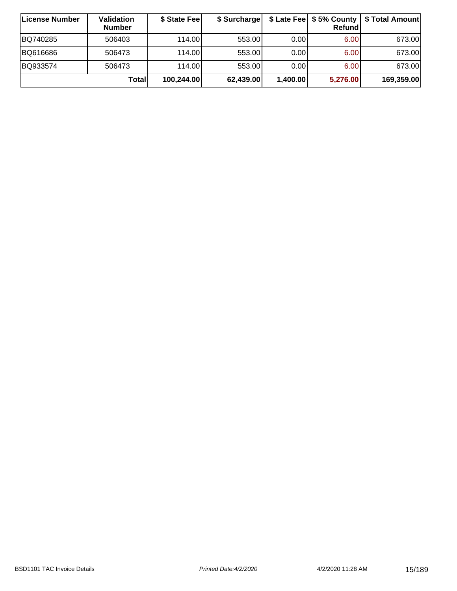| ∣License Number | <b>Validation</b><br><b>Number</b> | \$ State Fee | \$ Surcharge |          | Refundl           | \$ Late Fee   \$5% County   \$ Total Amount |
|-----------------|------------------------------------|--------------|--------------|----------|-------------------|---------------------------------------------|
| BQ740285        | 506403                             | 114.00       | 553.00       | 0.00     | 6.00              | 673.00                                      |
| BQ616686        | 506473                             | 114.00L      | 553.00       | 0.00     | 6.00 <sub>1</sub> | 673.00                                      |
| BQ933574        | 506473                             | 114.00       | 553.00       | 0.00     | 6.00              | 673.00                                      |
|                 | Totall                             | 100,244.00   | 62,439.00    | 1,400.00 | 5,276.00          | 169,359.00                                  |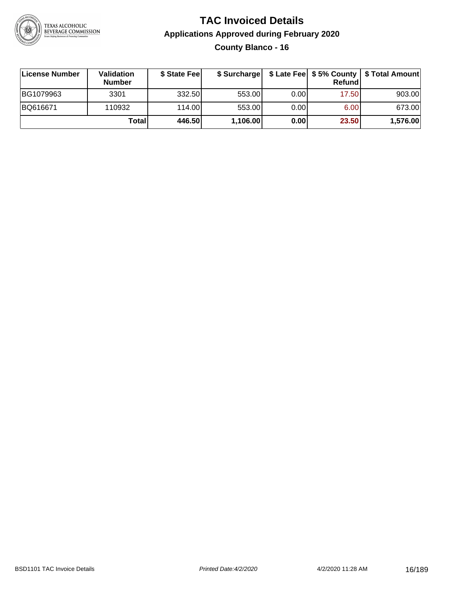

### **TAC Invoiced Details Applications Approved during February 2020 County Blanco - 16**

| ∣License Number | Validation<br><b>Number</b> | \$ State Feel | \$ Surcharge |      | Refund | \$ Late Fee   \$5% County   \$ Total Amount |
|-----------------|-----------------------------|---------------|--------------|------|--------|---------------------------------------------|
| BG1079963       | 3301                        | 332.50        | 553.00       | 0.00 | 17.50  | 903.00                                      |
| BQ616671        | 110932                      | 114.00L       | 553.00       | 0.00 | 6.00   | 673.00                                      |
|                 | Total                       | 446.50        | 1,106.00     | 0.00 | 23.50  | 1,576.00                                    |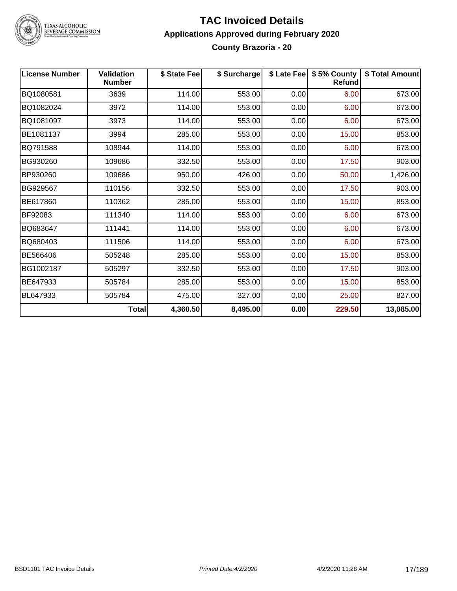

# TEXAS ALCOHOLIC<br>BEVERAGE COMMISSION

#### **TAC Invoiced Details Applications Approved during February 2020 County Brazoria - 20**

| <b>License Number</b> | <b>Validation</b><br><b>Number</b> | \$ State Fee | \$ Surcharge |      | \$ Late Fee   \$5% County<br><b>Refund</b> | \$ Total Amount |
|-----------------------|------------------------------------|--------------|--------------|------|--------------------------------------------|-----------------|
| BQ1080581             | 3639                               | 114.00       | 553.00       | 0.00 | 6.00                                       | 673.00          |
| BQ1082024             | 3972                               | 114.00       | 553.00       | 0.00 | 6.00                                       | 673.00          |
| BQ1081097             | 3973                               | 114.00       | 553.00       | 0.00 | 6.00                                       | 673.00          |
| BE1081137             | 3994                               | 285.00       | 553.00       | 0.00 | 15.00                                      | 853.00          |
| BQ791588              | 108944                             | 114.00       | 553.00       | 0.00 | 6.00                                       | 673.00          |
| BG930260              | 109686                             | 332.50       | 553.00       | 0.00 | 17.50                                      | 903.00          |
| BP930260              | 109686                             | 950.00       | 426.00       | 0.00 | 50.00                                      | 1,426.00        |
| BG929567              | 110156                             | 332.50       | 553.00       | 0.00 | 17.50                                      | 903.00          |
| BE617860              | 110362                             | 285.00       | 553.00       | 0.00 | 15.00                                      | 853.00          |
| BF92083               | 111340                             | 114.00       | 553.00       | 0.00 | 6.00                                       | 673.00          |
| BQ683647              | 111441                             | 114.00       | 553.00       | 0.00 | 6.00                                       | 673.00          |
| BQ680403              | 111506                             | 114.00       | 553.00       | 0.00 | 6.00                                       | 673.00          |
| BE566406              | 505248                             | 285.00       | 553.00       | 0.00 | 15.00                                      | 853.00          |
| BG1002187             | 505297                             | 332.50       | 553.00       | 0.00 | 17.50                                      | 903.00          |
| BE647933              | 505784                             | 285.00       | 553.00       | 0.00 | 15.00                                      | 853.00          |
| BL647933              | 505784                             | 475.00       | 327.00       | 0.00 | 25.00                                      | 827.00          |
|                       | <b>Total</b>                       | 4,360.50     | 8,495.00     | 0.00 | 229.50                                     | 13,085.00       |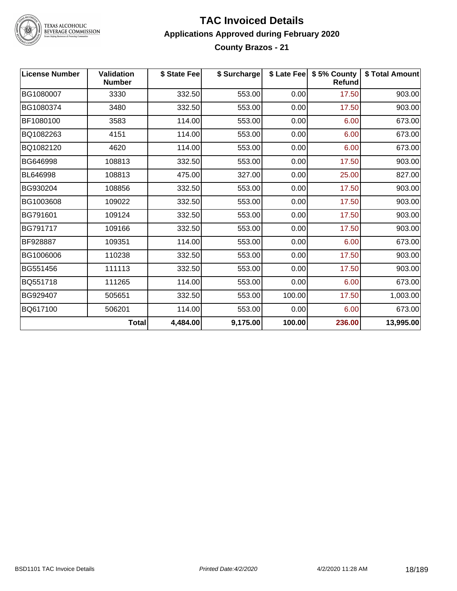

TEXAS ALCOHOLIC<br>BEVERAGE COMMISSION

#### **TAC Invoiced Details Applications Approved during February 2020 County Brazos - 21**

| <b>License Number</b> | <b>Validation</b><br><b>Number</b> | \$ State Fee | \$ Surcharge |        | \$ Late Fee   \$5% County<br><b>Refund</b> | \$ Total Amount |
|-----------------------|------------------------------------|--------------|--------------|--------|--------------------------------------------|-----------------|
| BG1080007             | 3330                               | 332.50       | 553.00       | 0.00   | 17.50                                      | 903.00          |
| BG1080374             | 3480                               | 332.50       | 553.00       | 0.00   | 17.50                                      | 903.00          |
| BF1080100             | 3583                               | 114.00       | 553.00       | 0.00   | 6.00                                       | 673.00          |
| BQ1082263             | 4151                               | 114.00       | 553.00       | 0.00   | 6.00                                       | 673.00          |
| BQ1082120             | 4620                               | 114.00       | 553.00       | 0.00   | 6.00                                       | 673.00          |
| BG646998              | 108813                             | 332.50       | 553.00       | 0.00   | 17.50                                      | 903.00          |
| BL646998              | 108813                             | 475.00       | 327.00       | 0.00   | 25.00                                      | 827.00          |
| BG930204              | 108856                             | 332.50       | 553.00       | 0.00   | 17.50                                      | 903.00          |
| BG1003608             | 109022                             | 332.50       | 553.00       | 0.00   | 17.50                                      | 903.00          |
| BG791601              | 109124                             | 332.50       | 553.00       | 0.00   | 17.50                                      | 903.00          |
| BG791717              | 109166                             | 332.50       | 553.00       | 0.00   | 17.50                                      | 903.00          |
| BF928887              | 109351                             | 114.00       | 553.00       | 0.00   | 6.00                                       | 673.00          |
| BG1006006             | 110238                             | 332.50       | 553.00       | 0.00   | 17.50                                      | 903.00          |
| BG551456              | 111113                             | 332.50       | 553.00       | 0.00   | 17.50                                      | 903.00          |
| BQ551718              | 111265                             | 114.00       | 553.00       | 0.00   | 6.00                                       | 673.00          |
| BG929407              | 505651                             | 332.50       | 553.00       | 100.00 | 17.50                                      | 1,003.00        |
| BQ617100              | 506201                             | 114.00       | 553.00       | 0.00   | 6.00                                       | 673.00          |
|                       | Total                              | 4,484.00     | 9,175.00     | 100.00 | 236.00                                     | 13,995.00       |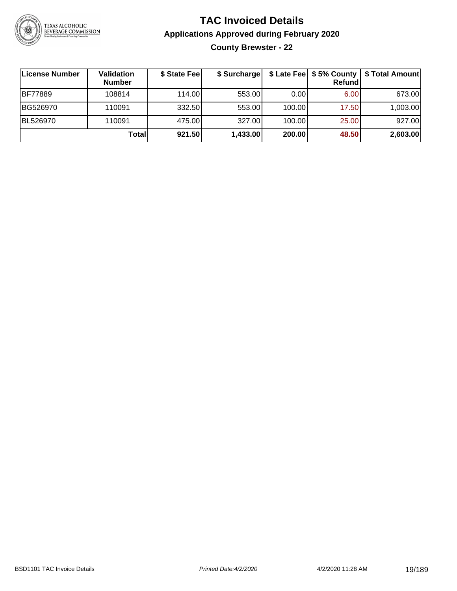

**County Brewster - 22**

| License Number | <b>Validation</b><br><b>Number</b> | \$ State Fee | \$ Surcharge |        | <b>Refund</b> | \$ Late Fee   \$5% County   \$ Total Amount |
|----------------|------------------------------------|--------------|--------------|--------|---------------|---------------------------------------------|
| <b>BF77889</b> | 108814                             | 114.00       | 553.00       | 0.00   | 6.00          | 673.00                                      |
| BG526970       | 110091                             | 332.50       | 553.00       | 100.00 | 17.50         | 1,003.00                                    |
| BL526970       | 110091                             | 475.00       | 327.00       | 100.00 | 25.00         | 927.00                                      |
|                | Total                              | 921.50       | 1,433.00     | 200.00 | 48.50         | 2,603.00                                    |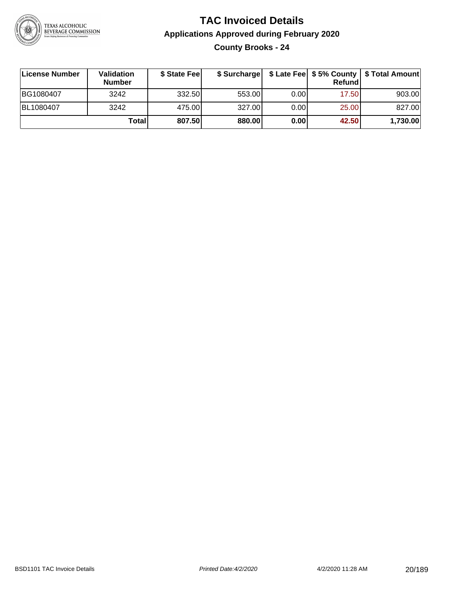

### **TAC Invoiced Details Applications Approved during February 2020 County Brooks - 24**

| License Number | <b>Validation</b><br><b>Number</b> | \$ State Feel | \$ Surcharge |      | Refund | \$ Late Fee   \$5% County   \$ Total Amount |
|----------------|------------------------------------|---------------|--------------|------|--------|---------------------------------------------|
| BG1080407      | 3242                               | 332.50        | 553.00       | 0.00 | 17.50  | 903.00                                      |
| BL1080407      | 3242                               | 475.00        | 327.00       | 0.00 | 25.00  | 827.00                                      |
|                | Totall                             | 807.50        | 880.00       | 0.00 | 42.50  | 1,730.00                                    |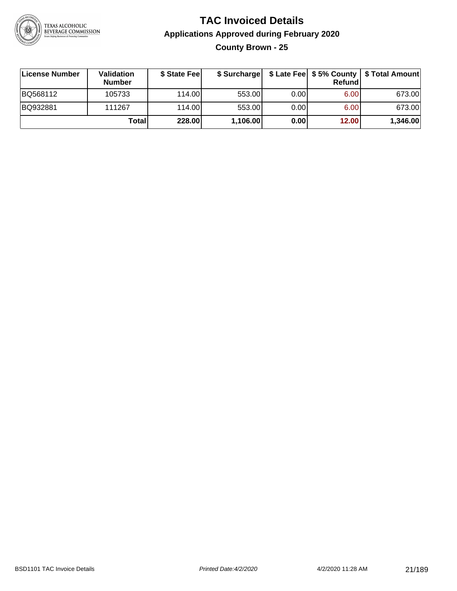

### **TAC Invoiced Details Applications Approved during February 2020 County Brown - 25**

| License Number | Validation<br><b>Number</b> | \$ State Fee |          |      | Refund | \$ Surcharge   \$ Late Fee   \$5% County   \$ Total Amount |
|----------------|-----------------------------|--------------|----------|------|--------|------------------------------------------------------------|
| BQ568112       | 105733                      | 114.00L      | 553.00   | 0.00 | 6.00   | 673.00                                                     |
| BQ932881       | 111267                      | 114.00       | 553.00   | 0.00 | 6.00   | 673.00                                                     |
|                | Total                       | 228.00       | 1,106.00 | 0.00 | 12.00  | 1,346.00                                                   |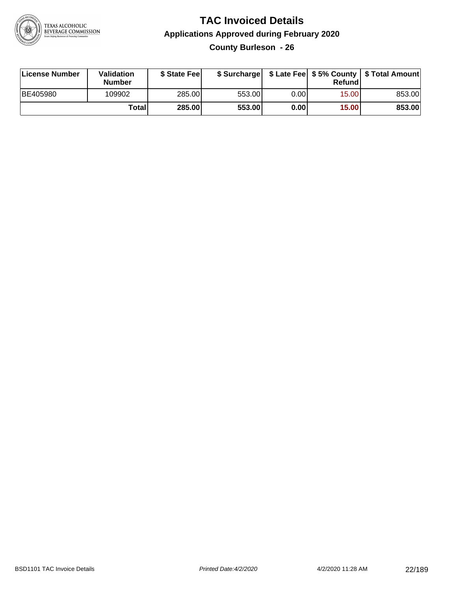

**County Burleson - 26**

| License Number | Validation<br><b>Number</b> | \$ State Feel |        |       | Refundl | \$ Surcharge   \$ Late Fee   \$5% County   \$ Total Amount |
|----------------|-----------------------------|---------------|--------|-------|---------|------------------------------------------------------------|
| BE405980       | 109902                      | 285.00        | 553.00 | 0.00I | 15.00   | 853.00                                                     |
|                | <b>Total</b>                | 285.00        | 553.00 | 0.00  | 15.00   | 853.00                                                     |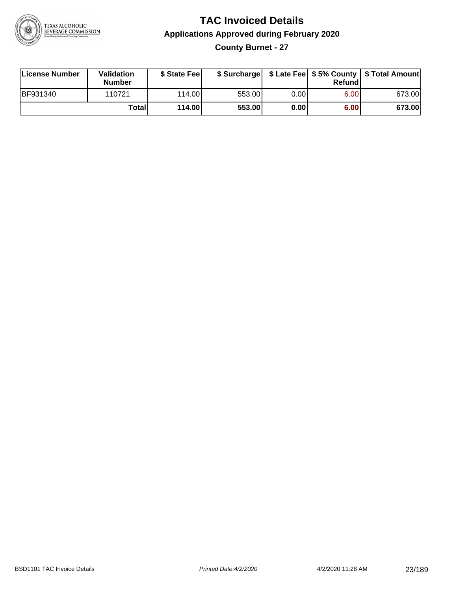

### **TAC Invoiced Details Applications Approved during February 2020 County Burnet - 27**

| License Number  | Validation<br><b>Number</b> | \$ State Fee    |        |      | Refundl | \$ Surcharge   \$ Late Fee   \$5% County   \$ Total Amount |
|-----------------|-----------------------------|-----------------|--------|------|---------|------------------------------------------------------------|
| <b>BF931340</b> | 110721                      | 114.00 <b>1</b> | 553.00 | 0.00 | 6.00    | 673.00                                                     |
|                 | Totall                      | 114.00          | 553.00 | 0.00 | 6.00    | 673.00                                                     |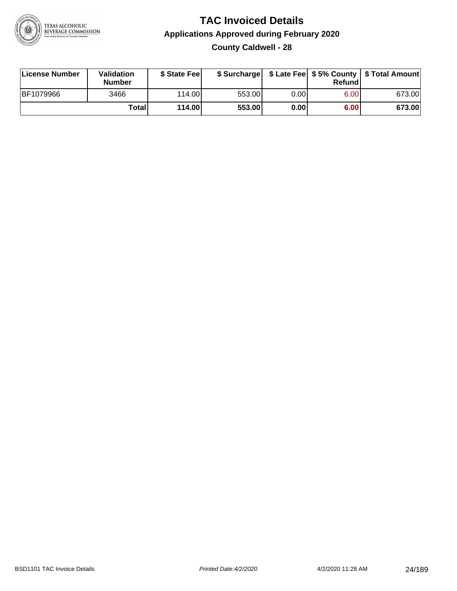

### **TAC Invoiced Details Applications Approved during February 2020 County Caldwell - 28**

| License Number | Validation<br><b>Number</b> | \$ State Feel |        |      | Refundl | \$ Surcharge   \$ Late Fee   \$5% County   \$ Total Amount |
|----------------|-----------------------------|---------------|--------|------|---------|------------------------------------------------------------|
| BF1079966      | 3466                        | 114.00        | 553.00 | 0.00 | 6.00    | 673.00                                                     |
|                | <b>Total</b>                | 114.00        | 553.00 | 0.00 | 6.00    | 673.00                                                     |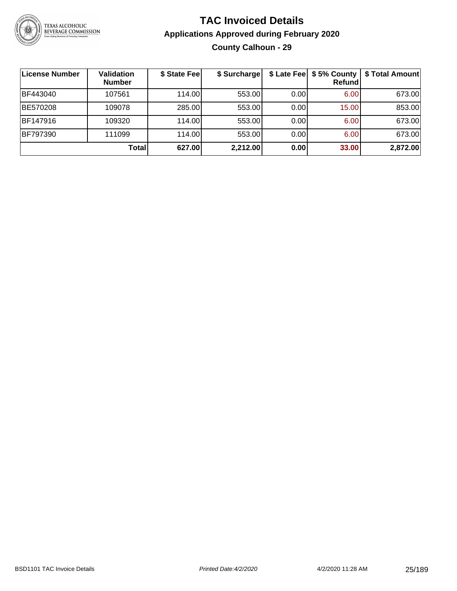

### **TAC Invoiced Details Applications Approved during February 2020 County Calhoun - 29**

| License Number | <b>Validation</b><br><b>Number</b> | \$ State Fee | \$ Surcharge |       | <b>Refund</b> | \$ Late Fee   \$5% County   \$ Total Amount |
|----------------|------------------------------------|--------------|--------------|-------|---------------|---------------------------------------------|
| BF443040       | 107561                             | 114.00       | 553.00       | 0.00  | 6.00          | 673.00                                      |
| BE570208       | 109078                             | 285.00       | 553.00       | 0.001 | 15.00         | 853.00                                      |
| BF147916       | 109320                             | 114.00       | 553.00       | 0.00  | 6.00          | 673.00                                      |
| BF797390       | 111099                             | 114.00       | 553.00       | 0.00  | 6.00          | 673.00                                      |
|                | Total                              | 627.00       | 2,212.00     | 0.00  | 33.00         | 2,872.00                                    |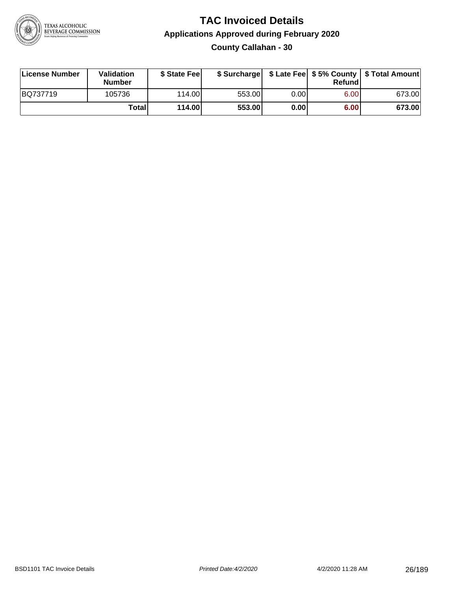

**County Callahan - 30**

| License Number | Validation<br><b>Number</b> | \$ State Fee  |        |      | Refundl | \$ Surcharge   \$ Late Fee   \$5% County   \$ Total Amount |
|----------------|-----------------------------|---------------|--------|------|---------|------------------------------------------------------------|
| BQ737719       | 105736                      | 114.00        | 553.00 | 0.00 | 6.00    | 673.00                                                     |
|                | <b>Total</b>                | <b>114.00</b> | 553.00 | 0.00 | 6.00    | 673.00                                                     |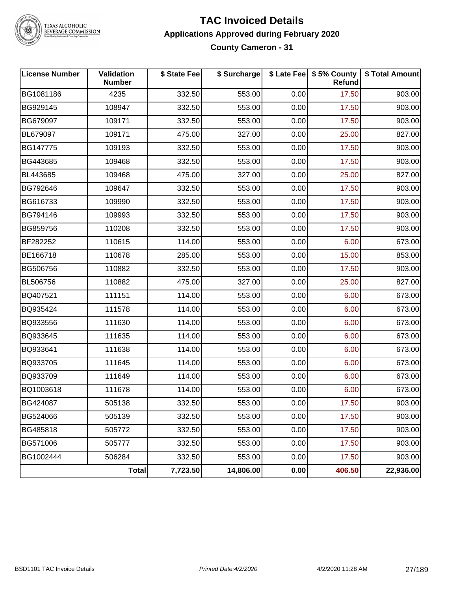

# TEXAS ALCOHOLIC<br>BEVERAGE COMMISSION

#### **TAC Invoiced Details Applications Approved during February 2020 County Cameron - 31**

| <b>License Number</b> | Validation<br><b>Number</b> | \$ State Fee | \$ Surcharge |      | \$ Late Fee   \$5% County<br><b>Refund</b> | \$ Total Amount |
|-----------------------|-----------------------------|--------------|--------------|------|--------------------------------------------|-----------------|
| BG1081186             | 4235                        | 332.50       | 553.00       | 0.00 | 17.50                                      | 903.00          |
| BG929145              | 108947                      | 332.50       | 553.00       | 0.00 | 17.50                                      | 903.00          |
| BG679097              | 109171                      | 332.50       | 553.00       | 0.00 | 17.50                                      | 903.00          |
| BL679097              | 109171                      | 475.00       | 327.00       | 0.00 | 25.00                                      | 827.00          |
| BG147775              | 109193                      | 332.50       | 553.00       | 0.00 | 17.50                                      | 903.00          |
| BG443685              | 109468                      | 332.50       | 553.00       | 0.00 | 17.50                                      | 903.00          |
| BL443685              | 109468                      | 475.00       | 327.00       | 0.00 | 25.00                                      | 827.00          |
| BG792646              | 109647                      | 332.50       | 553.00       | 0.00 | 17.50                                      | 903.00          |
| BG616733              | 109990                      | 332.50       | 553.00       | 0.00 | 17.50                                      | 903.00          |
| BG794146              | 109993                      | 332.50       | 553.00       | 0.00 | 17.50                                      | 903.00          |
| BG859756              | 110208                      | 332.50       | 553.00       | 0.00 | 17.50                                      | 903.00          |
| BF282252              | 110615                      | 114.00       | 553.00       | 0.00 | 6.00                                       | 673.00          |
| BE166718              | 110678                      | 285.00       | 553.00       | 0.00 | 15.00                                      | 853.00          |
| BG506756              | 110882                      | 332.50       | 553.00       | 0.00 | 17.50                                      | 903.00          |
| <b>BL506756</b>       | 110882                      | 475.00       | 327.00       | 0.00 | 25.00                                      | 827.00          |
| BQ407521              | 111151                      | 114.00       | 553.00       | 0.00 | 6.00                                       | 673.00          |
| BQ935424              | 111578                      | 114.00       | 553.00       | 0.00 | 6.00                                       | 673.00          |
| BQ933556              | 111630                      | 114.00       | 553.00       | 0.00 | 6.00                                       | 673.00          |
| BQ933645              | 111635                      | 114.00       | 553.00       | 0.00 | 6.00                                       | 673.00          |
| BQ933641              | 111638                      | 114.00       | 553.00       | 0.00 | 6.00                                       | 673.00          |
| BQ933705              | 111645                      | 114.00       | 553.00       | 0.00 | 6.00                                       | 673.00          |
| BQ933709              | 111649                      | 114.00       | 553.00       | 0.00 | 6.00                                       | 673.00          |
| BQ1003618             | 111678                      | 114.00       | 553.00       | 0.00 | 6.00                                       | 673.00          |
| BG424087              | 505138                      | 332.50       | 553.00       | 0.00 | 17.50                                      | 903.00          |
| BG524066              | 505139                      | 332.50       | 553.00       | 0.00 | 17.50                                      | 903.00          |
| BG485818              | 505772                      | 332.50       | 553.00       | 0.00 | 17.50                                      | 903.00          |
| BG571006              | 505777                      | 332.50       | 553.00       | 0.00 | 17.50                                      | 903.00          |
| BG1002444             | 506284                      | 332.50       | 553.00       | 0.00 | 17.50                                      | 903.00          |
|                       | <b>Total</b>                | 7,723.50     | 14,806.00    | 0.00 | 406.50                                     | 22,936.00       |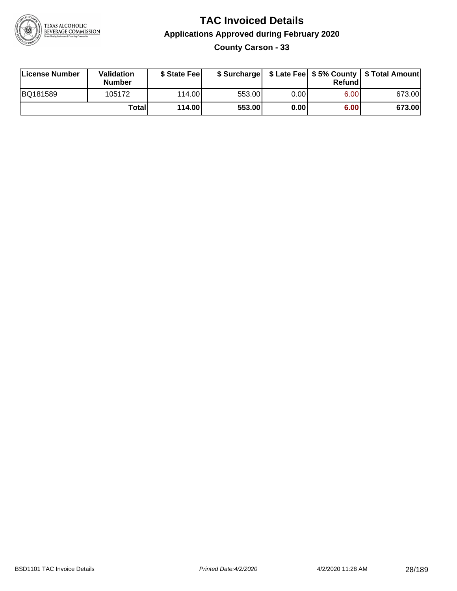

**County Carson - 33**

| License Number | <b>Validation</b><br>Number | \$ State Fee | \$ Surcharge |       | Refundl | \$ Late Fee   \$5% County   \$ Total Amount |
|----------------|-----------------------------|--------------|--------------|-------|---------|---------------------------------------------|
| BQ181589       | 105172                      | 114.00L      | 553.00       | 0.001 | 6.00    | 673.00                                      |
|                | Totall                      | 114.00       | 553.00       | 0.00  | 6.00    | 673.00                                      |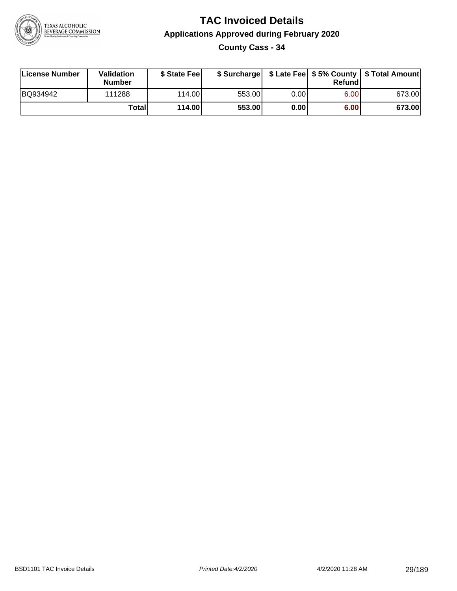

**County Cass - 34**

| License Number | Validation<br><b>Number</b> | \$ State Feel |        |       | Refundl | \$ Surcharge   \$ Late Fee   \$5% County   \$ Total Amount |
|----------------|-----------------------------|---------------|--------|-------|---------|------------------------------------------------------------|
| BQ934942       | 111288                      | 114.00        | 553.00 | 0.00  | 6.00    | 673.00                                                     |
|                | Totall                      | 114.00        | 553.00 | 0.001 | 6.00    | 673.00                                                     |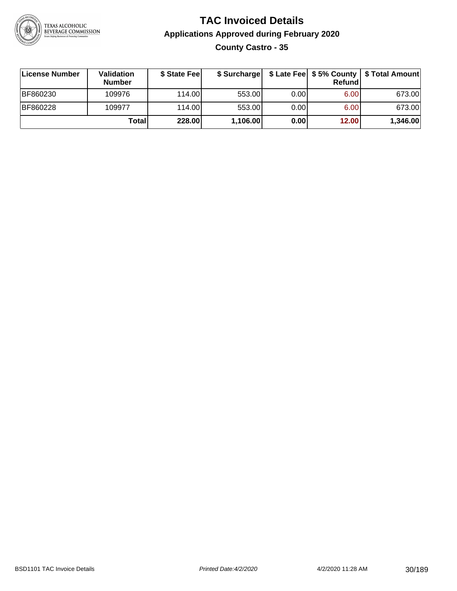

### **TAC Invoiced Details Applications Approved during February 2020 County Castro - 35**

| ∣License Number | Validation<br><b>Number</b> | \$ State Feel | \$ Surcharge |      | Refundl | \$ Late Fee   \$5% County   \$ Total Amount |
|-----------------|-----------------------------|---------------|--------------|------|---------|---------------------------------------------|
| BF860230        | 109976                      | 114.00        | 553.00       | 0.00 | 6.00    | 673.00                                      |
| BF860228        | 109977                      | 114.00        | 553.00       | 0.00 | 6.00    | 673.00                                      |
|                 | Totall                      | 228.00        | 1,106.00     | 0.00 | 12.00   | 1,346.00                                    |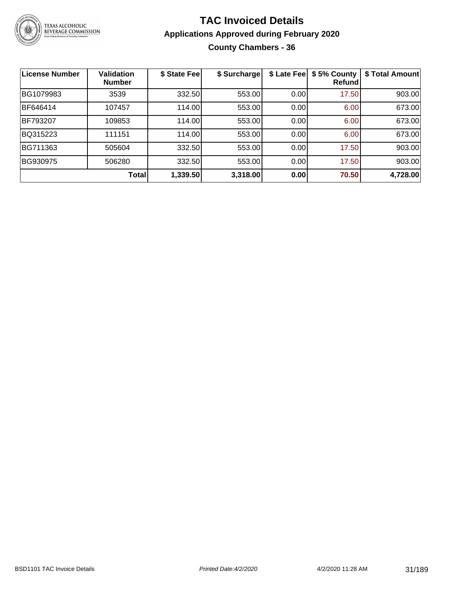

### **TAC Invoiced Details Applications Approved during February 2020 County Chambers - 36**

| <b>License Number</b> | <b>Validation</b><br><b>Number</b> | \$ State Fee | \$ Surcharge | \$ Late Fee | \$5% County<br>Refund | \$ Total Amount |
|-----------------------|------------------------------------|--------------|--------------|-------------|-----------------------|-----------------|
| BG1079983             | 3539                               | 332.50       | 553.00       | 0.00        | 17.50                 | 903.00          |
| BF646414              | 107457                             | 114.00       | 553.00       | 0.00        | 6.00                  | 673.00          |
| BF793207              | 109853                             | 114.00       | 553.00       | 0.00        | 6.00                  | 673.00          |
| BQ315223              | 111151                             | 114.00       | 553.00       | 0.00        | 6.00                  | 673.00          |
| BG711363              | 505604                             | 332.50       | 553.00       | 0.00        | 17.50                 | 903.00          |
| BG930975              | 506280                             | 332.50       | 553.00       | 0.00        | 17.50                 | 903.00          |
|                       | <b>Total</b>                       | 1,339.50     | 3,318.00     | 0.00        | 70.50                 | 4,728.00        |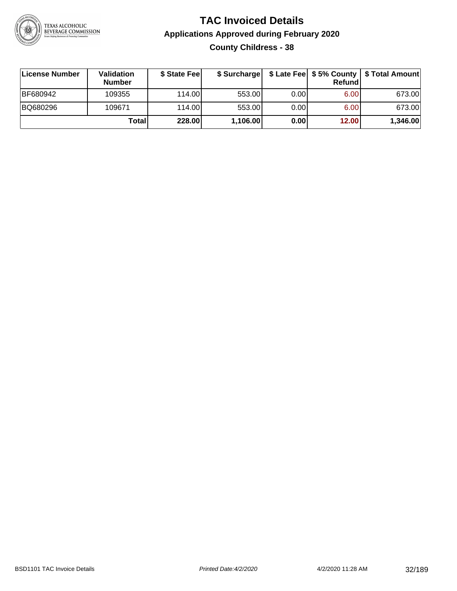

### **TAC Invoiced Details Applications Approved during February 2020 County Childress - 38**

| ∣License Number | <b>Validation</b><br><b>Number</b> | \$ State Fee | \$ Surcharge |      | Refund | \$ Late Fee   \$5% County   \$ Total Amount |
|-----------------|------------------------------------|--------------|--------------|------|--------|---------------------------------------------|
| BF680942        | 109355                             | 114.00L      | 553.00       | 0.00 | 6.00   | 673.00                                      |
| BQ680296        | 109671                             | 114.00       | 553.00       | 0.00 | 6.00   | 673.00                                      |
|                 | Totall                             | 228.00       | 1,106.00     | 0.00 | 12.00  | 1,346.00                                    |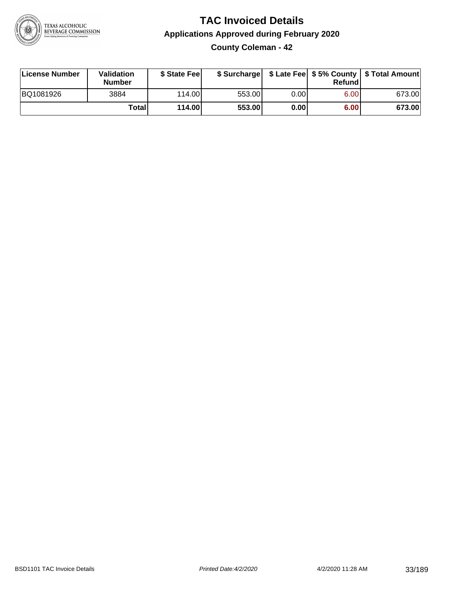

**County Coleman - 42**

| License Number | <b>Validation</b><br><b>Number</b> | \$ State Fee |        |       | Refundl | \$ Surcharge   \$ Late Fee   \$5% County   \$ Total Amount |
|----------------|------------------------------------|--------------|--------|-------|---------|------------------------------------------------------------|
| BQ1081926      | 3884                               | 114.00L      | 553.00 | 0.001 | 6.00    | 673.00                                                     |
|                | Total                              | 114.00       | 553.00 | 0.00  | 6.00    | 673.00                                                     |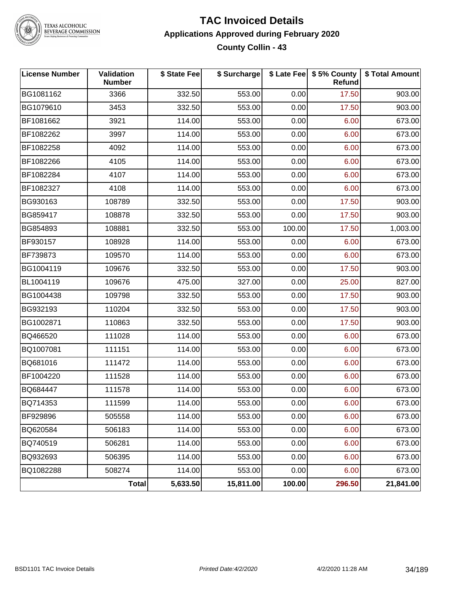

### TEXAS ALCOHOLIC<br>BEVERAGE COMMISSION

#### **TAC Invoiced Details Applications Approved during February 2020 County Collin - 43**

| <b>License Number</b> | Validation<br><b>Number</b> | \$ State Fee | \$ Surcharge |        | \$ Late Fee   \$5% County<br>Refund | \$ Total Amount |
|-----------------------|-----------------------------|--------------|--------------|--------|-------------------------------------|-----------------|
| BG1081162             | 3366                        | 332.50       | 553.00       | 0.00   | 17.50                               | 903.00          |
| BG1079610             | 3453                        | 332.50       | 553.00       | 0.00   | 17.50                               | 903.00          |
| BF1081662             | 3921                        | 114.00       | 553.00       | 0.00   | 6.00                                | 673.00          |
| BF1082262             | 3997                        | 114.00       | 553.00       | 0.00   | 6.00                                | 673.00          |
| BF1082258             | 4092                        | 114.00       | 553.00       | 0.00   | 6.00                                | 673.00          |
| BF1082266             | 4105                        | 114.00       | 553.00       | 0.00   | 6.00                                | 673.00          |
| BF1082284             | 4107                        | 114.00       | 553.00       | 0.00   | 6.00                                | 673.00          |
| BF1082327             | 4108                        | 114.00       | 553.00       | 0.00   | 6.00                                | 673.00          |
| BG930163              | 108789                      | 332.50       | 553.00       | 0.00   | 17.50                               | 903.00          |
| BG859417              | 108878                      | 332.50       | 553.00       | 0.00   | 17.50                               | 903.00          |
| BG854893              | 108881                      | 332.50       | 553.00       | 100.00 | 17.50                               | 1,003.00        |
| BF930157              | 108928                      | 114.00       | 553.00       | 0.00   | 6.00                                | 673.00          |
| BF739873              | 109570                      | 114.00       | 553.00       | 0.00   | 6.00                                | 673.00          |
| BG1004119             | 109676                      | 332.50       | 553.00       | 0.00   | 17.50                               | 903.00          |
| BL1004119             | 109676                      | 475.00       | 327.00       | 0.00   | 25.00                               | 827.00          |
| BG1004438             | 109798                      | 332.50       | 553.00       | 0.00   | 17.50                               | 903.00          |
| BG932193              | 110204                      | 332.50       | 553.00       | 0.00   | 17.50                               | 903.00          |
| BG1002871             | 110863                      | 332.50       | 553.00       | 0.00   | 17.50                               | 903.00          |
| BQ466520              | 111028                      | 114.00       | 553.00       | 0.00   | 6.00                                | 673.00          |
| BQ1007081             | 111151                      | 114.00       | 553.00       | 0.00   | 6.00                                | 673.00          |
| BQ681016              | 111472                      | 114.00       | 553.00       | 0.00   | 6.00                                | 673.00          |
| BF1004220             | 111528                      | 114.00       | 553.00       | 0.00   | 6.00                                | 673.00          |
| BQ684447              | 111578                      | 114.00       | 553.00       | 0.00   | 6.00                                | 673.00          |
| BQ714353              | 111599                      | 114.00       | 553.00       | 0.00   | 6.00                                | 673.00          |
| BF929896              | 505558                      | 114.00       | 553.00       | 0.00   | 6.00                                | 673.00          |
| BQ620584              | 506183                      | 114.00       | 553.00       | 0.00   | 6.00                                | 673.00          |
| BQ740519              | 506281                      | 114.00       | 553.00       | 0.00   | 6.00                                | 673.00          |
| BQ932693              | 506395                      | 114.00       | 553.00       | 0.00   | 6.00                                | 673.00          |
| BQ1082288             | 508274                      | 114.00       | 553.00       | 0.00   | 6.00                                | 673.00          |
|                       | Total                       | 5,633.50     | 15,811.00    | 100.00 | 296.50                              | 21,841.00       |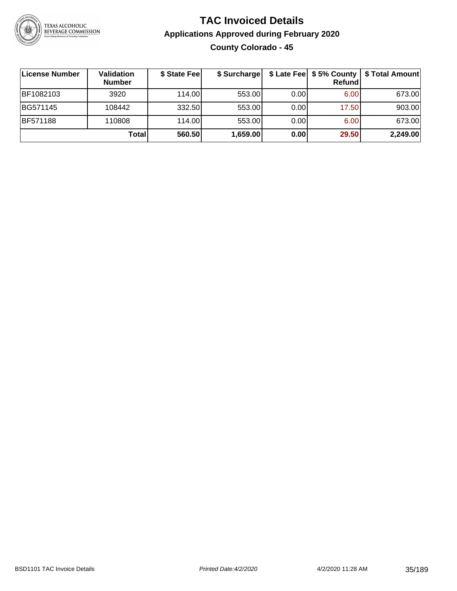

### **TAC Invoiced Details Applications Approved during February 2020 County Colorado - 45**

| <b>License Number</b> | Validation<br><b>Number</b> | \$ State Fee | \$ Surcharge |       | Refundl | \$ Late Fee   \$5% County   \$ Total Amount |
|-----------------------|-----------------------------|--------------|--------------|-------|---------|---------------------------------------------|
| BF1082103             | 3920                        | 114.00L      | 553.00       | 0.001 | 6.00    | 673.00                                      |
| BG571145              | 108442                      | 332.50       | 553.00       | 0.00  | 17.50   | 903.00                                      |
| <b>BF571188</b>       | 110808                      | 114.00L      | 553.00       | 0.00  | 6.00    | 673.00                                      |
|                       | Total                       | 560.50       | 1,659.00     | 0.00  | 29.50   | 2,249.00                                    |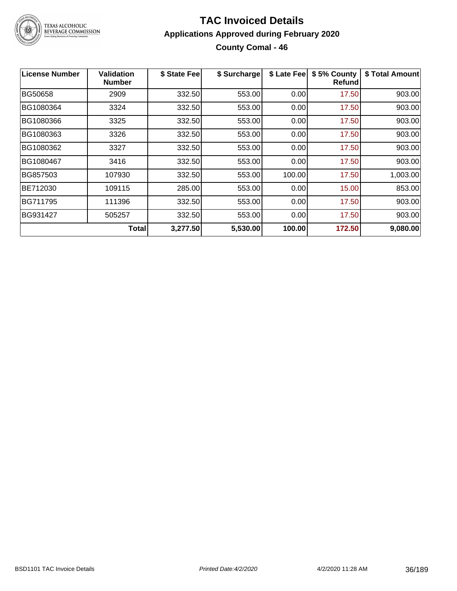

### **TAC Invoiced Details Applications Approved during February 2020 County Comal - 46**

| License Number | <b>Validation</b><br><b>Number</b> | \$ State Fee | \$ Surcharge | \$ Late Fee | \$5% County<br><b>Refund</b> | \$ Total Amount |
|----------------|------------------------------------|--------------|--------------|-------------|------------------------------|-----------------|
| <b>BG50658</b> | 2909                               | 332.50       | 553.00       | 0.00        | 17.50                        | 903.00          |
| BG1080364      | 3324                               | 332.50       | 553.00       | 0.00        | 17.50                        | 903.00          |
| BG1080366      | 3325                               | 332.50       | 553.00       | 0.00        | 17.50                        | 903.00          |
| BG1080363      | 3326                               | 332.50       | 553.00       | 0.00        | 17.50                        | 903.00          |
| BG1080362      | 3327                               | 332.50       | 553.00       | 0.00        | 17.50                        | 903.00          |
| BG1080467      | 3416                               | 332.50       | 553.00       | 0.00        | 17.50                        | 903.00          |
| BG857503       | 107930                             | 332.50       | 553.00       | 100.00      | 17.50                        | 1,003.00        |
| BE712030       | 109115                             | 285.00       | 553.00       | 0.00        | 15.00                        | 853.00          |
| BG711795       | 111396                             | 332.50       | 553.00       | 0.00        | 17.50                        | 903.00          |
| BG931427       | 505257                             | 332.50       | 553.00       | 0.00        | 17.50                        | 903.00          |
|                | <b>Total</b>                       | 3,277.50     | 5,530.00     | 100.00      | 172.50                       | 9,080.00        |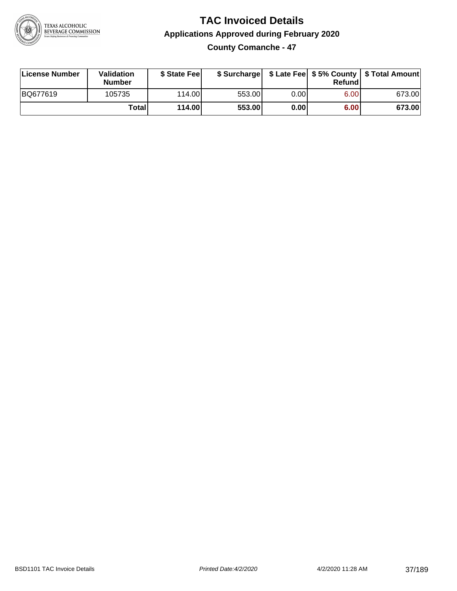

# **TAC Invoiced Details Applications Approved during February 2020**

**County Comanche - 47**

| License Number | Validation<br><b>Number</b> | \$ State Fee |        |      | Refundl | \$ Surcharge   \$ Late Fee   \$5% County   \$ Total Amount |
|----------------|-----------------------------|--------------|--------|------|---------|------------------------------------------------------------|
| BQ677619       | 105735                      | 114.00       | 553.00 | 0.00 | 6.00    | 673.00                                                     |
|                | <b>Total</b>                | 114.00       | 553.00 | 0.00 | 6.00    | 673.00                                                     |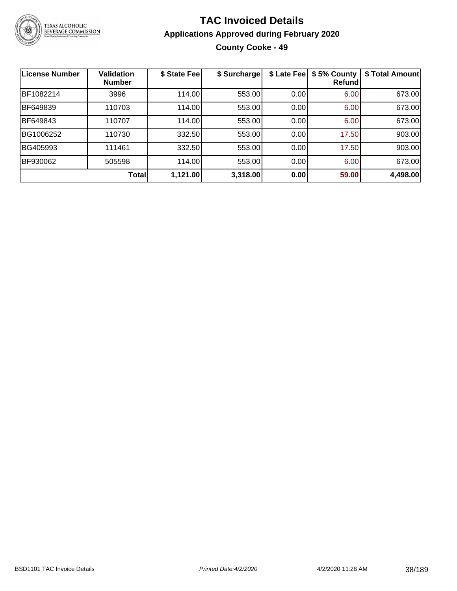

# **TAC Invoiced Details Applications Approved during February 2020 County Cooke - 49**

| <b>License Number</b> | <b>Validation</b><br><b>Number</b> | \$ State Fee | \$ Surcharge | \$ Late Fee | \$5% County<br>Refundl | \$ Total Amount |
|-----------------------|------------------------------------|--------------|--------------|-------------|------------------------|-----------------|
| BF1082214             | 3996                               | 114.00       | 553.00       | 0.00        | 6.00                   | 673.00          |
| BF649839              | 110703                             | 114.00       | 553.00       | 0.00        | 6.00                   | 673.00          |
| BF649843              | 110707                             | 114.00       | 553.00       | 0.00        | 6.00                   | 673.00          |
| BG1006252             | 110730                             | 332.50       | 553.00       | 0.00        | 17.50                  | 903.00          |
| BG405993              | 111461                             | 332.50       | 553.00       | 0.00        | 17.50                  | 903.00          |
| BF930062              | 505598                             | 114.00       | 553.00       | 0.00        | 6.00                   | 673.00          |
|                       | <b>Total</b>                       | 1,121.00     | 3,318.00     | 0.00        | 59.00                  | 4,498.00        |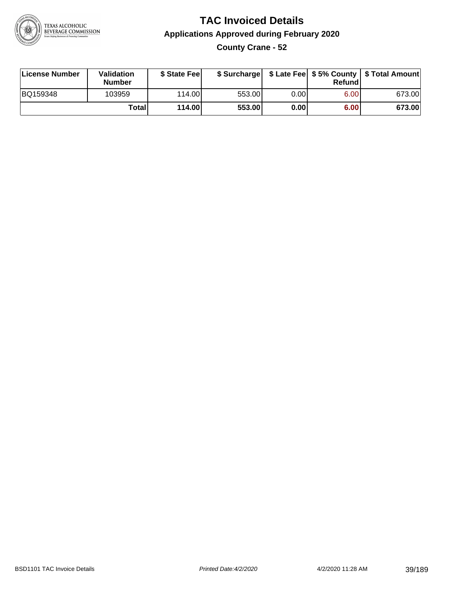

# **TAC Invoiced Details Applications Approved during February 2020 County Crane - 52**

| License Number | Validation<br><b>Number</b> | \$ State Feel |        |       | Refundl | \$ Surcharge   \$ Late Fee   \$5% County   \$ Total Amount |
|----------------|-----------------------------|---------------|--------|-------|---------|------------------------------------------------------------|
| BQ159348       | 103959                      | 114.00        | 553.00 | 0.00  | 6.00    | 673.00                                                     |
|                | Totall                      | 114.00        | 553.00 | 0.001 | 6.00    | 673.00                                                     |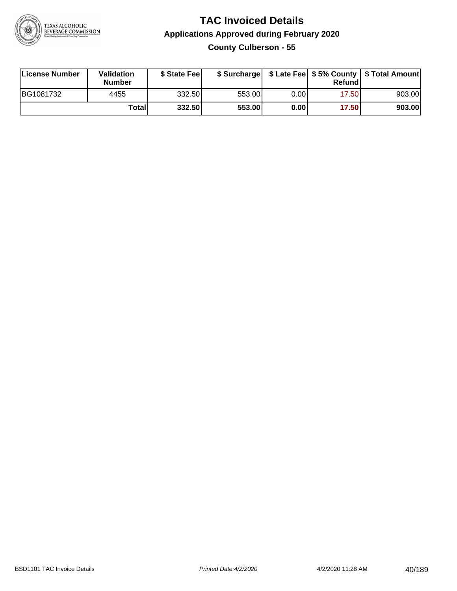

# **TAC Invoiced Details Applications Approved during February 2020**

**County Culberson - 55**

| License Number | Validation<br><b>Number</b> | \$ State Feel |        |       | Refundl | \$ Surcharge   \$ Late Fee   \$5% County   \$ Total Amount |
|----------------|-----------------------------|---------------|--------|-------|---------|------------------------------------------------------------|
| BG1081732      | 4455                        | 332.50        | 553.00 | 0.00  | 17.50   | 903.00                                                     |
|                | Totall                      | 332.50        | 553.00 | 0.001 | 17.50   | 903.00                                                     |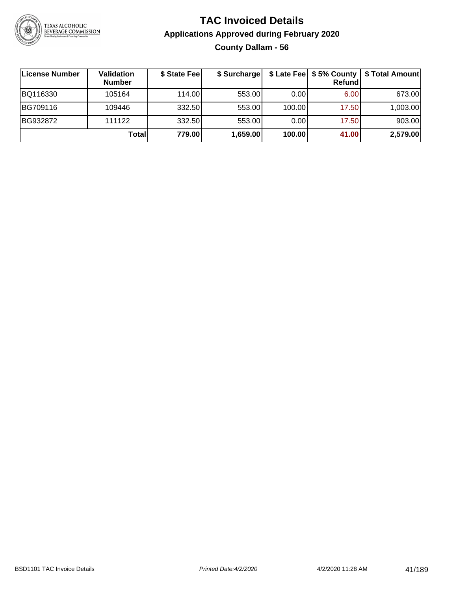

# **TAC Invoiced Details Applications Approved during February 2020 County Dallam - 56**

| License Number | Validation<br><b>Number</b> | \$ State Fee | \$ Surcharge |        | \$ Late Fee   \$5% County  <br>Refundl | \$ Total Amount |
|----------------|-----------------------------|--------------|--------------|--------|----------------------------------------|-----------------|
| BQ116330       | 105164                      | 114.00L      | 553.00       | 0.00   | 6.00                                   | 673.00          |
| BG709116       | 109446                      | 332.50       | 553.00       | 100.00 | 17.50                                  | 1,003.00        |
| BG932872       | 111122                      | 332.50       | 553.00       | 0.00   | 17.50                                  | 903.00          |
|                | Total                       | 779.00       | 1,659.00     | 100.00 | 41.00                                  | 2,579.00        |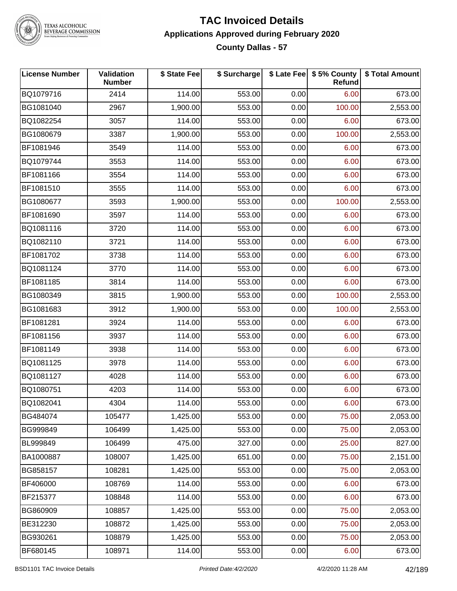

#### **TAC Invoiced Details Applications Approved during February 2020 County Dallas - 57**

| <b>License Number</b> | <b>Validation</b><br><b>Number</b> | \$ State Fee | \$ Surcharge |      | \$ Late Fee   \$5% County<br><b>Refund</b> | \$ Total Amount |
|-----------------------|------------------------------------|--------------|--------------|------|--------------------------------------------|-----------------|
| BQ1079716             | 2414                               | 114.00       | 553.00       | 0.00 | 6.00                                       | 673.00          |
| BG1081040             | 2967                               | 1,900.00     | 553.00       | 0.00 | 100.00                                     | 2,553.00        |
| BQ1082254             | 3057                               | 114.00       | 553.00       | 0.00 | 6.00                                       | 673.00          |
| BG1080679             | 3387                               | 1,900.00     | 553.00       | 0.00 | 100.00                                     | 2,553.00        |
| BF1081946             | 3549                               | 114.00       | 553.00       | 0.00 | 6.00                                       | 673.00          |
| BQ1079744             | 3553                               | 114.00       | 553.00       | 0.00 | 6.00                                       | 673.00          |
| BF1081166             | 3554                               | 114.00       | 553.00       | 0.00 | 6.00                                       | 673.00          |
| BF1081510             | 3555                               | 114.00       | 553.00       | 0.00 | 6.00                                       | 673.00          |
| BG1080677             | 3593                               | 1,900.00     | 553.00       | 0.00 | 100.00                                     | 2,553.00        |
| BF1081690             | 3597                               | 114.00       | 553.00       | 0.00 | 6.00                                       | 673.00          |
| BQ1081116             | 3720                               | 114.00       | 553.00       | 0.00 | 6.00                                       | 673.00          |
| BQ1082110             | 3721                               | 114.00       | 553.00       | 0.00 | 6.00                                       | 673.00          |
| BF1081702             | 3738                               | 114.00       | 553.00       | 0.00 | 6.00                                       | 673.00          |
| BQ1081124             | 3770                               | 114.00       | 553.00       | 0.00 | 6.00                                       | 673.00          |
| BF1081185             | 3814                               | 114.00       | 553.00       | 0.00 | 6.00                                       | 673.00          |
| BG1080349             | 3815                               | 1,900.00     | 553.00       | 0.00 | 100.00                                     | 2,553.00        |
| BG1081683             | 3912                               | 1,900.00     | 553.00       | 0.00 | 100.00                                     | 2,553.00        |
| BF1081281             | 3924                               | 114.00       | 553.00       | 0.00 | 6.00                                       | 673.00          |
| BF1081156             | 3937                               | 114.00       | 553.00       | 0.00 | 6.00                                       | 673.00          |
| BF1081149             | 3938                               | 114.00       | 553.00       | 0.00 | 6.00                                       | 673.00          |
| BQ1081125             | 3978                               | 114.00       | 553.00       | 0.00 | 6.00                                       | 673.00          |
| BQ1081127             | 4028                               | 114.00       | 553.00       | 0.00 | 6.00                                       | 673.00          |
| BQ1080751             | 4203                               | 114.00       | 553.00       | 0.00 | 6.00                                       | 673.00          |
| BQ1082041             | 4304                               | 114.00       | 553.00       | 0.00 | 6.00                                       | 673.00          |
| BG484074              | 105477                             | 1,425.00     | 553.00       | 0.00 | 75.00                                      | 2,053.00        |
| BG999849              | 106499                             | 1,425.00     | 553.00       | 0.00 | 75.00                                      | 2,053.00        |
| BL999849              | 106499                             | 475.00       | 327.00       | 0.00 | 25.00                                      | 827.00          |
| BA1000887             | 108007                             | 1,425.00     | 651.00       | 0.00 | 75.00                                      | 2,151.00        |
| BG858157              | 108281                             | 1,425.00     | 553.00       | 0.00 | 75.00                                      | 2,053.00        |
| BF406000              | 108769                             | 114.00       | 553.00       | 0.00 | 6.00                                       | 673.00          |
| BF215377              | 108848                             | 114.00       | 553.00       | 0.00 | 6.00                                       | 673.00          |
| BG860909              | 108857                             | 1,425.00     | 553.00       | 0.00 | 75.00                                      | 2,053.00        |
| BE312230              | 108872                             | 1,425.00     | 553.00       | 0.00 | 75.00                                      | 2,053.00        |
| BG930261              | 108879                             | 1,425.00     | 553.00       | 0.00 | 75.00                                      | 2,053.00        |
| BF680145              | 108971                             | 114.00       | 553.00       | 0.00 | 6.00                                       | 673.00          |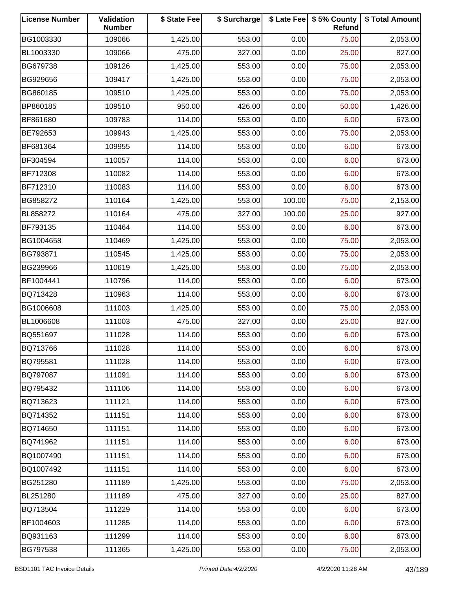| <b>License Number</b> | Validation<br><b>Number</b> | \$ State Fee | \$ Surcharge |        | \$ Late Fee   \$5% County<br>Refund | \$ Total Amount |
|-----------------------|-----------------------------|--------------|--------------|--------|-------------------------------------|-----------------|
| BG1003330             | 109066                      | 1,425.00     | 553.00       | 0.00   | 75.00                               | 2,053.00        |
| BL1003330             | 109066                      | 475.00       | 327.00       | 0.00   | 25.00                               | 827.00          |
| BG679738              | 109126                      | 1,425.00     | 553.00       | 0.00   | 75.00                               | 2,053.00        |
| BG929656              | 109417                      | 1,425.00     | 553.00       | 0.00   | 75.00                               | 2,053.00        |
| BG860185              | 109510                      | 1,425.00     | 553.00       | 0.00   | 75.00                               | 2,053.00        |
| BP860185              | 109510                      | 950.00       | 426.00       | 0.00   | 50.00                               | 1,426.00        |
| BF861680              | 109783                      | 114.00       | 553.00       | 0.00   | 6.00                                | 673.00          |
| BE792653              | 109943                      | 1,425.00     | 553.00       | 0.00   | 75.00                               | 2,053.00        |
| BF681364              | 109955                      | 114.00       | 553.00       | 0.00   | 6.00                                | 673.00          |
| BF304594              | 110057                      | 114.00       | 553.00       | 0.00   | 6.00                                | 673.00          |
| BF712308              | 110082                      | 114.00       | 553.00       | 0.00   | 6.00                                | 673.00          |
| BF712310              | 110083                      | 114.00       | 553.00       | 0.00   | 6.00                                | 673.00          |
| BG858272              | 110164                      | 1,425.00     | 553.00       | 100.00 | 75.00                               | 2,153.00        |
| BL858272              | 110164                      | 475.00       | 327.00       | 100.00 | 25.00                               | 927.00          |
| BF793135              | 110464                      | 114.00       | 553.00       | 0.00   | 6.00                                | 673.00          |
| BG1004658             | 110469                      | 1,425.00     | 553.00       | 0.00   | 75.00                               | 2,053.00        |
| BG793871              | 110545                      | 1,425.00     | 553.00       | 0.00   | 75.00                               | 2,053.00        |
| BG239966              | 110619                      | 1,425.00     | 553.00       | 0.00   | 75.00                               | 2,053.00        |
| BF1004441             | 110796                      | 114.00       | 553.00       | 0.00   | 6.00                                | 673.00          |
| BQ713428              | 110963                      | 114.00       | 553.00       | 0.00   | 6.00                                | 673.00          |
| BG1006608             | 111003                      | 1,425.00     | 553.00       | 0.00   | 75.00                               | 2,053.00        |
| BL1006608             | 111003                      | 475.00       | 327.00       | 0.00   | 25.00                               | 827.00          |
| BQ551697              | 111028                      | 114.00       | 553.00       | 0.00   | 6.00                                | 673.00          |
| BQ713766              | 111028                      | 114.00       | 553.00       | 0.00   | 6.00                                | 673.00          |
| BQ795581              | 111028                      | 114.00       | 553.00       | 0.00   | 6.00                                | 673.00          |
| BQ797087              | 111091                      | 114.00       | 553.00       | 0.00   | 6.00                                | 673.00          |
| BQ795432              | 111106                      | 114.00       | 553.00       | 0.00   | 6.00                                | 673.00          |
| BQ713623              | 111121                      | 114.00       | 553.00       | 0.00   | 6.00                                | 673.00          |
| BQ714352              | 111151                      | 114.00       | 553.00       | 0.00   | 6.00                                | 673.00          |
| BQ714650              | 111151                      | 114.00       | 553.00       | 0.00   | 6.00                                | 673.00          |
| BQ741962              | 111151                      | 114.00       | 553.00       | 0.00   | 6.00                                | 673.00          |
| BQ1007490             | 111151                      | 114.00       | 553.00       | 0.00   | 6.00                                | 673.00          |
| BQ1007492             | 111151                      | 114.00       | 553.00       | 0.00   | 6.00                                | 673.00          |
| BG251280              | 111189                      | 1,425.00     | 553.00       | 0.00   | 75.00                               | 2,053.00        |
| BL251280              | 111189                      | 475.00       | 327.00       | 0.00   | 25.00                               | 827.00          |
| BQ713504              | 111229                      | 114.00       | 553.00       | 0.00   | 6.00                                | 673.00          |
| BF1004603             | 111285                      | 114.00       | 553.00       | 0.00   | 6.00                                | 673.00          |
| BQ931163              | 111299                      | 114.00       | 553.00       | 0.00   | 6.00                                | 673.00          |
| BG797538              | 111365                      | 1,425.00     | 553.00       | 0.00   | 75.00                               | 2,053.00        |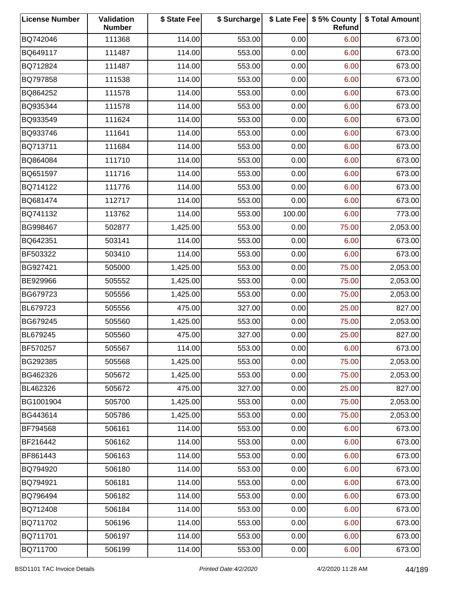| <b>License Number</b> | Validation<br><b>Number</b> | \$ State Fee | \$ Surcharge |        | \$ Late Fee   \$5% County<br>Refund | \$ Total Amount |
|-----------------------|-----------------------------|--------------|--------------|--------|-------------------------------------|-----------------|
| BQ742046              | 111368                      | 114.00       | 553.00       | 0.00   | 6.00                                | 673.00          |
| BQ649117              | 111487                      | 114.00       | 553.00       | 0.00   | 6.00                                | 673.00          |
| BQ712824              | 111487                      | 114.00       | 553.00       | 0.00   | 6.00                                | 673.00          |
| BQ797858              | 111538                      | 114.00       | 553.00       | 0.00   | 6.00                                | 673.00          |
| BQ864252              | 111578                      | 114.00       | 553.00       | 0.00   | 6.00                                | 673.00          |
| BQ935344              | 111578                      | 114.00       | 553.00       | 0.00   | 6.00                                | 673.00          |
| BQ933549              | 111624                      | 114.00       | 553.00       | 0.00   | 6.00                                | 673.00          |
| BQ933746              | 111641                      | 114.00       | 553.00       | 0.00   | 6.00                                | 673.00          |
| BQ713711              | 111684                      | 114.00       | 553.00       | 0.00   | 6.00                                | 673.00          |
| BQ864084              | 111710                      | 114.00       | 553.00       | 0.00   | 6.00                                | 673.00          |
| BQ651597              | 111716                      | 114.00       | 553.00       | 0.00   | 6.00                                | 673.00          |
| BQ714122              | 111776                      | 114.00       | 553.00       | 0.00   | 6.00                                | 673.00          |
| BQ681474              | 112717                      | 114.00       | 553.00       | 0.00   | 6.00                                | 673.00          |
| BQ741132              | 113762                      | 114.00       | 553.00       | 100.00 | 6.00                                | 773.00          |
| BG998467              | 502877                      | 1,425.00     | 553.00       | 0.00   | 75.00                               | 2,053.00        |
| BQ642351              | 503141                      | 114.00       | 553.00       | 0.00   | 6.00                                | 673.00          |
| BF503322              | 503410                      | 114.00       | 553.00       | 0.00   | 6.00                                | 673.00          |
| BG927421              | 505000                      | 1,425.00     | 553.00       | 0.00   | 75.00                               | 2,053.00        |
| BE929966              | 505552                      | 1,425.00     | 553.00       | 0.00   | 75.00                               | 2,053.00        |
| BG679723              | 505556                      | 1,425.00     | 553.00       | 0.00   | 75.00                               | 2,053.00        |
| BL679723              | 505556                      | 475.00       | 327.00       | 0.00   | 25.00                               | 827.00          |
| BG679245              | 505560                      | 1,425.00     | 553.00       | 0.00   | 75.00                               | 2,053.00        |
| BL679245              | 505560                      | 475.00       | 327.00       | 0.00   | 25.00                               | 827.00          |
| BF570257              | 505567                      | 114.00       | 553.00       | 0.00   | 6.00                                | 673.00          |
| BG292385              | 505568                      | 1,425.00     | 553.00       | 0.00   | 75.00                               | 2,053.00        |
| BG462326              | 505672                      | 1,425.00     | 553.00       | 0.00   | 75.00                               | 2,053.00        |
| BL462326              | 505672                      | 475.00       | 327.00       | 0.00   | 25.00                               | 827.00          |
| BG1001904             | 505700                      | 1,425.00     | 553.00       | 0.00   | 75.00                               | 2,053.00        |
| BG443614              | 505786                      | 1,425.00     | 553.00       | 0.00   | 75.00                               | 2,053.00        |
| BF794568              | 506161                      | 114.00       | 553.00       | 0.00   | 6.00                                | 673.00          |
| BF216442              | 506162                      | 114.00       | 553.00       | 0.00   | 6.00                                | 673.00          |
| BF861443              | 506163                      | 114.00       | 553.00       | 0.00   | 6.00                                | 673.00          |
| BQ794920              | 506180                      | 114.00       | 553.00       | 0.00   | 6.00                                | 673.00          |
| BQ794921              | 506181                      | 114.00       | 553.00       | 0.00   | 6.00                                | 673.00          |
| BQ796494              | 506182                      | 114.00       | 553.00       | 0.00   | 6.00                                | 673.00          |
| BQ712408              | 506184                      | 114.00       | 553.00       | 0.00   | 6.00                                | 673.00          |
| BQ711702              | 506196                      | 114.00       | 553.00       | 0.00   | 6.00                                | 673.00          |
| BQ711701              | 506197                      | 114.00       | 553.00       | 0.00   | 6.00                                | 673.00          |
| BQ711700              | 506199                      | 114.00       | 553.00       | 0.00   | 6.00                                | 673.00          |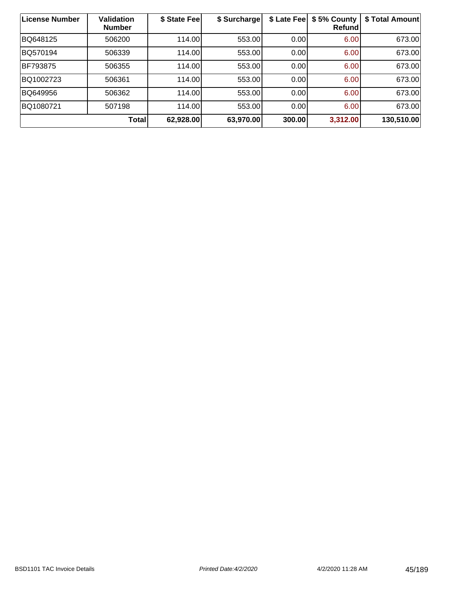| <b>License Number</b> | <b>Validation</b><br><b>Number</b> | \$ State Fee | \$ Surcharge | \$ Late Fee | \$5% County<br><b>Refund</b> | \$ Total Amount |
|-----------------------|------------------------------------|--------------|--------------|-------------|------------------------------|-----------------|
| BQ648125              | 506200                             | 114.00       | 553.00       | 0.00        | 6.00                         | 673.00          |
| BQ570194              | 506339                             | 114.00       | 553.00       | 0.00        | 6.00                         | 673.00          |
| BF793875              | 506355                             | 114.00       | 553.00       | 0.00        | 6.00                         | 673.00          |
| BQ1002723             | 506361                             | 114.00       | 553.00       | 0.00        | 6.00                         | 673.00          |
| BQ649956              | 506362                             | 114.00       | 553.00       | 0.00        | 6.00                         | 673.00          |
| BQ1080721             | 507198                             | 114.00       | 553.00       | 0.00        | 6.00                         | 673.00          |
|                       | <b>Total</b>                       | 62,928.00    | 63,970.00    | 300.00      | 3,312.00                     | 130,510.00      |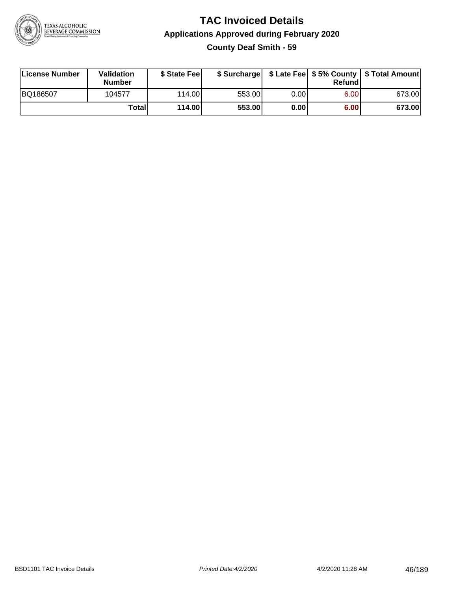

# **TAC Invoiced Details Applications Approved during February 2020 County Deaf Smith - 59**

| License Number | Validation<br><b>Number</b> | \$ State Fee |        |      | Refundl | \$ Surcharge   \$ Late Fee   \$5% County   \$ Total Amount |
|----------------|-----------------------------|--------------|--------|------|---------|------------------------------------------------------------|
| BQ186507       | 104577                      | 114.00       | 553.00 | 0.00 | 6.00    | 673.00                                                     |
|                | Totall                      | 114.00       | 553.00 | 0.00 | 6.00    | 673.00                                                     |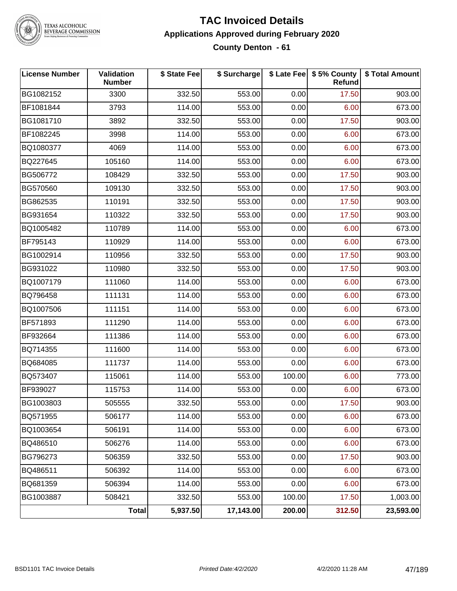

TEXAS ALCOHOLIC<br>BEVERAGE COMMISSION

#### **TAC Invoiced Details Applications Approved during February 2020 County Denton - 61**

| <b>License Number</b> | Validation<br><b>Number</b> | \$ State Fee | \$ Surcharge |        | \$ Late Fee   \$5% County<br><b>Refund</b> | \$ Total Amount |
|-----------------------|-----------------------------|--------------|--------------|--------|--------------------------------------------|-----------------|
| BG1082152             | 3300                        | 332.50       | 553.00       | 0.00   | 17.50                                      | 903.00          |
| BF1081844             | 3793                        | 114.00       | 553.00       | 0.00   | 6.00                                       | 673.00          |
| BG1081710             | 3892                        | 332.50       | 553.00       | 0.00   | 17.50                                      | 903.00          |
| BF1082245             | 3998                        | 114.00       | 553.00       | 0.00   | 6.00                                       | 673.00          |
| BQ1080377             | 4069                        | 114.00       | 553.00       | 0.00   | 6.00                                       | 673.00          |
| BQ227645              | 105160                      | 114.00       | 553.00       | 0.00   | 6.00                                       | 673.00          |
| BG506772              | 108429                      | 332.50       | 553.00       | 0.00   | 17.50                                      | 903.00          |
| BG570560              | 109130                      | 332.50       | 553.00       | 0.00   | 17.50                                      | 903.00          |
| BG862535              | 110191                      | 332.50       | 553.00       | 0.00   | 17.50                                      | 903.00          |
| BG931654              | 110322                      | 332.50       | 553.00       | 0.00   | 17.50                                      | 903.00          |
| BQ1005482             | 110789                      | 114.00       | 553.00       | 0.00   | 6.00                                       | 673.00          |
| BF795143              | 110929                      | 114.00       | 553.00       | 0.00   | 6.00                                       | 673.00          |
| BG1002914             | 110956                      | 332.50       | 553.00       | 0.00   | 17.50                                      | 903.00          |
| BG931022              | 110980                      | 332.50       | 553.00       | 0.00   | 17.50                                      | 903.00          |
| BQ1007179             | 111060                      | 114.00       | 553.00       | 0.00   | 6.00                                       | 673.00          |
| BQ796458              | 111131                      | 114.00       | 553.00       | 0.00   | 6.00                                       | 673.00          |
| BQ1007506             | 111151                      | 114.00       | 553.00       | 0.00   | 6.00                                       | 673.00          |
| BF571893              | 111290                      | 114.00       | 553.00       | 0.00   | 6.00                                       | 673.00          |
| BF932664              | 111386                      | 114.00       | 553.00       | 0.00   | 6.00                                       | 673.00          |
| BQ714355              | 111600                      | 114.00       | 553.00       | 0.00   | 6.00                                       | 673.00          |
| BQ684085              | 111737                      | 114.00       | 553.00       | 0.00   | 6.00                                       | 673.00          |
| BQ573407              | 115061                      | 114.00       | 553.00       | 100.00 | 6.00                                       | 773.00          |
| BF939027              | 115753                      | 114.00       | 553.00       | 0.00   | 6.00                                       | 673.00          |
| BG1003803             | 505555                      | 332.50       | 553.00       | 0.00   | 17.50                                      | 903.00          |
| BQ571955              | 506177                      | 114.00       | 553.00       | 0.00   | 6.00                                       | 673.00          |
| BQ1003654             | 506191                      | 114.00       | 553.00       | 0.00   | 6.00                                       | 673.00          |
| BQ486510              | 506276                      | 114.00       | 553.00       | 0.00   | 6.00                                       | 673.00          |
| BG796273              | 506359                      | 332.50       | 553.00       | 0.00   | 17.50                                      | 903.00          |
| BQ486511              | 506392                      | 114.00       | 553.00       | 0.00   | 6.00                                       | 673.00          |
| BQ681359              | 506394                      | 114.00       | 553.00       | 0.00   | 6.00                                       | 673.00          |
| BG1003887             | 508421                      | 332.50       | 553.00       | 100.00 | 17.50                                      | 1,003.00        |
|                       | Total                       | 5,937.50     | 17,143.00    | 200.00 | 312.50                                     | 23,593.00       |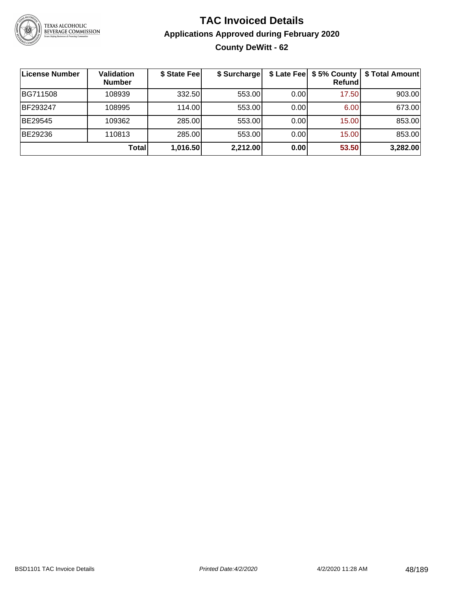

# **TAC Invoiced Details Applications Approved during February 2020 County DeWitt - 62**

| <b>License Number</b> | Validation<br><b>Number</b> | \$ State Fee | \$ Surcharge |      | \$ Late Fee   \$5% County  <br><b>Refund</b> | \$ Total Amount |
|-----------------------|-----------------------------|--------------|--------------|------|----------------------------------------------|-----------------|
| BG711508              | 108939                      | 332.50       | 553.00       | 0.00 | 17.50                                        | 903.00          |
| BF293247              | 108995                      | 114.00       | 553.00       | 0.00 | 6.00                                         | 673.00          |
| BE29545               | 109362                      | 285.00       | 553.00       | 0.00 | 15.00                                        | 853.00          |
| BE29236               | 110813                      | 285.00       | 553.00       | 0.00 | 15.00                                        | 853.00          |
|                       | Total                       | 1,016.50     | 2,212.00     | 0.00 | 53.50                                        | 3,282.00        |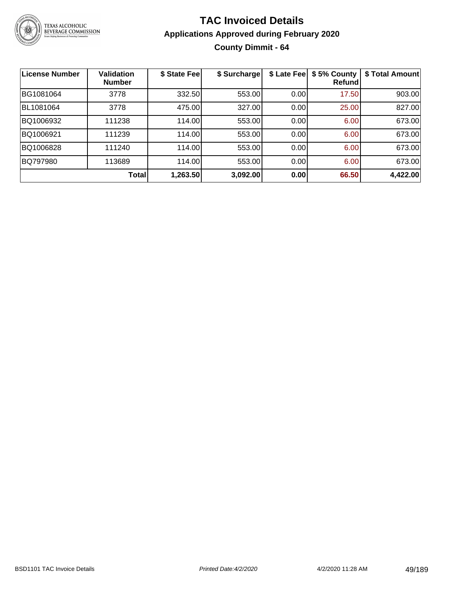

# **TAC Invoiced Details Applications Approved during February 2020 County Dimmit - 64**

| <b>License Number</b> | <b>Validation</b><br><b>Number</b> | \$ State Fee | \$ Surcharge | \$ Late Fee | \$5% County<br>Refundl | \$ Total Amount |
|-----------------------|------------------------------------|--------------|--------------|-------------|------------------------|-----------------|
| BG1081064             | 3778                               | 332.50       | 553.00       | 0.00        | 17.50                  | 903.00          |
| BL1081064             | 3778                               | 475.00       | 327.00       | 0.00        | 25.00                  | 827.00          |
| BQ1006932             | 111238                             | 114.00       | 553.00       | 0.00        | 6.00                   | 673.00          |
| BQ1006921             | 111239                             | 114.00       | 553.00       | 0.00        | 6.00                   | 673.00          |
| BQ1006828             | 111240                             | 114.00       | 553.00       | 0.00        | 6.00                   | 673.00          |
| BQ797980              | 113689                             | 114.00       | 553.00       | 0.00        | 6.00                   | 673.00          |
|                       | <b>Total</b>                       | 1,263.50     | 3,092.00     | 0.00        | 66.50                  | 4,422.00        |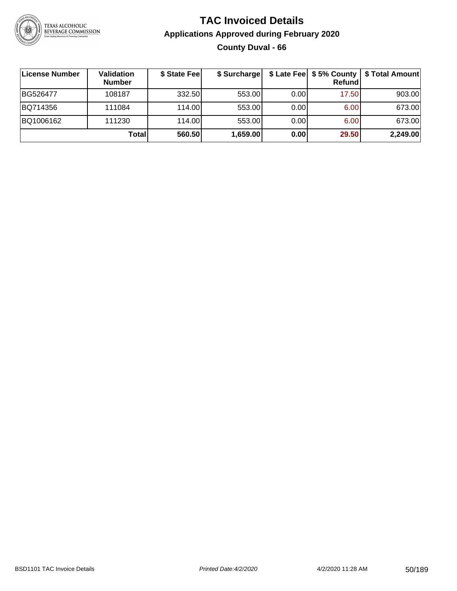

# **TAC Invoiced Details Applications Approved during February 2020 County Duval - 66**

| License Number | Validation<br><b>Number</b> | \$ State Fee | \$ Surcharge |      | \$ Late Fee   \$5% County  <br>Refundl | \$ Total Amount |
|----------------|-----------------------------|--------------|--------------|------|----------------------------------------|-----------------|
| BG526477       | 108187                      | 332.50       | 553.00       | 0.00 | 17.50                                  | 903.00          |
| BQ714356       | 111084                      | 114.00L      | 553.00       | 0.00 | 6.00                                   | 673.00          |
| BQ1006162      | 111230                      | 114.00       | 553.00       | 0.00 | 6.00                                   | 673.00          |
|                | <b>Total</b>                | 560.50       | 1,659.00     | 0.00 | 29.50                                  | 2,249.00        |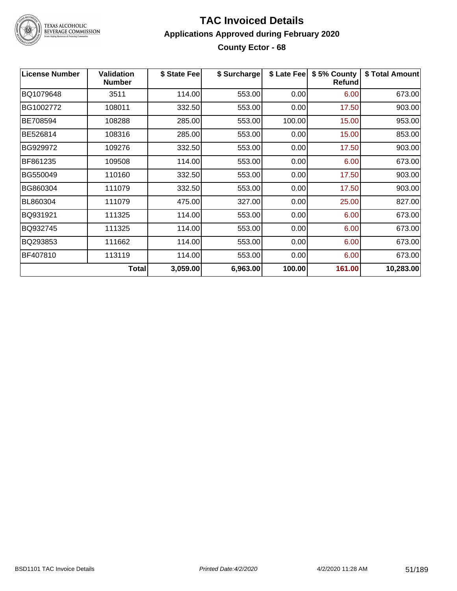

# TEXAS ALCOHOLIC<br>BEVERAGE COMMISSION

### **TAC Invoiced Details Applications Approved during February 2020 County Ector - 68**

| <b>License Number</b> | <b>Validation</b><br><b>Number</b> | \$ State Fee | \$ Surcharge | \$ Late Fee | \$5% County<br><b>Refund</b> | \$ Total Amount |
|-----------------------|------------------------------------|--------------|--------------|-------------|------------------------------|-----------------|
| BQ1079648             | 3511                               | 114.00       | 553.00       | 0.00        | 6.00                         | 673.00          |
| BG1002772             | 108011                             | 332.50       | 553.00       | 0.00        | 17.50                        | 903.00          |
| BE708594              | 108288                             | 285.00       | 553.00       | 100.00      | 15.00                        | 953.00          |
| BE526814              | 108316                             | 285.00       | 553.00       | 0.00        | 15.00                        | 853.00          |
| BG929972              | 109276                             | 332.50       | 553.00       | 0.00        | 17.50                        | 903.00          |
| BF861235              | 109508                             | 114.00       | 553.00       | 0.00        | 6.00                         | 673.00          |
| BG550049              | 110160                             | 332.50       | 553.00       | 0.00        | 17.50                        | 903.00          |
| BG860304              | 111079                             | 332.50       | 553.00       | 0.00        | 17.50                        | 903.00          |
| BL860304              | 111079                             | 475.00       | 327.00       | 0.00        | 25.00                        | 827.00          |
| BQ931921              | 111325                             | 114.00       | 553.00       | 0.00        | 6.00                         | 673.00          |
| BQ932745              | 111325                             | 114.00       | 553.00       | 0.00        | 6.00                         | 673.00          |
| BQ293853              | 111662                             | 114.00       | 553.00       | 0.00        | 6.00                         | 673.00          |
| BF407810              | 113119                             | 114.00       | 553.00       | 0.00        | 6.00                         | 673.00          |
|                       | Total                              | 3,059.00     | 6,963.00     | 100.00      | 161.00                       | 10,283.00       |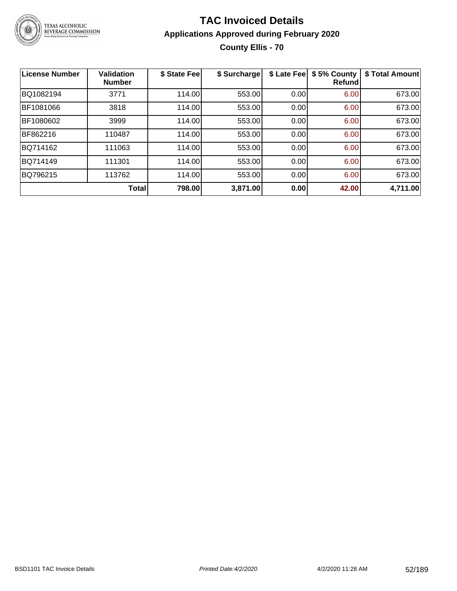

# **TAC Invoiced Details Applications Approved during February 2020 County Ellis - 70**

| <b>License Number</b> | <b>Validation</b><br><b>Number</b> | \$ State Fee | \$ Surcharge | \$ Late Fee | \$5% County<br><b>Refund</b> | \$ Total Amount |
|-----------------------|------------------------------------|--------------|--------------|-------------|------------------------------|-----------------|
| BQ1082194             | 3771                               | 114.00       | 553.00       | 0.00        | 6.00                         | 673.00          |
| BF1081066             | 3818                               | 114.00       | 553.00       | 0.00        | 6.00                         | 673.00          |
| BF1080602             | 3999                               | 114.00       | 553.00       | 0.00        | 6.00                         | 673.00          |
| BF862216              | 110487                             | 114.00       | 553.00       | 0.00        | 6.00                         | 673.00          |
| BQ714162              | 111063                             | 114.00       | 553.00       | 0.00        | 6.00                         | 673.00          |
| BQ714149              | 111301                             | 114.00       | 553.00       | 0.00        | 6.00                         | 673.00          |
| BQ796215              | 113762                             | 114.00       | 553.00       | 0.00        | 6.00                         | 673.00          |
|                       | Total                              | 798.00       | 3,871.00     | 0.00        | 42.00                        | 4,711.00        |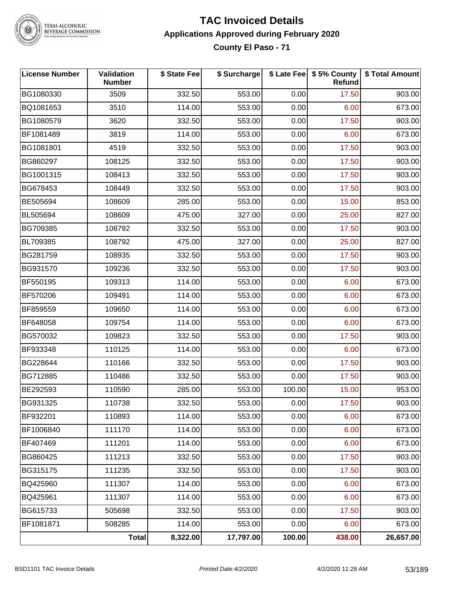

TEXAS ALCOHOLIC<br>BEVERAGE COMMISSION

### **TAC Invoiced Details Applications Approved during February 2020 County El Paso - 71**

| <b>License Number</b> | Validation<br><b>Number</b> | \$ State Fee | \$ Surcharge |        | \$ Late Fee   \$5% County<br>Refund | \$ Total Amount |
|-----------------------|-----------------------------|--------------|--------------|--------|-------------------------------------|-----------------|
| BG1080330             | 3509                        | 332.50       | 553.00       | 0.00   | 17.50                               | 903.00          |
| BQ1081653             | 3510                        | 114.00       | 553.00       | 0.00   | 6.00                                | 673.00          |
| BG1080579             | 3620                        | 332.50       | 553.00       | 0.00   | 17.50                               | 903.00          |
| BF1081489             | 3819                        | 114.00       | 553.00       | 0.00   | 6.00                                | 673.00          |
| BG1081801             | 4519                        | 332.50       | 553.00       | 0.00   | 17.50                               | 903.00          |
| BG860297              | 108125                      | 332.50       | 553.00       | 0.00   | 17.50                               | 903.00          |
| BG1001315             | 108413                      | 332.50       | 553.00       | 0.00   | 17.50                               | 903.00          |
| BG678453              | 108449                      | 332.50       | 553.00       | 0.00   | 17.50                               | 903.00          |
| BE505694              | 108609                      | 285.00       | 553.00       | 0.00   | 15.00                               | 853.00          |
| BL505694              | 108609                      | 475.00       | 327.00       | 0.00   | 25.00                               | 827.00          |
| BG709385              | 108792                      | 332.50       | 553.00       | 0.00   | 17.50                               | 903.00          |
| BL709385              | 108792                      | 475.00       | 327.00       | 0.00   | 25.00                               | 827.00          |
| BG281759              | 108935                      | 332.50       | 553.00       | 0.00   | 17.50                               | 903.00          |
| BG931570              | 109236                      | 332.50       | 553.00       | 0.00   | 17.50                               | 903.00          |
| BF550195              | 109313                      | 114.00       | 553.00       | 0.00   | 6.00                                | 673.00          |
| BF570206              | 109491                      | 114.00       | 553.00       | 0.00   | 6.00                                | 673.00          |
| BF859559              | 109650                      | 114.00       | 553.00       | 0.00   | 6.00                                | 673.00          |
| BF648058              | 109754                      | 114.00       | 553.00       | 0.00   | 6.00                                | 673.00          |
| BG570032              | 109823                      | 332.50       | 553.00       | 0.00   | 17.50                               | 903.00          |
| BF933348              | 110125                      | 114.00       | 553.00       | 0.00   | 6.00                                | 673.00          |
| BG228644              | 110166                      | 332.50       | 553.00       | 0.00   | 17.50                               | 903.00          |
| BG712885              | 110486                      | 332.50       | 553.00       | 0.00   | 17.50                               | 903.00          |
| BE292593              | 110590                      | 285.00       | 553.00       | 100.00 | 15.00                               | 953.00          |
| BG931325              | 110738                      | 332.50       | 553.00       | 0.00   | 17.50                               | 903.00          |
| BF932201              | 110893                      | 114.00       | 553.00       | 0.00   | 6.00                                | 673.00          |
| BF1006840             | 111170                      | 114.00       | 553.00       | 0.00   | 6.00                                | 673.00          |
| BF407469              | 111201                      | 114.00       | 553.00       | 0.00   | 6.00                                | 673.00          |
| BG860425              | 111213                      | 332.50       | 553.00       | 0.00   | 17.50                               | 903.00          |
| BG315175              | 111235                      | 332.50       | 553.00       | 0.00   | 17.50                               | 903.00          |
| BQ425960              | 111307                      | 114.00       | 553.00       | 0.00   | 6.00                                | 673.00          |
| BQ425961              | 111307                      | 114.00       | 553.00       | 0.00   | 6.00                                | 673.00          |
| BG615733              | 505698                      | 332.50       | 553.00       | 0.00   | 17.50                               | 903.00          |
| BF1081871             | 508285                      | 114.00       | 553.00       | 0.00   | 6.00                                | 673.00          |
|                       | Total                       | 8,322.00     | 17,797.00    | 100.00 | 438.00                              | 26,657.00       |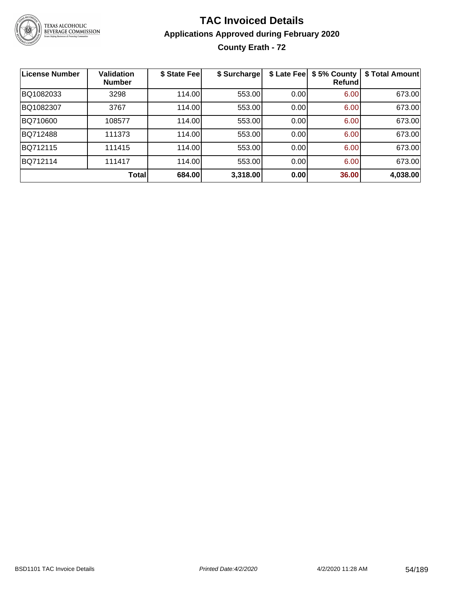

# **TAC Invoiced Details Applications Approved during February 2020 County Erath - 72**

| <b>License Number</b> | <b>Validation</b><br><b>Number</b> | \$ State Fee | \$ Surcharge | \$ Late Fee | \$5% County<br>Refund | \$ Total Amount |
|-----------------------|------------------------------------|--------------|--------------|-------------|-----------------------|-----------------|
| BQ1082033             | 3298                               | 114.00       | 553.00       | 0.00        | 6.00                  | 673.00          |
| BQ1082307             | 3767                               | 114.00       | 553.00       | 0.00        | 6.00                  | 673.00          |
| BQ710600              | 108577                             | 114.00       | 553.00       | 0.00        | 6.00                  | 673.00          |
| BQ712488              | 111373                             | 114.00       | 553.00       | 0.00        | 6.00                  | 673.00          |
| BQ712115              | 111415                             | 114.00       | 553.00       | 0.00        | 6.00                  | 673.00          |
| BQ712114              | 111417                             | 114.00       | 553.00       | 0.00        | 6.00                  | 673.00          |
|                       | Total                              | 684.00       | 3,318.00     | 0.00        | 36.00                 | 4,038.00        |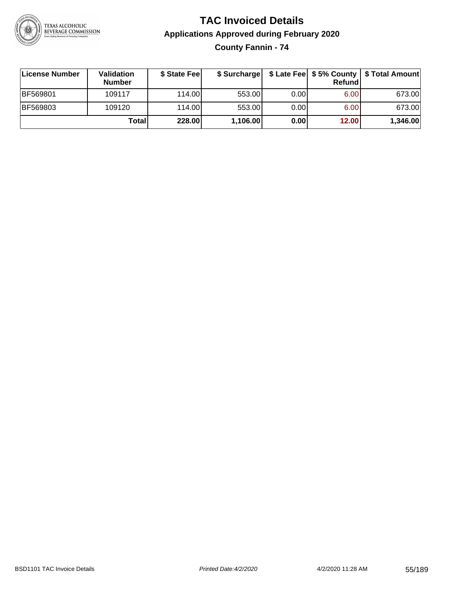

# **TAC Invoiced Details Applications Approved during February 2020**

**County Fannin - 74**

| License Number | <b>Validation</b><br><b>Number</b> | \$ State Feel |          |      | Refundl | \$ Surcharge   \$ Late Fee   \$5% County   \$ Total Amount |
|----------------|------------------------------------|---------------|----------|------|---------|------------------------------------------------------------|
| BF569801       | 109117                             | 114.00        | 553.00   | 0.00 | 6.00    | 673.00                                                     |
| BF569803       | 109120                             | 114.00        | 553.00   | 0.00 | 6.00    | 673.00                                                     |
|                | <b>Total</b>                       | 228.00        | 1,106.00 | 0.00 | 12.00   | 1,346.00                                                   |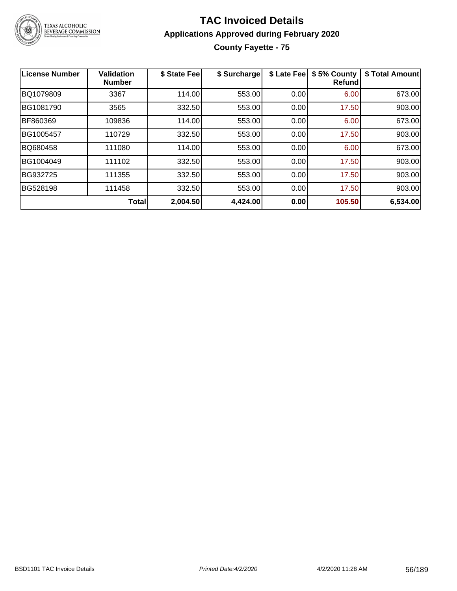

# **TAC Invoiced Details Applications Approved during February 2020 County Fayette - 75**

| License Number | <b>Validation</b><br><b>Number</b> | \$ State Fee | \$ Surcharge | \$ Late Fee | \$5% County<br><b>Refund</b> | \$ Total Amount |
|----------------|------------------------------------|--------------|--------------|-------------|------------------------------|-----------------|
| BQ1079809      | 3367                               | 114.00       | 553.00       | 0.00        | 6.00                         | 673.00          |
| BG1081790      | 3565                               | 332.50       | 553.00       | 0.00        | 17.50                        | 903.00          |
| BF860369       | 109836                             | 114.00       | 553.00       | 0.00        | 6.00                         | 673.00          |
| BG1005457      | 110729                             | 332.50       | 553.00       | 0.00        | 17.50                        | 903.00          |
| BQ680458       | 111080                             | 114.00       | 553.00       | 0.00        | 6.00                         | 673.00          |
| BG1004049      | 111102                             | 332.50       | 553.00       | 0.00        | 17.50                        | 903.00          |
| BG932725       | 111355                             | 332.50       | 553.00       | 0.00        | 17.50                        | 903.00          |
| BG528198       | 111458                             | 332.50       | 553.00       | 0.00        | 17.50                        | 903.00          |
|                | <b>Total</b>                       | 2,004.50     | 4,424.00     | 0.00        | 105.50                       | 6,534.00        |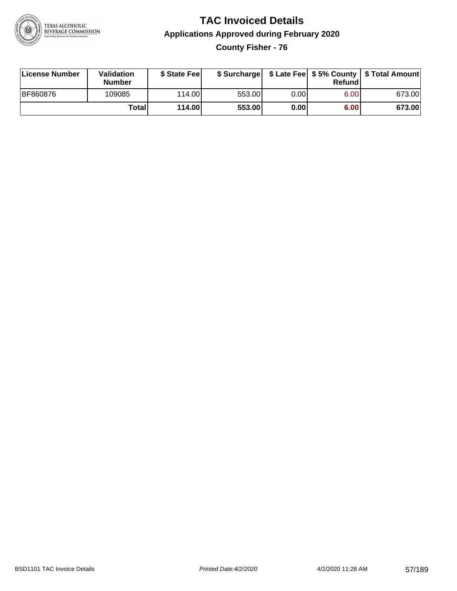

# **TAC Invoiced Details Applications Approved during February 2020 County Fisher - 76**

| License Number  | Validation<br><b>Number</b> | \$ State Fee |        |      | Refund | \$ Surcharge   \$ Late Fee   \$5% County   \$ Total Amount |
|-----------------|-----------------------------|--------------|--------|------|--------|------------------------------------------------------------|
| <b>BF860876</b> | 109085                      | 114.00L      | 553.00 | 0.00 | 6.00   | 673.00                                                     |
|                 | Total                       | 114.00       | 553.00 | 0.00 | 6.00   | 673.00                                                     |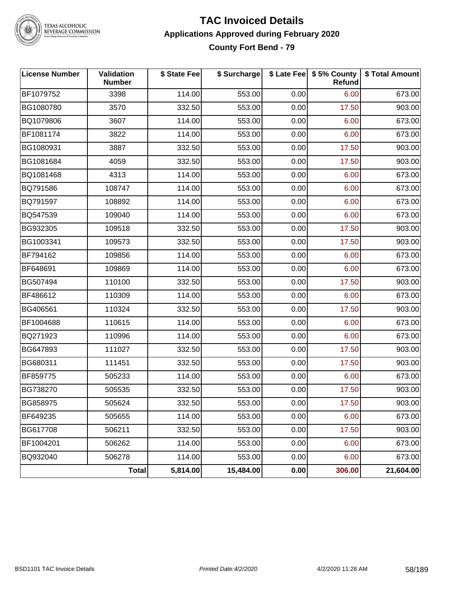

TEXAS ALCOHOLIC<br>BEVERAGE COMMISSION

#### **TAC Invoiced Details Applications Approved during February 2020 County Fort Bend - 79**

| <b>License Number</b> | Validation<br><b>Number</b> | \$ State Fee | \$ Surcharge |      | \$ Late Fee   \$5% County<br>Refund | \$ Total Amount |
|-----------------------|-----------------------------|--------------|--------------|------|-------------------------------------|-----------------|
| BF1079752             | 3398                        | 114.00       | 553.00       | 0.00 | 6.00                                | 673.00          |
| BG1080780             | 3570                        | 332.50       | 553.00       | 0.00 | 17.50                               | 903.00          |
| BQ1079806             | 3607                        | 114.00       | 553.00       | 0.00 | 6.00                                | 673.00          |
| BF1081174             | 3822                        | 114.00       | 553.00       | 0.00 | 6.00                                | 673.00          |
| BG1080931             | 3887                        | 332.50       | 553.00       | 0.00 | 17.50                               | 903.00          |
| BG1081684             | 4059                        | 332.50       | 553.00       | 0.00 | 17.50                               | 903.00          |
| BQ1081468             | 4313                        | 114.00       | 553.00       | 0.00 | 6.00                                | 673.00          |
| BQ791586              | 108747                      | 114.00       | 553.00       | 0.00 | 6.00                                | 673.00          |
| BQ791597              | 108892                      | 114.00       | 553.00       | 0.00 | 6.00                                | 673.00          |
| BQ547539              | 109040                      | 114.00       | 553.00       | 0.00 | 6.00                                | 673.00          |
| BG932305              | 109518                      | 332.50       | 553.00       | 0.00 | 17.50                               | 903.00          |
| BG1003341             | 109573                      | 332.50       | 553.00       | 0.00 | 17.50                               | 903.00          |
| BF794162              | 109856                      | 114.00       | 553.00       | 0.00 | 6.00                                | 673.00          |
| BF648691              | 109869                      | 114.00       | 553.00       | 0.00 | 6.00                                | 673.00          |
| BG507494              | 110100                      | 332.50       | 553.00       | 0.00 | 17.50                               | 903.00          |
| BF486612              | 110309                      | 114.00       | 553.00       | 0.00 | 6.00                                | 673.00          |
| BG406561              | 110324                      | 332.50       | 553.00       | 0.00 | 17.50                               | 903.00          |
| BF1004688             | 110615                      | 114.00       | 553.00       | 0.00 | 6.00                                | 673.00          |
| BQ271923              | 110996                      | 114.00       | 553.00       | 0.00 | 6.00                                | 673.00          |
| BG647893              | 111027                      | 332.50       | 553.00       | 0.00 | 17.50                               | 903.00          |
| BG680311              | 111451                      | 332.50       | 553.00       | 0.00 | 17.50                               | 903.00          |
| BF859775              | 505233                      | 114.00       | 553.00       | 0.00 | 6.00                                | 673.00          |
| BG738270              | 505535                      | 332.50       | 553.00       | 0.00 | 17.50                               | 903.00          |
| BG858975              | 505624                      | 332.50       | 553.00       | 0.00 | 17.50                               | 903.00          |
| BF649235              | 505655                      | 114.00       | 553.00       | 0.00 | 6.00                                | 673.00          |
| BG617708              | 506211                      | 332.50       | 553.00       | 0.00 | 17.50                               | 903.00          |
| BF1004201             | 506262                      | 114.00       | 553.00       | 0.00 | 6.00                                | 673.00          |
| BQ932040              | 506278                      | 114.00       | 553.00       | 0.00 | 6.00                                | 673.00          |
|                       | Total                       | 5,814.00     | 15,484.00    | 0.00 | 306.00                              | 21,604.00       |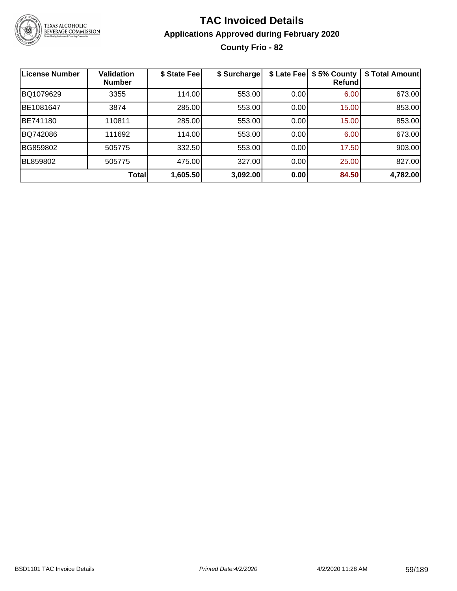

# **TAC Invoiced Details Applications Approved during February 2020 County Frio - 82**

| License Number | <b>Validation</b><br><b>Number</b> | \$ State Fee | \$ Surcharge | \$ Late Fee | \$5% County<br><b>Refund</b> | \$ Total Amount |
|----------------|------------------------------------|--------------|--------------|-------------|------------------------------|-----------------|
| BQ1079629      | 3355                               | 114.00       | 553.00       | 0.00        | 6.00                         | 673.00          |
| BE1081647      | 3874                               | 285.00       | 553.00       | 0.00        | 15.00                        | 853.00          |
| BE741180       | 110811                             | 285.00       | 553.00       | 0.00        | 15.00                        | 853.00          |
| BQ742086       | 111692                             | 114.00       | 553.00       | 0.00        | 6.00                         | 673.00          |
| BG859802       | 505775                             | 332.50       | 553.00       | 0.00        | 17.50                        | 903.00          |
| BL859802       | 505775                             | 475.00       | 327.00       | 0.00        | 25.00                        | 827.00          |
|                | <b>Total</b>                       | 1,605.50     | 3,092.00     | 0.00        | 84.50                        | 4,782.00        |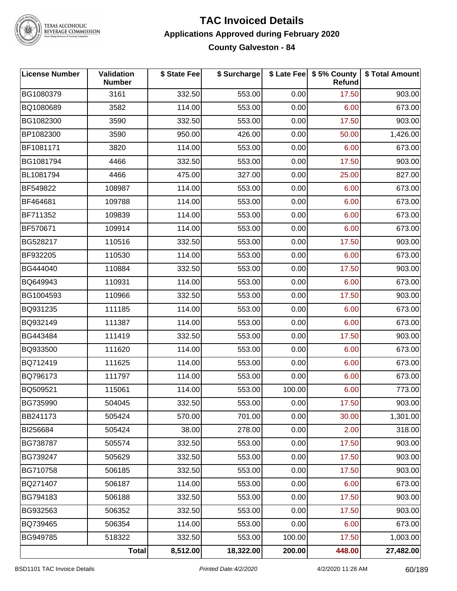

# TEXAS ALCOHOLIC<br>BEVERAGE COMMISSION

#### **TAC Invoiced Details Applications Approved during February 2020 County Galveston - 84**

| <b>License Number</b> | Validation<br><b>Number</b> | \$ State Fee | \$ Surcharge |        | \$ Late Fee   \$5% County<br>Refund | \$ Total Amount |
|-----------------------|-----------------------------|--------------|--------------|--------|-------------------------------------|-----------------|
| BG1080379             | 3161                        | 332.50       | 553.00       | 0.00   | 17.50                               | 903.00          |
| BQ1080689             | 3582                        | 114.00       | 553.00       | 0.00   | 6.00                                | 673.00          |
| BG1082300             | 3590                        | 332.50       | 553.00       | 0.00   | 17.50                               | 903.00          |
| BP1082300             | 3590                        | 950.00       | 426.00       | 0.00   | 50.00                               | 1,426.00        |
| BF1081171             | 3820                        | 114.00       | 553.00       | 0.00   | 6.00                                | 673.00          |
| BG1081794             | 4466                        | 332.50       | 553.00       | 0.00   | 17.50                               | 903.00          |
| BL1081794             | 4466                        | 475.00       | 327.00       | 0.00   | 25.00                               | 827.00          |
| BF549822              | 108987                      | 114.00       | 553.00       | 0.00   | 6.00                                | 673.00          |
| BF464681              | 109788                      | 114.00       | 553.00       | 0.00   | 6.00                                | 673.00          |
| BF711352              | 109839                      | 114.00       | 553.00       | 0.00   | 6.00                                | 673.00          |
| BF570671              | 109914                      | 114.00       | 553.00       | 0.00   | 6.00                                | 673.00          |
| BG528217              | 110516                      | 332.50       | 553.00       | 0.00   | 17.50                               | 903.00          |
| BF932205              | 110530                      | 114.00       | 553.00       | 0.00   | 6.00                                | 673.00          |
| BG444040              | 110884                      | 332.50       | 553.00       | 0.00   | 17.50                               | 903.00          |
| BQ649943              | 110931                      | 114.00       | 553.00       | 0.00   | 6.00                                | 673.00          |
| BG1004593             | 110966                      | 332.50       | 553.00       | 0.00   | 17.50                               | 903.00          |
| BQ931235              | 111185                      | 114.00       | 553.00       | 0.00   | 6.00                                | 673.00          |
| BQ932149              | 111387                      | 114.00       | 553.00       | 0.00   | 6.00                                | 673.00          |
| BG443484              | 111419                      | 332.50       | 553.00       | 0.00   | 17.50                               | 903.00          |
| BQ933500              | 111620                      | 114.00       | 553.00       | 0.00   | 6.00                                | 673.00          |
| BQ712419              | 111625                      | 114.00       | 553.00       | 0.00   | 6.00                                | 673.00          |
| BQ796173              | 111797                      | 114.00       | 553.00       | 0.00   | 6.00                                | 673.00          |
| BQ509521              | 115061                      | 114.00       | 553.00       | 100.00 | 6.00                                | 773.00          |
| BG735990              | 504045                      | 332.50       | 553.00       | 0.00   | 17.50                               | 903.00          |
| BB241173              | 505424                      | 570.00       | 701.00       | 0.00   | 30.00                               | 1,301.00        |
| BI256684              | 505424                      | 38.00        | 278.00       | 0.00   | 2.00                                | 318.00          |
| BG738787              | 505574                      | 332.50       | 553.00       | 0.00   | 17.50                               | 903.00          |
| BG739247              | 505629                      | 332.50       | 553.00       | 0.00   | 17.50                               | 903.00          |
| BG710758              | 506185                      | 332.50       | 553.00       | 0.00   | 17.50                               | 903.00          |
| BQ271407              | 506187                      | 114.00       | 553.00       | 0.00   | 6.00                                | 673.00          |
| BG794183              | 506188                      | 332.50       | 553.00       | 0.00   | 17.50                               | 903.00          |
| BG932563              | 506352                      | 332.50       | 553.00       | 0.00   | 17.50                               | 903.00          |
| BQ739465              | 506354                      | 114.00       | 553.00       | 0.00   | 6.00                                | 673.00          |
| BG949785              | 518322                      | 332.50       | 553.00       | 100.00 | 17.50                               | 1,003.00        |
|                       | <b>Total</b>                | 8,512.00     | 18,322.00    | 200.00 | 448.00                              | 27,482.00       |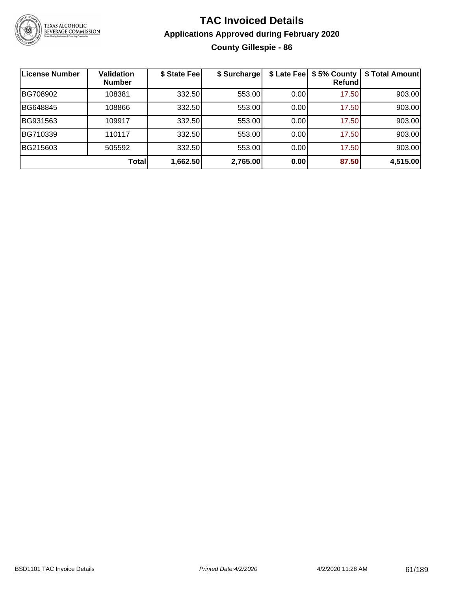

# **TAC Invoiced Details Applications Approved during February 2020 County Gillespie - 86**

| License Number | <b>Validation</b><br><b>Number</b> | \$ State Fee | \$ Surcharge |      | \$ Late Fee   \$5% County<br><b>Refund</b> | \$ Total Amount |
|----------------|------------------------------------|--------------|--------------|------|--------------------------------------------|-----------------|
| BG708902       | 108381                             | 332.50       | 553.00       | 0.00 | 17.50                                      | 903.00          |
| BG648845       | 108866                             | 332.50       | 553.00       | 0.00 | 17.50                                      | 903.00          |
| BG931563       | 109917                             | 332.50       | 553.00       | 0.00 | 17.50                                      | 903.00          |
| BG710339       | 110117                             | 332.50       | 553.00       | 0.00 | 17.50                                      | 903.00          |
| BG215603       | 505592                             | 332.50       | 553.00       | 0.00 | 17.50                                      | 903.00          |
|                | Total                              | 1,662.50     | 2,765.00     | 0.00 | 87.50                                      | 4,515.00        |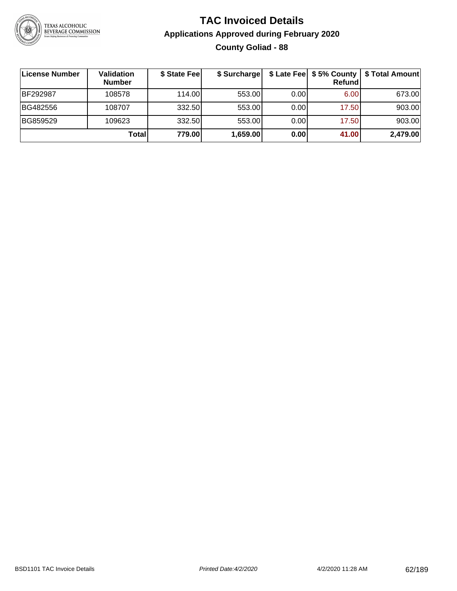

# **TAC Invoiced Details Applications Approved during February 2020 County Goliad - 88**

| License Number | <b>Validation</b><br><b>Number</b> | \$ State Feel | \$ Surcharge |      | Refundl | \$ Late Fee   \$5% County   \$ Total Amount |
|----------------|------------------------------------|---------------|--------------|------|---------|---------------------------------------------|
| BF292987       | 108578                             | 114.00L       | 553.00       | 0.00 | 6.00    | 673.00                                      |
| BG482556       | 108707                             | 332.50        | 553.00       | 0.00 | 17.50   | 903.00                                      |
| BG859529       | 109623                             | 332.50        | 553.00       | 0.00 | 17.50   | 903.00                                      |
|                | Total                              | 779.00        | 1,659.00     | 0.00 | 41.00   | 2,479.00                                    |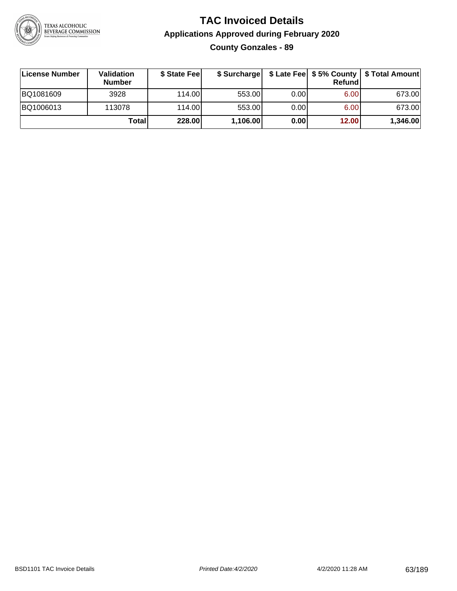

# **TAC Invoiced Details Applications Approved during February 2020 County Gonzales - 89**

| <b>∣License Number</b> | Validation<br><b>Number</b> | \$ State Feel | \$ Surcharge |      | Refundl           | \$ Late Fee   \$5% County   \$ Total Amount |
|------------------------|-----------------------------|---------------|--------------|------|-------------------|---------------------------------------------|
| BQ1081609              | 3928                        | 114.00        | 553.00       | 0.00 | 6.00              | 673.00                                      |
| BQ1006013              | 113078                      | 114.00        | 553.00       | 0.00 | 6.00 <sub>1</sub> | 673.00                                      |
|                        | Totall                      | 228.00        | 1,106.00     | 0.00 | 12.00             | 1,346.00                                    |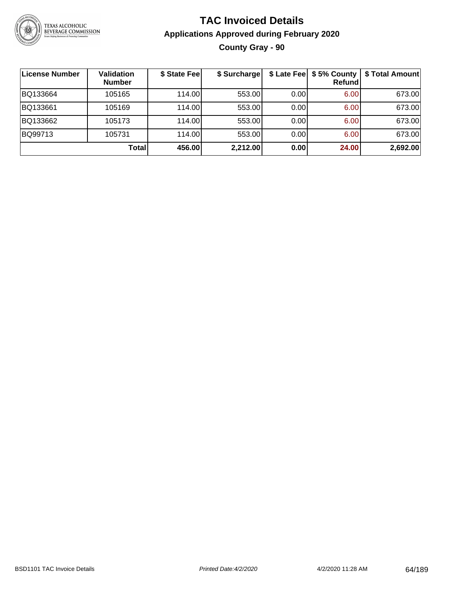

# **TAC Invoiced Details Applications Approved during February 2020 County Gray - 90**

| <b>License Number</b> | <b>Validation</b><br><b>Number</b> | \$ State Fee | \$ Surcharge |      | \$ Late Fee   \$5% County  <br>Refund | \$ Total Amount |
|-----------------------|------------------------------------|--------------|--------------|------|---------------------------------------|-----------------|
| BQ133664              | 105165                             | 114.00       | 553.00       | 0.00 | 6.00                                  | 673.00          |
| BQ133661              | 105169                             | 114.00       | 553.00       | 0.00 | 6.00                                  | 673.00          |
| BQ133662              | 105173                             | 114.00       | 553.00       | 0.00 | 6.00                                  | 673.00          |
| BQ99713               | 105731                             | 114.00       | 553.00       | 0.00 | 6.00                                  | 673.00          |
|                       | <b>Total</b>                       | 456.00       | 2,212.00     | 0.00 | 24.00                                 | 2,692.00        |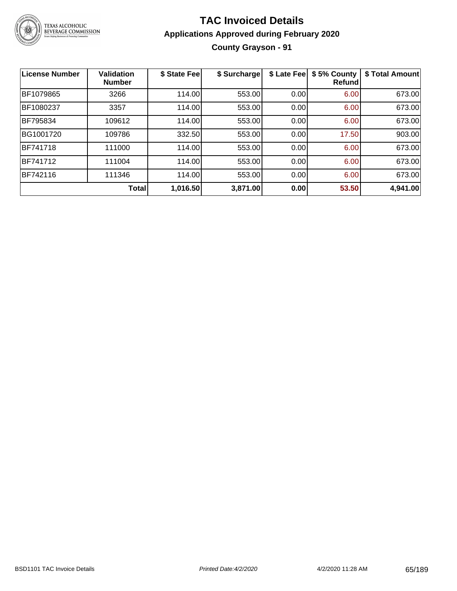

# **TAC Invoiced Details Applications Approved during February 2020 County Grayson - 91**

| <b>License Number</b> | <b>Validation</b><br><b>Number</b> | \$ State Fee | \$ Surcharge | \$ Late Fee | \$5% County<br><b>Refund</b> | \$ Total Amount |
|-----------------------|------------------------------------|--------------|--------------|-------------|------------------------------|-----------------|
| BF1079865             | 3266                               | 114.00       | 553.00       | 0.00        | 6.00                         | 673.00          |
| BF1080237             | 3357                               | 114.00       | 553.00       | 0.00        | 6.00                         | 673.00          |
| <b>BF795834</b>       | 109612                             | 114.00       | 553.00       | 0.00        | 6.00                         | 673.00          |
| BG1001720             | 109786                             | 332.50       | 553.00       | 0.00        | 17.50                        | 903.00          |
| BF741718              | 111000                             | 114.00       | 553.00       | 0.00        | 6.00                         | 673.00          |
| BF741712              | 111004                             | 114.00       | 553.00       | 0.00        | 6.00                         | 673.00          |
| BF742116              | 111346                             | 114.00       | 553.00       | 0.00        | 6.00                         | 673.00          |
|                       | Total                              | 1,016.50     | 3,871.00     | 0.00        | 53.50                        | 4,941.00        |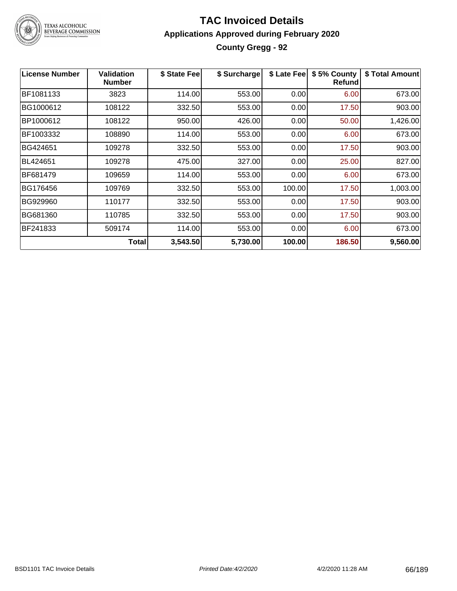

# TEXAS ALCOHOLIC<br>BEVERAGE COMMISSION

# **TAC Invoiced Details Applications Approved during February 2020 County Gregg - 92**

| <b>License Number</b> | <b>Validation</b><br><b>Number</b> | \$ State Fee | \$ Surcharge | \$ Late Fee | \$5% County<br><b>Refund</b> | \$ Total Amount |
|-----------------------|------------------------------------|--------------|--------------|-------------|------------------------------|-----------------|
| BF1081133             | 3823                               | 114.00       | 553.00       | 0.00        | 6.00                         | 673.00          |
| BG1000612             | 108122                             | 332.50       | 553.00       | 0.00        | 17.50                        | 903.00          |
| BP1000612             | 108122                             | 950.00       | 426.00       | 0.00        | 50.00                        | 1,426.00        |
| BF1003332             | 108890                             | 114.00       | 553.00       | 0.00        | 6.00                         | 673.00          |
| BG424651              | 109278                             | 332.50       | 553.00       | 0.00        | 17.50                        | 903.00          |
| BL424651              | 109278                             | 475.00       | 327.00       | 0.00        | 25.00                        | 827.00          |
| BF681479              | 109659                             | 114.00       | 553.00       | 0.00        | 6.00                         | 673.00          |
| BG176456              | 109769                             | 332.50       | 553.00       | 100.00      | 17.50                        | 1,003.00        |
| BG929960              | 110177                             | 332.50       | 553.00       | 0.00        | 17.50                        | 903.00          |
| BG681360              | 110785                             | 332.50       | 553.00       | 0.00        | 17.50                        | 903.00          |
| BF241833              | 509174                             | 114.00       | 553.00       | 0.00        | 6.00                         | 673.00          |
|                       | Total                              | 3,543.50     | 5,730.00     | 100.00      | 186.50                       | 9,560.00        |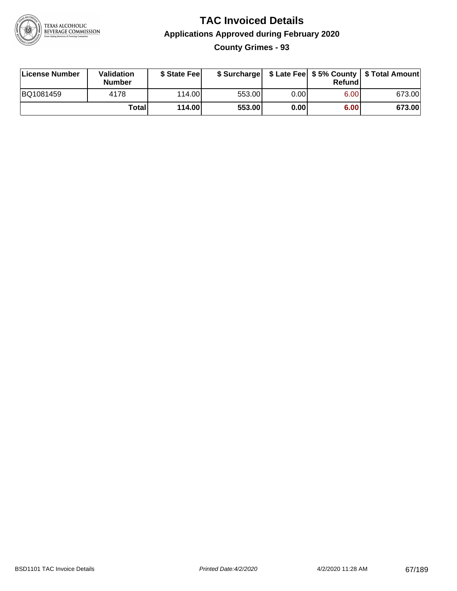

# **TAC Invoiced Details Applications Approved during February 2020 County Grimes - 93**

| License Number | Validation<br><b>Number</b> | \$ State Fee |        |      | Refund | \$ Surcharge   \$ Late Fee   \$5% County   \$ Total Amount |
|----------------|-----------------------------|--------------|--------|------|--------|------------------------------------------------------------|
| BQ1081459      | 4178                        | 114.00L      | 553.00 | 0.00 | 6.00   | 673.00                                                     |
|                | Total                       | 114.00       | 553.00 | 0.00 | 6.00   | 673.00                                                     |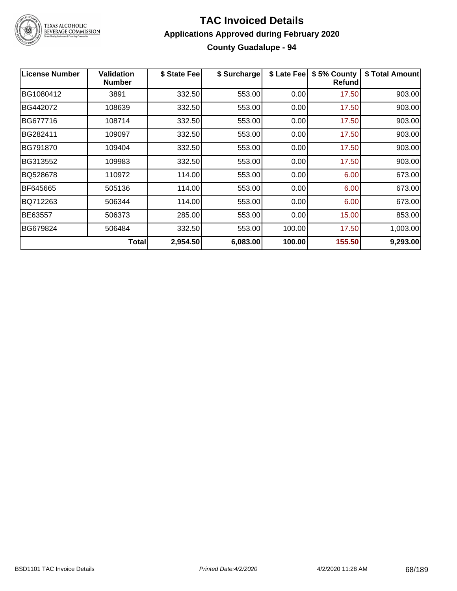

# **TAC Invoiced Details Applications Approved during February 2020 County Guadalupe - 94**

| <b>License Number</b> | <b>Validation</b><br><b>Number</b> | \$ State Fee | \$ Surcharge | \$ Late Fee | \$5% County<br><b>Refund</b> | \$ Total Amount |
|-----------------------|------------------------------------|--------------|--------------|-------------|------------------------------|-----------------|
| BG1080412             | 3891                               | 332.50       | 553.00       | 0.00        | 17.50                        | 903.00          |
| BG442072              | 108639                             | 332.50       | 553.00       | 0.00        | 17.50                        | 903.00          |
| BG677716              | 108714                             | 332.50       | 553.00       | 0.00        | 17.50                        | 903.00          |
| BG282411              | 109097                             | 332.50       | 553.00       | 0.00        | 17.50                        | 903.00          |
| BG791870              | 109404                             | 332.50       | 553.00       | 0.00        | 17.50                        | 903.00          |
| BG313552              | 109983                             | 332.50       | 553.00       | 0.00        | 17.50                        | 903.00          |
| BQ528678              | 110972                             | 114.00       | 553.00       | 0.00        | 6.00                         | 673.00          |
| BF645665              | 505136                             | 114.00       | 553.00       | 0.00        | 6.00                         | 673.00          |
| BQ712263              | 506344                             | 114.00       | 553.00       | 0.00        | 6.00                         | 673.00          |
| BE63557               | 506373                             | 285.00       | 553.00       | 0.00        | 15.00                        | 853.00          |
| BG679824              | 506484                             | 332.50       | 553.00       | 100.00      | 17.50                        | 1,003.00        |
|                       | Total                              | 2,954.50     | 6,083.00     | 100.00      | 155.50                       | 9,293.00        |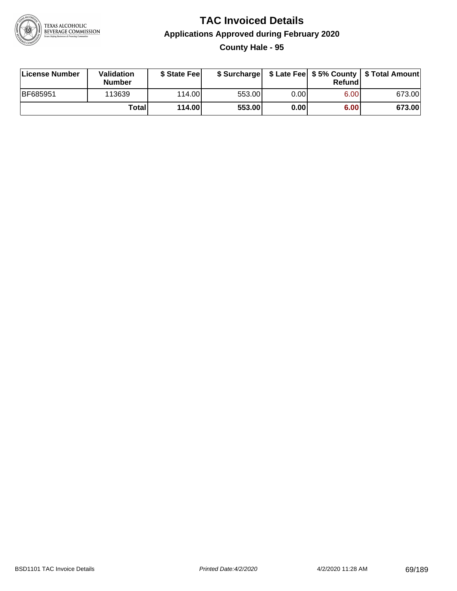

# **TAC Invoiced Details Applications Approved during February 2020 County Hale - 95**

| License Number  | Validation<br><b>Number</b> | \$ State Feel |        |      | Refund | \$ Surcharge   \$ Late Fee   \$5% County   \$ Total Amount |
|-----------------|-----------------------------|---------------|--------|------|--------|------------------------------------------------------------|
| <b>BF685951</b> | 113639                      | 114.00L       | 553.00 | 0.00 | 6.00   | 673.00                                                     |
|                 | Total                       | 114.00        | 553.00 | 0.00 | 6.00   | 673.00                                                     |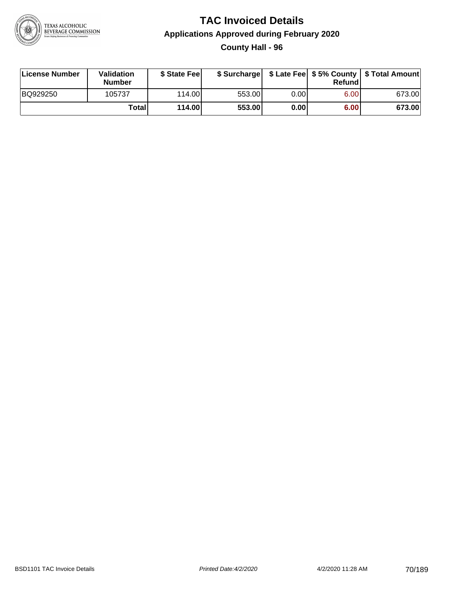

# **TAC Invoiced Details Applications Approved during February 2020 County Hall - 96**

| License Number | Validation<br><b>Number</b> | \$ State Feel |        |       | Refund | \$ Surcharge   \$ Late Fee   \$5% County   \$ Total Amount |
|----------------|-----------------------------|---------------|--------|-------|--------|------------------------------------------------------------|
| BQ929250       | 105737                      | 114.00        | 553.00 | 0.001 | 6.00   | 673.00                                                     |
|                | Totall                      | 114.00        | 553.00 | 0.00  | 6.00   | 673.00                                                     |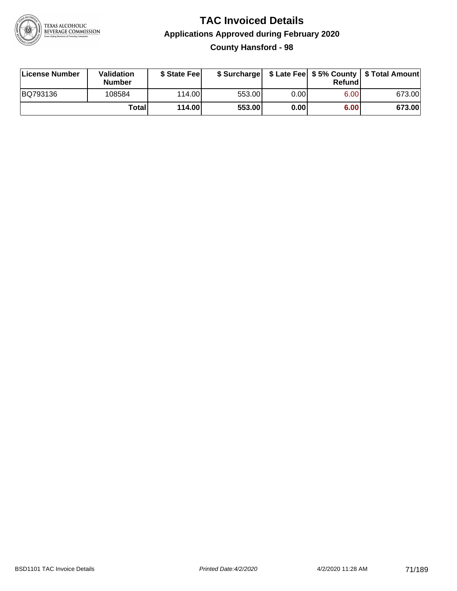

# **TAC Invoiced Details Applications Approved during February 2020 County Hansford - 98**

| License Number | Validation<br><b>Number</b> | \$ State Fee | \$ Surcharge |      | Refund | \$ Late Fee   \$5% County   \$ Total Amount |
|----------------|-----------------------------|--------------|--------------|------|--------|---------------------------------------------|
| BQ793136       | 108584                      | 114.00L      | 553.00       | 0.00 | 6.00   | 673.00                                      |
|                | Totall                      | 114.00       | 553.00       | 0.00 | 6.00   | 673.00                                      |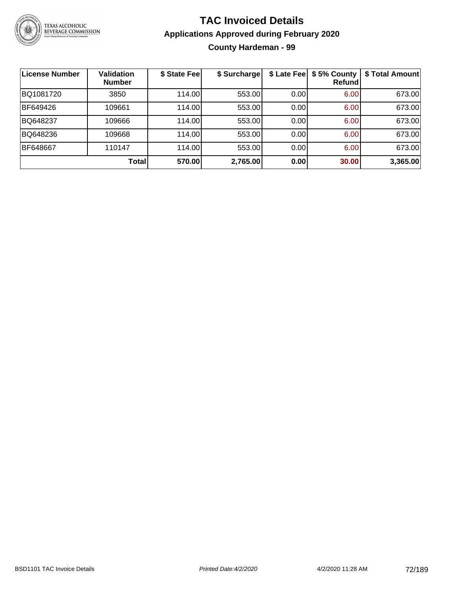

# **TAC Invoiced Details Applications Approved during February 2020 County Hardeman - 99**

| ∣License Number | <b>Validation</b><br><b>Number</b> | \$ State Fee | \$ Surcharge | \$ Late Fee | \$5% County<br>Refund | \$ Total Amount |
|-----------------|------------------------------------|--------------|--------------|-------------|-----------------------|-----------------|
| BQ1081720       | 3850                               | 114.00       | 553.00       | 0.00        | 6.00                  | 673.00          |
| BF649426        | 109661                             | 114.00       | 553.00       | 0.00        | 6.00                  | 673.00          |
| BQ648237        | 109666                             | 114.00       | 553.00       | 0.00        | 6.00                  | 673.00          |
| BQ648236        | 109668                             | 114.00       | 553.00       | 0.00        | 6.00                  | 673.00          |
| BF648667        | 110147                             | 114.00       | 553.00       | 0.00        | 6.00                  | 673.00          |
|                 | Total                              | 570.00       | 2,765.00     | 0.00        | 30.00                 | 3,365.00        |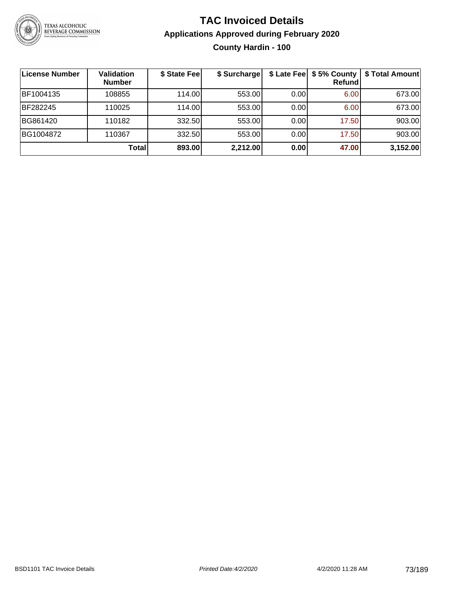

# **TAC Invoiced Details Applications Approved during February 2020 County Hardin - 100**

| License Number | <b>Validation</b><br><b>Number</b> | \$ State Fee | \$ Surcharge |      | \$ Late Fee   \$5% County  <br>Refund | \$ Total Amount |
|----------------|------------------------------------|--------------|--------------|------|---------------------------------------|-----------------|
| BF1004135      | 108855                             | 114.00       | 553.00       | 0.00 | 6.00                                  | 673.00          |
| BF282245       | 110025                             | 114.00       | 553.00       | 0.00 | 6.00                                  | 673.00          |
| BG861420       | 110182                             | 332.50       | 553.00       | 0.00 | 17.50                                 | 903.00          |
| BG1004872      | 110367                             | 332.50       | 553.00       | 0.00 | 17.50                                 | 903.00          |
|                | <b>Total</b>                       | 893.00       | 2,212.00     | 0.00 | 47.00                                 | 3,152.00        |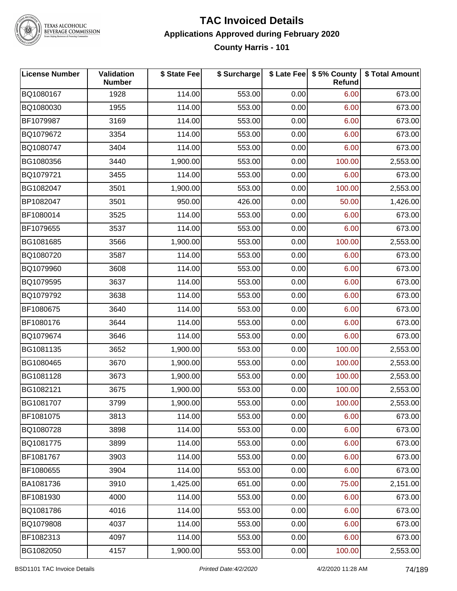

#### **TAC Invoiced Details Applications Approved during February 2020 County Harris - 101**

| <b>License Number</b> | Validation<br><b>Number</b> | \$ State Fee | \$ Surcharge |      | \$ Late Fee   \$5% County<br><b>Refund</b> | \$ Total Amount |
|-----------------------|-----------------------------|--------------|--------------|------|--------------------------------------------|-----------------|
| BQ1080167             | 1928                        | 114.00       | 553.00       | 0.00 | 6.00                                       | 673.00          |
| BQ1080030             | 1955                        | 114.00       | 553.00       | 0.00 | 6.00                                       | 673.00          |
| BF1079987             | 3169                        | 114.00       | 553.00       | 0.00 | 6.00                                       | 673.00          |
| BQ1079672             | 3354                        | 114.00       | 553.00       | 0.00 | 6.00                                       | 673.00          |
| BQ1080747             | 3404                        | 114.00       | 553.00       | 0.00 | 6.00                                       | 673.00          |
| BG1080356             | 3440                        | 1,900.00     | 553.00       | 0.00 | 100.00                                     | 2,553.00        |
| BQ1079721             | 3455                        | 114.00       | 553.00       | 0.00 | 6.00                                       | 673.00          |
| BG1082047             | 3501                        | 1,900.00     | 553.00       | 0.00 | 100.00                                     | 2,553.00        |
| BP1082047             | 3501                        | 950.00       | 426.00       | 0.00 | 50.00                                      | 1,426.00        |
| BF1080014             | 3525                        | 114.00       | 553.00       | 0.00 | 6.00                                       | 673.00          |
| BF1079655             | 3537                        | 114.00       | 553.00       | 0.00 | 6.00                                       | 673.00          |
| BG1081685             | 3566                        | 1,900.00     | 553.00       | 0.00 | 100.00                                     | 2,553.00        |
| BQ1080720             | 3587                        | 114.00       | 553.00       | 0.00 | 6.00                                       | 673.00          |
| BQ1079960             | 3608                        | 114.00       | 553.00       | 0.00 | 6.00                                       | 673.00          |
| BQ1079595             | 3637                        | 114.00       | 553.00       | 0.00 | 6.00                                       | 673.00          |
| BQ1079792             | 3638                        | 114.00       | 553.00       | 0.00 | 6.00                                       | 673.00          |
| BF1080675             | 3640                        | 114.00       | 553.00       | 0.00 | 6.00                                       | 673.00          |
| BF1080176             | 3644                        | 114.00       | 553.00       | 0.00 | 6.00                                       | 673.00          |
| BQ1079674             | 3646                        | 114.00       | 553.00       | 0.00 | 6.00                                       | 673.00          |
| BG1081135             | 3652                        | 1,900.00     | 553.00       | 0.00 | 100.00                                     | 2,553.00        |
| BG1080465             | 3670                        | 1,900.00     | 553.00       | 0.00 | 100.00                                     | 2,553.00        |
| BG1081128             | 3673                        | 1,900.00     | 553.00       | 0.00 | 100.00                                     | 2,553.00        |
| BG1082121             | 3675                        | 1,900.00     | 553.00       | 0.00 | 100.00                                     | 2,553.00        |
| BG1081707             | 3799                        | 1,900.00     | 553.00       | 0.00 | 100.00                                     | 2,553.00        |
| BF1081075             | 3813                        | 114.00       | 553.00       | 0.00 | 6.00                                       | 673.00          |
| BQ1080728             | 3898                        | 114.00       | 553.00       | 0.00 | 6.00                                       | 673.00          |
| BQ1081775             | 3899                        | 114.00       | 553.00       | 0.00 | 6.00                                       | 673.00          |
| BF1081767             | 3903                        | 114.00       | 553.00       | 0.00 | 6.00                                       | 673.00          |
| BF1080655             | 3904                        | 114.00       | 553.00       | 0.00 | 6.00                                       | 673.00          |
| BA1081736             | 3910                        | 1,425.00     | 651.00       | 0.00 | 75.00                                      | 2,151.00        |
| BF1081930             | 4000                        | 114.00       | 553.00       | 0.00 | 6.00                                       | 673.00          |
| BQ1081786             | 4016                        | 114.00       | 553.00       | 0.00 | 6.00                                       | 673.00          |
| BQ1079808             | 4037                        | 114.00       | 553.00       | 0.00 | 6.00                                       | 673.00          |
| BF1082313             | 4097                        | 114.00       | 553.00       | 0.00 | 6.00                                       | 673.00          |
| BG1082050             | 4157                        | 1,900.00     | 553.00       | 0.00 | 100.00                                     | 2,553.00        |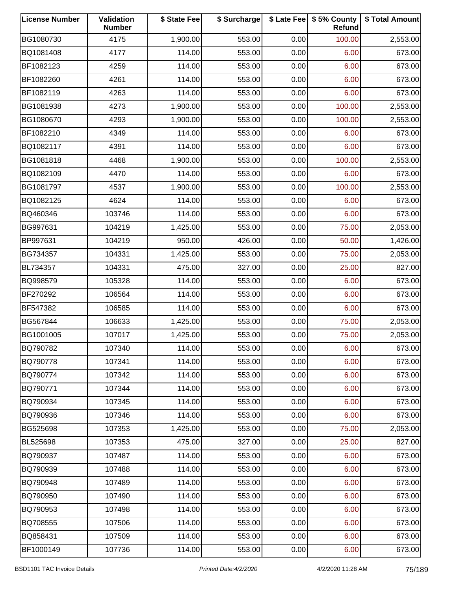| <b>License Number</b> | Validation<br><b>Number</b> | \$ State Fee | \$ Surcharge |      | \$ Late Fee   \$5% County<br>Refund | \$ Total Amount |
|-----------------------|-----------------------------|--------------|--------------|------|-------------------------------------|-----------------|
| BG1080730             | 4175                        | 1,900.00     | 553.00       | 0.00 | 100.00                              | 2,553.00        |
| BQ1081408             | 4177                        | 114.00       | 553.00       | 0.00 | 6.00                                | 673.00          |
| BF1082123             | 4259                        | 114.00       | 553.00       | 0.00 | 6.00                                | 673.00          |
| BF1082260             | 4261                        | 114.00       | 553.00       | 0.00 | 6.00                                | 673.00          |
| BF1082119             | 4263                        | 114.00       | 553.00       | 0.00 | 6.00                                | 673.00          |
| BG1081938             | 4273                        | 1,900.00     | 553.00       | 0.00 | 100.00                              | 2,553.00        |
| BG1080670             | 4293                        | 1,900.00     | 553.00       | 0.00 | 100.00                              | 2,553.00        |
| BF1082210             | 4349                        | 114.00       | 553.00       | 0.00 | 6.00                                | 673.00          |
| BQ1082117             | 4391                        | 114.00       | 553.00       | 0.00 | 6.00                                | 673.00          |
| BG1081818             | 4468                        | 1,900.00     | 553.00       | 0.00 | 100.00                              | 2,553.00        |
| BQ1082109             | 4470                        | 114.00       | 553.00       | 0.00 | 6.00                                | 673.00          |
| BG1081797             | 4537                        | 1,900.00     | 553.00       | 0.00 | 100.00                              | 2,553.00        |
| BQ1082125             | 4624                        | 114.00       | 553.00       | 0.00 | 6.00                                | 673.00          |
| BQ460346              | 103746                      | 114.00       | 553.00       | 0.00 | 6.00                                | 673.00          |
| BG997631              | 104219                      | 1,425.00     | 553.00       | 0.00 | 75.00                               | 2,053.00        |
| BP997631              | 104219                      | 950.00       | 426.00       | 0.00 | 50.00                               | 1,426.00        |
| BG734357              | 104331                      | 1,425.00     | 553.00       | 0.00 | 75.00                               | 2,053.00        |
| BL734357              | 104331                      | 475.00       | 327.00       | 0.00 | 25.00                               | 827.00          |
| BQ998579              | 105328                      | 114.00       | 553.00       | 0.00 | 6.00                                | 673.00          |
| BF270292              | 106564                      | 114.00       | 553.00       | 0.00 | 6.00                                | 673.00          |
| BF547382              | 106585                      | 114.00       | 553.00       | 0.00 | 6.00                                | 673.00          |
| BG567844              | 106633                      | 1,425.00     | 553.00       | 0.00 | 75.00                               | 2,053.00        |
| BG1001005             | 107017                      | 1,425.00     | 553.00       | 0.00 | 75.00                               | 2,053.00        |
| BQ790782              | 107340                      | 114.00       | 553.00       | 0.00 | 6.00                                | 673.00          |
| BQ790778              | 107341                      | 114.00       | 553.00       | 0.00 | 6.00                                | 673.00          |
| BQ790774              | 107342                      | 114.00       | 553.00       | 0.00 | 6.00                                | 673.00          |
| BQ790771              | 107344                      | 114.00       | 553.00       | 0.00 | 6.00                                | 673.00          |
| BQ790934              | 107345                      | 114.00       | 553.00       | 0.00 | 6.00                                | 673.00          |
| BQ790936              | 107346                      | 114.00       | 553.00       | 0.00 | 6.00                                | 673.00          |
| BG525698              | 107353                      | 1,425.00     | 553.00       | 0.00 | 75.00                               | 2,053.00        |
| BL525698              | 107353                      | 475.00       | 327.00       | 0.00 | 25.00                               | 827.00          |
| BQ790937              | 107487                      | 114.00       | 553.00       | 0.00 | 6.00                                | 673.00          |
| BQ790939              | 107488                      | 114.00       | 553.00       | 0.00 | 6.00                                | 673.00          |
| BQ790948              | 107489                      | 114.00       | 553.00       | 0.00 | 6.00                                | 673.00          |
| BQ790950              | 107490                      | 114.00       | 553.00       | 0.00 | 6.00                                | 673.00          |
| BQ790953              | 107498                      | 114.00       | 553.00       | 0.00 | 6.00                                | 673.00          |
| BQ708555              | 107506                      | 114.00       | 553.00       | 0.00 | 6.00                                | 673.00          |
| BQ858431              | 107509                      | 114.00       | 553.00       | 0.00 | 6.00                                | 673.00          |
| BF1000149             | 107736                      | 114.00       | 553.00       | 0.00 | 6.00                                | 673.00          |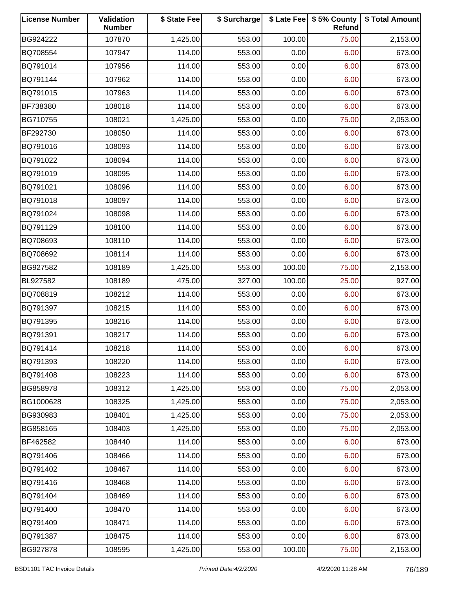| <b>License Number</b> | Validation<br><b>Number</b> | \$ State Fee | \$ Surcharge |        | \$ Late Fee   \$5% County<br>Refund | \$ Total Amount |
|-----------------------|-----------------------------|--------------|--------------|--------|-------------------------------------|-----------------|
| BG924222              | 107870                      | 1,425.00     | 553.00       | 100.00 | 75.00                               | 2,153.00        |
| BQ708554              | 107947                      | 114.00       | 553.00       | 0.00   | 6.00                                | 673.00          |
| BQ791014              | 107956                      | 114.00       | 553.00       | 0.00   | 6.00                                | 673.00          |
| BQ791144              | 107962                      | 114.00       | 553.00       | 0.00   | 6.00                                | 673.00          |
| BQ791015              | 107963                      | 114.00       | 553.00       | 0.00   | 6.00                                | 673.00          |
| BF738380              | 108018                      | 114.00       | 553.00       | 0.00   | 6.00                                | 673.00          |
| BG710755              | 108021                      | 1,425.00     | 553.00       | 0.00   | 75.00                               | 2,053.00        |
| BF292730              | 108050                      | 114.00       | 553.00       | 0.00   | 6.00                                | 673.00          |
| BQ791016              | 108093                      | 114.00       | 553.00       | 0.00   | 6.00                                | 673.00          |
| BQ791022              | 108094                      | 114.00       | 553.00       | 0.00   | 6.00                                | 673.00          |
| BQ791019              | 108095                      | 114.00       | 553.00       | 0.00   | 6.00                                | 673.00          |
| BQ791021              | 108096                      | 114.00       | 553.00       | 0.00   | 6.00                                | 673.00          |
| BQ791018              | 108097                      | 114.00       | 553.00       | 0.00   | 6.00                                | 673.00          |
| BQ791024              | 108098                      | 114.00       | 553.00       | 0.00   | 6.00                                | 673.00          |
| BQ791129              | 108100                      | 114.00       | 553.00       | 0.00   | 6.00                                | 673.00          |
| BQ708693              | 108110                      | 114.00       | 553.00       | 0.00   | 6.00                                | 673.00          |
| BQ708692              | 108114                      | 114.00       | 553.00       | 0.00   | 6.00                                | 673.00          |
| BG927582              | 108189                      | 1,425.00     | 553.00       | 100.00 | 75.00                               | 2,153.00        |
| BL927582              | 108189                      | 475.00       | 327.00       | 100.00 | 25.00                               | 927.00          |
| BQ708819              | 108212                      | 114.00       | 553.00       | 0.00   | 6.00                                | 673.00          |
| BQ791397              | 108215                      | 114.00       | 553.00       | 0.00   | 6.00                                | 673.00          |
| BQ791395              | 108216                      | 114.00       | 553.00       | 0.00   | 6.00                                | 673.00          |
| BQ791391              | 108217                      | 114.00       | 553.00       | 0.00   | 6.00                                | 673.00          |
| BQ791414              | 108218                      | 114.00       | 553.00       | 0.00   | 6.00                                | 673.00          |
| BQ791393              | 108220                      | 114.00       | 553.00       | 0.00   | 6.00                                | 673.00          |
| BQ791408              | 108223                      | 114.00       | 553.00       | 0.00   | 6.00                                | 673.00          |
| BG858978              | 108312                      | 1,425.00     | 553.00       | 0.00   | 75.00                               | 2,053.00        |
| BG1000628             | 108325                      | 1,425.00     | 553.00       | 0.00   | 75.00                               | 2,053.00        |
| BG930983              | 108401                      | 1,425.00     | 553.00       | 0.00   | 75.00                               | 2,053.00        |
| BG858165              | 108403                      | 1,425.00     | 553.00       | 0.00   | 75.00                               | 2,053.00        |
| BF462582              | 108440                      | 114.00       | 553.00       | 0.00   | 6.00                                | 673.00          |
| BQ791406              | 108466                      | 114.00       | 553.00       | 0.00   | 6.00                                | 673.00          |
| BQ791402              | 108467                      | 114.00       | 553.00       | 0.00   | 6.00                                | 673.00          |
| BQ791416              | 108468                      | 114.00       | 553.00       | 0.00   | 6.00                                | 673.00          |
| BQ791404              | 108469                      | 114.00       | 553.00       | 0.00   | 6.00                                | 673.00          |
| BQ791400              | 108470                      | 114.00       | 553.00       | 0.00   | 6.00                                | 673.00          |
| BQ791409              | 108471                      | 114.00       | 553.00       | 0.00   | 6.00                                | 673.00          |
| BQ791387              | 108475                      | 114.00       | 553.00       | 0.00   | 6.00                                | 673.00          |
| BG927878              | 108595                      | 1,425.00     | 553.00       | 100.00 | 75.00                               | 2,153.00        |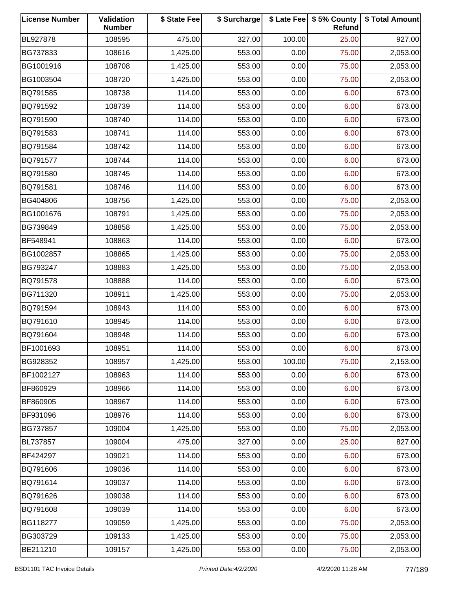| <b>License Number</b> | Validation<br><b>Number</b> | \$ State Fee | \$ Surcharge |        | \$ Late Fee   \$5% County<br>Refund | \$ Total Amount |
|-----------------------|-----------------------------|--------------|--------------|--------|-------------------------------------|-----------------|
| BL927878              | 108595                      | 475.00       | 327.00       | 100.00 | 25.00                               | 927.00          |
| BG737833              | 108616                      | 1,425.00     | 553.00       | 0.00   | 75.00                               | 2,053.00        |
| BG1001916             | 108708                      | 1,425.00     | 553.00       | 0.00   | 75.00                               | 2,053.00        |
| BG1003504             | 108720                      | 1,425.00     | 553.00       | 0.00   | 75.00                               | 2,053.00        |
| BQ791585              | 108738                      | 114.00       | 553.00       | 0.00   | 6.00                                | 673.00          |
| BQ791592              | 108739                      | 114.00       | 553.00       | 0.00   | 6.00                                | 673.00          |
| BQ791590              | 108740                      | 114.00       | 553.00       | 0.00   | 6.00                                | 673.00          |
| BQ791583              | 108741                      | 114.00       | 553.00       | 0.00   | 6.00                                | 673.00          |
| BQ791584              | 108742                      | 114.00       | 553.00       | 0.00   | 6.00                                | 673.00          |
| BQ791577              | 108744                      | 114.00       | 553.00       | 0.00   | 6.00                                | 673.00          |
| BQ791580              | 108745                      | 114.00       | 553.00       | 0.00   | 6.00                                | 673.00          |
| BQ791581              | 108746                      | 114.00       | 553.00       | 0.00   | 6.00                                | 673.00          |
| BG404806              | 108756                      | 1,425.00     | 553.00       | 0.00   | 75.00                               | 2,053.00        |
| BG1001676             | 108791                      | 1,425.00     | 553.00       | 0.00   | 75.00                               | 2,053.00        |
| BG739849              | 108858                      | 1,425.00     | 553.00       | 0.00   | 75.00                               | 2,053.00        |
| BF548941              | 108863                      | 114.00       | 553.00       | 0.00   | 6.00                                | 673.00          |
| BG1002857             | 108865                      | 1,425.00     | 553.00       | 0.00   | 75.00                               | 2,053.00        |
| BG793247              | 108883                      | 1,425.00     | 553.00       | 0.00   | 75.00                               | 2,053.00        |
| BQ791578              | 108888                      | 114.00       | 553.00       | 0.00   | 6.00                                | 673.00          |
| BG711320              | 108911                      | 1,425.00     | 553.00       | 0.00   | 75.00                               | 2,053.00        |
| BQ791594              | 108943                      | 114.00       | 553.00       | 0.00   | 6.00                                | 673.00          |
| BQ791610              | 108945                      | 114.00       | 553.00       | 0.00   | 6.00                                | 673.00          |
| BQ791604              | 108948                      | 114.00       | 553.00       | 0.00   | 6.00                                | 673.00          |
| BF1001693             | 108951                      | 114.00       | 553.00       | 0.00   | 6.00                                | 673.00          |
| BG928352              | 108957                      | 1,425.00     | 553.00       | 100.00 | 75.00                               | 2,153.00        |
| BF1002127             | 108963                      | 114.00       | 553.00       | 0.00   | 6.00                                | 673.00          |
| BF860929              | 108966                      | 114.00       | 553.00       | 0.00   | 6.00                                | 673.00          |
| BF860905              | 108967                      | 114.00       | 553.00       | 0.00   | 6.00                                | 673.00          |
| BF931096              | 108976                      | 114.00       | 553.00       | 0.00   | 6.00                                | 673.00          |
| BG737857              | 109004                      | 1,425.00     | 553.00       | 0.00   | 75.00                               | 2,053.00        |
| BL737857              | 109004                      | 475.00       | 327.00       | 0.00   | 25.00                               | 827.00          |
| BF424297              | 109021                      | 114.00       | 553.00       | 0.00   | 6.00                                | 673.00          |
| BQ791606              | 109036                      | 114.00       | 553.00       | 0.00   | 6.00                                | 673.00          |
| BQ791614              | 109037                      | 114.00       | 553.00       | 0.00   | 6.00                                | 673.00          |
| BQ791626              | 109038                      | 114.00       | 553.00       | 0.00   | 6.00                                | 673.00          |
| BQ791608              | 109039                      | 114.00       | 553.00       | 0.00   | 6.00                                | 673.00          |
| BG118277              | 109059                      | 1,425.00     | 553.00       | 0.00   | 75.00                               | 2,053.00        |
| BG303729              | 109133                      | 1,425.00     | 553.00       | 0.00   | 75.00                               | 2,053.00        |
| BE211210              | 109157                      | 1,425.00     | 553.00       | 0.00   | 75.00                               | 2,053.00        |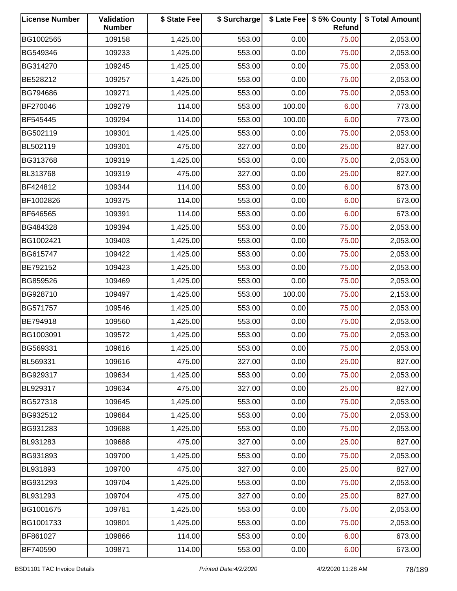| <b>License Number</b> | <b>Validation</b><br><b>Number</b> | \$ State Fee | \$ Surcharge |        | \$ Late Fee   \$5% County<br>Refund | \$ Total Amount |
|-----------------------|------------------------------------|--------------|--------------|--------|-------------------------------------|-----------------|
| BG1002565             | 109158                             | 1,425.00     | 553.00       | 0.00   | 75.00                               | 2,053.00        |
| BG549346              | 109233                             | 1,425.00     | 553.00       | 0.00   | 75.00                               | 2,053.00        |
| BG314270              | 109245                             | 1,425.00     | 553.00       | 0.00   | 75.00                               | 2,053.00        |
| BE528212              | 109257                             | 1,425.00     | 553.00       | 0.00   | 75.00                               | 2,053.00        |
| BG794686              | 109271                             | 1,425.00     | 553.00       | 0.00   | 75.00                               | 2,053.00        |
| BF270046              | 109279                             | 114.00       | 553.00       | 100.00 | 6.00                                | 773.00          |
| BF545445              | 109294                             | 114.00       | 553.00       | 100.00 | 6.00                                | 773.00          |
| BG502119              | 109301                             | 1,425.00     | 553.00       | 0.00   | 75.00                               | 2,053.00        |
| BL502119              | 109301                             | 475.00       | 327.00       | 0.00   | 25.00                               | 827.00          |
| BG313768              | 109319                             | 1,425.00     | 553.00       | 0.00   | 75.00                               | 2,053.00        |
| BL313768              | 109319                             | 475.00       | 327.00       | 0.00   | 25.00                               | 827.00          |
| BF424812              | 109344                             | 114.00       | 553.00       | 0.00   | 6.00                                | 673.00          |
| BF1002826             | 109375                             | 114.00       | 553.00       | 0.00   | 6.00                                | 673.00          |
| BF646565              | 109391                             | 114.00       | 553.00       | 0.00   | 6.00                                | 673.00          |
| BG484328              | 109394                             | 1,425.00     | 553.00       | 0.00   | 75.00                               | 2,053.00        |
| BG1002421             | 109403                             | 1,425.00     | 553.00       | 0.00   | 75.00                               | 2,053.00        |
| BG615747              | 109422                             | 1,425.00     | 553.00       | 0.00   | 75.00                               | 2,053.00        |
| BE792152              | 109423                             | 1,425.00     | 553.00       | 0.00   | 75.00                               | 2,053.00        |
| BG859526              | 109469                             | 1,425.00     | 553.00       | 0.00   | 75.00                               | 2,053.00        |
| BG928710              | 109497                             | 1,425.00     | 553.00       | 100.00 | 75.00                               | 2,153.00        |
| BG571757              | 109546                             | 1,425.00     | 553.00       | 0.00   | 75.00                               | 2,053.00        |
| BE794918              | 109560                             | 1,425.00     | 553.00       | 0.00   | 75.00                               | 2,053.00        |
| BG1003091             | 109572                             | 1,425.00     | 553.00       | 0.00   | 75.00                               | 2,053.00        |
| BG569331              | 109616                             | 1,425.00     | 553.00       | 0.00   | 75.00                               | 2,053.00        |
| BL569331              | 109616                             | 475.00       | 327.00       | 0.00   | 25.00                               | 827.00          |
| BG929317              | 109634                             | 1,425.00     | 553.00       | 0.00   | 75.00                               | 2,053.00        |
| BL929317              | 109634                             | 475.00       | 327.00       | 0.00   | 25.00                               | 827.00          |
| BG527318              | 109645                             | 1,425.00     | 553.00       | 0.00   | 75.00                               | 2,053.00        |
| BG932512              | 109684                             | 1,425.00     | 553.00       | 0.00   | 75.00                               | 2,053.00        |
| BG931283              | 109688                             | 1,425.00     | 553.00       | 0.00   | 75.00                               | 2,053.00        |
| BL931283              | 109688                             | 475.00       | 327.00       | 0.00   | 25.00                               | 827.00          |
| BG931893              | 109700                             | 1,425.00     | 553.00       | 0.00   | 75.00                               | 2,053.00        |
| BL931893              | 109700                             | 475.00       | 327.00       | 0.00   | 25.00                               | 827.00          |
| BG931293              | 109704                             | 1,425.00     | 553.00       | 0.00   | 75.00                               | 2,053.00        |
| BL931293              | 109704                             | 475.00       | 327.00       | 0.00   | 25.00                               | 827.00          |
| BG1001675             | 109781                             | 1,425.00     | 553.00       | 0.00   | 75.00                               | 2,053.00        |
| BG1001733             | 109801                             | 1,425.00     | 553.00       | 0.00   | 75.00                               | 2,053.00        |
| BF861027              | 109866                             | 114.00       | 553.00       | 0.00   | 6.00                                | 673.00          |
| BF740590              | 109871                             | 114.00       | 553.00       | 0.00   | 6.00                                | 673.00          |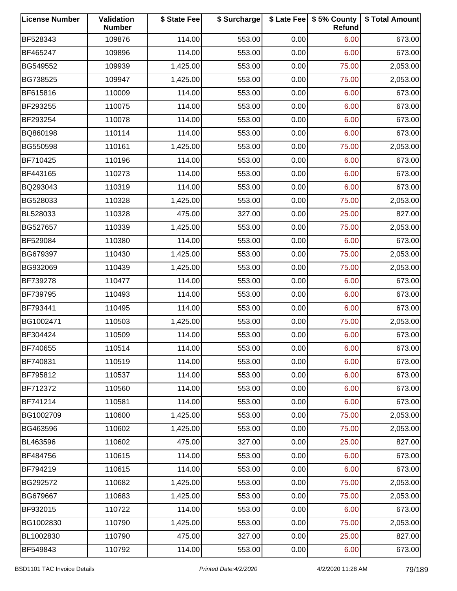| <b>License Number</b> | Validation<br><b>Number</b> | \$ State Fee | \$ Surcharge |      | \$ Late Fee   \$5% County<br>Refund | \$ Total Amount |
|-----------------------|-----------------------------|--------------|--------------|------|-------------------------------------|-----------------|
| BF528343              | 109876                      | 114.00       | 553.00       | 0.00 | 6.00                                | 673.00          |
| BF465247              | 109896                      | 114.00       | 553.00       | 0.00 | 6.00                                | 673.00          |
| BG549552              | 109939                      | 1,425.00     | 553.00       | 0.00 | 75.00                               | 2,053.00        |
| BG738525              | 109947                      | 1,425.00     | 553.00       | 0.00 | 75.00                               | 2,053.00        |
| BF615816              | 110009                      | 114.00       | 553.00       | 0.00 | 6.00                                | 673.00          |
| BF293255              | 110075                      | 114.00       | 553.00       | 0.00 | 6.00                                | 673.00          |
| BF293254              | 110078                      | 114.00       | 553.00       | 0.00 | 6.00                                | 673.00          |
| BQ860198              | 110114                      | 114.00       | 553.00       | 0.00 | 6.00                                | 673.00          |
| BG550598              | 110161                      | 1,425.00     | 553.00       | 0.00 | 75.00                               | 2,053.00        |
| BF710425              | 110196                      | 114.00       | 553.00       | 0.00 | 6.00                                | 673.00          |
| BF443165              | 110273                      | 114.00       | 553.00       | 0.00 | 6.00                                | 673.00          |
| BQ293043              | 110319                      | 114.00       | 553.00       | 0.00 | 6.00                                | 673.00          |
| BG528033              | 110328                      | 1,425.00     | 553.00       | 0.00 | 75.00                               | 2,053.00        |
| BL528033              | 110328                      | 475.00       | 327.00       | 0.00 | 25.00                               | 827.00          |
| BG527657              | 110339                      | 1,425.00     | 553.00       | 0.00 | 75.00                               | 2,053.00        |
| BF529084              | 110380                      | 114.00       | 553.00       | 0.00 | 6.00                                | 673.00          |
| BG679397              | 110430                      | 1,425.00     | 553.00       | 0.00 | 75.00                               | 2,053.00        |
| BG932069              | 110439                      | 1,425.00     | 553.00       | 0.00 | 75.00                               | 2,053.00        |
| BF739278              | 110477                      | 114.00       | 553.00       | 0.00 | 6.00                                | 673.00          |
| BF739795              | 110493                      | 114.00       | 553.00       | 0.00 | 6.00                                | 673.00          |
| BF793441              | 110495                      | 114.00       | 553.00       | 0.00 | 6.00                                | 673.00          |
| BG1002471             | 110503                      | 1,425.00     | 553.00       | 0.00 | 75.00                               | 2,053.00        |
| BF304424              | 110509                      | 114.00       | 553.00       | 0.00 | 6.00                                | 673.00          |
| BF740655              | 110514                      | 114.00       | 553.00       | 0.00 | 6.00                                | 673.00          |
| BF740831              | 110519                      | 114.00       | 553.00       | 0.00 | 6.00                                | 673.00          |
| BF795812              | 110537                      | 114.00       | 553.00       | 0.00 | 6.00                                | 673.00          |
| BF712372              | 110560                      | 114.00       | 553.00       | 0.00 | 6.00                                | 673.00          |
| BF741214              | 110581                      | 114.00       | 553.00       | 0.00 | 6.00                                | 673.00          |
| BG1002709             | 110600                      | 1,425.00     | 553.00       | 0.00 | 75.00                               | 2,053.00        |
| BG463596              | 110602                      | 1,425.00     | 553.00       | 0.00 | 75.00                               | 2,053.00        |
| BL463596              | 110602                      | 475.00       | 327.00       | 0.00 | 25.00                               | 827.00          |
| BF484756              | 110615                      | 114.00       | 553.00       | 0.00 | 6.00                                | 673.00          |
| BF794219              | 110615                      | 114.00       | 553.00       | 0.00 | 6.00                                | 673.00          |
| BG292572              | 110682                      | 1,425.00     | 553.00       | 0.00 | 75.00                               | 2,053.00        |
| BG679667              | 110683                      | 1,425.00     | 553.00       | 0.00 | 75.00                               | 2,053.00        |
| BF932015              | 110722                      | 114.00       | 553.00       | 0.00 | 6.00                                | 673.00          |
| BG1002830             | 110790                      | 1,425.00     | 553.00       | 0.00 | 75.00                               | 2,053.00        |
| BL1002830             | 110790                      | 475.00       | 327.00       | 0.00 | 25.00                               | 827.00          |
| BF549843              | 110792                      | 114.00       | 553.00       | 0.00 | 6.00                                | 673.00          |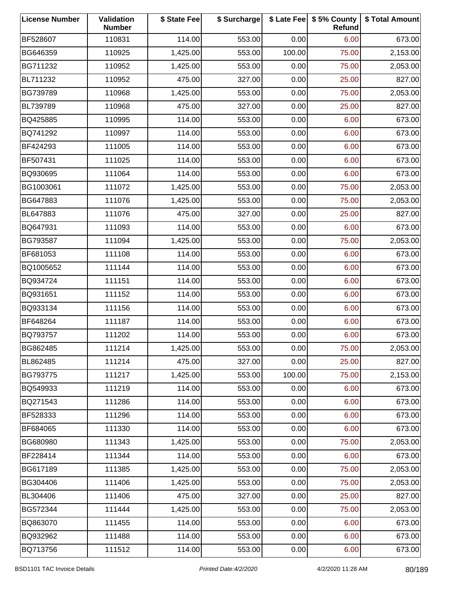| <b>License Number</b> | Validation<br><b>Number</b> | \$ State Fee | \$ Surcharge |        | \$ Late Fee   \$5% County<br>Refund | \$ Total Amount |
|-----------------------|-----------------------------|--------------|--------------|--------|-------------------------------------|-----------------|
| BF528607              | 110831                      | 114.00       | 553.00       | 0.00   | 6.00                                | 673.00          |
| BG646359              | 110925                      | 1,425.00     | 553.00       | 100.00 | 75.00                               | 2,153.00        |
| BG711232              | 110952                      | 1,425.00     | 553.00       | 0.00   | 75.00                               | 2,053.00        |
| BL711232              | 110952                      | 475.00       | 327.00       | 0.00   | 25.00                               | 827.00          |
| BG739789              | 110968                      | 1,425.00     | 553.00       | 0.00   | 75.00                               | 2,053.00        |
| BL739789              | 110968                      | 475.00       | 327.00       | 0.00   | 25.00                               | 827.00          |
| BQ425885              | 110995                      | 114.00       | 553.00       | 0.00   | 6.00                                | 673.00          |
| BQ741292              | 110997                      | 114.00       | 553.00       | 0.00   | 6.00                                | 673.00          |
| BF424293              | 111005                      | 114.00       | 553.00       | 0.00   | 6.00                                | 673.00          |
| BF507431              | 111025                      | 114.00       | 553.00       | 0.00   | 6.00                                | 673.00          |
| BQ930695              | 111064                      | 114.00       | 553.00       | 0.00   | 6.00                                | 673.00          |
| BG1003061             | 111072                      | 1,425.00     | 553.00       | 0.00   | 75.00                               | 2,053.00        |
| BG647883              | 111076                      | 1,425.00     | 553.00       | 0.00   | 75.00                               | 2,053.00        |
| BL647883              | 111076                      | 475.00       | 327.00       | 0.00   | 25.00                               | 827.00          |
| BQ647931              | 111093                      | 114.00       | 553.00       | 0.00   | 6.00                                | 673.00          |
| BG793587              | 111094                      | 1,425.00     | 553.00       | 0.00   | 75.00                               | 2,053.00        |
| BF681053              | 111108                      | 114.00       | 553.00       | 0.00   | 6.00                                | 673.00          |
| BQ1005652             | 111144                      | 114.00       | 553.00       | 0.00   | 6.00                                | 673.00          |
| BQ934724              | 111151                      | 114.00       | 553.00       | 0.00   | 6.00                                | 673.00          |
| BQ931651              | 111152                      | 114.00       | 553.00       | 0.00   | 6.00                                | 673.00          |
| BQ933134              | 111156                      | 114.00       | 553.00       | 0.00   | 6.00                                | 673.00          |
| BF648264              | 111187                      | 114.00       | 553.00       | 0.00   | 6.00                                | 673.00          |
| BQ793757              | 111202                      | 114.00       | 553.00       | 0.00   | 6.00                                | 673.00          |
| BG862485              | 111214                      | 1,425.00     | 553.00       | 0.00   | 75.00                               | 2,053.00        |
| BL862485              | 111214                      | 475.00       | 327.00       | 0.00   | 25.00                               | 827.00          |
| BG793775              | 111217                      | 1,425.00     | 553.00       | 100.00 | 75.00                               | 2,153.00        |
| BQ549933              | 111219                      | 114.00       | 553.00       | 0.00   | 6.00                                | 673.00          |
| BQ271543              | 111286                      | 114.00       | 553.00       | 0.00   | 6.00                                | 673.00          |
| BF528333              | 111296                      | 114.00       | 553.00       | 0.00   | 6.00                                | 673.00          |
| BF684065              | 111330                      | 114.00       | 553.00       | 0.00   | 6.00                                | 673.00          |
| BG680980              | 111343                      | 1,425.00     | 553.00       | 0.00   | 75.00                               | 2,053.00        |
| BF228414              | 111344                      | 114.00       | 553.00       | 0.00   | 6.00                                | 673.00          |
| BG617189              | 111385                      | 1,425.00     | 553.00       | 0.00   | 75.00                               | 2,053.00        |
| BG304406              | 111406                      | 1,425.00     | 553.00       | 0.00   | 75.00                               | 2,053.00        |
| BL304406              | 111406                      | 475.00       | 327.00       | 0.00   | 25.00                               | 827.00          |
| BG572344              | 111444                      | 1,425.00     | 553.00       | 0.00   | 75.00                               | 2,053.00        |
| BQ863070              | 111455                      | 114.00       | 553.00       | 0.00   | 6.00                                | 673.00          |
| BQ932962              | 111488                      | 114.00       | 553.00       | 0.00   | 6.00                                | 673.00          |
| BQ713756              | 111512                      | 114.00       | 553.00       | 0.00   | 6.00                                | 673.00          |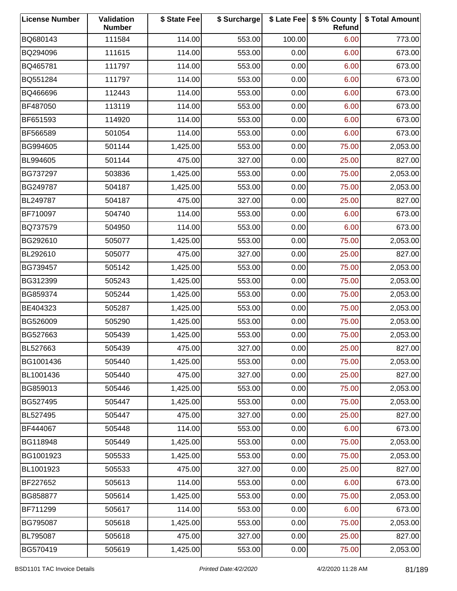| <b>License Number</b> | Validation<br><b>Number</b> | \$ State Fee | \$ Surcharge |        | \$ Late Fee   \$5% County<br>Refund | \$ Total Amount |
|-----------------------|-----------------------------|--------------|--------------|--------|-------------------------------------|-----------------|
| BQ680143              | 111584                      | 114.00       | 553.00       | 100.00 | 6.00                                | 773.00          |
| BQ294096              | 111615                      | 114.00       | 553.00       | 0.00   | 6.00                                | 673.00          |
| BQ465781              | 111797                      | 114.00       | 553.00       | 0.00   | 6.00                                | 673.00          |
| BQ551284              | 111797                      | 114.00       | 553.00       | 0.00   | 6.00                                | 673.00          |
| BQ466696              | 112443                      | 114.00       | 553.00       | 0.00   | 6.00                                | 673.00          |
| BF487050              | 113119                      | 114.00       | 553.00       | 0.00   | 6.00                                | 673.00          |
| BF651593              | 114920                      | 114.00       | 553.00       | 0.00   | 6.00                                | 673.00          |
| BF566589              | 501054                      | 114.00       | 553.00       | 0.00   | 6.00                                | 673.00          |
| BG994605              | 501144                      | 1,425.00     | 553.00       | 0.00   | 75.00                               | 2,053.00        |
| BL994605              | 501144                      | 475.00       | 327.00       | 0.00   | 25.00                               | 827.00          |
| BG737297              | 503836                      | 1,425.00     | 553.00       | 0.00   | 75.00                               | 2,053.00        |
| BG249787              | 504187                      | 1,425.00     | 553.00       | 0.00   | 75.00                               | 2,053.00        |
| BL249787              | 504187                      | 475.00       | 327.00       | 0.00   | 25.00                               | 827.00          |
| BF710097              | 504740                      | 114.00       | 553.00       | 0.00   | 6.00                                | 673.00          |
| BQ737579              | 504950                      | 114.00       | 553.00       | 0.00   | 6.00                                | 673.00          |
| BG292610              | 505077                      | 1,425.00     | 553.00       | 0.00   | 75.00                               | 2,053.00        |
| BL292610              | 505077                      | 475.00       | 327.00       | 0.00   | 25.00                               | 827.00          |
| BG739457              | 505142                      | 1,425.00     | 553.00       | 0.00   | 75.00                               | 2,053.00        |
| BG312399              | 505243                      | 1,425.00     | 553.00       | 0.00   | 75.00                               | 2,053.00        |
| BG859374              | 505244                      | 1,425.00     | 553.00       | 0.00   | 75.00                               | 2,053.00        |
| BE404323              | 505287                      | 1,425.00     | 553.00       | 0.00   | 75.00                               | 2,053.00        |
| BG526009              | 505290                      | 1,425.00     | 553.00       | 0.00   | 75.00                               | 2,053.00        |
| BG527663              | 505439                      | 1,425.00     | 553.00       | 0.00   | 75.00                               | 2,053.00        |
| BL527663              | 505439                      | 475.00       | 327.00       | 0.00   | 25.00                               | 827.00          |
| BG1001436             | 505440                      | 1,425.00     | 553.00       | 0.00   | 75.00                               | 2,053.00        |
| BL1001436             | 505440                      | 475.00       | 327.00       | 0.00   | 25.00                               | 827.00          |
| BG859013              | 505446                      | 1,425.00     | 553.00       | 0.00   | 75.00                               | 2,053.00        |
| BG527495              | 505447                      | 1,425.00     | 553.00       | 0.00   | 75.00                               | 2,053.00        |
| BL527495              | 505447                      | 475.00       | 327.00       | 0.00   | 25.00                               | 827.00          |
| BF444067              | 505448                      | 114.00       | 553.00       | 0.00   | 6.00                                | 673.00          |
| BG118948              | 505449                      | 1,425.00     | 553.00       | 0.00   | 75.00                               | 2,053.00        |
| BG1001923             | 505533                      | 1,425.00     | 553.00       | 0.00   | 75.00                               | 2,053.00        |
| BL1001923             | 505533                      | 475.00       | 327.00       | 0.00   | 25.00                               | 827.00          |
| BF227652              | 505613                      | 114.00       | 553.00       | 0.00   | 6.00                                | 673.00          |
| BG858877              | 505614                      | 1,425.00     | 553.00       | 0.00   | 75.00                               | 2,053.00        |
| BF711299              | 505617                      | 114.00       | 553.00       | 0.00   | 6.00                                | 673.00          |
| BG795087              | 505618                      | 1,425.00     | 553.00       | 0.00   | 75.00                               | 2,053.00        |
| BL795087              | 505618                      | 475.00       | 327.00       | 0.00   | 25.00                               | 827.00          |
| BG570419              | 505619                      | 1,425.00     | 553.00       | 0.00   | 75.00                               | 2,053.00        |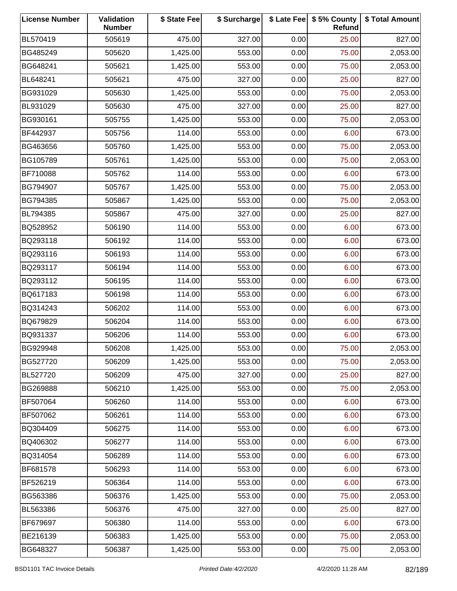| <b>License Number</b> | Validation<br><b>Number</b> | \$ State Fee | \$ Surcharge |      | \$ Late Fee   \$5% County<br>Refund | \$ Total Amount |
|-----------------------|-----------------------------|--------------|--------------|------|-------------------------------------|-----------------|
| BL570419              | 505619                      | 475.00       | 327.00       | 0.00 | 25.00                               | 827.00          |
| BG485249              | 505620                      | 1,425.00     | 553.00       | 0.00 | 75.00                               | 2,053.00        |
| BG648241              | 505621                      | 1,425.00     | 553.00       | 0.00 | 75.00                               | 2,053.00        |
| BL648241              | 505621                      | 475.00       | 327.00       | 0.00 | 25.00                               | 827.00          |
| BG931029              | 505630                      | 1,425.00     | 553.00       | 0.00 | 75.00                               | 2,053.00        |
| BL931029              | 505630                      | 475.00       | 327.00       | 0.00 | 25.00                               | 827.00          |
| BG930161              | 505755                      | 1,425.00     | 553.00       | 0.00 | 75.00                               | 2,053.00        |
| BF442937              | 505756                      | 114.00       | 553.00       | 0.00 | 6.00                                | 673.00          |
| BG463656              | 505760                      | 1,425.00     | 553.00       | 0.00 | 75.00                               | 2,053.00        |
| BG105789              | 505761                      | 1,425.00     | 553.00       | 0.00 | 75.00                               | 2,053.00        |
| BF710088              | 505762                      | 114.00       | 553.00       | 0.00 | 6.00                                | 673.00          |
| BG794907              | 505767                      | 1,425.00     | 553.00       | 0.00 | 75.00                               | 2,053.00        |
| BG794385              | 505867                      | 1,425.00     | 553.00       | 0.00 | 75.00                               | 2,053.00        |
| BL794385              | 505867                      | 475.00       | 327.00       | 0.00 | 25.00                               | 827.00          |
| BQ528952              | 506190                      | 114.00       | 553.00       | 0.00 | 6.00                                | 673.00          |
| BQ293118              | 506192                      | 114.00       | 553.00       | 0.00 | 6.00                                | 673.00          |
| BQ293116              | 506193                      | 114.00       | 553.00       | 0.00 | 6.00                                | 673.00          |
| BQ293117              | 506194                      | 114.00       | 553.00       | 0.00 | 6.00                                | 673.00          |
| BQ293112              | 506195                      | 114.00       | 553.00       | 0.00 | 6.00                                | 673.00          |
| BQ617183              | 506198                      | 114.00       | 553.00       | 0.00 | 6.00                                | 673.00          |
| BQ314243              | 506202                      | 114.00       | 553.00       | 0.00 | 6.00                                | 673.00          |
| BQ679829              | 506204                      | 114.00       | 553.00       | 0.00 | 6.00                                | 673.00          |
| BQ931337              | 506206                      | 114.00       | 553.00       | 0.00 | 6.00                                | 673.00          |
| BG929948              | 506208                      | 1,425.00     | 553.00       | 0.00 | 75.00                               | 2,053.00        |
| BG527720              | 506209                      | 1,425.00     | 553.00       | 0.00 | 75.00                               | 2,053.00        |
| BL527720              | 506209                      | 475.00       | 327.00       | 0.00 | 25.00                               | 827.00          |
| BG269888              | 506210                      | 1,425.00     | 553.00       | 0.00 | 75.00                               | 2,053.00        |
| BF507064              | 506260                      | 114.00       | 553.00       | 0.00 | 6.00                                | 673.00          |
| BF507062              | 506261                      | 114.00       | 553.00       | 0.00 | 6.00                                | 673.00          |
| BQ304409              | 506275                      | 114.00       | 553.00       | 0.00 | 6.00                                | 673.00          |
| BQ406302              | 506277                      | 114.00       | 553.00       | 0.00 | 6.00                                | 673.00          |
| BQ314054              | 506289                      | 114.00       | 553.00       | 0.00 | 6.00                                | 673.00          |
| BF681578              | 506293                      | 114.00       | 553.00       | 0.00 | 6.00                                | 673.00          |
| BF526219              | 506364                      | 114.00       | 553.00       | 0.00 | 6.00                                | 673.00          |
| BG563386              | 506376                      | 1,425.00     | 553.00       | 0.00 | 75.00                               | 2,053.00        |
| BL563386              | 506376                      | 475.00       | 327.00       | 0.00 | 25.00                               | 827.00          |
| BF679697              | 506380                      | 114.00       | 553.00       | 0.00 | 6.00                                | 673.00          |
| BE216139              | 506383                      | 1,425.00     | 553.00       | 0.00 | 75.00                               | 2,053.00        |
| BG648327              | 506387                      | 1,425.00     | 553.00       | 0.00 | 75.00                               | 2,053.00        |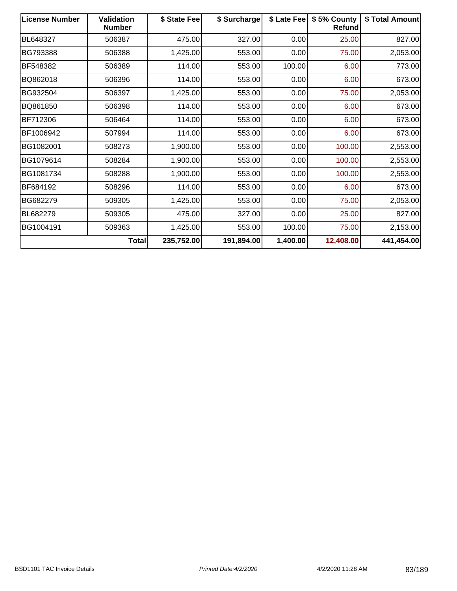| <b>License Number</b> | <b>Validation</b><br><b>Number</b> | \$ State Fee | \$ Surcharge | \$ Late Fee | \$5% County<br><b>Refund</b> | \$ Total Amount |
|-----------------------|------------------------------------|--------------|--------------|-------------|------------------------------|-----------------|
| BL648327              | 506387                             | 475.00       | 327.00       | 0.00        | 25.00                        | 827.00          |
| BG793388              | 506388                             | 1,425.00     | 553.00       | 0.00        | 75.00                        | 2,053.00        |
| BF548382              | 506389                             | 114.00       | 553.00       | 100.00      | 6.00                         | 773.00          |
| BQ862018              | 506396                             | 114.00       | 553.00       | 0.00        | 6.00                         | 673.00          |
| BG932504              | 506397                             | 1,425.00     | 553.00       | 0.00        | 75.00                        | 2,053.00        |
| BQ861850              | 506398                             | 114.00       | 553.00       | 0.00        | 6.00                         | 673.00          |
| BF712306              | 506464                             | 114.00       | 553.00       | 0.00        | 6.00                         | 673.00          |
| BF1006942             | 507994                             | 114.00       | 553.00       | 0.00        | 6.00                         | 673.00          |
| BG1082001             | 508273                             | 1,900.00     | 553.00       | 0.00        | 100.00                       | 2,553.00        |
| BG1079614             | 508284                             | 1,900.00     | 553.00       | 0.00        | 100.00                       | 2,553.00        |
| BG1081734             | 508288                             | 1,900.00     | 553.00       | 0.00        | 100.00                       | 2,553.00        |
| BF684192              | 508296                             | 114.00       | 553.00       | 0.00        | 6.00                         | 673.00          |
| BG682279              | 509305                             | 1,425.00     | 553.00       | 0.00        | 75.00                        | 2,053.00        |
| <b>BL682279</b>       | 509305                             | 475.00       | 327.00       | 0.00        | 25.00                        | 827.00          |
| BG1004191             | 509363                             | 1,425.00     | 553.00       | 100.00      | 75.00                        | 2,153.00        |
|                       | Total                              | 235,752.00   | 191,894.00   | 1,400.00    | 12,408.00                    | 441,454.00      |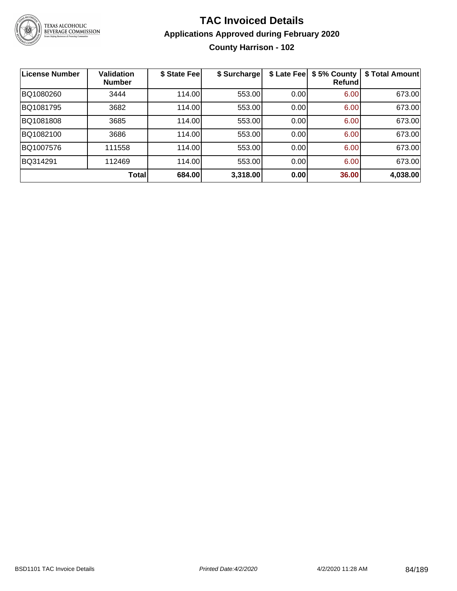

# **TAC Invoiced Details Applications Approved during February 2020 County Harrison - 102**

| <b>License Number</b> | <b>Validation</b><br><b>Number</b> | \$ State Fee | \$ Surcharge | \$ Late Fee | \$5% County<br><b>Refund</b> | \$ Total Amount |
|-----------------------|------------------------------------|--------------|--------------|-------------|------------------------------|-----------------|
| BQ1080260             | 3444                               | 114.00       | 553.00       | 0.00        | 6.00                         | 673.00          |
| BQ1081795             | 3682                               | 114.00       | 553.00       | 0.00        | 6.00                         | 673.00          |
| BQ1081808             | 3685                               | 114.00       | 553.00       | 0.00        | 6.00                         | 673.00          |
| BQ1082100             | 3686                               | 114.00       | 553.00       | 0.00        | 6.00                         | 673.00          |
| BQ1007576             | 111558                             | 114.00       | 553.00       | 0.00        | 6.00                         | 673.00          |
| BQ314291              | 112469                             | 114.00       | 553.00       | 0.00        | 6.00                         | 673.00          |
|                       | Total                              | 684.00       | 3,318.00     | 0.00        | 36.00                        | 4,038.00        |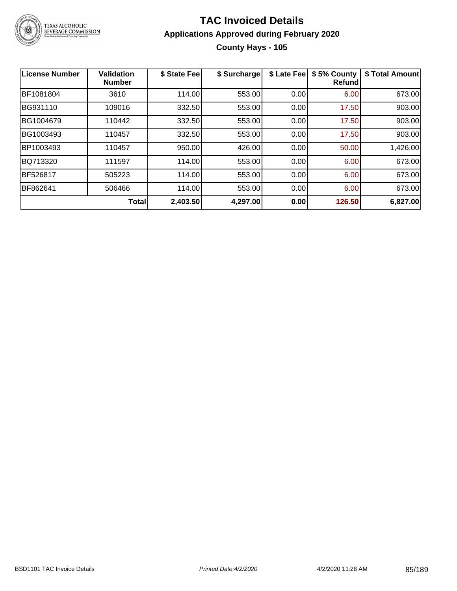

# **TAC Invoiced Details Applications Approved during February 2020 County Hays - 105**

| <b>License Number</b> | <b>Validation</b><br><b>Number</b> | \$ State Fee | \$ Surcharge | \$ Late Fee | \$5% County<br><b>Refund</b> | \$ Total Amount |
|-----------------------|------------------------------------|--------------|--------------|-------------|------------------------------|-----------------|
| BF1081804             | 3610                               | 114.00       | 553.00       | 0.00        | 6.00                         | 673.00          |
| BG931110              | 109016                             | 332.50       | 553.00       | 0.00        | 17.50                        | 903.00          |
| BG1004679             | 110442                             | 332.50       | 553.00       | 0.00        | 17.50                        | 903.00          |
| BG1003493             | 110457                             | 332.50       | 553.00       | 0.00        | 17.50                        | 903.00          |
| BP1003493             | 110457                             | 950.00       | 426.00       | 0.00        | 50.00                        | 1,426.00        |
| BQ713320              | 111597                             | 114.00       | 553.00       | 0.00        | 6.00                         | 673.00          |
| <b>BF526817</b>       | 505223                             | 114.00       | 553.00       | 0.00        | 6.00                         | 673.00          |
| BF862641              | 506466                             | 114.00       | 553.00       | 0.00        | 6.00                         | 673.00          |
|                       | <b>Total</b>                       | 2,403.50     | 4,297.00     | 0.00        | 126.50                       | 6,827.00        |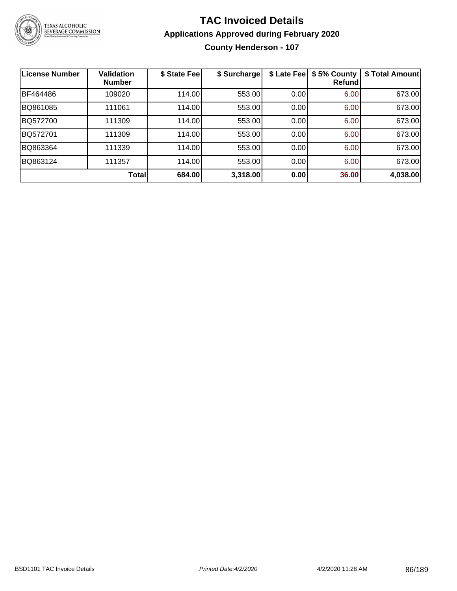

# **TAC Invoiced Details Applications Approved during February 2020**

**County Henderson - 107**

| <b>License Number</b> | <b>Validation</b><br><b>Number</b> | \$ State Fee | \$ Surcharge | \$ Late Fee | \$5% County<br>Refundl | \$ Total Amount |
|-----------------------|------------------------------------|--------------|--------------|-------------|------------------------|-----------------|
| BF464486              | 109020                             | 114.00       | 553.00       | 0.00        | 6.00                   | 673.00          |
| BQ861085              | 111061                             | 114.00       | 553.00       | 0.00        | 6.00                   | 673.00          |
| BQ572700              | 111309                             | 114.00       | 553.00       | 0.00        | 6.00                   | 673.00          |
| BQ572701              | 111309                             | 114.00       | 553.00       | 0.00        | 6.00                   | 673.00          |
| BQ863364              | 111339                             | 114.00       | 553.00       | 0.00        | 6.00                   | 673.00          |
| BQ863124              | 111357                             | 114.00       | 553.00       | 0.00        | 6.00                   | 673.00          |
|                       | Total                              | 684.00       | 3,318.00     | 0.00        | 36.00                  | 4,038.00        |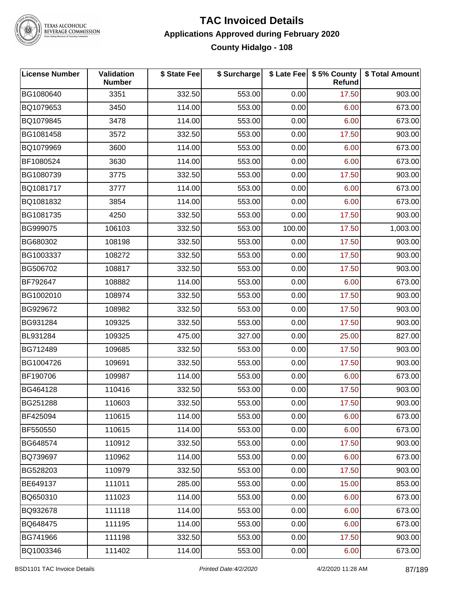

# **TAC Invoiced Details Applications Approved during February 2020 County Hidalgo - 108**

| <b>License Number</b> | <b>Validation</b><br><b>Number</b> | \$ State Fee | \$ Surcharge |        | \$ Late Fee   \$5% County<br>Refund | \$ Total Amount |
|-----------------------|------------------------------------|--------------|--------------|--------|-------------------------------------|-----------------|
| BG1080640             | 3351                               | 332.50       | 553.00       | 0.00   | 17.50                               | 903.00          |
| BQ1079653             | 3450                               | 114.00       | 553.00       | 0.00   | 6.00                                | 673.00          |
| BQ1079845             | 3478                               | 114.00       | 553.00       | 0.00   | 6.00                                | 673.00          |
| BG1081458             | 3572                               | 332.50       | 553.00       | 0.00   | 17.50                               | 903.00          |
| BQ1079969             | 3600                               | 114.00       | 553.00       | 0.00   | 6.00                                | 673.00          |
| BF1080524             | 3630                               | 114.00       | 553.00       | 0.00   | 6.00                                | 673.00          |
| BG1080739             | 3775                               | 332.50       | 553.00       | 0.00   | 17.50                               | 903.00          |
| BQ1081717             | 3777                               | 114.00       | 553.00       | 0.00   | 6.00                                | 673.00          |
| BQ1081832             | 3854                               | 114.00       | 553.00       | 0.00   | 6.00                                | 673.00          |
| BG1081735             | 4250                               | 332.50       | 553.00       | 0.00   | 17.50                               | 903.00          |
| BG999075              | 106103                             | 332.50       | 553.00       | 100.00 | 17.50                               | 1,003.00        |
| BG680302              | 108198                             | 332.50       | 553.00       | 0.00   | 17.50                               | 903.00          |
| BG1003337             | 108272                             | 332.50       | 553.00       | 0.00   | 17.50                               | 903.00          |
| BG506702              | 108817                             | 332.50       | 553.00       | 0.00   | 17.50                               | 903.00          |
| BF792647              | 108882                             | 114.00       | 553.00       | 0.00   | 6.00                                | 673.00          |
| BG1002010             | 108974                             | 332.50       | 553.00       | 0.00   | 17.50                               | 903.00          |
| BG929672              | 108982                             | 332.50       | 553.00       | 0.00   | 17.50                               | 903.00          |
| BG931284              | 109325                             | 332.50       | 553.00       | 0.00   | 17.50                               | 903.00          |
| BL931284              | 109325                             | 475.00       | 327.00       | 0.00   | 25.00                               | 827.00          |
| BG712489              | 109685                             | 332.50       | 553.00       | 0.00   | 17.50                               | 903.00          |
| BG1004726             | 109691                             | 332.50       | 553.00       | 0.00   | 17.50                               | 903.00          |
| BF190706              | 109987                             | 114.00       | 553.00       | 0.00   | 6.00                                | 673.00          |
| BG464128              | 110416                             | 332.50       | 553.00       | 0.00   | 17.50                               | 903.00          |
| BG251288              | 110603                             | 332.50       | 553.00       | 0.00   | 17.50                               | 903.00          |
| BF425094              | 110615                             | 114.00       | 553.00       | 0.00   | 6.00                                | 673.00          |
| BF550550              | 110615                             | 114.00       | 553.00       | 0.00   | 6.00                                | 673.00          |
| BG648574              | 110912                             | 332.50       | 553.00       | 0.00   | 17.50                               | 903.00          |
| BQ739697              | 110962                             | 114.00       | 553.00       | 0.00   | 6.00                                | 673.00          |
| BG528203              | 110979                             | 332.50       | 553.00       | 0.00   | 17.50                               | 903.00          |
| BE649137              | 111011                             | 285.00       | 553.00       | 0.00   | 15.00                               | 853.00          |
| BQ650310              | 111023                             | 114.00       | 553.00       | 0.00   | 6.00                                | 673.00          |
| BQ932678              | 111118                             | 114.00       | 553.00       | 0.00   | 6.00                                | 673.00          |
| BQ648475              | 111195                             | 114.00       | 553.00       | 0.00   | 6.00                                | 673.00          |
| BG741966              | 111198                             | 332.50       | 553.00       | 0.00   | 17.50                               | 903.00          |
| BQ1003346             | 111402                             | 114.00       | 553.00       | 0.00   | 6.00                                | 673.00          |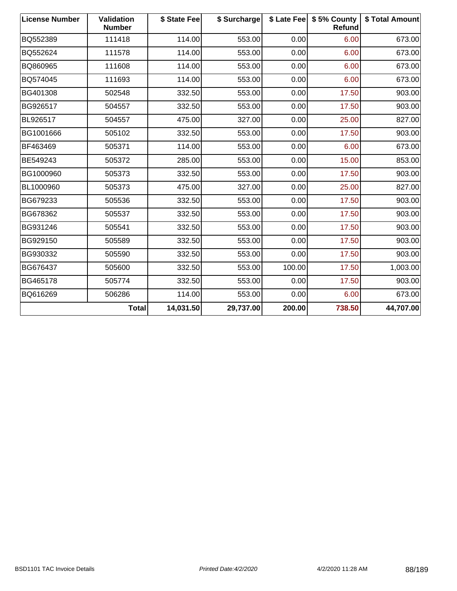| <b>License Number</b> | <b>Validation</b><br><b>Number</b> | \$ State Fee | \$ Surcharge |        | \$ Late Fee   \$5% County<br>Refund | \$ Total Amount |
|-----------------------|------------------------------------|--------------|--------------|--------|-------------------------------------|-----------------|
| BQ552389              | 111418                             | 114.00       | 553.00       | 0.00   | 6.00                                | 673.00          |
| BQ552624              | 111578                             | 114.00       | 553.00       | 0.00   | 6.00                                | 673.00          |
| BQ860965              | 111608                             | 114.00       | 553.00       | 0.00   | 6.00                                | 673.00          |
| BQ574045              | 111693                             | 114.00       | 553.00       | 0.00   | 6.00                                | 673.00          |
| BG401308              | 502548                             | 332.50       | 553.00       | 0.00   | 17.50                               | 903.00          |
| BG926517              | 504557                             | 332.50       | 553.00       | 0.00   | 17.50                               | 903.00          |
| BL926517              | 504557                             | 475.00       | 327.00       | 0.00   | 25.00                               | 827.00          |
| BG1001666             | 505102                             | 332.50       | 553.00       | 0.00   | 17.50                               | 903.00          |
| BF463469              | 505371                             | 114.00       | 553.00       | 0.00   | 6.00                                | 673.00          |
| BE549243              | 505372                             | 285.00       | 553.00       | 0.00   | 15.00                               | 853.00          |
| BG1000960             | 505373                             | 332.50       | 553.00       | 0.00   | 17.50                               | 903.00          |
| BL1000960             | 505373                             | 475.00       | 327.00       | 0.00   | 25.00                               | 827.00          |
| BG679233              | 505536                             | 332.50       | 553.00       | 0.00   | 17.50                               | 903.00          |
| BG678362              | 505537                             | 332.50       | 553.00       | 0.00   | 17.50                               | 903.00          |
| BG931246              | 505541                             | 332.50       | 553.00       | 0.00   | 17.50                               | 903.00          |
| BG929150              | 505589                             | 332.50       | 553.00       | 0.00   | 17.50                               | 903.00          |
| BG930332              | 505590                             | 332.50       | 553.00       | 0.00   | 17.50                               | 903.00          |
| BG676437              | 505600                             | 332.50       | 553.00       | 100.00 | 17.50                               | 1,003.00        |
| BG465178              | 505774                             | 332.50       | 553.00       | 0.00   | 17.50                               | 903.00          |
| BQ616269              | 506286                             | 114.00       | 553.00       | 0.00   | 6.00                                | 673.00          |
|                       | <b>Total</b>                       | 14,031.50    | 29,737.00    | 200.00 | 738.50                              | 44,707.00       |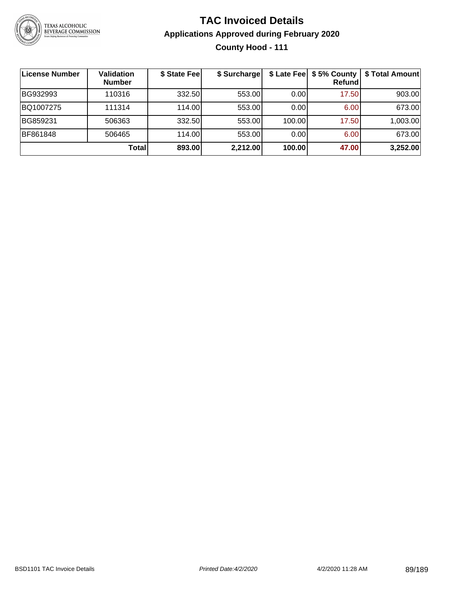

# **TAC Invoiced Details Applications Approved during February 2020 County Hood - 111**

| License Number | <b>Validation</b><br><b>Number</b> | \$ State Fee | \$ Surcharge |        | Refundl | \$ Late Fee   \$5% County   \$ Total Amount |
|----------------|------------------------------------|--------------|--------------|--------|---------|---------------------------------------------|
| BG932993       | 110316                             | 332.50       | 553.00       | 0.00   | 17.50   | 903.00                                      |
| BQ1007275      | 111314                             | 114.00L      | 553.00       | 0.00   | 6.00    | 673.00                                      |
| BG859231       | 506363                             | 332.50       | 553.00       | 100.00 | 17.50   | 1,003.00                                    |
| BF861848       | 506465                             | 114.00L      | 553.00       | 0.00   | 6.00    | 673.00                                      |
|                | <b>Total</b>                       | 893.00       | 2,212.00     | 100.00 | 47.00   | 3,252.00                                    |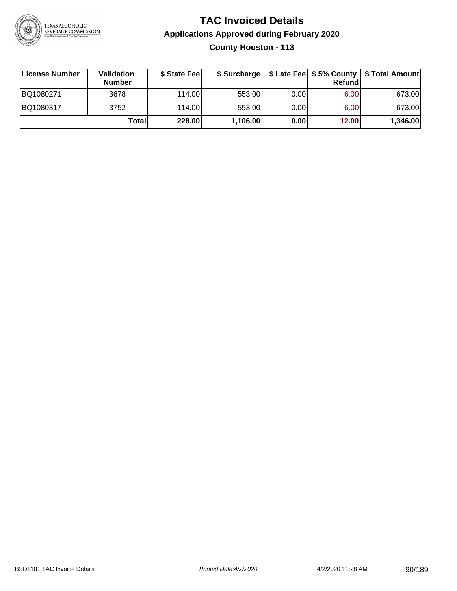

# **TAC Invoiced Details Applications Approved during February 2020 County Houston - 113**

| ∣License Number | Validation<br><b>Number</b> | \$ State Feel | \$ Surcharge |      | Refund | \$ Late Fee   \$5% County   \$ Total Amount |
|-----------------|-----------------------------|---------------|--------------|------|--------|---------------------------------------------|
| BQ1080271       | 3678                        | 114.00L       | 553.00       | 0.00 | 6.00   | 673.00                                      |
| BQ1080317       | 3752                        | 114.00        | 553.00       | 0.00 | 6.00   | 673.00                                      |
|                 | Total                       | <b>228.00</b> | 1,106.00     | 0.00 | 12.00  | 1,346.00                                    |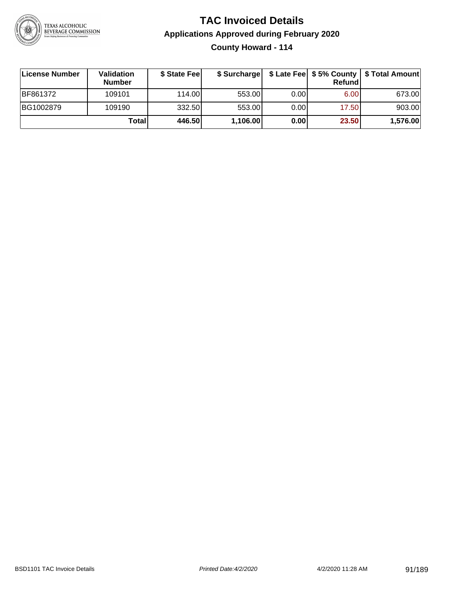

# **TAC Invoiced Details Applications Approved during February 2020 County Howard - 114**

| License Number | Validation<br><b>Number</b> | \$ State Feel | \$ Surcharge |      | Refund | \$ Late Fee   \$5% County   \$ Total Amount |
|----------------|-----------------------------|---------------|--------------|------|--------|---------------------------------------------|
| BF861372       | 109101                      | 114.00L       | 553.00       | 0.00 | 6.00   | 673.00                                      |
| BG1002879      | 109190                      | 332.50        | 553.00       | 0.00 | 17.50  | 903.00                                      |
|                | Total                       | 446.50        | 1,106.00     | 0.00 | 23.50  | 1,576.00                                    |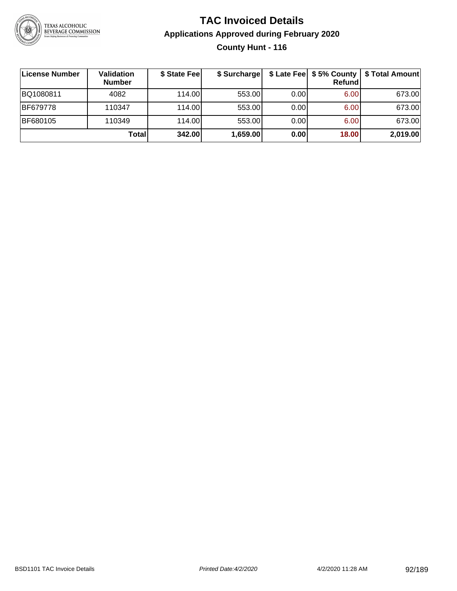

## **TAC Invoiced Details Applications Approved during February 2020 County Hunt - 116**

| License Number  | <b>Validation</b><br><b>Number</b> | \$ State Fee | \$ Surcharge |      | <b>Refund</b> | \$ Late Fee   \$5% County   \$ Total Amount |
|-----------------|------------------------------------|--------------|--------------|------|---------------|---------------------------------------------|
| BQ1080811       | 4082                               | 114.00       | 553.00       | 0.00 | 6.00          | 673.00                                      |
| <b>BF679778</b> | 110347                             | 114.00       | 553.00       | 0.00 | 6.00          | 673.00                                      |
| <b>BF680105</b> | 110349                             | 114.00L      | 553.00       | 0.00 | 6.00          | 673.00                                      |
|                 | Total                              | 342.00       | 1,659.00     | 0.00 | 18.00         | 2,019.00                                    |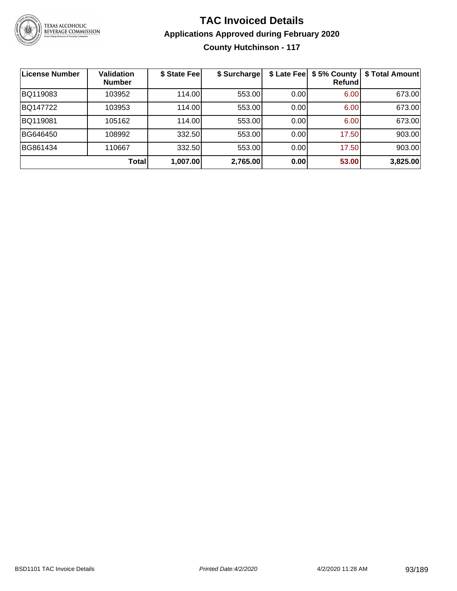

# **TAC Invoiced Details Applications Approved during February 2020 County Hutchinson - 117**

| License Number | <b>Validation</b><br><b>Number</b> | \$ State Feel | \$ Surcharge | \$ Late Fee | \$5% County<br>Refund | \$ Total Amount |
|----------------|------------------------------------|---------------|--------------|-------------|-----------------------|-----------------|
| BQ119083       | 103952                             | 114.00        | 553.00       | 0.00        | 6.00                  | 673.00          |
| BQ147722       | 103953                             | 114.00        | 553.00       | 0.00        | 6.00                  | 673.00          |
| BQ119081       | 105162                             | 114.00        | 553.00       | 0.00        | 6.00                  | 673.00          |
| BG646450       | 108992                             | 332.50        | 553.00       | 0.00        | 17.50                 | 903.00          |
| BG861434       | 110667                             | 332.50        | 553.00       | 0.00        | 17.50                 | 903.00          |
|                | <b>Total</b>                       | 1,007.00      | 2,765.00     | 0.00        | 53.00                 | 3,825.00        |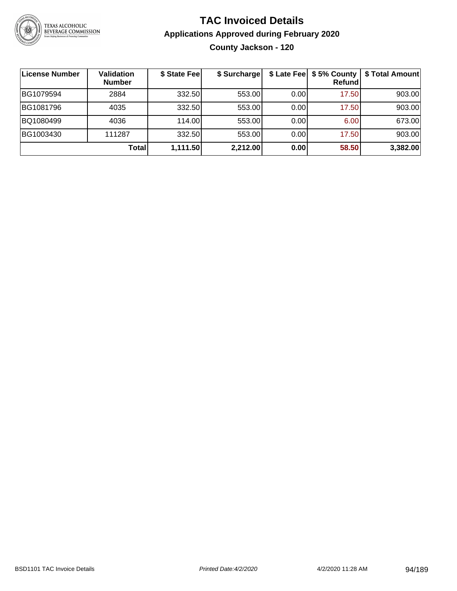

# **TAC Invoiced Details Applications Approved during February 2020 County Jackson - 120**

| License Number | <b>Validation</b><br><b>Number</b> | \$ State Fee | \$ Surcharge | \$ Late Fee | \$5% County<br>Refund | \$ Total Amount |
|----------------|------------------------------------|--------------|--------------|-------------|-----------------------|-----------------|
| BG1079594      | 2884                               | 332.50       | 553.00       | 0.00        | 17.50                 | 903.00          |
| BG1081796      | 4035                               | 332.50       | 553.00       | 0.00        | 17.50                 | 903.00          |
| BQ1080499      | 4036                               | 114.00       | 553.00       | 0.00        | 6.00                  | 673.00          |
| BG1003430      | 111287                             | 332.50       | 553.00       | 0.00        | 17.50                 | 903.00          |
|                | Total                              | 1,111.50     | 2,212.00     | 0.00        | 58.50                 | 3,382.00        |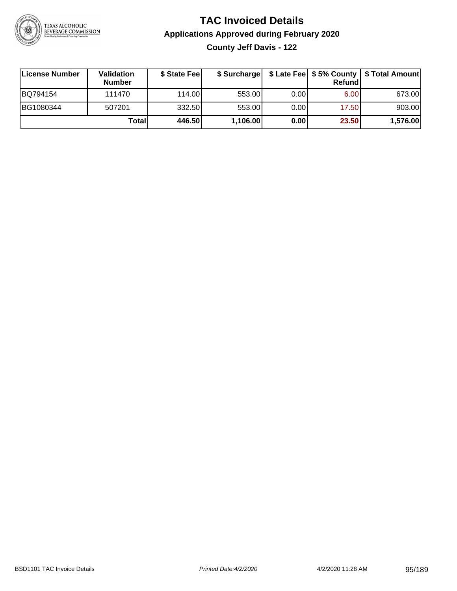

# **TAC Invoiced Details Applications Approved during February 2020**

**County Jeff Davis - 122**

| ∣License Number | <b>Validation</b><br><b>Number</b> | \$ State Fee | \$ Surcharge |      | Refundl | \$ Late Fee   \$5% County   \$ Total Amount |
|-----------------|------------------------------------|--------------|--------------|------|---------|---------------------------------------------|
| BQ794154        | 111470                             | 114.00L      | 553.00       | 0.00 | 6.00    | 673.00                                      |
| BG1080344       | 507201                             | 332.50       | 553.00       | 0.00 | 17.50   | 903.00                                      |
|                 | Totall                             | 446.50       | 1,106.00     | 0.00 | 23.50   | 1,576.00                                    |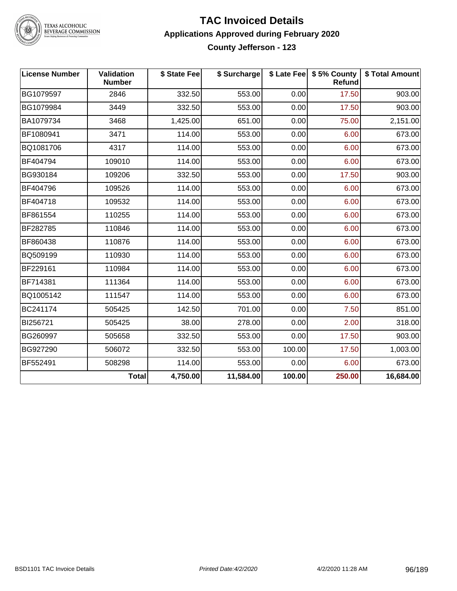

TEXAS ALCOHOLIC<br>BEVERAGE COMMISSION

#### **TAC Invoiced Details Applications Approved during February 2020 County Jefferson - 123**

| <b>License Number</b> | <b>Validation</b><br><b>Number</b> | \$ State Fee | \$ Surcharge |        | \$ Late Fee   \$5% County<br>Refund | \$ Total Amount |
|-----------------------|------------------------------------|--------------|--------------|--------|-------------------------------------|-----------------|
| BG1079597             | 2846                               | 332.50       | 553.00       | 0.00   | 17.50                               | 903.00          |
| BG1079984             | 3449                               | 332.50       | 553.00       | 0.00   | 17.50                               | 903.00          |
| BA1079734             | 3468                               | 1,425.00     | 651.00       | 0.00   | 75.00                               | 2,151.00        |
| BF1080941             | 3471                               | 114.00       | 553.00       | 0.00   | 6.00                                | 673.00          |
| BQ1081706             | 4317                               | 114.00       | 553.00       | 0.00   | 6.00                                | 673.00          |
| BF404794              | 109010                             | 114.00       | 553.00       | 0.00   | 6.00                                | 673.00          |
| BG930184              | 109206                             | 332.50       | 553.00       | 0.00   | 17.50                               | 903.00          |
| BF404796              | 109526                             | 114.00       | 553.00       | 0.00   | 6.00                                | 673.00          |
| BF404718              | 109532                             | 114.00       | 553.00       | 0.00   | 6.00                                | 673.00          |
| BF861554              | 110255                             | 114.00       | 553.00       | 0.00   | 6.00                                | 673.00          |
| BF282785              | 110846                             | 114.00       | 553.00       | 0.00   | 6.00                                | 673.00          |
| BF860438              | 110876                             | 114.00       | 553.00       | 0.00   | 6.00                                | 673.00          |
| BQ509199              | 110930                             | 114.00       | 553.00       | 0.00   | 6.00                                | 673.00          |
| BF229161              | 110984                             | 114.00       | 553.00       | 0.00   | 6.00                                | 673.00          |
| BF714381              | 111364                             | 114.00       | 553.00       | 0.00   | 6.00                                | 673.00          |
| BQ1005142             | 111547                             | 114.00       | 553.00       | 0.00   | 6.00                                | 673.00          |
| BC241174              | 505425                             | 142.50       | 701.00       | 0.00   | 7.50                                | 851.00          |
| BI256721              | 505425                             | 38.00        | 278.00       | 0.00   | 2.00                                | 318.00          |
| BG260997              | 505658                             | 332.50       | 553.00       | 0.00   | 17.50                               | 903.00          |
| BG927290              | 506072                             | 332.50       | 553.00       | 100.00 | 17.50                               | 1,003.00        |
| BF552491              | 508298                             | 114.00       | 553.00       | 0.00   | 6.00                                | 673.00          |
|                       | <b>Total</b>                       | 4,750.00     | 11,584.00    | 100.00 | 250.00                              | 16,684.00       |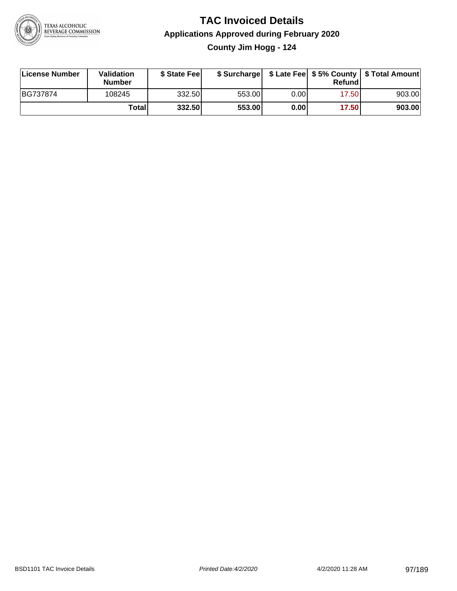

# **TAC Invoiced Details Applications Approved during February 2020 County Jim Hogg - 124**

| License Number | Validation<br><b>Number</b> | \$ State Fee |        |      | Refundl | \$ Surcharge   \$ Late Fee   \$5% County   \$ Total Amount |
|----------------|-----------------------------|--------------|--------|------|---------|------------------------------------------------------------|
| BG737874       | 108245                      | 332.50       | 553.00 | 0.00 | 17.50   | 903.00                                                     |
|                | Totall                      | 332.50       | 553.00 | 0.00 | 17.50   | 903.00                                                     |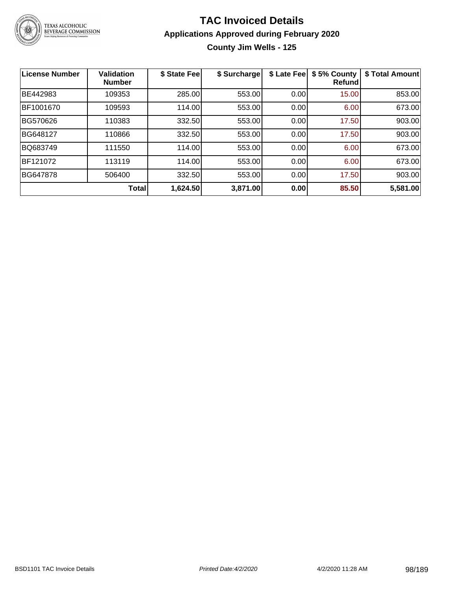

# **TAC Invoiced Details Applications Approved during February 2020**

**County Jim Wells - 125**

| <b>License Number</b> | <b>Validation</b><br><b>Number</b> | \$ State Fee | \$ Surcharge | \$ Late Fee | \$5% County<br>Refundl | \$ Total Amount |
|-----------------------|------------------------------------|--------------|--------------|-------------|------------------------|-----------------|
| BE442983              | 109353                             | 285.00       | 553.00       | 0.00        | 15.00                  | 853.00          |
| BF1001670             | 109593                             | 114.00       | 553.00       | 0.00        | 6.00                   | 673.00          |
| BG570626              | 110383                             | 332.50       | 553.00       | 0.00        | 17.50                  | 903.00          |
| BG648127              | 110866                             | 332.50       | 553.00       | 0.00        | 17.50                  | 903.00          |
| BQ683749              | 111550                             | 114.00       | 553.00       | 0.00        | 6.00                   | 673.00          |
| BF121072              | 113119                             | 114.00       | 553.00       | 0.00        | 6.00                   | 673.00          |
| BG647878              | 506400                             | 332.50       | 553.00       | 0.00        | 17.50                  | 903.00          |
|                       | <b>Total</b>                       | 1,624.50     | 3,871.00     | 0.00        | 85.50                  | 5,581.00        |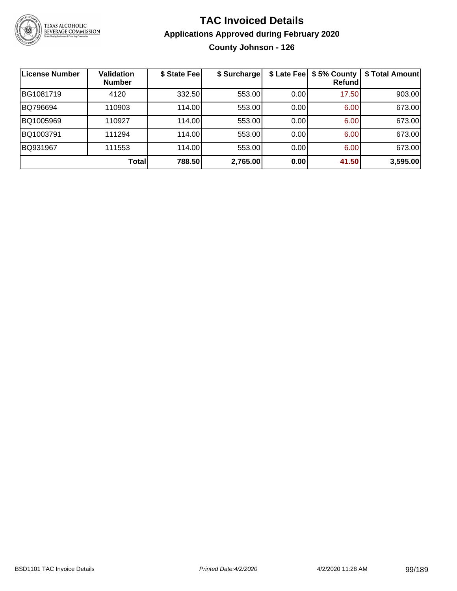

# **TAC Invoiced Details Applications Approved during February 2020 County Johnson - 126**

| License Number | <b>Validation</b><br><b>Number</b> | \$ State Fee | \$ Surcharge |      | \$ Late Fee   \$5% County<br>Refundl | \$ Total Amount |
|----------------|------------------------------------|--------------|--------------|------|--------------------------------------|-----------------|
| BG1081719      | 4120                               | 332.50       | 553.00       | 0.00 | 17.50                                | 903.00          |
| BQ796694       | 110903                             | 114.00       | 553.00       | 0.00 | 6.00                                 | 673.00          |
| BQ1005969      | 110927                             | 114.00       | 553.00       | 0.00 | 6.00                                 | 673.00          |
| BQ1003791      | 111294                             | 114.00       | 553.00       | 0.00 | 6.00                                 | 673.00          |
| BQ931967       | 111553                             | 114.00       | 553.00       | 0.00 | 6.00                                 | 673.00          |
|                | <b>Total</b>                       | 788.50       | 2,765.00     | 0.00 | 41.50                                | 3,595.00        |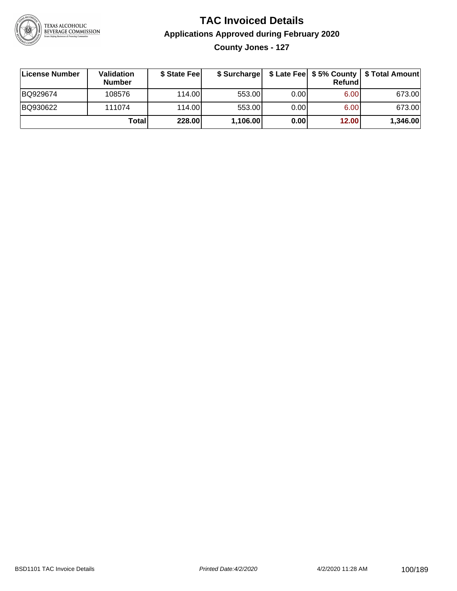

# **TAC Invoiced Details Applications Approved during February 2020**

**County Jones - 127**

| ∣License Number | <b>Validation</b><br><b>Number</b> | \$ State Fee |          |      | <b>Refund</b> | \$ Surcharge   \$ Late Fee   \$5% County   \$ Total Amount |
|-----------------|------------------------------------|--------------|----------|------|---------------|------------------------------------------------------------|
| BQ929674        | 108576                             | 114.00       | 553.00   | 0.00 | 6.00          | 673.00                                                     |
| BQ930622        | 111074                             | 114.00       | 553.00   | 0.00 | 6.00          | 673.00                                                     |
|                 | Total                              | 228.00       | 1,106.00 | 0.00 | 12.00         | 1,346.00                                                   |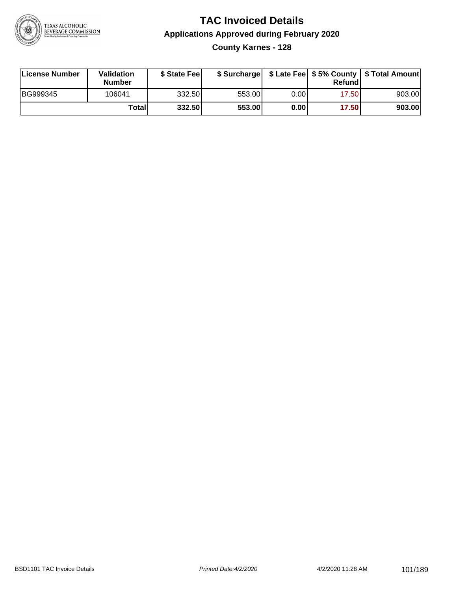

# **TAC Invoiced Details Applications Approved during February 2020 County Karnes - 128**

| License Number | Validation<br><b>Number</b> | \$ State Feel |        |       | Refund | \$ Surcharge   \$ Late Fee   \$5% County   \$ Total Amount |
|----------------|-----------------------------|---------------|--------|-------|--------|------------------------------------------------------------|
| BG999345       | 106041                      | 332.50        | 553.00 | 0.001 | 17.50  | 903.00                                                     |
|                | Totall                      | 332.50        | 553.00 | 0.00  | 17.50  | 903.00                                                     |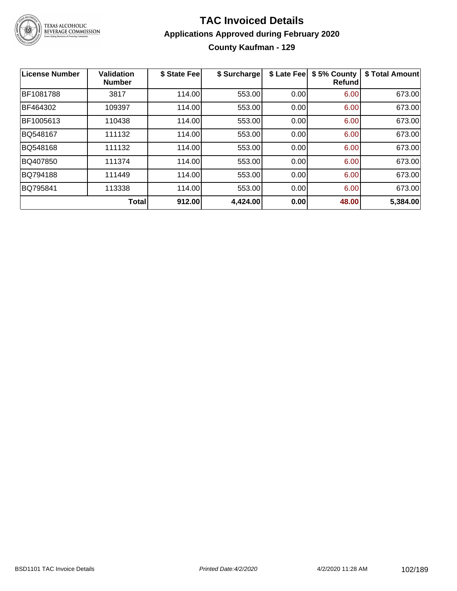

# **TAC Invoiced Details Applications Approved during February 2020 County Kaufman - 129**

| <b>License Number</b> | <b>Validation</b><br><b>Number</b> | \$ State Fee | \$ Surcharge | \$ Late Fee | \$5% County<br><b>Refund</b> | \$ Total Amount |
|-----------------------|------------------------------------|--------------|--------------|-------------|------------------------------|-----------------|
| BF1081788             | 3817                               | 114.00       | 553.00       | 0.00        | 6.00                         | 673.00          |
| BF464302              | 109397                             | 114.00       | 553.00       | 0.00        | 6.00                         | 673.00          |
| BF1005613             | 110438                             | 114.00       | 553.00       | 0.00        | 6.00                         | 673.00          |
| BQ548167              | 111132                             | 114.00       | 553.00       | 0.00        | 6.00                         | 673.00          |
| BQ548168              | 111132                             | 114.00       | 553.00       | 0.00        | 6.00                         | 673.00          |
| BQ407850              | 111374                             | 114.00       | 553.00       | 0.00        | 6.00                         | 673.00          |
| BQ794188              | 111449                             | 114.00       | 553.00       | 0.00        | 6.00                         | 673.00          |
| BQ795841              | 113338                             | 114.00       | 553.00       | 0.00        | 6.00                         | 673.00          |
|                       | <b>Total</b>                       | 912.00       | 4,424.00     | 0.00        | 48.00                        | 5,384.00        |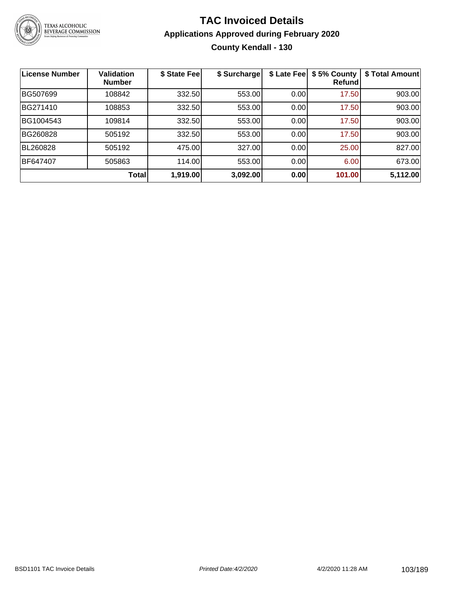

# **TAC Invoiced Details Applications Approved during February 2020 County Kendall - 130**

| <b>License Number</b> | <b>Validation</b><br><b>Number</b> | \$ State Fee | \$ Surcharge | \$ Late Fee | \$5% County<br><b>Refund</b> | \$ Total Amount |
|-----------------------|------------------------------------|--------------|--------------|-------------|------------------------------|-----------------|
| BG507699              | 108842                             | 332.50       | 553.00       | 0.00        | 17.50                        | 903.00          |
| BG271410              | 108853                             | 332.50       | 553.00       | 0.00        | 17.50                        | 903.00          |
| BG1004543             | 109814                             | 332.50       | 553.00       | 0.00        | 17.50                        | 903.00          |
| BG260828              | 505192                             | 332.50       | 553.00       | 0.00        | 17.50                        | 903.00          |
| BL260828              | 505192                             | 475.00       | 327.00       | 0.00        | 25.00                        | 827.00          |
| <b>BF647407</b>       | 505863                             | 114.00       | 553.00       | 0.00        | 6.00                         | 673.00          |
|                       | <b>Total</b>                       | 1,919.00     | 3,092.00     | 0.00        | 101.00                       | 5,112.00        |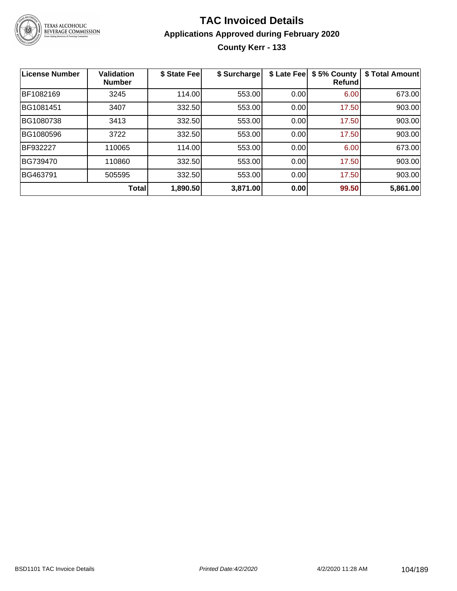

# **TAC Invoiced Details Applications Approved during February 2020 County Kerr - 133**

| <b>License Number</b> | <b>Validation</b><br><b>Number</b> | \$ State Fee | \$ Surcharge | \$ Late Fee | \$5% County<br><b>Refund</b> | \$ Total Amount |
|-----------------------|------------------------------------|--------------|--------------|-------------|------------------------------|-----------------|
| BF1082169             | 3245                               | 114.00       | 553.00       | 0.00        | 6.00                         | 673.00          |
| BG1081451             | 3407                               | 332.50       | 553.00       | 0.00        | 17.50                        | 903.00          |
| BG1080738             | 3413                               | 332.50       | 553.00       | 0.00        | 17.50                        | 903.00          |
| BG1080596             | 3722                               | 332.50       | 553.00       | 0.00        | 17.50                        | 903.00          |
| BF932227              | 110065                             | 114.00       | 553.00       | 0.00        | 6.00                         | 673.00          |
| BG739470              | 110860                             | 332.50       | 553.00       | 0.00        | 17.50                        | 903.00          |
| BG463791              | 505595                             | 332.50       | 553.00       | 0.00        | 17.50                        | 903.00          |
|                       | Total                              | 1,890.50     | 3,871.00     | 0.00        | 99.50                        | 5,861.00        |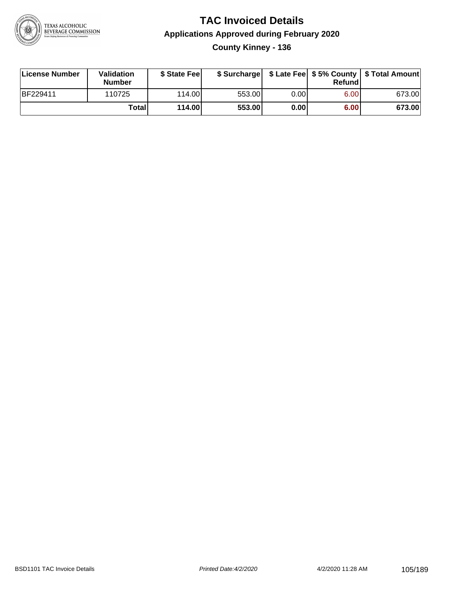

# **TAC Invoiced Details Applications Approved during February 2020 County Kinney - 136**

| License Number  | Validation<br><b>Number</b> | \$ State Feel |        |       | Refundl | \$ Surcharge   \$ Late Fee   \$5% County   \$ Total Amount |
|-----------------|-----------------------------|---------------|--------|-------|---------|------------------------------------------------------------|
| <b>BF229411</b> | 110725                      | 114.00        | 553.00 | 0.00  | 6.00    | 673.00                                                     |
|                 | Totall                      | 114.00        | 553.00 | 0.001 | 6.00    | 673.00                                                     |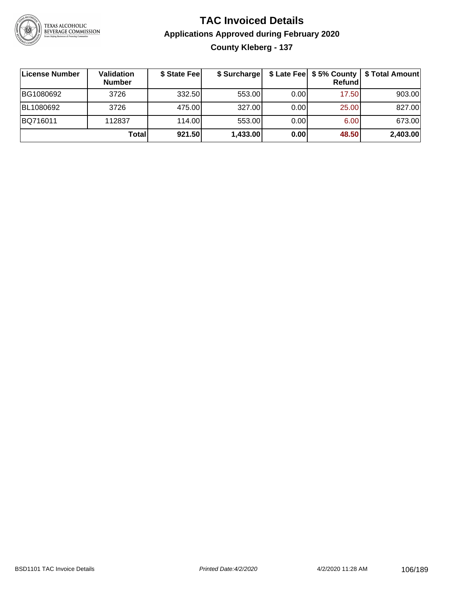

# **TAC Invoiced Details Applications Approved during February 2020 County Kleberg - 137**

| ∣License Number | <b>Validation</b><br><b>Number</b> | \$ State Fee | \$ Surcharge |      | Refundl | \$ Late Fee   \$5% County   \$ Total Amount |
|-----------------|------------------------------------|--------------|--------------|------|---------|---------------------------------------------|
| BG1080692       | 3726                               | 332.50       | 553.00       | 0.00 | 17.50   | 903.00                                      |
| BL1080692       | 3726                               | 475.00       | 327.00       | 0.00 | 25.00   | 827.00                                      |
| BQ716011        | 112837                             | 114.00       | 553.00       | 0.00 | 6.00    | 673.00                                      |
|                 | Total                              | 921.50       | 1,433.00     | 0.00 | 48.50   | 2,403.00                                    |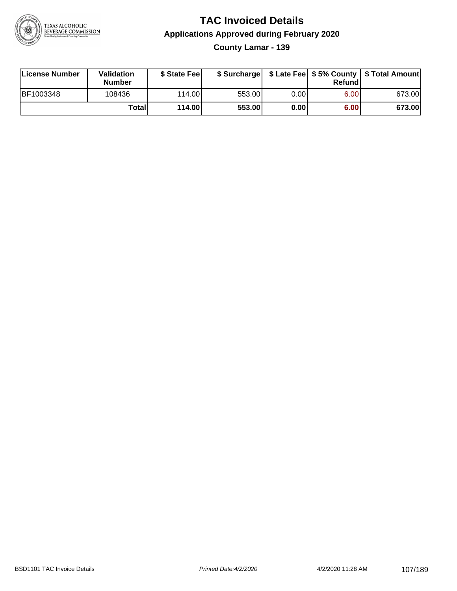

# **TAC Invoiced Details Applications Approved during February 2020**

**County Lamar - 139**

| License Number | <b>Validation</b><br><b>Number</b> | \$ State Fee | \$ Surcharge |      | Refundl |        |
|----------------|------------------------------------|--------------|--------------|------|---------|--------|
| BF1003348      | 108436                             | 114.00       | 553.00       | 0.00 | 6.00    | 673.00 |
|                | Totall                             | 114.00       | 553.00       | 0.00 | 6.00    | 673.00 |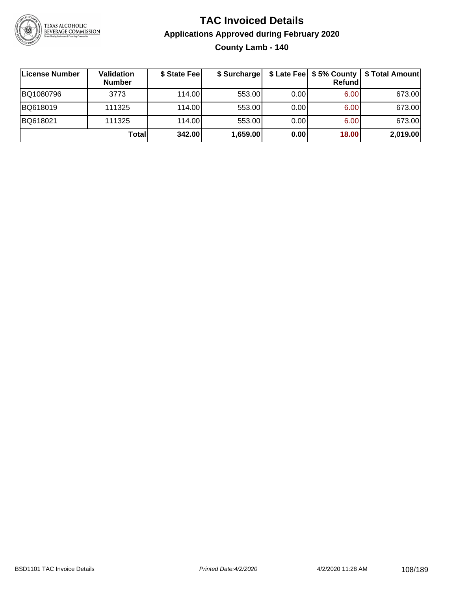

# **TAC Invoiced Details Applications Approved during February 2020 County Lamb - 140**

| License Number | Validation<br><b>Number</b> | \$ State Fee | \$ Surcharge |      | $$$ Late Fee $$5%$ County<br>Refund | \$ Total Amount |
|----------------|-----------------------------|--------------|--------------|------|-------------------------------------|-----------------|
| BQ1080796      | 3773                        | 114.00L      | 553.00       | 0.00 | 6.00                                | 673.00          |
| BQ618019       | 111325                      | 114.00L      | 553.00       | 0.00 | 6.00                                | 673.00          |
| BQ618021       | 111325                      | 114.00       | 553.00       | 0.00 | 6.00                                | 673.00          |
|                | Totall                      | 342.00       | 1,659.00     | 0.00 | 18.00                               | 2,019.00        |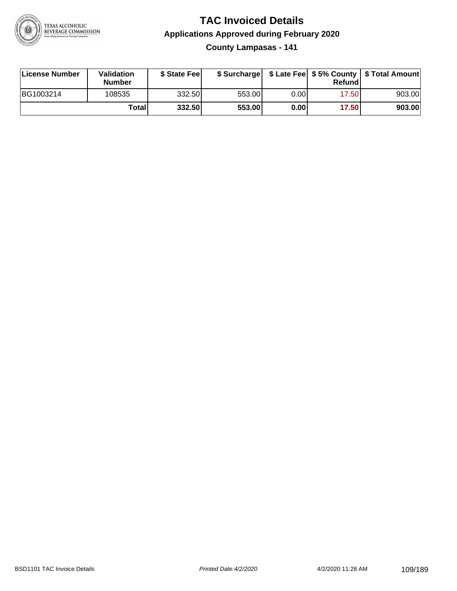

**County Lampasas - 141**

| License Number | <b>Validation</b><br><b>Number</b> | \$ State Fee | \$ Surcharge |       | Refundl |        |
|----------------|------------------------------------|--------------|--------------|-------|---------|--------|
| BG1003214      | 108535                             | 332.50       | 553.00       | 0.00I | 17.50   | 903.00 |
|                | Totall                             | 332.50       | 553.00       | 0.00  | 17.50   | 903.00 |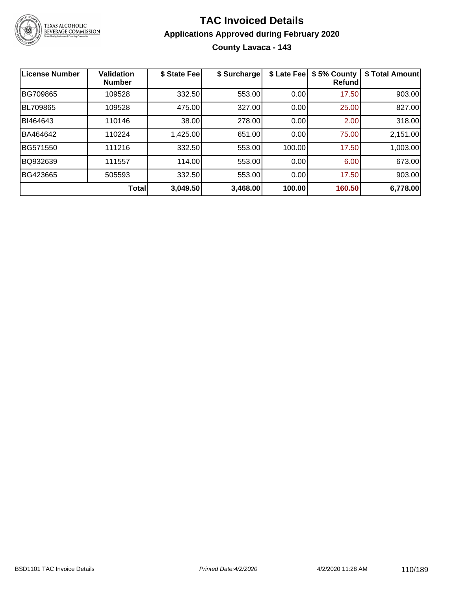

#### **TAC Invoiced Details Applications Approved during February 2020 County Lavaca - 143**

| <b>License Number</b> | <b>Validation</b><br><b>Number</b> | \$ State Fee | \$ Surcharge | \$ Late Fee | \$5% County<br>Refund | \$ Total Amount |
|-----------------------|------------------------------------|--------------|--------------|-------------|-----------------------|-----------------|
| BG709865              | 109528                             | 332.50       | 553.00       | 0.00        | 17.50                 | 903.00          |
| <b>BL709865</b>       | 109528                             | 475.00       | 327.00       | 0.00        | 25.00                 | 827.00          |
| BI464643              | 110146                             | 38.00        | 278.00       | 0.00        | 2.00                  | 318.00          |
| BA464642              | 110224                             | 1,425.00     | 651.00       | 0.00        | 75.00                 | 2,151.00        |
| BG571550              | 111216                             | 332.50       | 553.00       | 100.00      | 17.50                 | 1,003.00        |
| BQ932639              | 111557                             | 114.00       | 553.00       | 0.00        | 6.00                  | 673.00          |
| BG423665              | 505593                             | 332.50       | 553.00       | 0.00        | 17.50                 | 903.00          |
|                       | Total                              | 3,049.50     | 3,468.00     | 100.00      | 160.50                | 6,778.00        |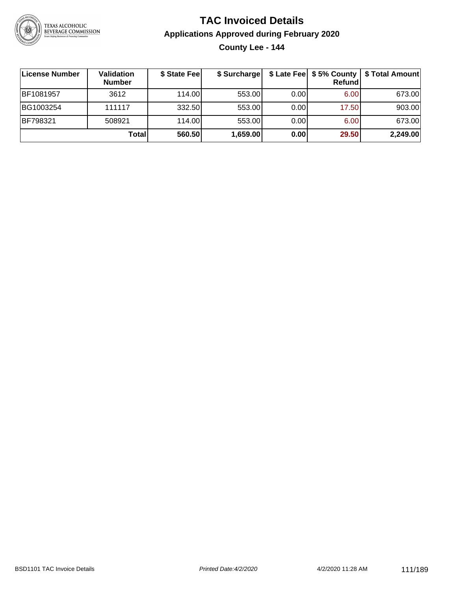

#### **TAC Invoiced Details Applications Approved during February 2020 County Lee - 144**

| License Number | Validation<br><b>Number</b> | \$ State Fee | \$ Surcharge |      | Refund | \$ Late Fee   \$5% County   \$ Total Amount |
|----------------|-----------------------------|--------------|--------------|------|--------|---------------------------------------------|
| BF1081957      | 3612                        | 114.00L      | 553.00       | 0.00 | 6.00   | 673.00                                      |
| BG1003254      | 111117                      | 332.50       | 553.00       | 0.00 | 17.50  | 903.00                                      |
| BF798321       | 508921                      | 114.00       | 553.00       | 0.00 | 6.00   | 673.00                                      |
|                | Total                       | 560.50       | 1,659.00     | 0.00 | 29.50  | 2,249.00                                    |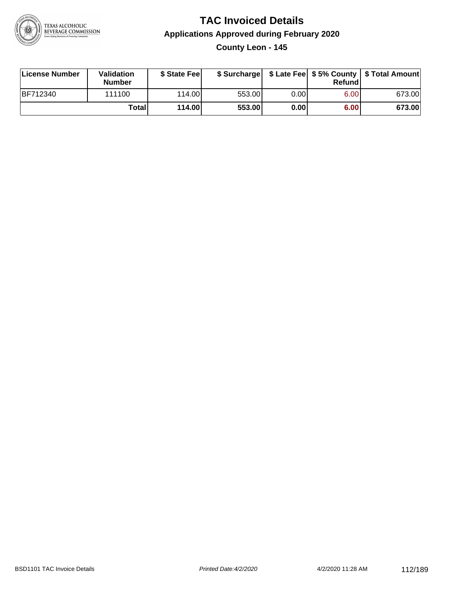

#### **TAC Invoiced Details Applications Approved during February 2020 County Leon - 145**

| License Number | Validation<br><b>Number</b> | \$ State Feel   |        |       | Refundl | \$ Surcharge   \$ Late Fee   \$5% County   \$ Total Amount |
|----------------|-----------------------------|-----------------|--------|-------|---------|------------------------------------------------------------|
| BF712340       | 111100                      | 114.00 <b>1</b> | 553.00 | 0.00  | 6.00    | 673.00                                                     |
|                | Totall                      | 114.00          | 553.00 | 0.001 | 6.00    | 673.00                                                     |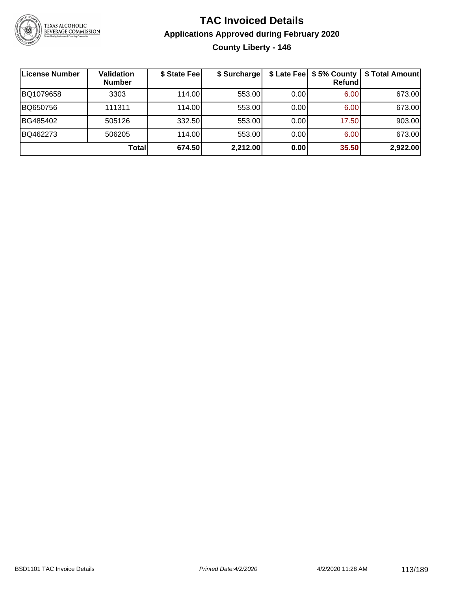

#### **TAC Invoiced Details Applications Approved during February 2020 County Liberty - 146**

| License Number | <b>Validation</b><br><b>Number</b> | \$ State Fee | \$ Surcharge |      | \$ Late Fee   \$5% County  <br>Refund | \$ Total Amount |
|----------------|------------------------------------|--------------|--------------|------|---------------------------------------|-----------------|
| BQ1079658      | 3303                               | 114.00       | 553.00       | 0.00 | 6.00                                  | 673.00          |
| BQ650756       | 111311                             | 114.00       | 553.00       | 0.00 | 6.00                                  | 673.00          |
| BG485402       | 505126                             | 332.50       | 553.00       | 0.00 | 17.50                                 | 903.00          |
| BQ462273       | 506205                             | 114.00       | 553.00       | 0.00 | 6.00                                  | 673.00          |
|                | <b>Total</b>                       | 674.50       | 2,212.00     | 0.00 | 35.50                                 | 2,922.00        |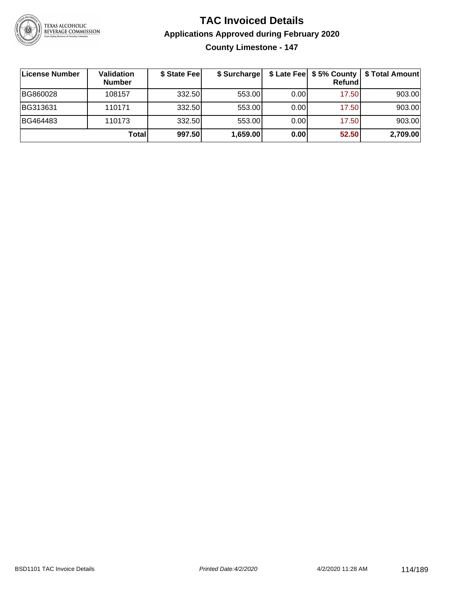

**County Limestone - 147**

| ∣License Number | Validation<br><b>Number</b> | \$ State Fee | \$ Surcharge |       | <b>Refund</b> | \$ Late Fee   \$5% County   \$ Total Amount |
|-----------------|-----------------------------|--------------|--------------|-------|---------------|---------------------------------------------|
| BG860028        | 108157                      | 332.50       | 553.00       | 0.001 | 17.50         | 903.00                                      |
| BG313631        | 110171                      | 332.50       | 553.00       | 0.001 | 17.50         | 903.00                                      |
| BG464483        | 110173                      | 332.50       | 553.00       | 0.001 | 17.50         | 903.00                                      |
|                 | Totall                      | 997.50       | 1,659.00     | 0.00  | 52.50         | 2,709.00                                    |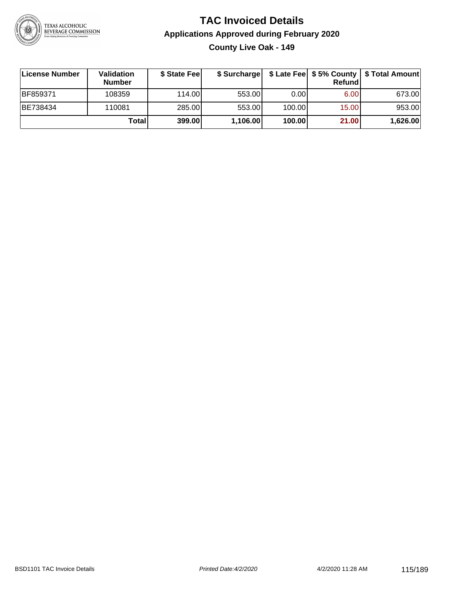

**County Live Oak - 149**

| ∣License Number | Validation<br><b>Number</b> | \$ State Fee | \$ Surcharge |        | <b>Refund</b> | \$ Late Fee   \$5% County   \$ Total Amount |
|-----------------|-----------------------------|--------------|--------------|--------|---------------|---------------------------------------------|
| BF859371        | 108359                      | 114.00L      | 553.00       | 0.00   | 6.00          | 673.00                                      |
| BE738434        | 110081                      | 285.00       | 553.00       | 100.00 | 15.00         | 953.00                                      |
|                 | Totall                      | 399.00       | 1,106.00     | 100.00 | 21.00         | 1,626.00                                    |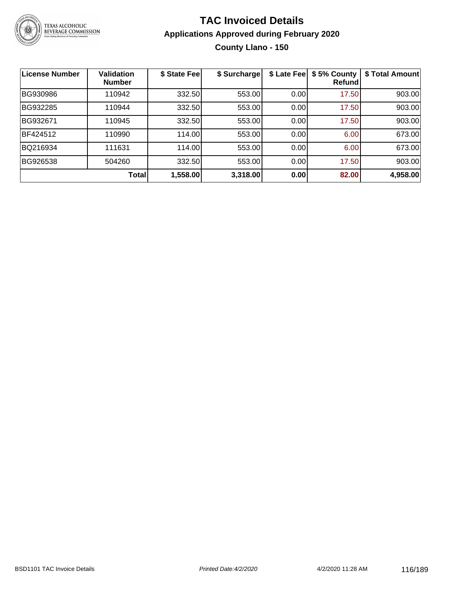

#### **TAC Invoiced Details Applications Approved during February 2020 County Llano - 150**

| <b>License Number</b> | <b>Validation</b><br><b>Number</b> | \$ State Fee | \$ Surcharge | \$ Late Fee | \$5% County<br>Refundl | \$ Total Amount |
|-----------------------|------------------------------------|--------------|--------------|-------------|------------------------|-----------------|
| BG930986              | 110942                             | 332.50       | 553.00       | 0.00        | 17.50                  | 903.00          |
| BG932285              | 110944                             | 332.50       | 553.00       | 0.00        | 17.50                  | 903.00          |
| BG932671              | 110945                             | 332.50       | 553.00       | 0.00        | 17.50                  | 903.00          |
| BF424512              | 110990                             | 114.00       | 553.00       | 0.00        | 6.00                   | 673.00          |
| BQ216934              | 111631                             | 114.00       | 553.00       | 0.00        | 6.00                   | 673.00          |
| BG926538              | 504260                             | 332.50       | 553.00       | 0.00        | 17.50                  | 903.00          |
|                       | <b>Total</b>                       | 1,558.00     | 3,318.00     | 0.00        | 82.00                  | 4,958.00        |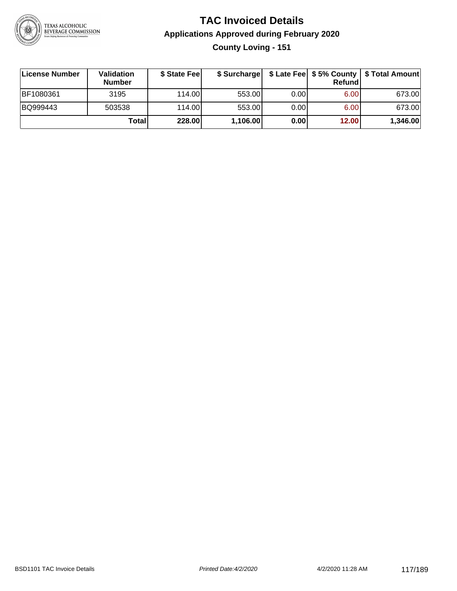

#### **TAC Invoiced Details Applications Approved during February 2020 County Loving - 151**

| License Number | <b>Validation</b><br><b>Number</b> | \$ State Feel | \$ Surcharge |      | Refund | \$ Late Fee   \$5% County   \$ Total Amount |
|----------------|------------------------------------|---------------|--------------|------|--------|---------------------------------------------|
| BF1080361      | 3195                               | 114.00L       | 553.00       | 0.00 | 6.00   | 673.00                                      |
| BQ999443       | 503538                             | 114.00L       | 553.00       | 0.00 | 6.00   | 673.00                                      |
|                | Totall                             | 228.00        | 1,106.00     | 0.00 | 12.00  | 1,346.00                                    |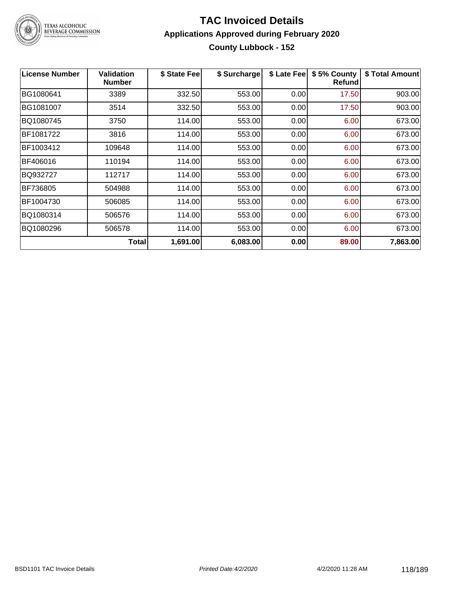

## TEXAS ALCOHOLIC<br>BEVERAGE COMMISSION

#### **TAC Invoiced Details Applications Approved during February 2020 County Lubbock - 152**

| <b>License Number</b> | <b>Validation</b><br><b>Number</b> | \$ State Fee | \$ Surcharge | \$ Late Fee | \$5% County<br>Refund | \$ Total Amount |
|-----------------------|------------------------------------|--------------|--------------|-------------|-----------------------|-----------------|
| BG1080641             | 3389                               | 332.50       | 553.00       | 0.00        | 17.50                 | 903.00          |
| BG1081007             | 3514                               | 332.50       | 553.00       | 0.00        | 17.50                 | 903.00          |
| BQ1080745             | 3750                               | 114.00       | 553.00       | 0.00        | 6.00                  | 673.00          |
| BF1081722             | 3816                               | 114.00       | 553.00       | 0.00        | 6.00                  | 673.00          |
| BF1003412             | 109648                             | 114.00       | 553.00       | 0.00        | 6.00                  | 673.00          |
| BF406016              | 110194                             | 114.00       | 553.00       | 0.00        | 6.00                  | 673.00          |
| BQ932727              | 112717                             | 114.00       | 553.00       | 0.00        | 6.00                  | 673.00          |
| BF736805              | 504988                             | 114.00       | 553.00       | 0.00        | 6.00                  | 673.00          |
| BF1004730             | 506085                             | 114.00       | 553.00       | 0.00        | 6.00                  | 673.00          |
| BQ1080314             | 506576                             | 114.00       | 553.00       | 0.00        | 6.00                  | 673.00          |
| BQ1080296             | 506578                             | 114.00       | 553.00       | 0.00        | 6.00                  | 673.00          |
|                       | Total                              | 1,691.00     | 6,083.00     | 0.00        | 89.00                 | 7,863.00        |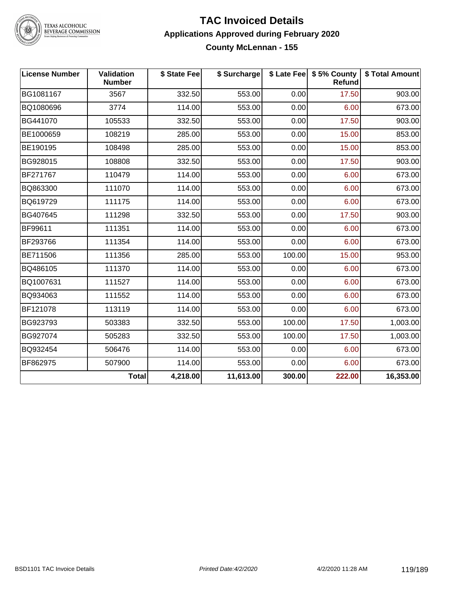

TEXAS ALCOHOLIC<br>BEVERAGE COMMISSION

#### **TAC Invoiced Details Applications Approved during February 2020 County McLennan - 155**

| <b>License Number</b> | <b>Validation</b><br><b>Number</b> | \$ State Fee | \$ Surcharge |        | \$ Late Fee   \$5% County<br>Refund | \$ Total Amount |
|-----------------------|------------------------------------|--------------|--------------|--------|-------------------------------------|-----------------|
| BG1081167             | 3567                               | 332.50       | 553.00       | 0.00   | 17.50                               | 903.00          |
| BQ1080696             | 3774                               | 114.00       | 553.00       | 0.00   | 6.00                                | 673.00          |
| BG441070              | 105533                             | 332.50       | 553.00       | 0.00   | 17.50                               | 903.00          |
| BE1000659             | 108219                             | 285.00       | 553.00       | 0.00   | 15.00                               | 853.00          |
| BE190195              | 108498                             | 285.00       | 553.00       | 0.00   | 15.00                               | 853.00          |
| BG928015              | 108808                             | 332.50       | 553.00       | 0.00   | 17.50                               | 903.00          |
| BF271767              | 110479                             | 114.00       | 553.00       | 0.00   | 6.00                                | 673.00          |
| BQ863300              | 111070                             | 114.00       | 553.00       | 0.00   | 6.00                                | 673.00          |
| BQ619729              | 111175                             | 114.00       | 553.00       | 0.00   | 6.00                                | 673.00          |
| BG407645              | 111298                             | 332.50       | 553.00       | 0.00   | 17.50                               | 903.00          |
| BF99611               | 111351                             | 114.00       | 553.00       | 0.00   | 6.00                                | 673.00          |
| BF293766              | 111354                             | 114.00       | 553.00       | 0.00   | 6.00                                | 673.00          |
| BE711506              | 111356                             | 285.00       | 553.00       | 100.00 | 15.00                               | 953.00          |
| BQ486105              | 111370                             | 114.00       | 553.00       | 0.00   | 6.00                                | 673.00          |
| BQ1007631             | 111527                             | 114.00       | 553.00       | 0.00   | 6.00                                | 673.00          |
| BQ934063              | 111552                             | 114.00       | 553.00       | 0.00   | 6.00                                | 673.00          |
| BF121078              | 113119                             | 114.00       | 553.00       | 0.00   | 6.00                                | 673.00          |
| BG923793              | 503383                             | 332.50       | 553.00       | 100.00 | 17.50                               | 1,003.00        |
| BG927074              | 505283                             | 332.50       | 553.00       | 100.00 | 17.50                               | 1,003.00        |
| BQ932454              | 506476                             | 114.00       | 553.00       | 0.00   | 6.00                                | 673.00          |
| BF862975              | 507900                             | 114.00       | 553.00       | 0.00   | 6.00                                | 673.00          |
|                       | <b>Total</b>                       | 4,218.00     | 11,613.00    | 300.00 | 222.00                              | 16,353.00       |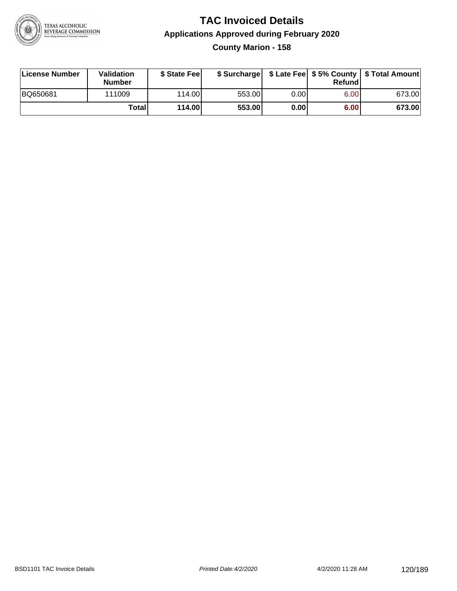

#### **TAC Invoiced Details Applications Approved during February 2020 County Marion - 158**

| License Number | Validation<br>Number | \$ State Fee    |        |       | Refundl | \$ Surcharge   \$ Late Fee   \$5% County   \$ Total Amount |
|----------------|----------------------|-----------------|--------|-------|---------|------------------------------------------------------------|
| BQ650681       | 111009               | 114.00 <b>1</b> | 553.00 | 0.001 | 6.00    | 673.00                                                     |
|                | Totall               | 114.00          | 553.00 | 0.00  | 6.00    | 673.00                                                     |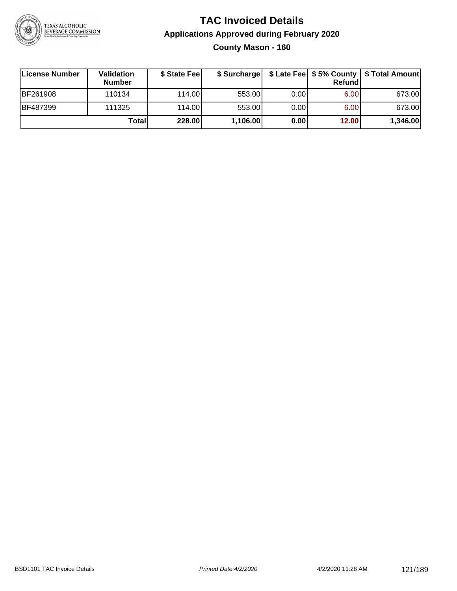

#### **TAC Invoiced Details Applications Approved during February 2020 County Mason - 160**

| License Number  | <b>Validation</b><br><b>Number</b> | \$ State Fee |          |       | Refundl | \$ Surcharge   \$ Late Fee   \$5% County   \$ Total Amount |
|-----------------|------------------------------------|--------------|----------|-------|---------|------------------------------------------------------------|
| <b>BF261908</b> | 110134                             | 114.00       | 553.00   | 0.00  | 6.00    | 673.00                                                     |
| <b>BF487399</b> | 111325                             | 114.00       | 553.00   | 0.001 | 6.00    | 673.00                                                     |
|                 | Totall                             | 228.00       | 1,106.00 | 0.00  | 12.00   | 1,346.00                                                   |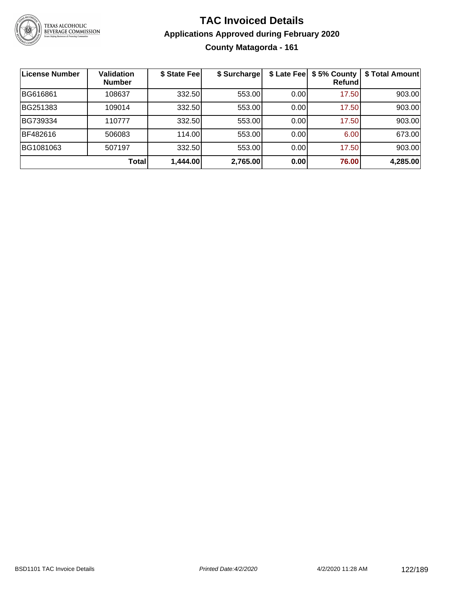

#### **TAC Invoiced Details Applications Approved during February 2020 County Matagorda - 161**

| License Number | Validation<br><b>Number</b> | \$ State Fee | \$ Surcharge |      | \$ Late Fee   \$5% County<br>Refundl | \$ Total Amount |
|----------------|-----------------------------|--------------|--------------|------|--------------------------------------|-----------------|
| BG616861       | 108637                      | 332.50       | 553.00       | 0.00 | 17.50                                | 903.00          |
| BG251383       | 109014                      | 332.50       | 553.00       | 0.00 | 17.50                                | 903.00          |
| BG739334       | 110777                      | 332.50       | 553.00       | 0.00 | 17.50                                | 903.00          |
| BF482616       | 506083                      | 114.00       | 553.00       | 0.00 | 6.00                                 | 673.00          |
| BG1081063      | 507197                      | 332.50       | 553.00       | 0.00 | 17.50                                | 903.00          |
|                | <b>Total</b>                | 1,444.00     | 2,765.00     | 0.00 | 76.00                                | 4,285.00        |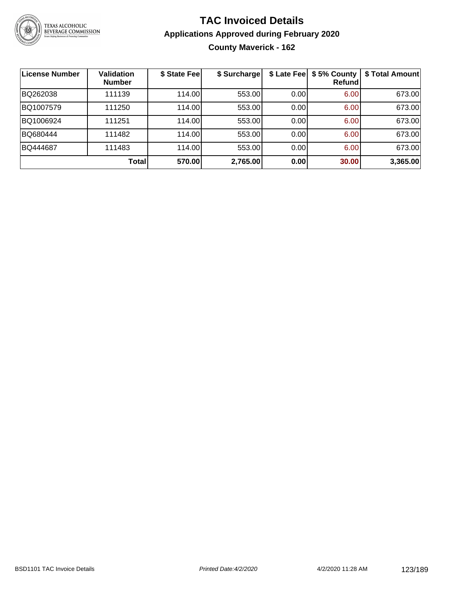

#### **TAC Invoiced Details Applications Approved during February 2020 County Maverick - 162**

| License Number | Validation<br><b>Number</b> | \$ State Fee | \$ Surcharge | \$ Late Fee | \$5% County<br>Refund | \$ Total Amount |
|----------------|-----------------------------|--------------|--------------|-------------|-----------------------|-----------------|
| BQ262038       | 111139                      | 114.00       | 553.00       | 0.00        | 6.00                  | 673.00          |
| BQ1007579      | 111250                      | 114.00       | 553.00       | 0.00        | 6.00                  | 673.00          |
| BQ1006924      | 111251                      | 114.00       | 553.00       | 0.00        | 6.00                  | 673.00          |
| BQ680444       | 111482                      | 114.00       | 553.00       | 0.00        | 6.00                  | 673.00          |
| BQ444687       | 111483                      | 114.00       | 553.00       | 0.00        | 6.00                  | 673.00          |
|                | Total                       | 570.00       | 2,765.00     | 0.00        | 30.00                 | 3,365.00        |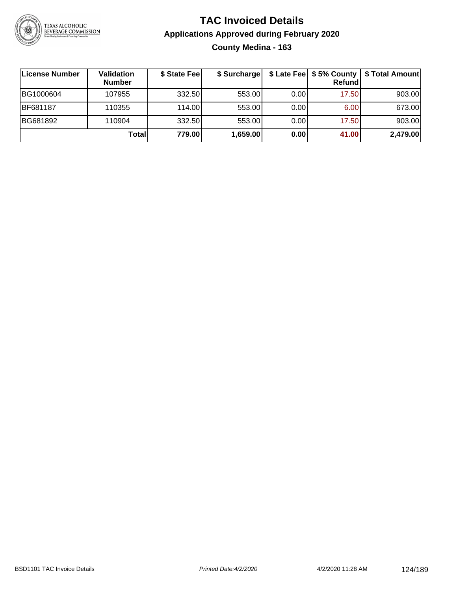

#### **TAC Invoiced Details Applications Approved during February 2020 County Medina - 163**

| License Number | Validation<br><b>Number</b> | \$ State Fee | \$ Surcharge |      | Refundl | \$ Late Fee   \$5% County   \$ Total Amount |
|----------------|-----------------------------|--------------|--------------|------|---------|---------------------------------------------|
| BG1000604      | 107955                      | 332.50       | 553.00       | 0.00 | 17.50   | 903.00                                      |
| BF681187       | 110355                      | 114.00L      | 553.00       | 0.00 | 6.00    | 673.00                                      |
| BG681892       | 110904                      | 332.50       | 553.00       | 0.00 | 17.50   | 903.00                                      |
|                | Total                       | 779.00       | 1,659.00     | 0.00 | 41.00   | 2,479.00                                    |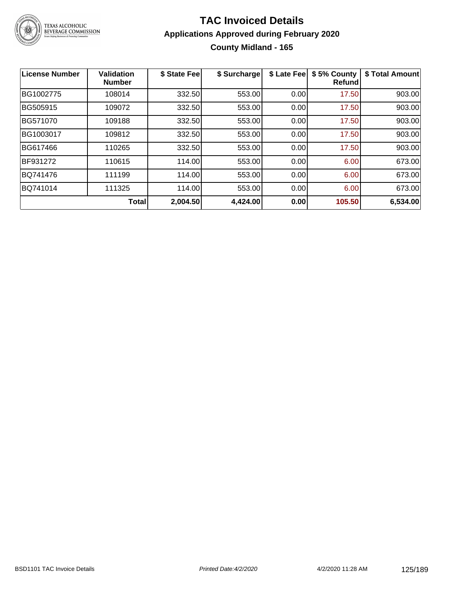

#### **TAC Invoiced Details Applications Approved during February 2020 County Midland - 165**

| <b>License Number</b> | <b>Validation</b><br><b>Number</b> | \$ State Fee | \$ Surcharge | \$ Late Fee | \$5% County<br><b>Refund</b> | \$ Total Amount |
|-----------------------|------------------------------------|--------------|--------------|-------------|------------------------------|-----------------|
| BG1002775             | 108014                             | 332.50       | 553.00       | 0.00        | 17.50                        | 903.00          |
| BG505915              | 109072                             | 332.50       | 553.00       | 0.00        | 17.50                        | 903.00          |
| BG571070              | 109188                             | 332.50       | 553.00       | 0.00        | 17.50                        | 903.00          |
| BG1003017             | 109812                             | 332.50       | 553.00       | 0.00        | 17.50                        | 903.00          |
| BG617466              | 110265                             | 332.50       | 553.00       | 0.00        | 17.50                        | 903.00          |
| BF931272              | 110615                             | 114.00       | 553.00       | 0.00        | 6.00                         | 673.00          |
| BQ741476              | 111199                             | 114.00       | 553.00       | 0.00        | 6.00                         | 673.00          |
| BQ741014              | 111325                             | 114.00       | 553.00       | 0.00        | 6.00                         | 673.00          |
|                       | <b>Total</b>                       | 2,004.50     | 4,424.00     | 0.00        | 105.50                       | 6,534.00        |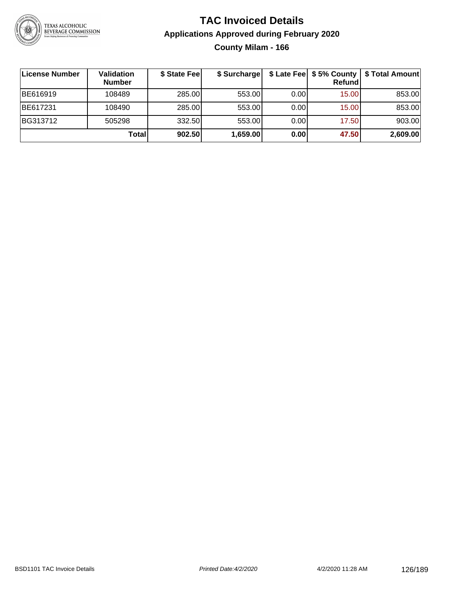

#### **TAC Invoiced Details Applications Approved during February 2020 County Milam - 166**

| <b>License Number</b> | Validation<br><b>Number</b> | \$ State Fee | \$ Surcharge |       | Refundl | \$ Late Fee   \$5% County   \$ Total Amount |
|-----------------------|-----------------------------|--------------|--------------|-------|---------|---------------------------------------------|
| BE616919              | 108489                      | 285.00       | 553.00       | 0.001 | 15.00   | 853.00                                      |
| BE617231              | 108490                      | 285.00       | 553.00       | 0.00  | 15.00   | 853.00                                      |
| BG313712              | 505298                      | 332.50       | 553.00       | 0.00  | 17.50   | 903.00                                      |
|                       | Totall                      | 902.50       | 1,659.00     | 0.00  | 47.50   | 2,609.00                                    |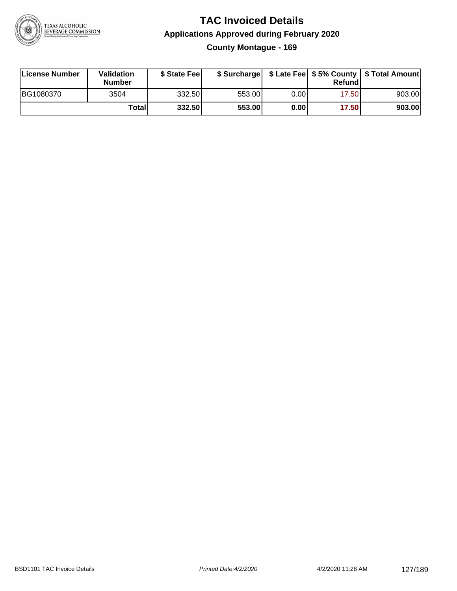

#### **TAC Invoiced Details Applications Approved during February 2020 County Montague - 169**

| License Number | Validation<br><b>Number</b> | \$ State Fee |        |      | Refund | \$ Surcharge   \$ Late Fee   \$5% County   \$ Total Amount |
|----------------|-----------------------------|--------------|--------|------|--------|------------------------------------------------------------|
| BG1080370      | 3504                        | 332.50       | 553.00 | 0.00 | 17.50  | 903.00                                                     |
|                | Total                       | 332.50       | 553.00 | 0.00 | 17.50  | 903.00                                                     |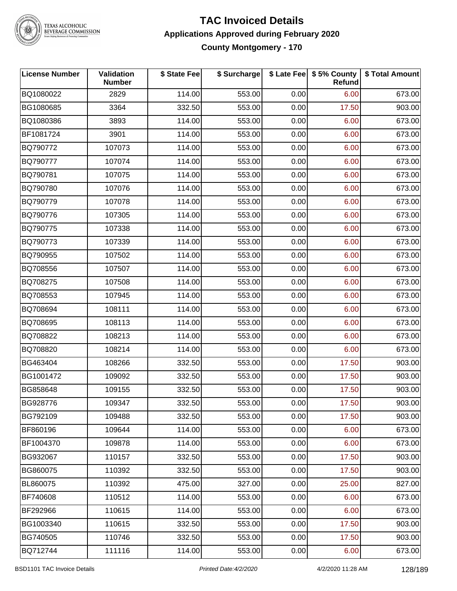

TEXAS ALCOHOLIC<br>BEVERAGE COMMISSION

#### **TAC Invoiced Details Applications Approved during February 2020 County Montgomery - 170**

| <b>License Number</b> | Validation<br><b>Number</b> | \$ State Fee | \$ Surcharge |      | \$ Late Fee   \$5% County<br>Refund | \$ Total Amount |
|-----------------------|-----------------------------|--------------|--------------|------|-------------------------------------|-----------------|
| BQ1080022             | 2829                        | 114.00       | 553.00       | 0.00 | 6.00                                | 673.00          |
| BG1080685             | 3364                        | 332.50       | 553.00       | 0.00 | 17.50                               | 903.00          |
| BQ1080386             | 3893                        | 114.00       | 553.00       | 0.00 | 6.00                                | 673.00          |
| BF1081724             | 3901                        | 114.00       | 553.00       | 0.00 | 6.00                                | 673.00          |
| BQ790772              | 107073                      | 114.00       | 553.00       | 0.00 | 6.00                                | 673.00          |
| BQ790777              | 107074                      | 114.00       | 553.00       | 0.00 | 6.00                                | 673.00          |
| BQ790781              | 107075                      | 114.00       | 553.00       | 0.00 | 6.00                                | 673.00          |
| BQ790780              | 107076                      | 114.00       | 553.00       | 0.00 | 6.00                                | 673.00          |
| BQ790779              | 107078                      | 114.00       | 553.00       | 0.00 | 6.00                                | 673.00          |
| BQ790776              | 107305                      | 114.00       | 553.00       | 0.00 | 6.00                                | 673.00          |
| BQ790775              | 107338                      | 114.00       | 553.00       | 0.00 | 6.00                                | 673.00          |
| BQ790773              | 107339                      | 114.00       | 553.00       | 0.00 | 6.00                                | 673.00          |
| BQ790955              | 107502                      | 114.00       | 553.00       | 0.00 | 6.00                                | 673.00          |
| BQ708556              | 107507                      | 114.00       | 553.00       | 0.00 | 6.00                                | 673.00          |
| BQ708275              | 107508                      | 114.00       | 553.00       | 0.00 | 6.00                                | 673.00          |
| BQ708553              | 107945                      | 114.00       | 553.00       | 0.00 | 6.00                                | 673.00          |
| BQ708694              | 108111                      | 114.00       | 553.00       | 0.00 | 6.00                                | 673.00          |
| BQ708695              | 108113                      | 114.00       | 553.00       | 0.00 | 6.00                                | 673.00          |
| BQ708822              | 108213                      | 114.00       | 553.00       | 0.00 | 6.00                                | 673.00          |
| BQ708820              | 108214                      | 114.00       | 553.00       | 0.00 | 6.00                                | 673.00          |
| BG463404              | 108266                      | 332.50       | 553.00       | 0.00 | 17.50                               | 903.00          |
| BG1001472             | 109092                      | 332.50       | 553.00       | 0.00 | 17.50                               | 903.00          |
| BG858648              | 109155                      | 332.50       | 553.00       | 0.00 | 17.50                               | 903.00          |
| BG928776              | 109347                      | 332.50       | 553.00       | 0.00 | 17.50                               | 903.00          |
| BG792109              | 109488                      | 332.50       | 553.00       | 0.00 | 17.50                               | 903.00          |
| BF860196              | 109644                      | 114.00       | 553.00       | 0.00 | 6.00                                | 673.00          |
| BF1004370             | 109878                      | 114.00       | 553.00       | 0.00 | 6.00                                | 673.00          |
| BG932067              | 110157                      | 332.50       | 553.00       | 0.00 | 17.50                               | 903.00          |
| BG860075              | 110392                      | 332.50       | 553.00       | 0.00 | 17.50                               | 903.00          |
| BL860075              | 110392                      | 475.00       | 327.00       | 0.00 | 25.00                               | 827.00          |
| BF740608              | 110512                      | 114.00       | 553.00       | 0.00 | 6.00                                | 673.00          |
| BF292966              | 110615                      | 114.00       | 553.00       | 0.00 | 6.00                                | 673.00          |
| BG1003340             | 110615                      | 332.50       | 553.00       | 0.00 | 17.50                               | 903.00          |
| BG740505              | 110746                      | 332.50       | 553.00       | 0.00 | 17.50                               | 903.00          |
| BQ712744              | 111116                      | 114.00       | 553.00       | 0.00 | 6.00                                | 673.00          |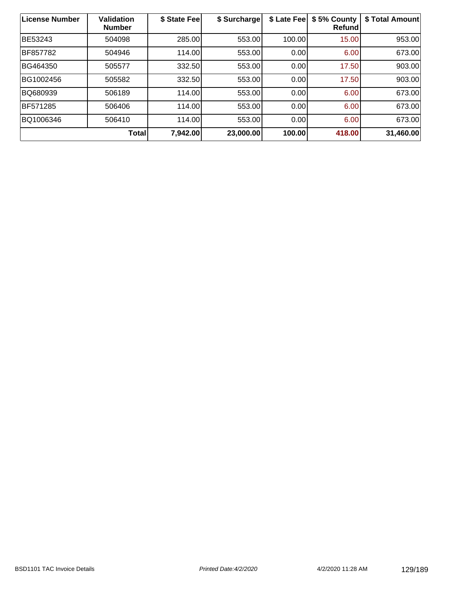| License Number | <b>Validation</b><br><b>Number</b> | \$ State Fee | \$ Surcharge | \$ Late Fee | \$5% County<br>Refund | \$ Total Amount |
|----------------|------------------------------------|--------------|--------------|-------------|-----------------------|-----------------|
| BE53243        | 504098                             | 285.00       | 553.00       | 100.00      | 15.00                 | 953.00          |
| BF857782       | 504946                             | 114.00       | 553.00       | 0.00        | 6.00                  | 673.00          |
| BG464350       | 505577                             | 332.50       | 553.00       | 0.00        | 17.50                 | 903.00          |
| BG1002456      | 505582                             | 332.50       | 553.00       | 0.00        | 17.50                 | 903.00          |
| BQ680939       | 506189                             | 114.00       | 553.00       | 0.00        | 6.00                  | 673.00          |
| BF571285       | 506406                             | 114.00       | 553.00       | 0.00        | 6.00                  | 673.00          |
| BQ1006346      | 506410                             | 114.00       | 553.00       | 0.00        | 6.00                  | 673.00          |
|                | <b>Total</b>                       | 7,942.00     | 23,000.00    | 100.00      | 418.00                | 31,460.00       |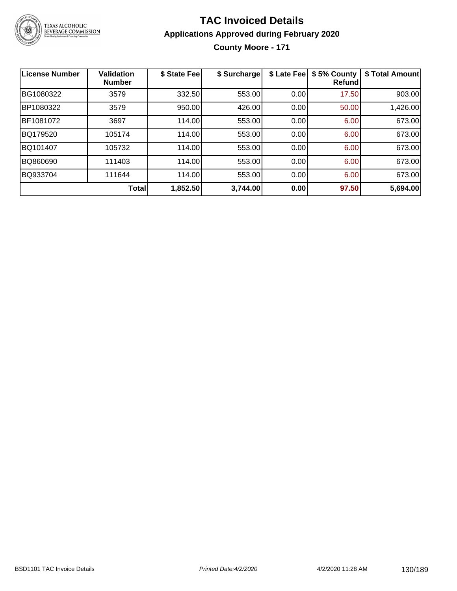

#### **TAC Invoiced Details Applications Approved during February 2020 County Moore - 171**

| <b>License Number</b> | <b>Validation</b><br><b>Number</b> | \$ State Fee | \$ Surcharge | \$ Late Fee | \$5% County<br><b>Refund</b> | \$ Total Amount |
|-----------------------|------------------------------------|--------------|--------------|-------------|------------------------------|-----------------|
| BG1080322             | 3579                               | 332.50       | 553.00       | 0.00        | 17.50                        | 903.00          |
| BP1080322             | 3579                               | 950.00       | 426.00       | 0.00        | 50.00                        | 1,426.00        |
| BF1081072             | 3697                               | 114.00       | 553.00       | 0.00        | 6.00                         | 673.00          |
| BQ179520              | 105174                             | 114.00       | 553.00       | 0.00        | 6.00                         | 673.00          |
| BQ101407              | 105732                             | 114.00       | 553.00       | 0.00        | 6.00                         | 673.00          |
| BQ860690              | 111403                             | 114.00       | 553.00       | 0.00        | 6.00                         | 673.00          |
| BQ933704              | 111644                             | 114.00       | 553.00       | 0.00        | 6.00                         | 673.00          |
|                       | Total                              | 1,852.50     | 3,744.00     | 0.00        | 97.50                        | 5,694.00        |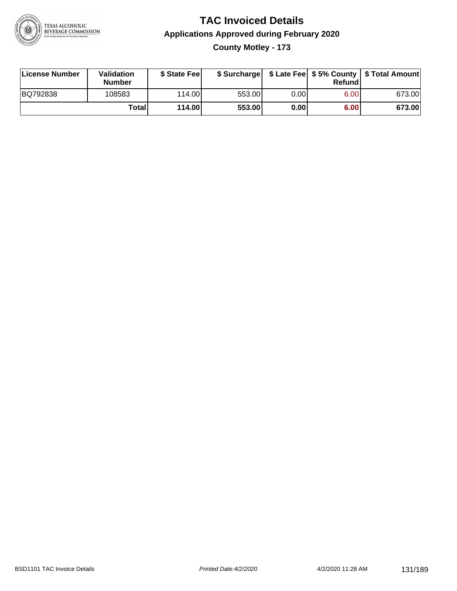

#### **TAC Invoiced Details Applications Approved during February 2020 County Motley - 173**

| License Number | Validation<br><b>Number</b> | \$ State Fee    |        |      | Refundl | \$ Surcharge   \$ Late Fee   \$5% County   \$ Total Amount |
|----------------|-----------------------------|-----------------|--------|------|---------|------------------------------------------------------------|
| BQ792838       | 108583                      | 114.00 <b>1</b> | 553.00 | 0.00 | 6.00    | 673.00                                                     |
|                | Totall                      | 114.00          | 553.00 | 0.00 | 6.00    | 673.00                                                     |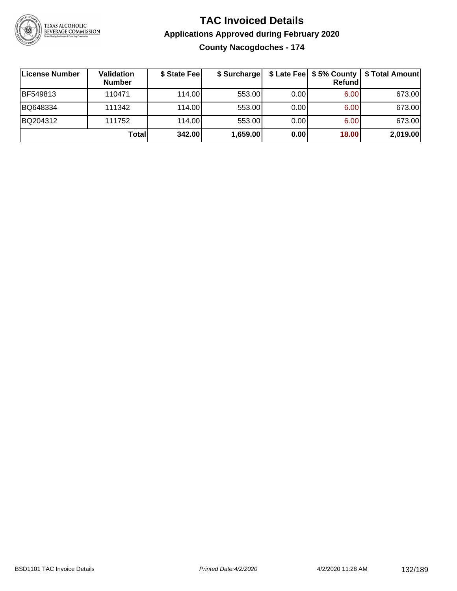

**County Nacogdoches - 174**

| ∣License Number | Validation<br><b>Number</b> | \$ State Fee | \$ Surcharge |      | <b>Refund</b> | \$ Late Fee   \$5% County   \$ Total Amount |
|-----------------|-----------------------------|--------------|--------------|------|---------------|---------------------------------------------|
| BF549813        | 110471                      | 114.00       | 553.00       | 0.00 | 6.00          | 673.00                                      |
| BQ648334        | 111342                      | 114.00       | 553.00       | 0.00 | 6.00          | 673.00                                      |
| BQ204312        | 111752                      | 114.00       | 553.00       | 0.00 | 6.00          | 673.00                                      |
|                 | Totall                      | 342.00       | 1,659.00     | 0.00 | 18.00         | 2,019.00                                    |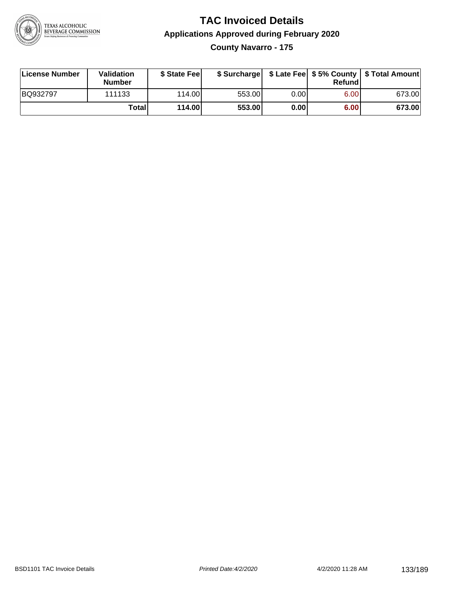

#### **TAC Invoiced Details Applications Approved during February 2020 County Navarro - 175**

| License Number | Validation<br><b>Number</b> | \$ State Feel |        |      | Refund | \$ Surcharge   \$ Late Fee   \$5% County   \$ Total Amount |
|----------------|-----------------------------|---------------|--------|------|--------|------------------------------------------------------------|
| BQ932797       | 111133                      | 114.00L       | 553.00 | 0.00 | 6.00   | 673.00                                                     |
|                | Totall                      | 114.00        | 553.00 | 0.00 | 6.00   | 673.00                                                     |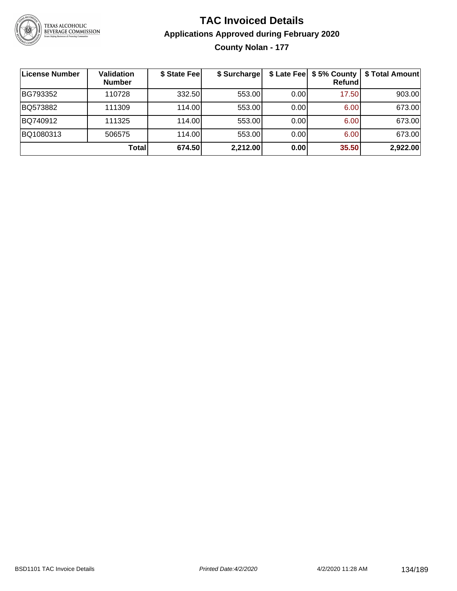

**County Nolan - 177**

| License Number | <b>Validation</b><br><b>Number</b> | \$ State Fee | \$ Surcharge |      | \$ Late Fee   \$5% County<br><b>Refund</b> | \$ Total Amount |
|----------------|------------------------------------|--------------|--------------|------|--------------------------------------------|-----------------|
| BG793352       | 110728                             | 332.50       | 553.00       | 0.00 | 17.50                                      | 903.00          |
| BQ573882       | 111309                             | 114.00       | 553.00       | 0.00 | 6.00                                       | 673.00          |
| BQ740912       | 111325                             | 114.00L      | 553.00       | 0.00 | 6.00                                       | 673.00          |
| BQ1080313      | 506575                             | 114.00       | 553.00       | 0.00 | 6.00                                       | 673.00          |
|                | Total                              | 674.50       | 2,212.00     | 0.00 | 35.50                                      | 2,922.00        |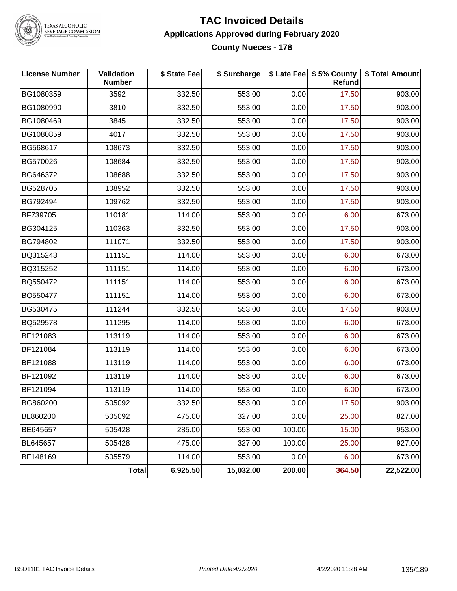

TEXAS ALCOHOLIC<br>BEVERAGE COMMISSION

#### **TAC Invoiced Details Applications Approved during February 2020 County Nueces - 178**

| <b>License Number</b> | Validation<br><b>Number</b> | \$ State Fee | \$ Surcharge |        | \$ Late Fee   \$5% County<br>Refund | \$ Total Amount |
|-----------------------|-----------------------------|--------------|--------------|--------|-------------------------------------|-----------------|
| BG1080359             | 3592                        | 332.50       | 553.00       | 0.00   | 17.50                               | 903.00          |
| BG1080990             | 3810                        | 332.50       | 553.00       | 0.00   | 17.50                               | 903.00          |
| BG1080469             | 3845                        | 332.50       | 553.00       | 0.00   | 17.50                               | 903.00          |
| BG1080859             | 4017                        | 332.50       | 553.00       | 0.00   | 17.50                               | 903.00          |
| BG568617              | 108673                      | 332.50       | 553.00       | 0.00   | 17.50                               | 903.00          |
| BG570026              | 108684                      | 332.50       | 553.00       | 0.00   | 17.50                               | 903.00          |
| BG646372              | 108688                      | 332.50       | 553.00       | 0.00   | 17.50                               | 903.00          |
| BG528705              | 108952                      | 332.50       | 553.00       | 0.00   | 17.50                               | 903.00          |
| BG792494              | 109762                      | 332.50       | 553.00       | 0.00   | 17.50                               | 903.00          |
| BF739705              | 110181                      | 114.00       | 553.00       | 0.00   | 6.00                                | 673.00          |
| BG304125              | 110363                      | 332.50       | 553.00       | 0.00   | 17.50                               | 903.00          |
| BG794802              | 111071                      | 332.50       | 553.00       | 0.00   | 17.50                               | 903.00          |
| BQ315243              | 111151                      | 114.00       | 553.00       | 0.00   | 6.00                                | 673.00          |
| BQ315252              | 111151                      | 114.00       | 553.00       | 0.00   | 6.00                                | 673.00          |
| BQ550472              | 111151                      | 114.00       | 553.00       | 0.00   | 6.00                                | 673.00          |
| BQ550477              | 111151                      | 114.00       | 553.00       | 0.00   | 6.00                                | 673.00          |
| BG530475              | 111244                      | 332.50       | 553.00       | 0.00   | 17.50                               | 903.00          |
| BQ529578              | 111295                      | 114.00       | 553.00       | 0.00   | 6.00                                | 673.00          |
| BF121083              | 113119                      | 114.00       | 553.00       | 0.00   | 6.00                                | 673.00          |
| BF121084              | 113119                      | 114.00       | 553.00       | 0.00   | 6.00                                | 673.00          |
| BF121088              | 113119                      | 114.00       | 553.00       | 0.00   | 6.00                                | 673.00          |
| BF121092              | 113119                      | 114.00       | 553.00       | 0.00   | 6.00                                | 673.00          |
| BF121094              | 113119                      | 114.00       | 553.00       | 0.00   | 6.00                                | 673.00          |
| BG860200              | 505092                      | 332.50       | 553.00       | 0.00   | 17.50                               | 903.00          |
| BL860200              | 505092                      | 475.00       | 327.00       | 0.00   | 25.00                               | 827.00          |
| BE645657              | 505428                      | 285.00       | 553.00       | 100.00 | 15.00                               | 953.00          |
| BL645657              | 505428                      | 475.00       | 327.00       | 100.00 | 25.00                               | 927.00          |
| BF148169              | 505579                      | 114.00       | 553.00       | 0.00   | 6.00                                | 673.00          |
|                       | <b>Total</b>                | 6,925.50     | 15,032.00    | 200.00 | 364.50                              | 22,522.00       |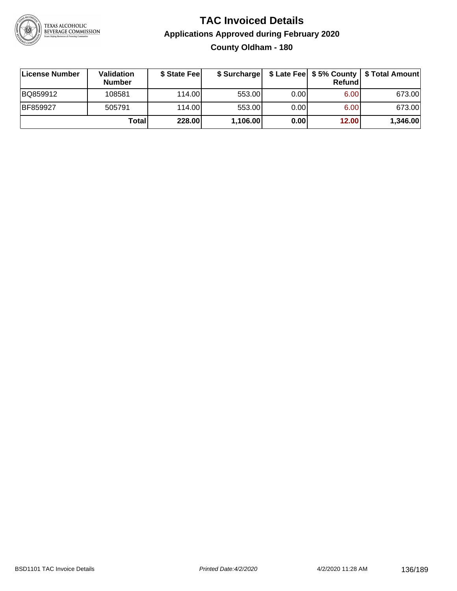

#### **TAC Invoiced Details Applications Approved during February 2020 County Oldham - 180**

| ∣License Number | <b>Validation</b><br><b>Number</b> | \$ State Fee |          |       | <b>Refund</b> | \$ Surcharge   \$ Late Fee   \$5% County   \$ Total Amount |
|-----------------|------------------------------------|--------------|----------|-------|---------------|------------------------------------------------------------|
| BQ859912        | 108581                             | 114.00       | 553.00   | 0.001 | 6.00          | 673.00                                                     |
| BF859927        | 505791                             | 114.00       | 553.00   | 0.001 | 6.00          | 673.00                                                     |
|                 | Totall                             | 228.00       | 1,106.00 | 0.00  | 12.00         | 1,346.00                                                   |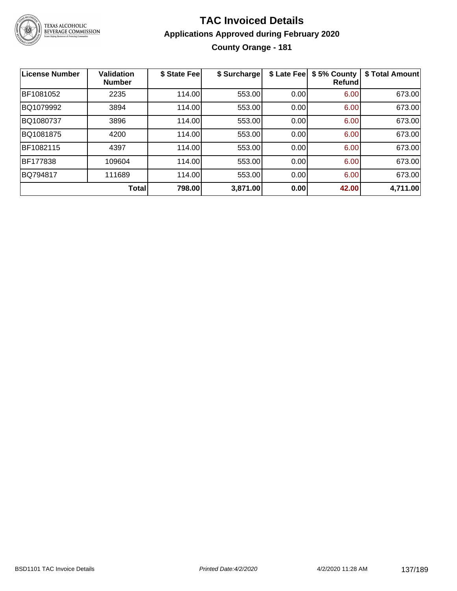

#### **TAC Invoiced Details Applications Approved during February 2020 County Orange - 181**

| <b>License Number</b> | <b>Validation</b><br><b>Number</b> | \$ State Fee | \$ Surcharge | \$ Late Fee | \$5% County<br><b>Refund</b> | \$ Total Amount |
|-----------------------|------------------------------------|--------------|--------------|-------------|------------------------------|-----------------|
| BF1081052             | 2235                               | 114.00       | 553.00       | 0.00        | 6.00                         | 673.00          |
| BQ1079992             | 3894                               | 114.00       | 553.00       | 0.00        | 6.00                         | 673.00          |
| BQ1080737             | 3896                               | 114.00       | 553.00       | 0.00        | 6.00                         | 673.00          |
| BQ1081875             | 4200                               | 114.00       | 553.00       | 0.00        | 6.00                         | 673.00          |
| BF1082115             | 4397                               | 114.00       | 553.00       | 0.00        | 6.00                         | 673.00          |
| <b>BF177838</b>       | 109604                             | 114.00       | 553.00       | 0.00        | 6.00                         | 673.00          |
| BQ794817              | 111689                             | 114.00       | 553.00       | 0.00        | 6.00                         | 673.00          |
|                       | Total                              | 798.00       | 3,871.00     | 0.00        | 42.00                        | 4,711.00        |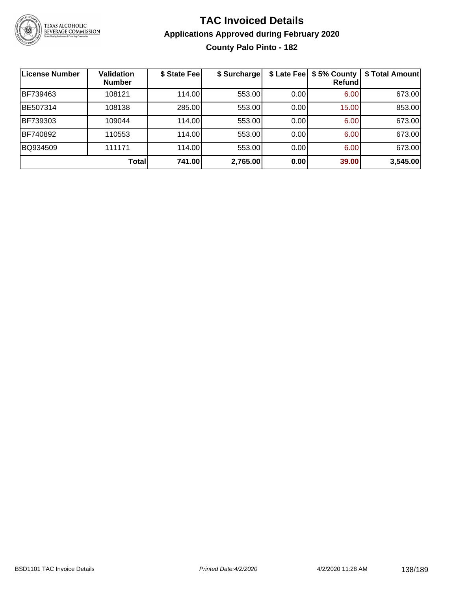

#### **TAC Invoiced Details Applications Approved during February 2020 County Palo Pinto - 182**

| License Number | <b>Validation</b><br><b>Number</b> | \$ State Fee | \$ Surcharge | \$ Late Fee | \$5% County<br>Refundl | \$ Total Amount |
|----------------|------------------------------------|--------------|--------------|-------------|------------------------|-----------------|
| BF739463       | 108121                             | 114.00       | 553.00       | 0.00        | 6.00                   | 673.00          |
| BE507314       | 108138                             | 285.00       | 553.00       | 0.00        | 15.00                  | 853.00          |
| BF739303       | 109044                             | 114.00       | 553.00       | 0.00        | 6.00                   | 673.00          |
| BF740892       | 110553                             | 114.00       | 553.00       | 0.00        | 6.00                   | 673.00          |
| BQ934509       | 111171                             | 114.00       | 553.00       | 0.00        | 6.00                   | 673.00          |
|                | <b>Total</b>                       | 741.00       | 2,765.00     | 0.00        | 39.00                  | 3,545.00        |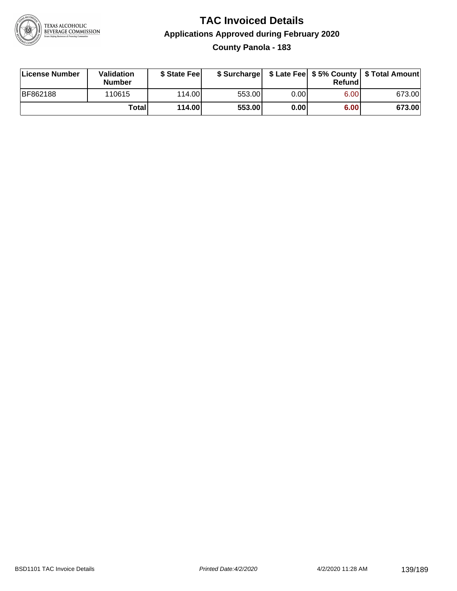

#### **TAC Invoiced Details Applications Approved during February 2020 County Panola - 183**

| License Number  | Validation<br><b>Number</b> | \$ State Feel |        |       | Refundl | \$ Surcharge   \$ Late Fee   \$5% County   \$ Total Amount |
|-----------------|-----------------------------|---------------|--------|-------|---------|------------------------------------------------------------|
| <b>BF862188</b> | 110615                      | 114.00        | 553.00 | 0.00  | 6.00    | 673.00                                                     |
|                 | Totall                      | 114.00        | 553.00 | 0.001 | 6.00    | 673.00                                                     |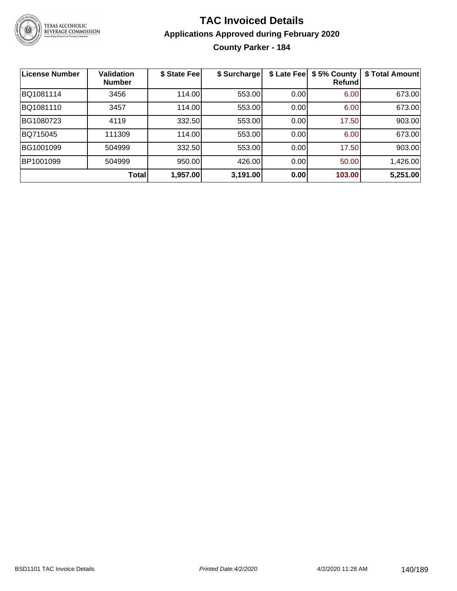

#### **TAC Invoiced Details Applications Approved during February 2020 County Parker - 184**

| <b>License Number</b> | <b>Validation</b><br><b>Number</b> | \$ State Fee | \$ Surcharge | \$ Late Fee | \$5% County<br>Refundl | \$ Total Amount |
|-----------------------|------------------------------------|--------------|--------------|-------------|------------------------|-----------------|
| BQ1081114             | 3456                               | 114.00       | 553.00       | 0.00        | 6.00                   | 673.00          |
| BQ1081110             | 3457                               | 114.00       | 553.00       | 0.00        | 6.00                   | 673.00          |
| BG1080723             | 4119                               | 332.50       | 553.00       | 0.00        | 17.50                  | 903.00          |
| BQ715045              | 111309                             | 114.00       | 553.00       | 0.00        | 6.00                   | 673.00          |
| BG1001099             | 504999                             | 332.50       | 553.00       | 0.00        | 17.50                  | 903.00          |
| BP1001099             | 504999                             | 950.00       | 426.00       | 0.00        | 50.00                  | 1,426.00        |
|                       | <b>Total</b>                       | 1,957.00     | 3,191.00     | 0.00        | 103.00                 | 5,251.00        |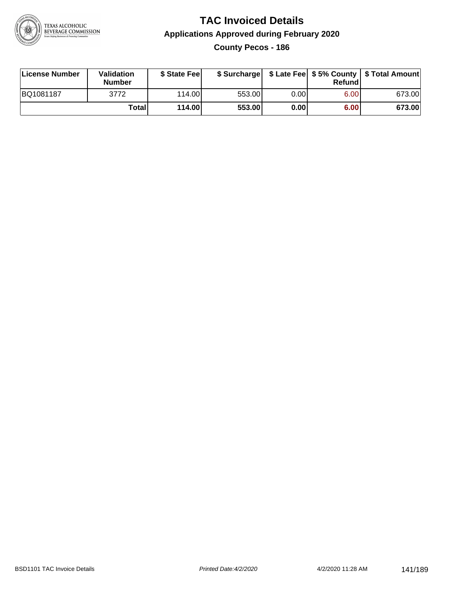

**County Pecos - 186**

| License Number | Validation<br><b>Number</b> | \$ State Fee |        |      | Refundl | \$ Surcharge   \$ Late Fee   \$5% County   \$ Total Amount |
|----------------|-----------------------------|--------------|--------|------|---------|------------------------------------------------------------|
| BQ1081187      | 3772                        | 114.00       | 553.00 | 0.00 | 6.00    | 673.00                                                     |
|                | <b>Total</b>                | 114.00       | 553.00 | 0.00 | 6.00    | 673.00                                                     |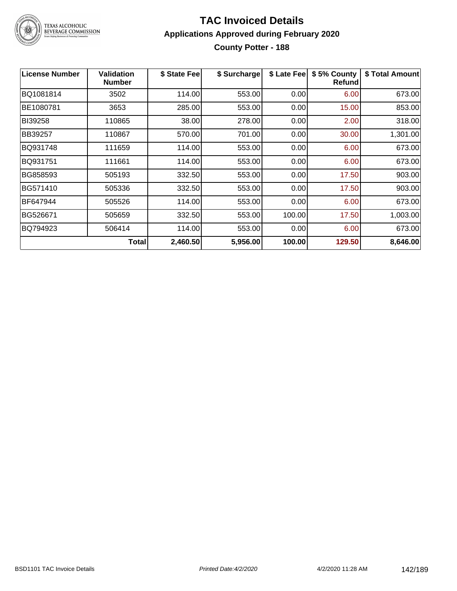

### TEXAS ALCOHOLIC<br>BEVERAGE COMMISSION

#### **TAC Invoiced Details Applications Approved during February 2020 County Potter - 188**

| <b>License Number</b> | <b>Validation</b><br><b>Number</b> | \$ State Fee | \$ Surcharge | \$ Late Fee | \$5% County<br><b>Refund</b> | \$ Total Amount |
|-----------------------|------------------------------------|--------------|--------------|-------------|------------------------------|-----------------|
| BQ1081814             | 3502                               | 114.00       | 553.00       | 0.00        | 6.00                         | 673.00          |
| BE1080781             | 3653                               | 285.00       | 553.00       | 0.00        | 15.00                        | 853.00          |
| BI39258               | 110865                             | 38.00        | 278.00       | 0.00        | 2.00                         | 318.00          |
| BB39257               | 110867                             | 570.00       | 701.00       | 0.00        | 30.00                        | 1,301.00        |
| BQ931748              | 111659                             | 114.00       | 553.00       | 0.00        | 6.00                         | 673.00          |
| BQ931751              | 111661                             | 114.00       | 553.00       | 0.00        | 6.00                         | 673.00          |
| BG858593              | 505193                             | 332.50       | 553.00       | 0.00        | 17.50                        | 903.00          |
| BG571410              | 505336                             | 332.50       | 553.00       | 0.00        | 17.50                        | 903.00          |
| BF647944              | 505526                             | 114.00       | 553.00       | 0.00        | 6.00                         | 673.00          |
| BG526671              | 505659                             | 332.50       | 553.00       | 100.00      | 17.50                        | 1,003.00        |
| BQ794923              | 506414                             | 114.00       | 553.00       | 0.00        | 6.00                         | 673.00          |
|                       | <b>Total</b>                       | 2,460.50     | 5,956.00     | 100.00      | 129.50                       | 8,646.00        |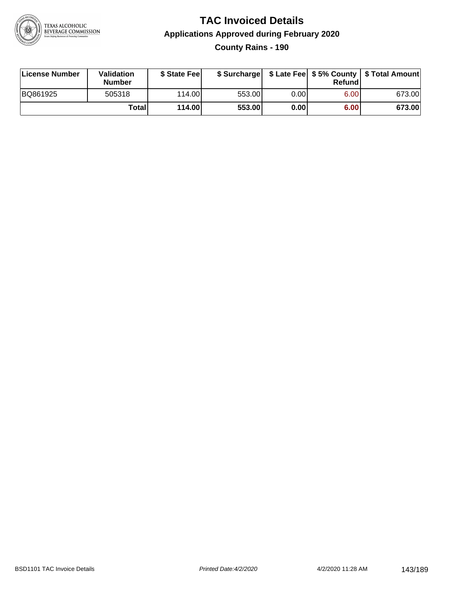

**County Rains - 190**

| License Number | Validation<br><b>Number</b> | \$ State Feel |        |      | Refundl | \$ Surcharge   \$ Late Fee   \$5% County   \$ Total Amount |
|----------------|-----------------------------|---------------|--------|------|---------|------------------------------------------------------------|
| BQ861925       | 505318                      | 114.00        | 553.00 | 0.00 | 6.00    | 673.00                                                     |
|                | Totall                      | 114.00        | 553.00 | 0.00 | 6.00    | 673.00                                                     |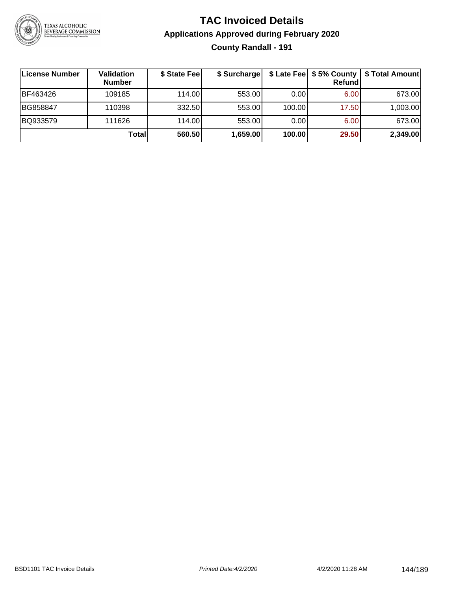

#### **TAC Invoiced Details Applications Approved during February 2020 County Randall - 191**

| License Number | <b>Validation</b><br><b>Number</b> | \$ State Feel | \$ Surcharge |        | Refundl | \$ Late Fee   \$5% County   \$ Total Amount |
|----------------|------------------------------------|---------------|--------------|--------|---------|---------------------------------------------|
| BF463426       | 109185                             | 114.00        | 553.00       | 0.00   | 6.00    | 673.00                                      |
| BG858847       | 110398                             | 332.50        | 553.00       | 100.00 | 17.50   | 1,003.00                                    |
| BQ933579       | 111626                             | 114.00        | 553.00       | 0.00   | 6.00    | 673.00                                      |
|                | Total                              | 560.50        | 1,659.00     | 100.00 | 29.50   | 2,349.00                                    |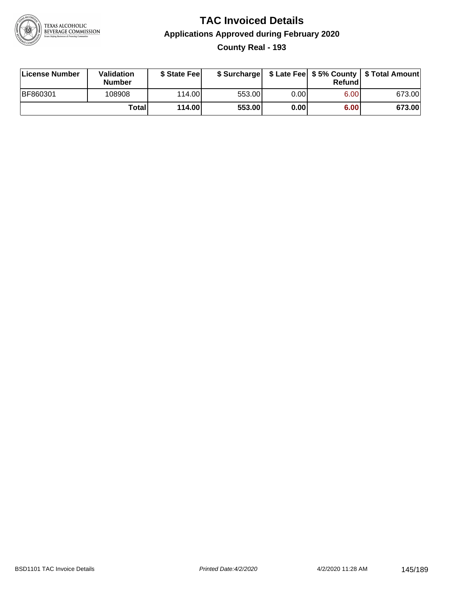

# **TAC Invoiced Details Applications Approved during February 2020 County Real - 193**

| License Number | <b>Validation</b><br><b>Number</b> | \$ State Feel |        |      | Refundl | \$ Surcharge   \$ Late Fee   \$5% County   \$ Total Amount |
|----------------|------------------------------------|---------------|--------|------|---------|------------------------------------------------------------|
| BF860301       | 108908                             | 114.00        | 553.00 | 0.00 | 6.00    | 673.00                                                     |
|                | Totall                             | 114.00        | 553.00 | 0.00 | 6.00    | 673.00                                                     |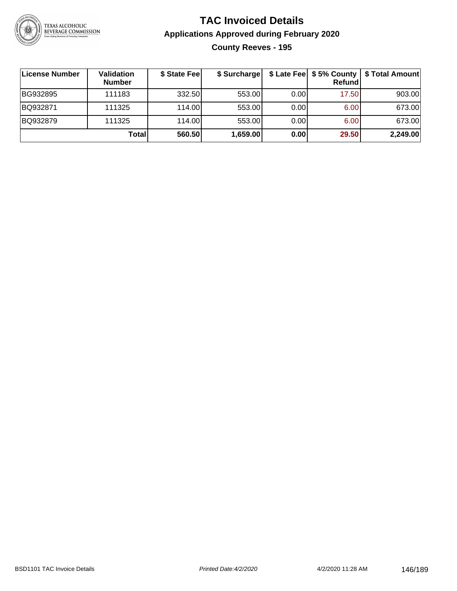

# **TAC Invoiced Details Applications Approved during February 2020 County Reeves - 195**

| License Number | Validation<br><b>Number</b> | \$ State Fee | \$ Surcharge |       | Refund | \$ Late Fee   \$5% County   \$ Total Amount |
|----------------|-----------------------------|--------------|--------------|-------|--------|---------------------------------------------|
| BG932895       | 111183                      | 332.50       | 553.00       | 0.001 | 17.50  | 903.00                                      |
| BQ932871       | 111325                      | 114.00L      | 553.00       | 0.00  | 6.00   | 673.00                                      |
| BQ932879       | 111325                      | 114.00       | 553.00       | 0.00  | 6.00   | 673.00                                      |
|                | Total                       | 560.50       | 1,659.00     | 0.00  | 29.50  | 2,249.00                                    |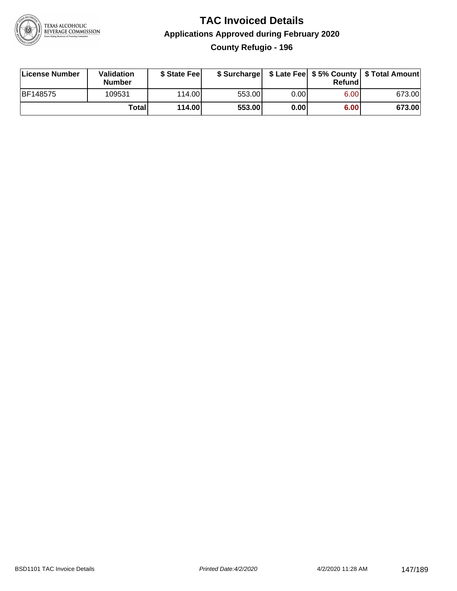

# **TAC Invoiced Details Applications Approved during February 2020 County Refugio - 196**

| License Number  | Validation<br><b>Number</b> | \$ State Feel |        |       | Refund | \$ Surcharge   \$ Late Fee   \$5% County   \$ Total Amount |
|-----------------|-----------------------------|---------------|--------|-------|--------|------------------------------------------------------------|
| <b>BF148575</b> | 109531                      | 114.00        | 553.00 | 0.001 | 6.00   | 673.00                                                     |
|                 | Totall                      | 114.00        | 553.00 | 0.00  | 6.00   | 673.00                                                     |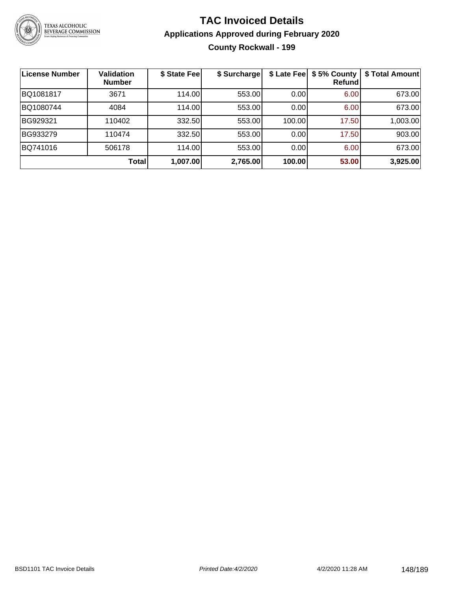

# **TAC Invoiced Details Applications Approved during February 2020 County Rockwall - 199**

| License Number | <b>Validation</b><br><b>Number</b> | \$ State Fee | \$ Surcharge |        | \$ Late Fee   \$5% County<br>Refund | \$ Total Amount |
|----------------|------------------------------------|--------------|--------------|--------|-------------------------------------|-----------------|
| BQ1081817      | 3671                               | 114.00       | 553.00       | 0.00   | 6.00                                | 673.00          |
| BQ1080744      | 4084                               | 114.00       | 553.00       | 0.00   | 6.00                                | 673.00          |
| BG929321       | 110402                             | 332.50       | 553.00       | 100.00 | 17.50                               | 1,003.00        |
| BG933279       | 110474                             | 332.50       | 553.00       | 0.00   | 17.50                               | 903.00          |
| BQ741016       | 506178                             | 114.00       | 553.00       | 0.00   | 6.00                                | 673.00          |
|                | Total                              | 1,007.00     | 2,765.00     | 100.00 | 53.00                               | 3,925.00        |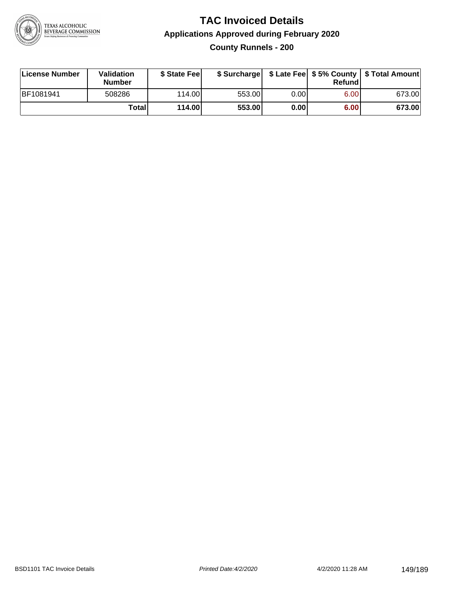

# **TAC Invoiced Details Applications Approved during February 2020 County Runnels - 200**

| License Number | Validation<br><b>Number</b> | \$ State Feel |        |       | Refund | \$ Surcharge   \$ Late Fee   \$5% County   \$ Total Amount |
|----------------|-----------------------------|---------------|--------|-------|--------|------------------------------------------------------------|
| BF1081941      | 508286                      | 114.00L       | 553.00 | 0.001 | 6.00   | 673.00                                                     |
|                | Totall                      | 114.00        | 553.00 | 0.00  | 6.00   | 673.00                                                     |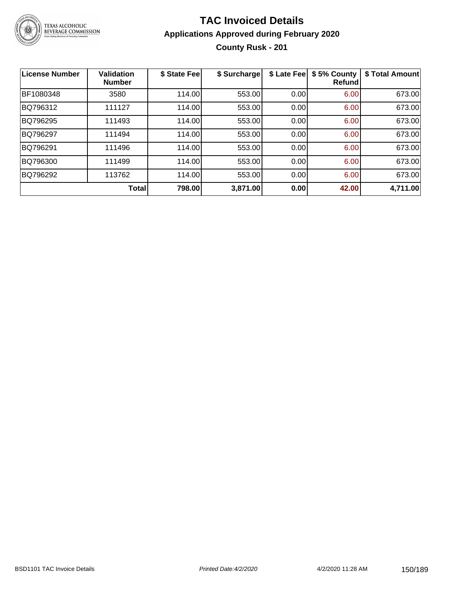

# **TAC Invoiced Details Applications Approved during February 2020 County Rusk - 201**

| <b>License Number</b> | <b>Validation</b><br><b>Number</b> | \$ State Fee | \$ Surcharge | \$ Late Fee | \$5% County<br><b>Refund</b> | \$ Total Amount |
|-----------------------|------------------------------------|--------------|--------------|-------------|------------------------------|-----------------|
| BF1080348             | 3580                               | 114.00       | 553.00       | 0.00        | 6.00                         | 673.00          |
| BQ796312              | 111127                             | 114.00       | 553.00       | 0.00        | 6.00                         | 673.00          |
| BQ796295              | 111493                             | 114.00       | 553.00       | 0.00        | 6.00                         | 673.00          |
| BQ796297              | 111494                             | 114.00       | 553.00       | 0.00        | 6.00                         | 673.00          |
| BQ796291              | 111496                             | 114.00       | 553.00       | 0.00        | 6.00                         | 673.00          |
| BQ796300              | 111499                             | 114.00       | 553.00       | 0.00        | 6.00                         | 673.00          |
| BQ796292              | 113762                             | 114.00       | 553.00       | 0.00        | 6.00                         | 673.00          |
|                       | Total                              | 798.00       | 3,871.00     | 0.00        | 42.00                        | 4,711.00        |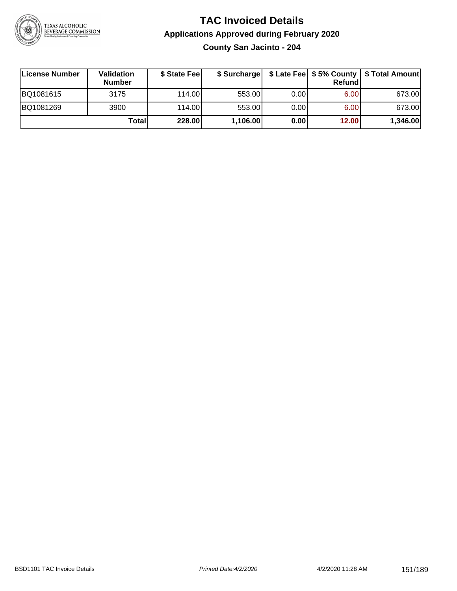

# **TAC Invoiced Details Applications Approved during February 2020 County San Jacinto - 204**

| ∣License Number | Validation<br><b>Number</b> | \$ State Fee |          |      | <b>Refund</b> | \$ Surcharge   \$ Late Fee   \$5% County   \$ Total Amount |
|-----------------|-----------------------------|--------------|----------|------|---------------|------------------------------------------------------------|
| BQ1081615       | 3175                        | 114.00       | 553.00   | 0.00 | 6.00          | 673.00                                                     |
| BQ1081269       | 3900                        | 114.00       | 553.00   | 0.00 | 6.00          | 673.00                                                     |
|                 | <b>Total</b>                | 228.00       | 1,106.00 | 0.00 | 12.00         | 1,346.00                                                   |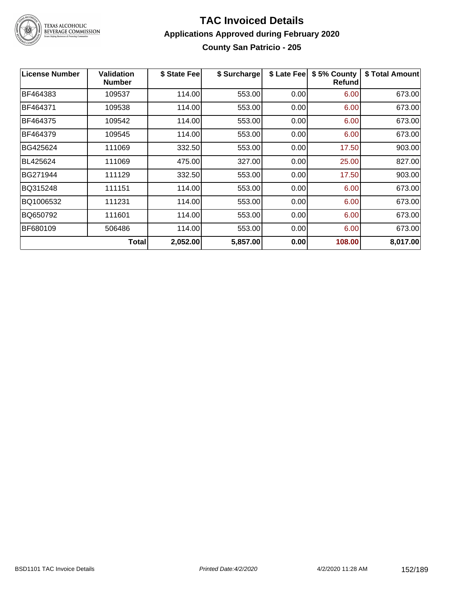

#### **TAC Invoiced Details Applications Approved during February 2020 County San Patricio - 205**

| <b>License Number</b> | <b>Validation</b><br><b>Number</b> | \$ State Fee | \$ Surcharge | \$ Late Fee | \$5% County<br><b>Refund</b> | \$ Total Amount |
|-----------------------|------------------------------------|--------------|--------------|-------------|------------------------------|-----------------|
| BF464383              | 109537                             | 114.00       | 553.00       | 0.00        | 6.00                         | 673.00          |
| BF464371              | 109538                             | 114.00       | 553.00       | 0.00        | 6.00                         | 673.00          |
| BF464375              | 109542                             | 114.00       | 553.00       | 0.00        | 6.00                         | 673.00          |
| BF464379              | 109545                             | 114.00       | 553.00       | 0.00        | 6.00                         | 673.00          |
| BG425624              | 111069                             | 332.50       | 553.00       | 0.00        | 17.50                        | 903.00          |
| BL425624              | 111069                             | 475.00       | 327.00       | 0.00        | 25.00                        | 827.00          |
| BG271944              | 111129                             | 332.50       | 553.00       | 0.00        | 17.50                        | 903.00          |
| BQ315248              | 111151                             | 114.00       | 553.00       | 0.00        | 6.00                         | 673.00          |
| BQ1006532             | 111231                             | 114.00       | 553.00       | 0.00        | 6.00                         | 673.00          |
| BQ650792              | 111601                             | 114.00       | 553.00       | 0.00        | 6.00                         | 673.00          |
| BF680109              | 506486                             | 114.00       | 553.00       | 0.00        | 6.00                         | 673.00          |
|                       | Total                              | 2,052.00     | 5,857.00     | 0.00        | 108.00                       | 8,017.00        |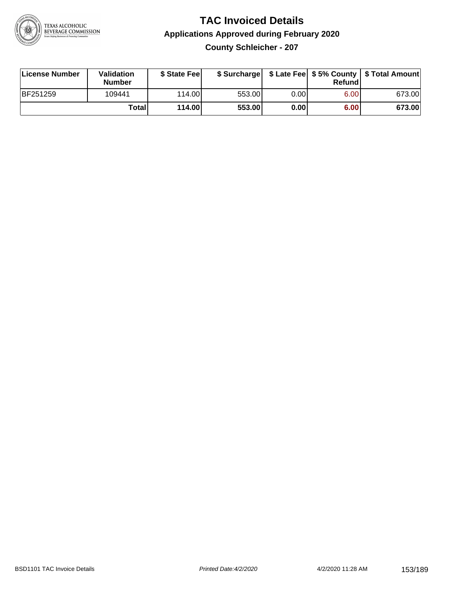

# **TAC Invoiced Details Applications Approved during February 2020**

**County Schleicher - 207**

| License Number | <b>Validation</b><br><b>Number</b> | \$ State Feel | \$ Surcharge |       | Refundl |        |
|----------------|------------------------------------|---------------|--------------|-------|---------|--------|
| BF251259       | 109441                             | 114.00L       | 553.00       | 0.001 | 6.00    | 673.00 |
|                | Totall                             | 114.00        | 553.00       | 0.00  | 6.00    | 673.00 |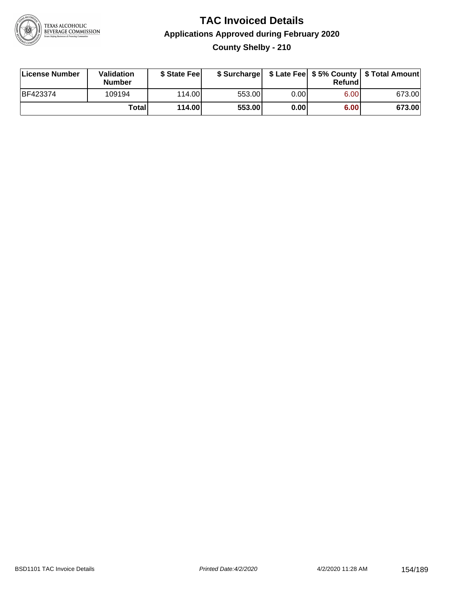

# **TAC Invoiced Details Applications Approved during February 2020 County Shelby - 210**

| License Number | Validation<br><b>Number</b> | \$ State Feel |        |       | Refund | \$ Surcharge   \$ Late Fee   \$5% County   \$ Total Amount |
|----------------|-----------------------------|---------------|--------|-------|--------|------------------------------------------------------------|
| BF423374       | 109194                      | 114.00        | 553.00 | 0.001 | 6.00   | 673.00                                                     |
|                | Totall                      | 114.00        | 553.00 | 0.00  | 6.00   | 673.00                                                     |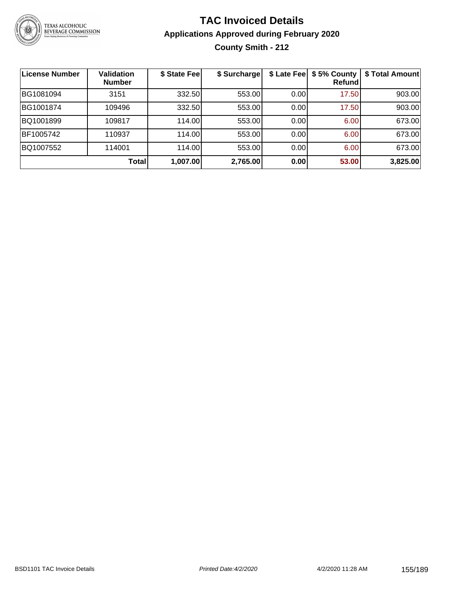

# **TAC Invoiced Details Applications Approved during February 2020 County Smith - 212**

| License Number | <b>Validation</b><br><b>Number</b> | \$ State Fee | \$ Surcharge |      | \$ Late Fee   \$5% County<br>Refundl | \$ Total Amount |
|----------------|------------------------------------|--------------|--------------|------|--------------------------------------|-----------------|
| BG1081094      | 3151                               | 332.50       | 553.00       | 0.00 | 17.50                                | 903.00          |
| BG1001874      | 109496                             | 332.50       | 553.00       | 0.00 | 17.50                                | 903.00          |
| BQ1001899      | 109817                             | 114.00       | 553.00       | 0.00 | 6.00                                 | 673.00          |
| BF1005742      | 110937                             | 114.00       | 553.00       | 0.00 | 6.00                                 | 673.00          |
| BQ1007552      | 114001                             | 114.00       | 553.00       | 0.00 | 6.00                                 | 673.00          |
|                | <b>Total</b>                       | 1,007.00     | 2,765.00     | 0.00 | 53.00                                | 3,825.00        |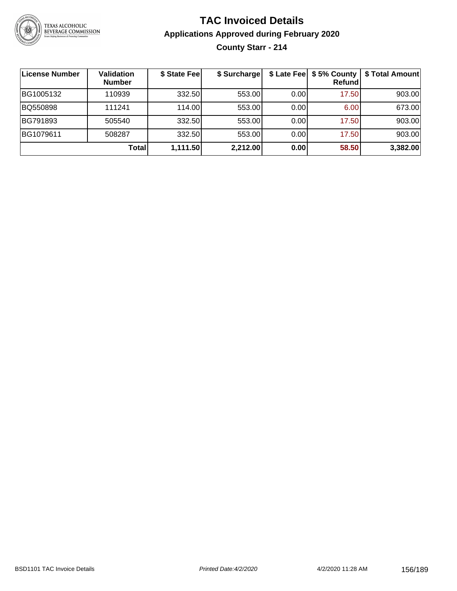

# **TAC Invoiced Details Applications Approved during February 2020 County Starr - 214**

| <b>License Number</b> | Validation<br><b>Number</b> | \$ State Fee | \$ Surcharge |      | \$ Late Fee   \$5% County  <br><b>Refund</b> | \$ Total Amount |
|-----------------------|-----------------------------|--------------|--------------|------|----------------------------------------------|-----------------|
| BG1005132             | 110939                      | 332.50       | 553.00       | 0.00 | 17.50                                        | 903.00          |
| BQ550898              | 111241                      | 114.00       | 553.00       | 0.00 | 6.00                                         | 673.00          |
| BG791893              | 505540                      | 332.50       | 553.00       | 0.00 | 17.50                                        | 903.00          |
| BG1079611             | 508287                      | 332.50       | 553.00       | 0.00 | 17.50                                        | 903.00          |
|                       | Total                       | 1,111.50     | 2,212.00     | 0.00 | 58.50                                        | 3,382.00        |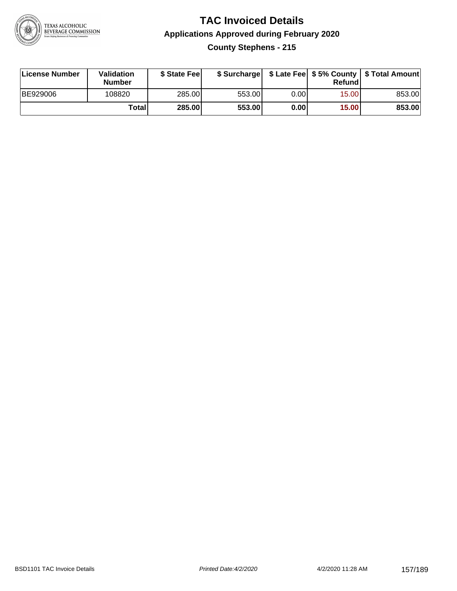

# **TAC Invoiced Details Applications Approved during February 2020 County Stephens - 215**

| License Number | Validation<br><b>Number</b> | \$ State Feel |        |      | Refund | \$ Surcharge   \$ Late Fee   \$5% County   \$ Total Amount |
|----------------|-----------------------------|---------------|--------|------|--------|------------------------------------------------------------|
| BE929006       | 108820                      | 285.00        | 553.00 | 0.00 | 15.00  | 853.00                                                     |
|                | Total                       | <b>285.00</b> | 553.00 | 0.00 | 15.00  | 853.00                                                     |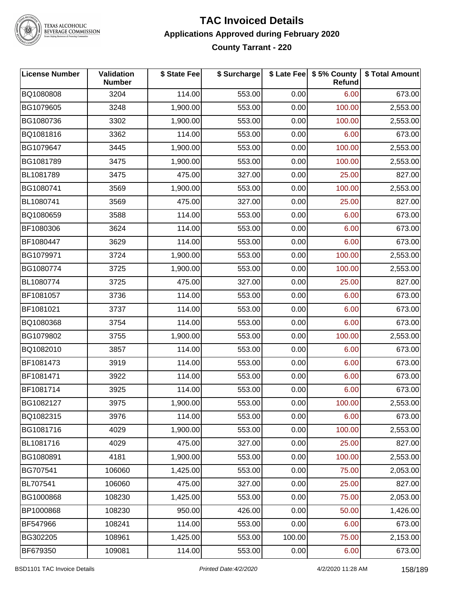

# TEXAS ALCOHOLIC<br>BEVERAGE COMMISSION

# **TAC Invoiced Details Applications Approved during February 2020 County Tarrant - 220**

| <b>License Number</b> | Validation<br><b>Number</b> | \$ State Fee | \$ Surcharge |        | \$ Late Fee   \$5% County<br><b>Refund</b> | \$ Total Amount |
|-----------------------|-----------------------------|--------------|--------------|--------|--------------------------------------------|-----------------|
| BQ1080808             | 3204                        | 114.00       | 553.00       | 0.00   | 6.00                                       | 673.00          |
| BG1079605             | 3248                        | 1,900.00     | 553.00       | 0.00   | 100.00                                     | 2,553.00        |
| BG1080736             | 3302                        | 1,900.00     | 553.00       | 0.00   | 100.00                                     | 2,553.00        |
| BQ1081816             | 3362                        | 114.00       | 553.00       | 0.00   | 6.00                                       | 673.00          |
| BG1079647             | 3445                        | 1,900.00     | 553.00       | 0.00   | 100.00                                     | 2,553.00        |
| BG1081789             | 3475                        | 1,900.00     | 553.00       | 0.00   | 100.00                                     | 2,553.00        |
| BL1081789             | 3475                        | 475.00       | 327.00       | 0.00   | 25.00                                      | 827.00          |
| BG1080741             | 3569                        | 1,900.00     | 553.00       | 0.00   | 100.00                                     | 2,553.00        |
| BL1080741             | 3569                        | 475.00       | 327.00       | 0.00   | 25.00                                      | 827.00          |
| BQ1080659             | 3588                        | 114.00       | 553.00       | 0.00   | 6.00                                       | 673.00          |
| BF1080306             | 3624                        | 114.00       | 553.00       | 0.00   | 6.00                                       | 673.00          |
| BF1080447             | 3629                        | 114.00       | 553.00       | 0.00   | 6.00                                       | 673.00          |
| BG1079971             | 3724                        | 1,900.00     | 553.00       | 0.00   | 100.00                                     | 2,553.00        |
| BG1080774             | 3725                        | 1,900.00     | 553.00       | 0.00   | 100.00                                     | 2,553.00        |
| BL1080774             | 3725                        | 475.00       | 327.00       | 0.00   | 25.00                                      | 827.00          |
| BF1081057             | 3736                        | 114.00       | 553.00       | 0.00   | 6.00                                       | 673.00          |
| BF1081021             | 3737                        | 114.00       | 553.00       | 0.00   | 6.00                                       | 673.00          |
| BQ1080368             | 3754                        | 114.00       | 553.00       | 0.00   | 6.00                                       | 673.00          |
| BG1079802             | 3755                        | 1,900.00     | 553.00       | 0.00   | 100.00                                     | 2,553.00        |
| BQ1082010             | 3857                        | 114.00       | 553.00       | 0.00   | 6.00                                       | 673.00          |
| BF1081473             | 3919                        | 114.00       | 553.00       | 0.00   | 6.00                                       | 673.00          |
| BF1081471             | 3922                        | 114.00       | 553.00       | 0.00   | 6.00                                       | 673.00          |
| BF1081714             | 3925                        | 114.00       | 553.00       | 0.00   | 6.00                                       | 673.00          |
| BG1082127             | 3975                        | 1,900.00     | 553.00       | 0.00   | 100.00                                     | 2,553.00        |
| BQ1082315             | 3976                        | 114.00       | 553.00       | 0.00   | 6.00                                       | 673.00          |
| BG1081716             | 4029                        | 1,900.00     | 553.00       | 0.00   | 100.00                                     | 2,553.00        |
| BL1081716             | 4029                        | 475.00       | 327.00       | 0.00   | 25.00                                      | 827.00          |
| BG1080891             | 4181                        | 1,900.00     | 553.00       | 0.00   | 100.00                                     | 2,553.00        |
| BG707541              | 106060                      | 1,425.00     | 553.00       | 0.00   | 75.00                                      | 2,053.00        |
| BL707541              | 106060                      | 475.00       | 327.00       | 0.00   | 25.00                                      | 827.00          |
| BG1000868             | 108230                      | 1,425.00     | 553.00       | 0.00   | 75.00                                      | 2,053.00        |
| BP1000868             | 108230                      | 950.00       | 426.00       | 0.00   | 50.00                                      | 1,426.00        |
| BF547966              | 108241                      | 114.00       | 553.00       | 0.00   | 6.00                                       | 673.00          |
| BG302205              | 108961                      | 1,425.00     | 553.00       | 100.00 | 75.00                                      | 2,153.00        |
| BF679350              | 109081                      | 114.00       | 553.00       | 0.00   | 6.00                                       | 673.00          |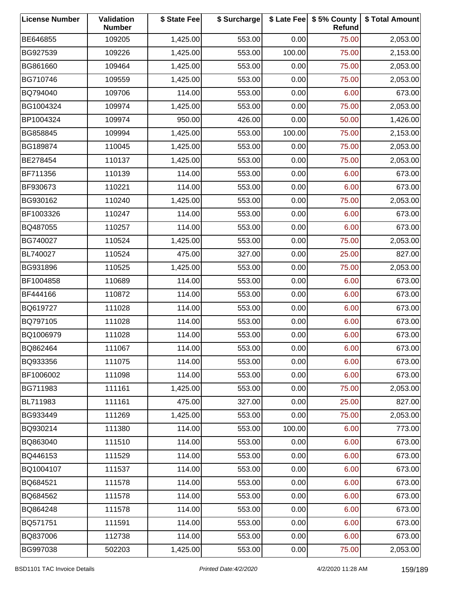| <b>License Number</b> | Validation<br><b>Number</b> | \$ State Fee | \$ Surcharge |        | \$ Late Fee   \$5% County<br>Refund | \$ Total Amount |
|-----------------------|-----------------------------|--------------|--------------|--------|-------------------------------------|-----------------|
| BE646855              | 109205                      | 1,425.00     | 553.00       | 0.00   | 75.00                               | 2,053.00        |
| BG927539              | 109226                      | 1,425.00     | 553.00       | 100.00 | 75.00                               | 2,153.00        |
| BG861660              | 109464                      | 1,425.00     | 553.00       | 0.00   | 75.00                               | 2,053.00        |
| BG710746              | 109559                      | 1,425.00     | 553.00       | 0.00   | 75.00                               | 2,053.00        |
| BQ794040              | 109706                      | 114.00       | 553.00       | 0.00   | 6.00                                | 673.00          |
| BG1004324             | 109974                      | 1,425.00     | 553.00       | 0.00   | 75.00                               | 2,053.00        |
| BP1004324             | 109974                      | 950.00       | 426.00       | 0.00   | 50.00                               | 1,426.00        |
| BG858845              | 109994                      | 1,425.00     | 553.00       | 100.00 | 75.00                               | 2,153.00        |
| BG189874              | 110045                      | 1,425.00     | 553.00       | 0.00   | 75.00                               | 2,053.00        |
| BE278454              | 110137                      | 1,425.00     | 553.00       | 0.00   | 75.00                               | 2,053.00        |
| BF711356              | 110139                      | 114.00       | 553.00       | 0.00   | 6.00                                | 673.00          |
| BF930673              | 110221                      | 114.00       | 553.00       | 0.00   | 6.00                                | 673.00          |
| BG930162              | 110240                      | 1,425.00     | 553.00       | 0.00   | 75.00                               | 2,053.00        |
| BF1003326             | 110247                      | 114.00       | 553.00       | 0.00   | 6.00                                | 673.00          |
| BQ487055              | 110257                      | 114.00       | 553.00       | 0.00   | 6.00                                | 673.00          |
| BG740027              | 110524                      | 1,425.00     | 553.00       | 0.00   | 75.00                               | 2,053.00        |
| BL740027              | 110524                      | 475.00       | 327.00       | 0.00   | 25.00                               | 827.00          |
| BG931896              | 110525                      | 1,425.00     | 553.00       | 0.00   | 75.00                               | 2,053.00        |
| BF1004858             | 110689                      | 114.00       | 553.00       | 0.00   | 6.00                                | 673.00          |
| BF444166              | 110872                      | 114.00       | 553.00       | 0.00   | 6.00                                | 673.00          |
| BQ619727              | 111028                      | 114.00       | 553.00       | 0.00   | 6.00                                | 673.00          |
| BQ797105              | 111028                      | 114.00       | 553.00       | 0.00   | 6.00                                | 673.00          |
| BQ1006979             | 111028                      | 114.00       | 553.00       | 0.00   | 6.00                                | 673.00          |
| BQ862464              | 111067                      | 114.00       | 553.00       | 0.00   | 6.00                                | 673.00          |
| BQ933356              | 111075                      | 114.00       | 553.00       | 0.00   | 6.00                                | 673.00          |
| BF1006002             | 111098                      | 114.00       | 553.00       | 0.00   | 6.00                                | 673.00          |
| BG711983              | 111161                      | 1,425.00     | 553.00       | 0.00   | 75.00                               | 2,053.00        |
| BL711983              | 111161                      | 475.00       | 327.00       | 0.00   | 25.00                               | 827.00          |
| BG933449              | 111269                      | 1,425.00     | 553.00       | 0.00   | 75.00                               | 2,053.00        |
| BQ930214              | 111380                      | 114.00       | 553.00       | 100.00 | 6.00                                | 773.00          |
| BQ863040              | 111510                      | 114.00       | 553.00       | 0.00   | 6.00                                | 673.00          |
| BQ446153              | 111529                      | 114.00       | 553.00       | 0.00   | 6.00                                | 673.00          |
| BQ1004107             | 111537                      | 114.00       | 553.00       | 0.00   | 6.00                                | 673.00          |
| BQ684521              | 111578                      | 114.00       | 553.00       | 0.00   | 6.00                                | 673.00          |
| BQ684562              | 111578                      | 114.00       | 553.00       | 0.00   | 6.00                                | 673.00          |
| BQ864248              | 111578                      | 114.00       | 553.00       | 0.00   | 6.00                                | 673.00          |
| BQ571751              | 111591                      | 114.00       | 553.00       | 0.00   | 6.00                                | 673.00          |
| BQ837006              | 112738                      | 114.00       | 553.00       | 0.00   | 6.00                                | 673.00          |
| BG997038              | 502203                      | 1,425.00     | 553.00       | 0.00   | 75.00                               | 2,053.00        |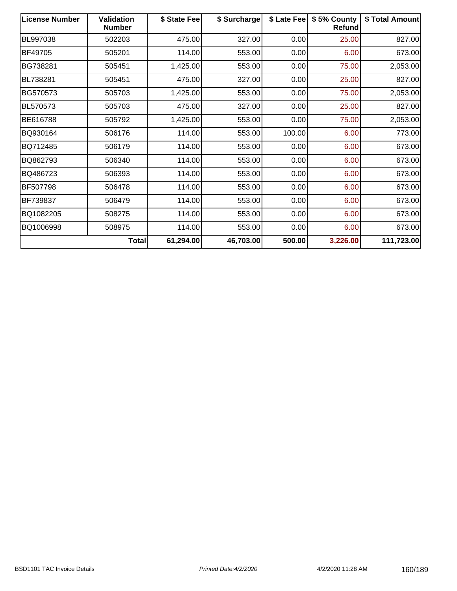| <b>License Number</b> | <b>Validation</b><br><b>Number</b> | \$ State Fee | \$ Surcharge | \$ Late Fee | \$5% County<br><b>Refund</b> | \$ Total Amount |
|-----------------------|------------------------------------|--------------|--------------|-------------|------------------------------|-----------------|
| BL997038              | 502203                             | 475.00       | 327.00       | 0.00        | 25.00                        | 827.00          |
| BF49705               | 505201                             | 114.00       | 553.00       | 0.00        | 6.00                         | 673.00          |
| BG738281              | 505451                             | 1,425.00     | 553.00       | 0.00        | 75.00                        | 2,053.00        |
| BL738281              | 505451                             | 475.00       | 327.00       | 0.00        | 25.00                        | 827.00          |
| BG570573              | 505703                             | 1,425.00     | 553.00       | 0.00        | 75.00                        | 2,053.00        |
| BL570573              | 505703                             | 475.00       | 327.00       | 0.00        | 25.00                        | 827.00          |
| BE616788              | 505792                             | 1,425.00     | 553.00       | 0.00        | 75.00                        | 2,053.00        |
| BQ930164              | 506176                             | 114.00       | 553.00       | 100.00      | 6.00                         | 773.00          |
| BQ712485              | 506179                             | 114.00       | 553.00       | 0.00        | 6.00                         | 673.00          |
| BQ862793              | 506340                             | 114.00       | 553.00       | 0.00        | 6.00                         | 673.00          |
| BQ486723              | 506393                             | 114.00       | 553.00       | 0.00        | 6.00                         | 673.00          |
| BF507798              | 506478                             | 114.00       | 553.00       | 0.00        | 6.00                         | 673.00          |
| BF739837              | 506479                             | 114.00       | 553.00       | 0.00        | 6.00                         | 673.00          |
| BQ1082205             | 508275                             | 114.00       | 553.00       | 0.00        | 6.00                         | 673.00          |
| BQ1006998             | 508975                             | 114.00       | 553.00       | 0.00        | 6.00                         | 673.00          |
|                       | Total                              | 61,294.00    | 46,703.00    | 500.00      | 3,226.00                     | 111,723.00      |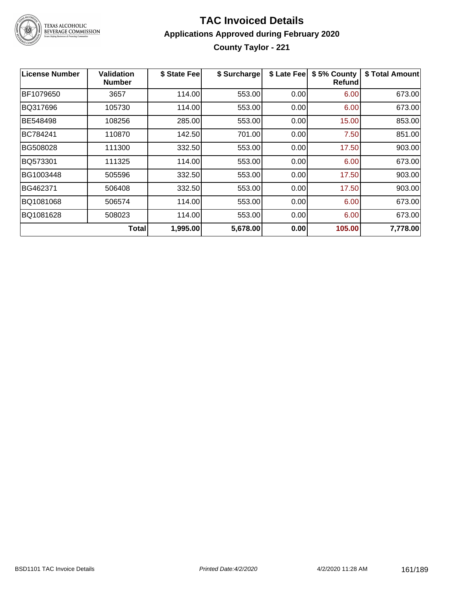

# **TAC Invoiced Details Applications Approved during February 2020 County Taylor - 221**

| <b>License Number</b> | Validation<br><b>Number</b> | \$ State Fee | \$ Surcharge | \$ Late Fee | \$5% County<br><b>Refund</b> | \$ Total Amount |
|-----------------------|-----------------------------|--------------|--------------|-------------|------------------------------|-----------------|
| BF1079650             | 3657                        | 114.00       | 553.00       | 0.00        | 6.00                         | 673.00          |
| BQ317696              | 105730                      | 114.00       | 553.00       | 0.00        | 6.00                         | 673.00          |
| BE548498              | 108256                      | 285.00       | 553.00       | 0.00        | 15.00                        | 853.00          |
| BC784241              | 110870                      | 142.50       | 701.00       | 0.00        | 7.50                         | 851.00          |
| BG508028              | 111300                      | 332.50       | 553.00       | 0.00        | 17.50                        | 903.00          |
| BQ573301              | 111325                      | 114.00       | 553.00       | 0.00        | 6.00                         | 673.00          |
| BG1003448             | 505596                      | 332.50       | 553.00       | 0.00        | 17.50                        | 903.00          |
| BG462371              | 506408                      | 332.50       | 553.00       | 0.00        | 17.50                        | 903.00          |
| BQ1081068             | 506574                      | 114.00       | 553.00       | 0.00        | 6.00                         | 673.00          |
| BQ1081628             | 508023                      | 114.00       | 553.00       | 0.00        | 6.00                         | 673.00          |
|                       | Totall                      | 1,995.00     | 5,678.00     | 0.00        | 105.00                       | 7,778.00        |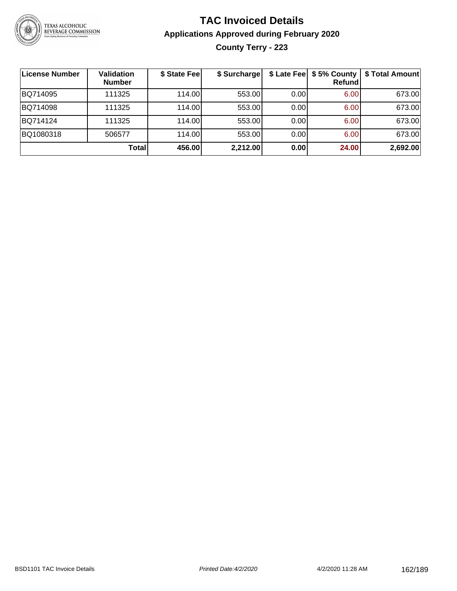

# **TAC Invoiced Details Applications Approved during February 2020 County Terry - 223**

| License Number | Validation<br><b>Number</b> | \$ State Fee | \$ Surcharge |      | \$ Late Fee   \$5% County  <br><b>Refund</b> | \$ Total Amount |
|----------------|-----------------------------|--------------|--------------|------|----------------------------------------------|-----------------|
| BQ714095       | 111325                      | 114.00       | 553.00       | 0.00 | 6.00                                         | 673.00          |
| BQ714098       | 111325                      | 114.00       | 553.00       | 0.00 | 6.00                                         | 673.00          |
| BQ714124       | 111325                      | 114.00       | 553.00       | 0.00 | 6.00                                         | 673.00          |
| BQ1080318      | 506577                      | 114.00       | 553.00       | 0.00 | 6.00                                         | 673.00          |
|                | <b>Total</b>                | 456.00       | 2,212.00     | 0.00 | 24.00                                        | 2,692.00        |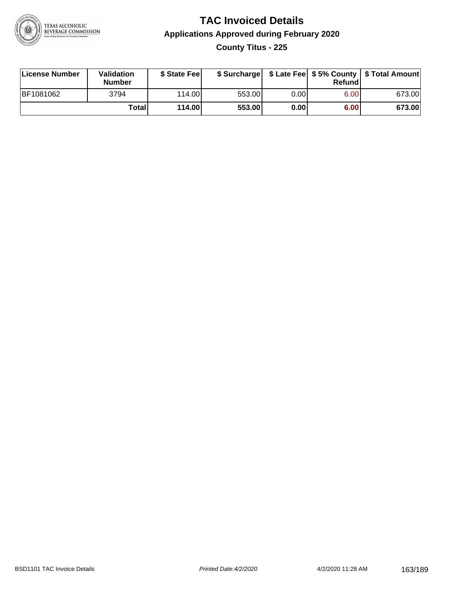

# **TAC Invoiced Details Applications Approved during February 2020 County Titus - 225**

| License Number | Validation<br><b>Number</b> | \$ State Feel   |        |       | Refundl | \$ Surcharge   \$ Late Fee   \$5% County   \$ Total Amount |
|----------------|-----------------------------|-----------------|--------|-------|---------|------------------------------------------------------------|
| BF1081062      | 3794                        | 114.00 <b>1</b> | 553.00 | 0.00  | 6.00    | 673.00                                                     |
|                | Totall                      | 114.00          | 553.00 | 0.001 | 6.00    | 673.00                                                     |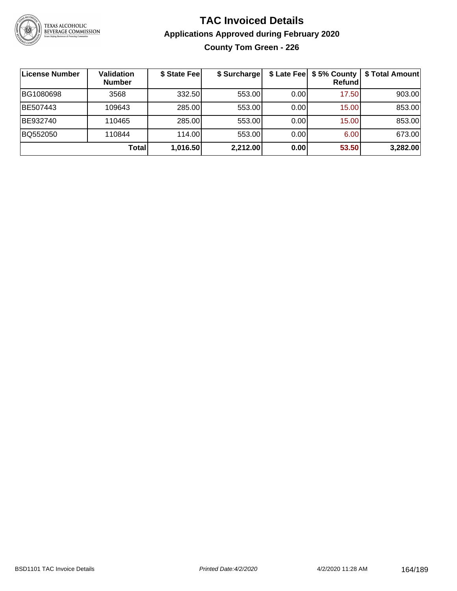

# **TAC Invoiced Details Applications Approved during February 2020 County Tom Green - 226**

| License Number | <b>Validation</b><br><b>Number</b> | \$ State Fee | \$ Surcharge | \$ Late Fee | \$5% County<br>Refund | \$ Total Amount |
|----------------|------------------------------------|--------------|--------------|-------------|-----------------------|-----------------|
| BG1080698      | 3568                               | 332.50       | 553.00       | 0.00        | 17.50                 | 903.00          |
| BE507443       | 109643                             | 285.00       | 553.00       | 0.00        | 15.00                 | 853.00          |
| BE932740       | 110465                             | 285.00       | 553.00       | 0.00        | 15.00                 | 853.00          |
| BQ552050       | 110844                             | 114.00       | 553.00       | 0.00        | 6.00                  | 673.00          |
|                | <b>Total</b>                       | 1,016.50     | 2,212.00     | 0.00        | 53.50                 | 3,282.00        |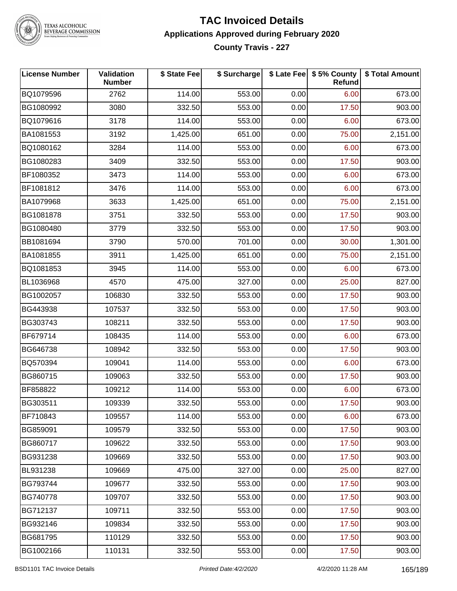

TEXAS ALCOHOLIC<br>BEVERAGE COMMISSION

#### **TAC Invoiced Details Applications Approved during February 2020 County Travis - 227**

| <b>License Number</b> | Validation<br><b>Number</b> | \$ State Fee | \$ Surcharge |      | \$ Late Fee   \$5% County<br>Refund | \$ Total Amount |
|-----------------------|-----------------------------|--------------|--------------|------|-------------------------------------|-----------------|
| BQ1079596             | 2762                        | 114.00       | 553.00       | 0.00 | 6.00                                | 673.00          |
| BG1080992             | 3080                        | 332.50       | 553.00       | 0.00 | 17.50                               | 903.00          |
| BQ1079616             | 3178                        | 114.00       | 553.00       | 0.00 | 6.00                                | 673.00          |
| BA1081553             | 3192                        | 1,425.00     | 651.00       | 0.00 | 75.00                               | 2,151.00        |
| BQ1080162             | 3284                        | 114.00       | 553.00       | 0.00 | 6.00                                | 673.00          |
| BG1080283             | 3409                        | 332.50       | 553.00       | 0.00 | 17.50                               | 903.00          |
| BF1080352             | 3473                        | 114.00       | 553.00       | 0.00 | 6.00                                | 673.00          |
| BF1081812             | 3476                        | 114.00       | 553.00       | 0.00 | 6.00                                | 673.00          |
| BA1079968             | 3633                        | 1,425.00     | 651.00       | 0.00 | 75.00                               | 2,151.00        |
| BG1081878             | 3751                        | 332.50       | 553.00       | 0.00 | 17.50                               | 903.00          |
| BG1080480             | 3779                        | 332.50       | 553.00       | 0.00 | 17.50                               | 903.00          |
| BB1081694             | 3790                        | 570.00       | 701.00       | 0.00 | 30.00                               | 1,301.00        |
| BA1081855             | 3911                        | 1,425.00     | 651.00       | 0.00 | 75.00                               | 2,151.00        |
| BQ1081853             | 3945                        | 114.00       | 553.00       | 0.00 | 6.00                                | 673.00          |
| BL1036968             | 4570                        | 475.00       | 327.00       | 0.00 | 25.00                               | 827.00          |
| BG1002057             | 106830                      | 332.50       | 553.00       | 0.00 | 17.50                               | 903.00          |
| BG443938              | 107537                      | 332.50       | 553.00       | 0.00 | 17.50                               | 903.00          |
| BG303743              | 108211                      | 332.50       | 553.00       | 0.00 | 17.50                               | 903.00          |
| BF679714              | 108435                      | 114.00       | 553.00       | 0.00 | 6.00                                | 673.00          |
| BG646738              | 108942                      | 332.50       | 553.00       | 0.00 | 17.50                               | 903.00          |
| BQ570394              | 109041                      | 114.00       | 553.00       | 0.00 | 6.00                                | 673.00          |
| BG860715              | 109063                      | 332.50       | 553.00       | 0.00 | 17.50                               | 903.00          |
| BF858822              | 109212                      | 114.00       | 553.00       | 0.00 | 6.00                                | 673.00          |
| BG303511              | 109339                      | 332.50       | 553.00       | 0.00 | 17.50                               | 903.00          |
| BF710843              | 109557                      | 114.00       | 553.00       | 0.00 | 6.00                                | 673.00          |
| BG859091              | 109579                      | 332.50       | 553.00       | 0.00 | 17.50                               | 903.00          |
| BG860717              | 109622                      | 332.50       | 553.00       | 0.00 | 17.50                               | 903.00          |
| BG931238              | 109669                      | 332.50       | 553.00       | 0.00 | 17.50                               | 903.00          |
| BL931238              | 109669                      | 475.00       | 327.00       | 0.00 | 25.00                               | 827.00          |
| BG793744              | 109677                      | 332.50       | 553.00       | 0.00 | 17.50                               | 903.00          |
| BG740778              | 109707                      | 332.50       | 553.00       | 0.00 | 17.50                               | 903.00          |
| BG712137              | 109711                      | 332.50       | 553.00       | 0.00 | 17.50                               | 903.00          |
| BG932146              | 109834                      | 332.50       | 553.00       | 0.00 | 17.50                               | 903.00          |
| BG681795              | 110129                      | 332.50       | 553.00       | 0.00 | 17.50                               | 903.00          |
| BG1002166             | 110131                      | 332.50       | 553.00       | 0.00 | 17.50                               | 903.00          |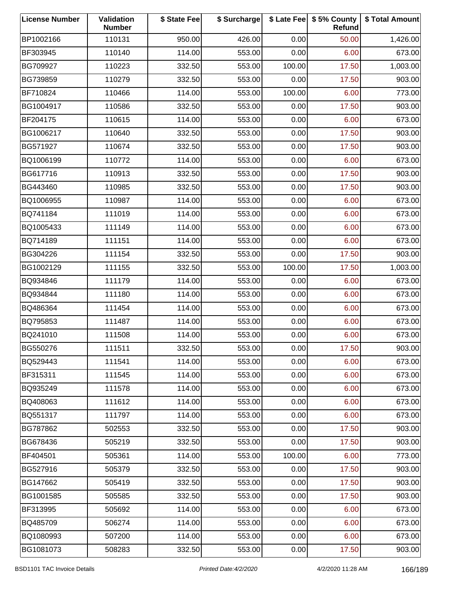| <b>License Number</b> | Validation<br><b>Number</b> | \$ State Fee | \$ Surcharge |        | \$ Late Fee   \$5% County<br>Refund | \$ Total Amount |
|-----------------------|-----------------------------|--------------|--------------|--------|-------------------------------------|-----------------|
| BP1002166             | 110131                      | 950.00       | 426.00       | 0.00   | 50.00                               | 1,426.00        |
| BF303945              | 110140                      | 114.00       | 553.00       | 0.00   | 6.00                                | 673.00          |
| BG709927              | 110223                      | 332.50       | 553.00       | 100.00 | 17.50                               | 1,003.00        |
| BG739859              | 110279                      | 332.50       | 553.00       | 0.00   | 17.50                               | 903.00          |
| BF710824              | 110466                      | 114.00       | 553.00       | 100.00 | 6.00                                | 773.00          |
| BG1004917             | 110586                      | 332.50       | 553.00       | 0.00   | 17.50                               | 903.00          |
| BF204175              | 110615                      | 114.00       | 553.00       | 0.00   | 6.00                                | 673.00          |
| BG1006217             | 110640                      | 332.50       | 553.00       | 0.00   | 17.50                               | 903.00          |
| BG571927              | 110674                      | 332.50       | 553.00       | 0.00   | 17.50                               | 903.00          |
| BQ1006199             | 110772                      | 114.00       | 553.00       | 0.00   | 6.00                                | 673.00          |
| BG617716              | 110913                      | 332.50       | 553.00       | 0.00   | 17.50                               | 903.00          |
| BG443460              | 110985                      | 332.50       | 553.00       | 0.00   | 17.50                               | 903.00          |
| BQ1006955             | 110987                      | 114.00       | 553.00       | 0.00   | 6.00                                | 673.00          |
| BQ741184              | 111019                      | 114.00       | 553.00       | 0.00   | 6.00                                | 673.00          |
| BQ1005433             | 111149                      | 114.00       | 553.00       | 0.00   | 6.00                                | 673.00          |
| BQ714189              | 111151                      | 114.00       | 553.00       | 0.00   | 6.00                                | 673.00          |
| BG304226              | 111154                      | 332.50       | 553.00       | 0.00   | 17.50                               | 903.00          |
| BG1002129             | 111155                      | 332.50       | 553.00       | 100.00 | 17.50                               | 1,003.00        |
| BQ934846              | 111179                      | 114.00       | 553.00       | 0.00   | 6.00                                | 673.00          |
| BQ934844              | 111180                      | 114.00       | 553.00       | 0.00   | 6.00                                | 673.00          |
| BQ486364              | 111454                      | 114.00       | 553.00       | 0.00   | 6.00                                | 673.00          |
| BQ795853              | 111487                      | 114.00       | 553.00       | 0.00   | 6.00                                | 673.00          |
| BQ241010              | 111508                      | 114.00       | 553.00       | 0.00   | 6.00                                | 673.00          |
| BG550276              | 111511                      | 332.50       | 553.00       | 0.00   | 17.50                               | 903.00          |
| BQ529443              | 111541                      | 114.00       | 553.00       | 0.00   | 6.00                                | 673.00          |
| BF315311              | 111545                      | 114.00       | 553.00       | 0.00   | 6.00                                | 673.00          |
| BQ935249              | 111578                      | 114.00       | 553.00       | 0.00   | 6.00                                | 673.00          |
| BQ408063              | 111612                      | 114.00       | 553.00       | 0.00   | 6.00                                | 673.00          |
| BQ551317              | 111797                      | 114.00       | 553.00       | 0.00   | 6.00                                | 673.00          |
| BG787862              | 502553                      | 332.50       | 553.00       | 0.00   | 17.50                               | 903.00          |
| BG678436              | 505219                      | 332.50       | 553.00       | 0.00   | 17.50                               | 903.00          |
| BF404501              | 505361                      | 114.00       | 553.00       | 100.00 | 6.00                                | 773.00          |
| BG527916              | 505379                      | 332.50       | 553.00       | 0.00   | 17.50                               | 903.00          |
| BG147662              | 505419                      | 332.50       | 553.00       | 0.00   | 17.50                               | 903.00          |
| BG1001585             | 505585                      | 332.50       | 553.00       | 0.00   | 17.50                               | 903.00          |
| BF313995              | 505692                      | 114.00       | 553.00       | 0.00   | 6.00                                | 673.00          |
| BQ485709              | 506274                      | 114.00       | 553.00       | 0.00   | 6.00                                | 673.00          |
| BQ1080993             | 507200                      | 114.00       | 553.00       | 0.00   | 6.00                                | 673.00          |
| BG1081073             | 508283                      | 332.50       | 553.00       | 0.00   | 17.50                               | 903.00          |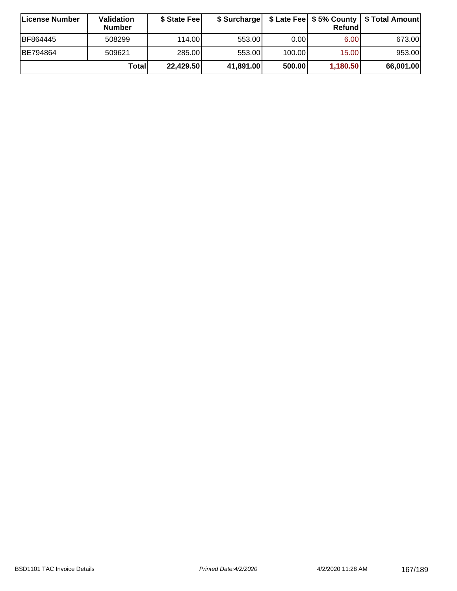| ∣License Number | <b>Validation</b><br><b>Number</b> | \$ State Feel | \$ Surcharge |        | Refundl  | \$ Late Fee   \$5% County   \$ Total Amount |
|-----------------|------------------------------------|---------------|--------------|--------|----------|---------------------------------------------|
| BF864445        | 508299                             | 114.00        | 553.00       | 0.00   | 6.00     | 673.00                                      |
| BE794864        | 509621                             | 285.00        | 553.00       | 100.00 | 15.00    | 953.00                                      |
|                 | Totall                             | 22,429.50     | 41,891.00    | 500.00 | 1,180.50 | 66,001.00                                   |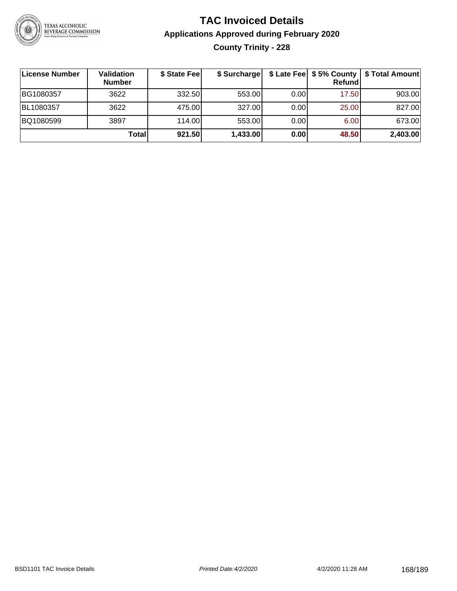

# **TAC Invoiced Details Applications Approved during February 2020 County Trinity - 228**

| License Number | Validation<br><b>Number</b> | \$ State Fee | \$ Surcharge |      | Refundl | \$ Late Fee   \$5% County   \$ Total Amount |
|----------------|-----------------------------|--------------|--------------|------|---------|---------------------------------------------|
| BG1080357      | 3622                        | 332.50       | 553.00       | 0.00 | 17.50   | 903.00                                      |
| BL1080357      | 3622                        | 475.00       | 327.00       | 0.00 | 25.00   | 827.00                                      |
| BQ1080599      | 3897                        | 114.00       | 553.00       | 0.00 | 6.00    | 673.00                                      |
|                | Total                       | 921.50       | 1,433.00     | 0.00 | 48.50   | 2,403.00                                    |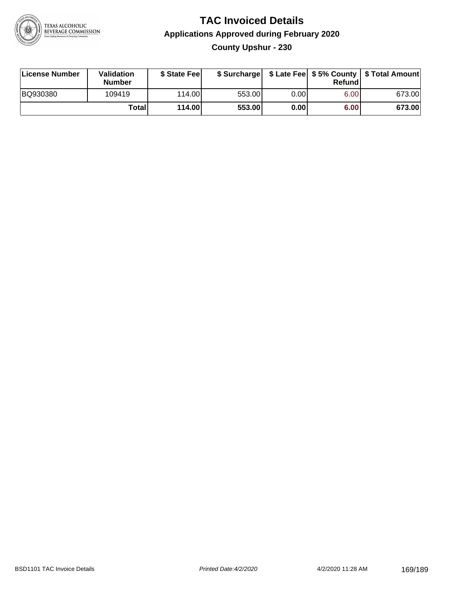

# **TAC Invoiced Details Applications Approved during February 2020 County Upshur - 230**

| License Number | Validation<br><b>Number</b> | \$ State Fee    |        |      | Refundl | \$ Surcharge   \$ Late Fee   \$5% County   \$ Total Amount |
|----------------|-----------------------------|-----------------|--------|------|---------|------------------------------------------------------------|
| BQ930380       | 109419                      | 114.00 <b>1</b> | 553.00 | 0.00 | 6.00    | 673.00                                                     |
|                | Totall                      | 114.00          | 553.00 | 0.00 | 6.00    | 673.00                                                     |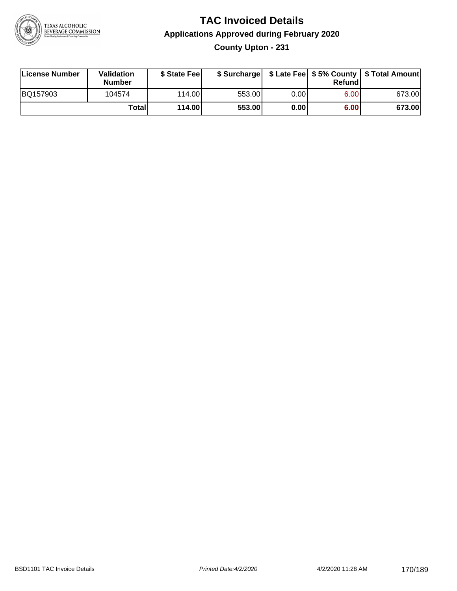

# **TAC Invoiced Details Applications Approved during February 2020 County Upton - 231**

| License Number | Validation<br><b>Number</b> | \$ State Feel |        |      | Refund | \$ Surcharge   \$ Late Fee   \$5% County   \$ Total Amount |
|----------------|-----------------------------|---------------|--------|------|--------|------------------------------------------------------------|
| BQ157903       | 104574                      | 114.00L       | 553.00 | 0.00 | 6.00   | 673.00                                                     |
|                | Totall                      | 114.00        | 553.00 | 0.00 | 6.00   | 673.00                                                     |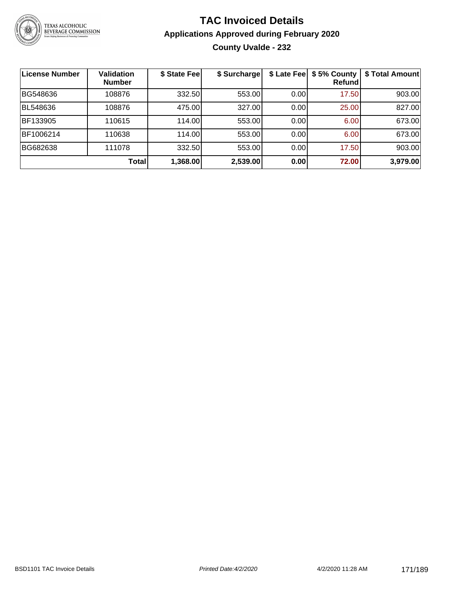

# **TAC Invoiced Details Applications Approved during February 2020 County Uvalde - 232**

| <b>License Number</b> | <b>Validation</b><br><b>Number</b> | \$ State Fee | \$ Surcharge |      | \$ Late Fee   \$5% County<br><b>Refund</b> | \$ Total Amount |
|-----------------------|------------------------------------|--------------|--------------|------|--------------------------------------------|-----------------|
| BG548636              | 108876                             | 332.50       | 553.00       | 0.00 | 17.50                                      | 903.00          |
| <b>BL548636</b>       | 108876                             | 475.00       | 327.00       | 0.00 | 25.00                                      | 827.00          |
| BF133905              | 110615                             | 114.00       | 553.00       | 0.00 | 6.00                                       | 673.00          |
| BF1006214             | 110638                             | 114.00       | 553.00       | 0.00 | 6.00                                       | 673.00          |
| BG682638              | 111078                             | 332.50       | 553.00       | 0.00 | 17.50                                      | 903.00          |
|                       | <b>Total</b>                       | 1,368.00     | 2,539.00     | 0.00 | 72.00                                      | 3,979.00        |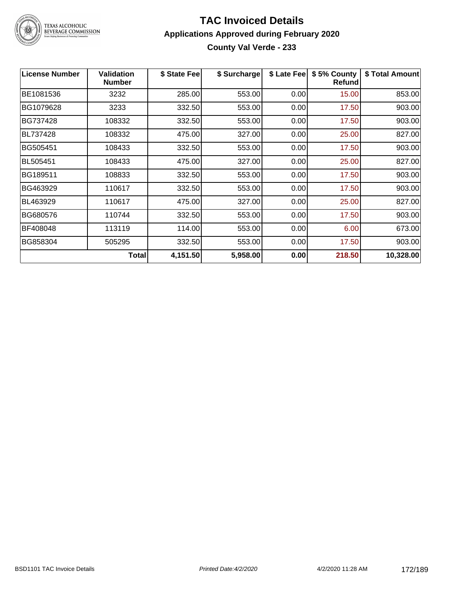

TEXAS ALCOHOLIC<br>BEVERAGE COMMISSION

#### **TAC Invoiced Details Applications Approved during February 2020 County Val Verde - 233**

| <b>License Number</b> | <b>Validation</b><br><b>Number</b> | \$ State Fee | \$ Surcharge | \$ Late Fee | \$5% County<br><b>Refund</b> | \$ Total Amount |
|-----------------------|------------------------------------|--------------|--------------|-------------|------------------------------|-----------------|
| BE1081536             | 3232                               | 285.00       | 553.00       | 0.00        | 15.00                        | 853.00          |
| BG1079628             | 3233                               | 332.50       | 553.00       | 0.00        | 17.50                        | 903.00          |
| BG737428              | 108332                             | 332.50       | 553.00       | 0.00        | 17.50                        | 903.00          |
| BL737428              | 108332                             | 475.00       | 327.00       | 0.00        | 25.00                        | 827.00          |
| BG505451              | 108433                             | 332.50       | 553.00       | 0.00        | 17.50                        | 903.00          |
| <b>BL505451</b>       | 108433                             | 475.00       | 327.00       | 0.00        | 25.00                        | 827.00          |
| BG189511              | 108833                             | 332.50       | 553.00       | 0.00        | 17.50                        | 903.00          |
| BG463929              | 110617                             | 332.50       | 553.00       | 0.00        | 17.50                        | 903.00          |
| BL463929              | 110617                             | 475.00       | 327.00       | 0.00        | 25.00                        | 827.00          |
| BG680576              | 110744                             | 332.50       | 553.00       | 0.00        | 17.50                        | 903.00          |
| BF408048              | 113119                             | 114.00       | 553.00       | 0.00        | 6.00                         | 673.00          |
| BG858304              | 505295                             | 332.50       | 553.00       | 0.00        | 17.50                        | 903.00          |
|                       | Total                              | 4,151.50     | 5,958.00     | 0.00        | 218.50                       | 10,328.00       |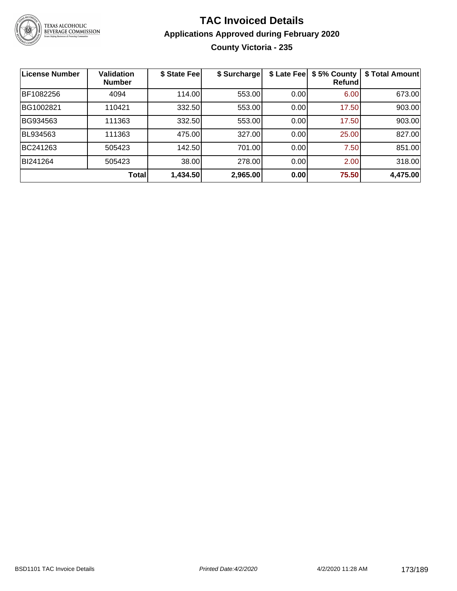

# **TAC Invoiced Details Applications Approved during February 2020 County Victoria - 235**

| <b>License Number</b> | <b>Validation</b><br><b>Number</b> | \$ State Fee | \$ Surcharge | \$ Late Fee | \$5% County<br>Refund | \$ Total Amount |
|-----------------------|------------------------------------|--------------|--------------|-------------|-----------------------|-----------------|
| BF1082256             | 4094                               | 114.00       | 553.00       | 0.00        | 6.00                  | 673.00          |
| BG1002821             | 110421                             | 332.50       | 553.00       | 0.00        | 17.50                 | 903.00          |
| BG934563              | 111363                             | 332.50       | 553.00       | 0.00        | 17.50                 | 903.00          |
| BL934563              | 111363                             | 475.00       | 327.00       | 0.00        | 25.00                 | 827.00          |
| BC241263              | 505423                             | 142.50       | 701.00       | 0.00        | 7.50                  | 851.00          |
| BI241264              | 505423                             | 38.00        | 278.00       | 0.00        | 2.00                  | 318.00          |
|                       | <b>Total</b>                       | 1,434.50     | 2,965.00     | 0.00        | 75.50                 | 4,475.00        |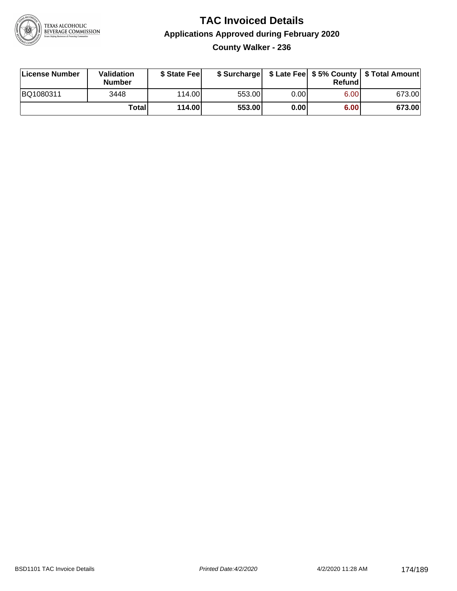

# **TAC Invoiced Details Applications Approved during February 2020 County Walker - 236**

| License Number | Validation<br><b>Number</b> | \$ State Feel |        |       | Refund | \$ Surcharge   \$ Late Fee   \$5% County   \$ Total Amount |
|----------------|-----------------------------|---------------|--------|-------|--------|------------------------------------------------------------|
| BQ1080311      | 3448                        | 114.00L       | 553.00 | 0.001 | 6.00   | 673.00                                                     |
|                | Totall                      | 114.00        | 553.00 | 0.00  | 6.00   | 673.00                                                     |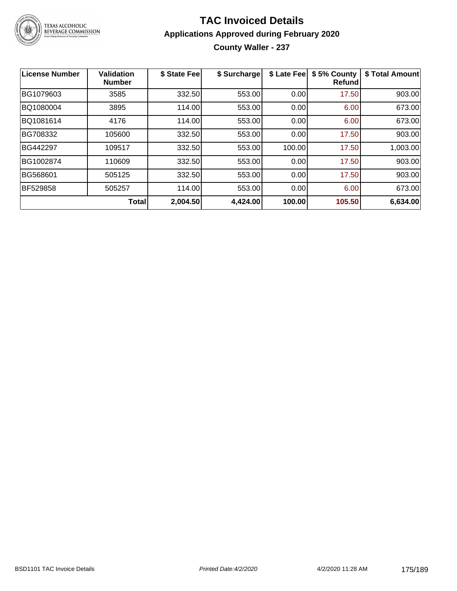

# **TAC Invoiced Details Applications Approved during February 2020 County Waller - 237**

| License Number  | <b>Validation</b><br><b>Number</b> | \$ State Fee | \$ Surcharge | \$ Late Fee | \$5% County<br><b>Refund</b> | \$ Total Amount |
|-----------------|------------------------------------|--------------|--------------|-------------|------------------------------|-----------------|
| BG1079603       | 3585                               | 332.50       | 553.00       | 0.00        | 17.50                        | 903.00          |
| BQ1080004       | 3895                               | 114.00       | 553.00       | 0.00        | 6.00                         | 673.00          |
| BQ1081614       | 4176                               | 114.00       | 553.00       | 0.00        | 6.00                         | 673.00          |
| BG708332        | 105600                             | 332.50       | 553.00       | 0.00        | 17.50                        | 903.00          |
| BG442297        | 109517                             | 332.50       | 553.00       | 100.00      | 17.50                        | 1,003.00        |
| BG1002874       | 110609                             | 332.50       | 553.00       | 0.00        | 17.50                        | 903.00          |
| BG568601        | 505125                             | 332.50       | 553.00       | 0.00        | 17.50                        | 903.00          |
| <b>BF529858</b> | 505257                             | 114.00       | 553.00       | 0.00        | 6.00                         | 673.00          |
|                 | <b>Total</b>                       | 2,004.50     | 4,424.00     | 100.00      | 105.50                       | 6,634.00        |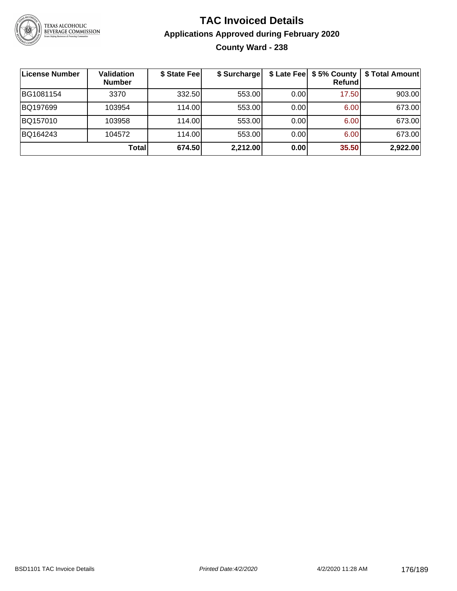

# **TAC Invoiced Details Applications Approved during February 2020 County Ward - 238**

| <b>License Number</b> | Validation<br><b>Number</b> | \$ State Fee | \$ Surcharge |      | \$ Late Fee   \$5% County  <br><b>Refund</b> | \$ Total Amount |
|-----------------------|-----------------------------|--------------|--------------|------|----------------------------------------------|-----------------|
| BG1081154             | 3370                        | 332.50       | 553.00       | 0.00 | 17.50                                        | 903.00          |
| BQ197699              | 103954                      | 114.00       | 553.00       | 0.00 | 6.00                                         | 673.00          |
| BQ157010              | 103958                      | 114.00       | 553.00       | 0.00 | 6.00                                         | 673.00          |
| BQ164243              | 104572                      | 114.00       | 553.00       | 0.00 | 6.00                                         | 673.00          |
|                       | <b>Total</b>                | 674.50       | 2,212.00     | 0.00 | 35.50                                        | 2,922.00        |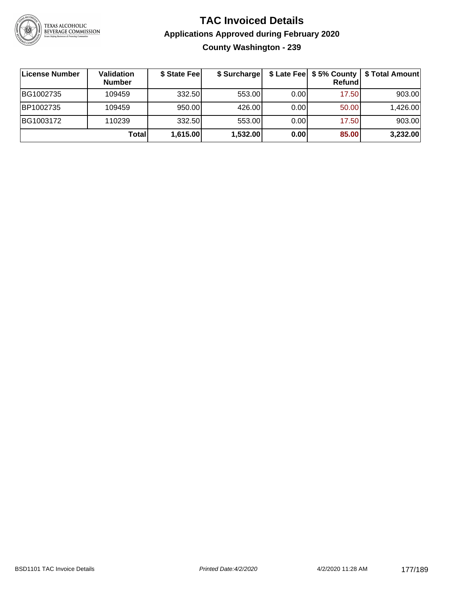

# **TAC Invoiced Details Applications Approved during February 2020 County Washington - 239**

| License Number | Validation<br><b>Number</b> | \$ State Fee | \$ Surcharge |      | \$ Late Fee   \$5% County  <br>Refundl | \$ Total Amount |
|----------------|-----------------------------|--------------|--------------|------|----------------------------------------|-----------------|
| BG1002735      | 109459                      | 332.50       | 553.00       | 0.00 | 17.50                                  | 903.00          |
| BP1002735      | 109459                      | 950.00       | 426.00       | 0.00 | 50.00                                  | 1,426.00        |
| BG1003172      | 110239                      | 332.50       | 553.00       | 0.00 | 17.50                                  | 903.00          |
|                | <b>Total</b>                | 1,615.00     | 1,532.00     | 0.00 | 85.00                                  | 3,232.00        |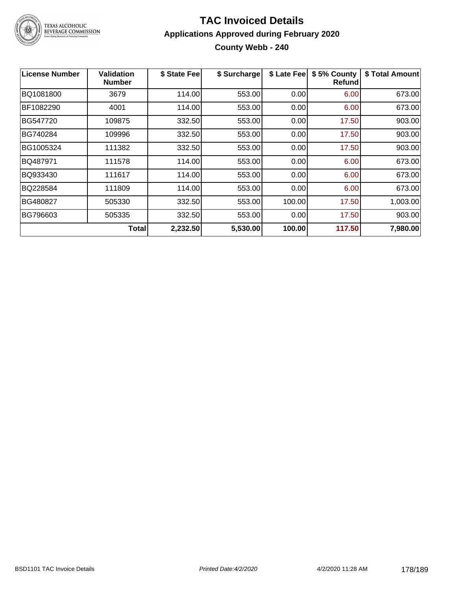

# TEXAS ALCOHOLIC<br>BEVERAGE COMMISSION

#### **TAC Invoiced Details Applications Approved during February 2020 County Webb - 240**

| <b>License Number</b> | <b>Validation</b><br><b>Number</b> | \$ State Fee | \$ Surcharge | \$ Late Fee | \$5% County<br><b>Refund</b> | \$ Total Amount |
|-----------------------|------------------------------------|--------------|--------------|-------------|------------------------------|-----------------|
| BQ1081800             | 3679                               | 114.00       | 553.00       | 0.00        | 6.00                         | 673.00          |
| BF1082290             | 4001                               | 114.00       | 553.00       | 0.00        | 6.00                         | 673.00          |
| BG547720              | 109875                             | 332.50       | 553.00       | 0.00        | 17.50                        | 903.00          |
| BG740284              | 109996                             | 332.50       | 553.00       | 0.00        | 17.50                        | 903.00          |
| BG1005324             | 111382                             | 332.50       | 553.00       | 0.00        | 17.50                        | 903.00          |
| BQ487971              | 111578                             | 114.00       | 553.00       | 0.00        | 6.00                         | 673.00          |
| BQ933430              | 111617                             | 114.00       | 553.00       | 0.00        | 6.00                         | 673.00          |
| BQ228584              | 111809                             | 114.00       | 553.00       | 0.00        | 6.00                         | 673.00          |
| BG480827              | 505330                             | 332.50       | 553.00       | 100.00      | 17.50                        | 1,003.00        |
| BG796603              | 505335                             | 332.50       | 553.00       | 0.00        | 17.50                        | 903.00          |
|                       | Total                              | 2,232.50     | 5,530.00     | 100.00      | 117.50                       | 7,980.00        |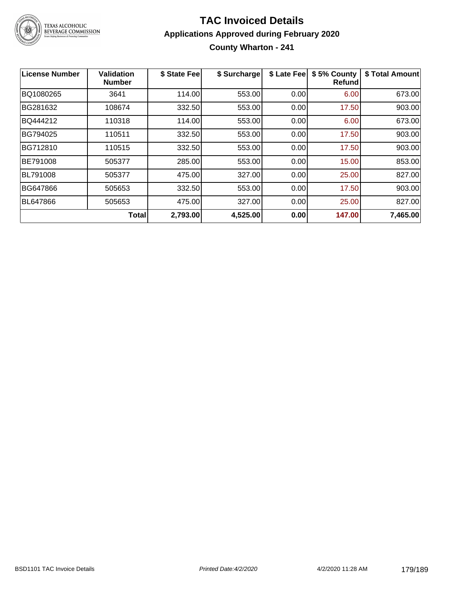

# **TAC Invoiced Details Applications Approved during February 2020 County Wharton - 241**

| <b>License Number</b> | <b>Validation</b><br><b>Number</b> | \$ State Fee | \$ Surcharge | \$ Late Fee | \$5% County<br><b>Refund</b> | \$ Total Amount |
|-----------------------|------------------------------------|--------------|--------------|-------------|------------------------------|-----------------|
| BQ1080265             | 3641                               | 114.00       | 553.00       | 0.00        | 6.00                         | 673.00          |
| BG281632              | 108674                             | 332.50       | 553.00       | 0.00        | 17.50                        | 903.00          |
| BQ444212              | 110318                             | 114.00       | 553.00       | 0.00        | 6.00                         | 673.00          |
| BG794025              | 110511                             | 332.50       | 553.00       | 0.00        | 17.50                        | 903.00          |
| BG712810              | 110515                             | 332.50       | 553.00       | 0.00        | 17.50                        | 903.00          |
| BE791008              | 505377                             | 285.00       | 553.00       | 0.00        | 15.00                        | 853.00          |
| <b>BL791008</b>       | 505377                             | 475.00       | 327.00       | 0.00        | 25.00                        | 827.00          |
| BG647866              | 505653                             | 332.50       | 553.00       | 0.00        | 17.50                        | 903.00          |
| <b>BL647866</b>       | 505653                             | 475.00       | 327.00       | 0.00        | 25.00                        | 827.00          |
|                       | Total                              | 2,793.00     | 4,525.00     | 0.00        | 147.00                       | 7,465.00        |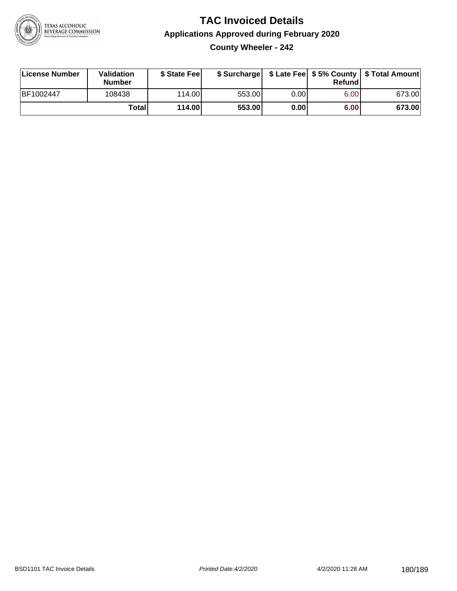

# **TAC Invoiced Details Applications Approved during February 2020 County Wheeler - 242**

| License Number | Validation<br><b>Number</b> | \$ State Feel |        |      | Refund | \$ Surcharge   \$ Late Fee   \$5% County   \$ Total Amount |
|----------------|-----------------------------|---------------|--------|------|--------|------------------------------------------------------------|
| BF1002447      | 108438                      | 114.00L       | 553.00 | 0.00 | 6.00   | 673.00                                                     |
|                | Totall                      | 114.00        | 553.00 | 0.00 | 6.00   | 673.00                                                     |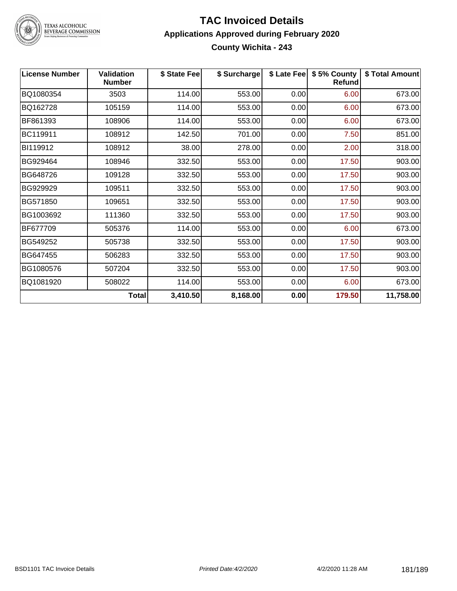

# TEXAS ALCOHOLIC<br>BEVERAGE COMMISSION

#### **TAC Invoiced Details Applications Approved during February 2020 County Wichita - 243**

| <b>License Number</b> | <b>Validation</b><br><b>Number</b> | \$ State Fee | \$ Surcharge |      | \$ Late Fee   \$5% County  <br><b>Refund</b> | \$ Total Amount |
|-----------------------|------------------------------------|--------------|--------------|------|----------------------------------------------|-----------------|
| BQ1080354             | 3503                               | 114.00       | 553.00       | 0.00 | 6.00                                         | 673.00          |
| BQ162728              | 105159                             | 114.00       | 553.00       | 0.00 | 6.00                                         | 673.00          |
| BF861393              | 108906                             | 114.00       | 553.00       | 0.00 | 6.00                                         | 673.00          |
| BC119911              | 108912                             | 142.50       | 701.00       | 0.00 | 7.50                                         | 851.00          |
| BI119912              | 108912                             | 38.00        | 278.00       | 0.00 | 2.00                                         | 318.00          |
| BG929464              | 108946                             | 332.50       | 553.00       | 0.00 | 17.50                                        | 903.00          |
| BG648726              | 109128                             | 332.50       | 553.00       | 0.00 | 17.50                                        | 903.00          |
| BG929929              | 109511                             | 332.50       | 553.00       | 0.00 | 17.50                                        | 903.00          |
| BG571850              | 109651                             | 332.50       | 553.00       | 0.00 | 17.50                                        | 903.00          |
| BG1003692             | 111360                             | 332.50       | 553.00       | 0.00 | 17.50                                        | 903.00          |
| BF677709              | 505376                             | 114.00       | 553.00       | 0.00 | 6.00                                         | 673.00          |
| BG549252              | 505738                             | 332.50       | 553.00       | 0.00 | 17.50                                        | 903.00          |
| BG647455              | 506283                             | 332.50       | 553.00       | 0.00 | 17.50                                        | 903.00          |
| BG1080576             | 507204                             | 332.50       | 553.00       | 0.00 | 17.50                                        | 903.00          |
| BQ1081920             | 508022                             | 114.00       | 553.00       | 0.00 | 6.00                                         | 673.00          |
|                       | <b>Total</b>                       | 3,410.50     | 8,168.00     | 0.00 | 179.50                                       | 11,758.00       |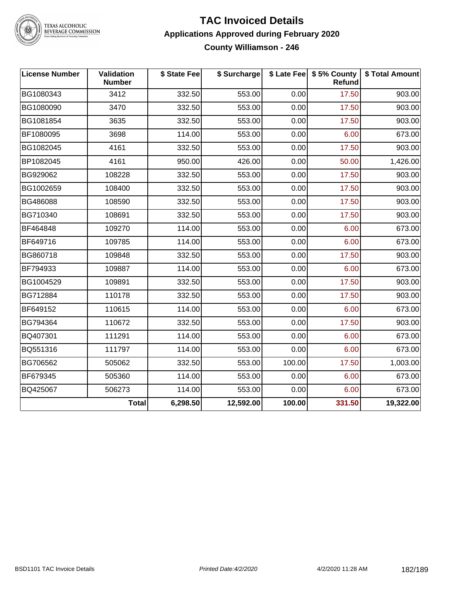

# TEXAS ALCOHOLIC<br>BEVERAGE COMMISSION

#### **TAC Invoiced Details Applications Approved during February 2020 County Williamson - 246**

| <b>License Number</b> | Validation<br><b>Number</b> | \$ State Fee | \$ Surcharge |        | \$ Late Fee   \$5% County  <br>Refund | \$ Total Amount |
|-----------------------|-----------------------------|--------------|--------------|--------|---------------------------------------|-----------------|
| BG1080343             | 3412                        | 332.50       | 553.00       | 0.00   | 17.50                                 | 903.00          |
| BG1080090             | 3470                        | 332.50       | 553.00       | 0.00   | 17.50                                 | 903.00          |
| BG1081854             | 3635                        | 332.50       | 553.00       | 0.00   | 17.50                                 | 903.00          |
| BF1080095             | 3698                        | 114.00       | 553.00       | 0.00   | 6.00                                  | 673.00          |
| BG1082045             | 4161                        | 332.50       | 553.00       | 0.00   | 17.50                                 | 903.00          |
| BP1082045             | 4161                        | 950.00       | 426.00       | 0.00   | 50.00                                 | 1,426.00        |
| BG929062              | 108228                      | 332.50       | 553.00       | 0.00   | 17.50                                 | 903.00          |
| BG1002659             | 108400                      | 332.50       | 553.00       | 0.00   | 17.50                                 | 903.00          |
| BG486088              | 108590                      | 332.50       | 553.00       | 0.00   | 17.50                                 | 903.00          |
| BG710340              | 108691                      | 332.50       | 553.00       | 0.00   | 17.50                                 | 903.00          |
| BF464848              | 109270                      | 114.00       | 553.00       | 0.00   | 6.00                                  | 673.00          |
| BF649716              | 109785                      | 114.00       | 553.00       | 0.00   | 6.00                                  | 673.00          |
| BG860718              | 109848                      | 332.50       | 553.00       | 0.00   | 17.50                                 | 903.00          |
| BF794933              | 109887                      | 114.00       | 553.00       | 0.00   | 6.00                                  | 673.00          |
| BG1004529             | 109891                      | 332.50       | 553.00       | 0.00   | 17.50                                 | 903.00          |
| BG712884              | 110178                      | 332.50       | 553.00       | 0.00   | 17.50                                 | 903.00          |
| BF649152              | 110615                      | 114.00       | 553.00       | 0.00   | 6.00                                  | 673.00          |
| BG794364              | 110672                      | 332.50       | 553.00       | 0.00   | 17.50                                 | 903.00          |
| BQ407301              | 111291                      | 114.00       | 553.00       | 0.00   | 6.00                                  | 673.00          |
| BQ551316              | 111797                      | 114.00       | 553.00       | 0.00   | 6.00                                  | 673.00          |
| BG706562              | 505062                      | 332.50       | 553.00       | 100.00 | 17.50                                 | 1,003.00        |
| BF679345              | 505360                      | 114.00       | 553.00       | 0.00   | 6.00                                  | 673.00          |
| BQ425067              | 506273                      | 114.00       | 553.00       | 0.00   | 6.00                                  | 673.00          |
|                       | <b>Total</b>                | 6,298.50     | 12,592.00    | 100.00 | 331.50                                | 19,322.00       |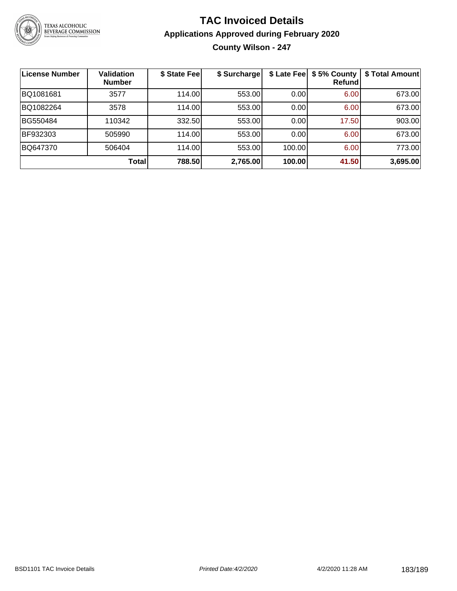

### **TAC Invoiced Details Applications Approved during February 2020 County Wilson - 247**

| License Number | Validation<br><b>Number</b> | \$ State Fee | \$ Surcharge | \$ Late Fee | \$5% County<br>Refundl | \$ Total Amount |
|----------------|-----------------------------|--------------|--------------|-------------|------------------------|-----------------|
| BQ1081681      | 3577                        | 114.00       | 553.00       | 0.00        | 6.00                   | 673.00          |
| BQ1082264      | 3578                        | 114.00       | 553.00       | 0.00        | 6.00                   | 673.00          |
| BG550484       | 110342                      | 332.50       | 553.00       | 0.00        | 17.50                  | 903.00          |
| BF932303       | 505990                      | 114.00       | 553.00       | 0.00        | 6.00                   | 673.00          |
| BQ647370       | 506404                      | 114.00       | 553.00       | 100.00      | 6.00                   | 773.00          |
|                | Total                       | 788.50       | 2,765.00     | 100.00      | 41.50                  | 3,695.00        |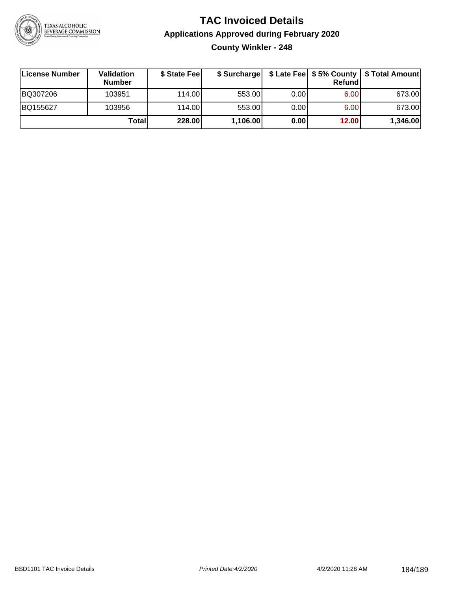

### **TAC Invoiced Details Applications Approved during February 2020 County Winkler - 248**

| License Number | Validation<br><b>Number</b> | \$ State Fee | \$ Surcharge |      | Refund | \$ Late Fee   \$5% County   \$ Total Amount |
|----------------|-----------------------------|--------------|--------------|------|--------|---------------------------------------------|
| BQ307206       | 103951                      | 114.00L      | 553.00       | 0.00 | 6.00   | 673.00                                      |
| BQ155627       | 103956                      | 114.00L      | 553.00       | 0.00 | 6.00   | 673.00                                      |
|                | Total                       | 228.00       | 1,106.00     | 0.00 | 12.00  | 1,346.00                                    |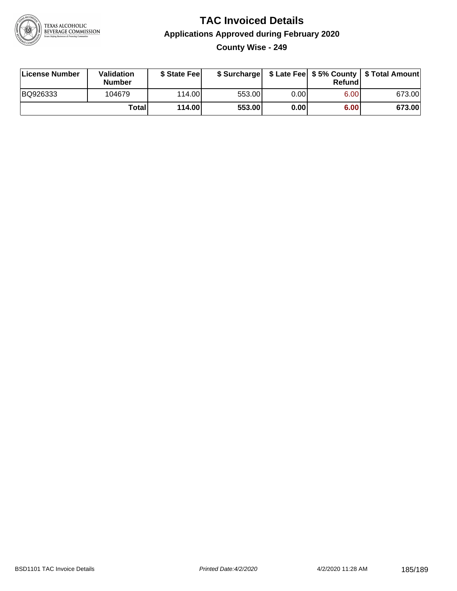

### **TAC Invoiced Details Applications Approved during February 2020 County Wise - 249**

| License Number | <b>Validation</b><br><b>Number</b> | \$ State Feel |        |      | Refundl | \$ Surcharge   \$ Late Fee   \$5% County   \$ Total Amount |
|----------------|------------------------------------|---------------|--------|------|---------|------------------------------------------------------------|
| BQ926333       | 104679                             | 114.00        | 553.00 | 0.00 | 6.00    | 673.00                                                     |
|                | Totall                             | 114.00        | 553.00 | 0.00 | 6.00    | 673.00                                                     |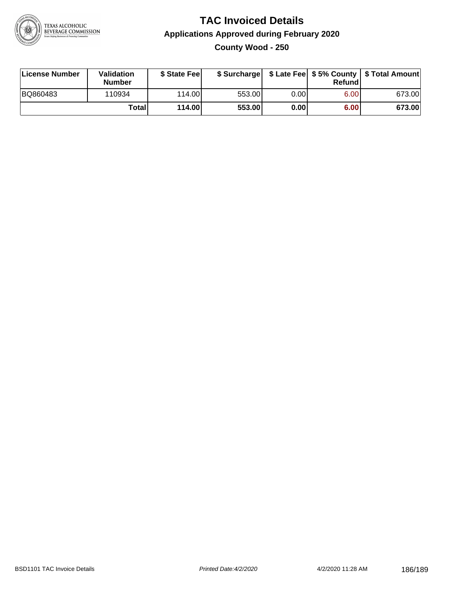

### **TAC Invoiced Details Applications Approved during February 2020 County Wood - 250**

| License Number | Validation<br>Number | \$ State Fee    |        |       | Refundl | \$ Surcharge   \$ Late Fee   \$5% County   \$ Total Amount |
|----------------|----------------------|-----------------|--------|-------|---------|------------------------------------------------------------|
| BQ860483       | 110934               | 114.00 <b>1</b> | 553.00 | 0.001 | 6.00    | 673.00                                                     |
|                | Totall               | 114.00          | 553.00 | 0.00  | 6.00    | 673.00                                                     |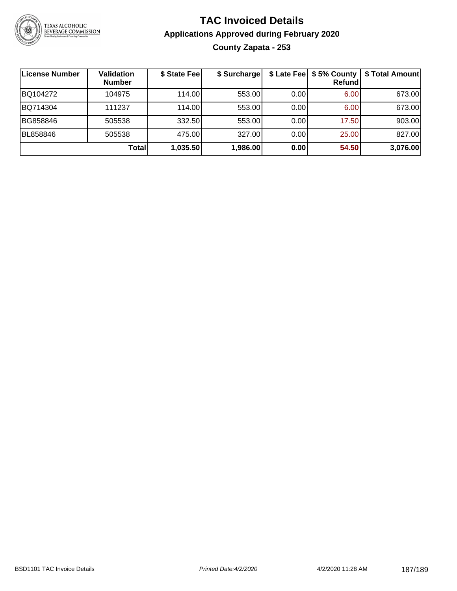

### **TAC Invoiced Details Applications Approved during February 2020 County Zapata - 253**

| <b>License Number</b> | Validation<br><b>Number</b> | \$ State Fee | \$ Surcharge |      | \$ Late Fee   \$5% County  <br><b>Refund</b> | \$ Total Amount |
|-----------------------|-----------------------------|--------------|--------------|------|----------------------------------------------|-----------------|
| BQ104272              | 104975                      | 114.00       | 553.00       | 0.00 | 6.00                                         | 673.00          |
| BQ714304              | 111237                      | 114.00       | 553.00       | 0.00 | 6.00                                         | 673.00          |
| BG858846              | 505538                      | 332.50       | 553.00       | 0.00 | 17.50                                        | 903.00          |
| BL858846              | 505538                      | 475.00       | 327.00       | 0.00 | 25.00                                        | 827.00          |
|                       | <b>Total</b>                | 1,035.50     | 1,986.00     | 0.00 | 54.50                                        | 3,076.00        |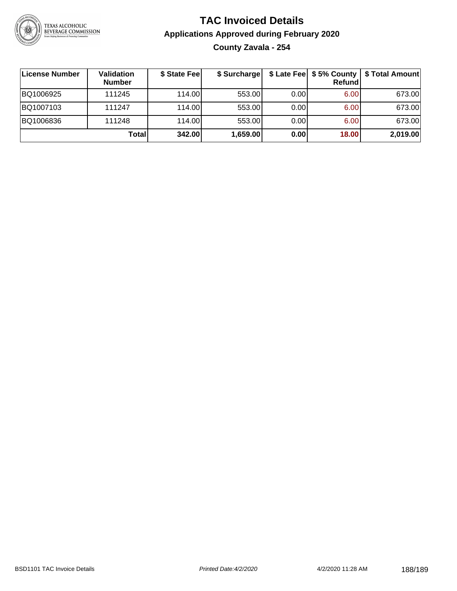

### **TAC Invoiced Details Applications Approved during February 2020 County Zavala - 254**

| ∣License Number | Validation<br><b>Number</b> | \$ State Feel | \$ Surcharge |      | Refundl | \$ Late Fee   \$5% County   \$ Total Amount |
|-----------------|-----------------------------|---------------|--------------|------|---------|---------------------------------------------|
| BQ1006925       | 111245                      | 114.00L       | 553.00       | 0.00 | 6.00    | 673.00                                      |
| BQ1007103       | 111247                      | 114.00        | 553.00       | 0.00 | 6.00    | 673.00                                      |
| BQ1006836       | 111248                      | 114.00        | 553.00       | 0.00 | 6.00    | 673.00                                      |
|                 | Total                       | 342.00        | 1,659.00     | 0.00 | 18.00   | 2,019.00                                    |